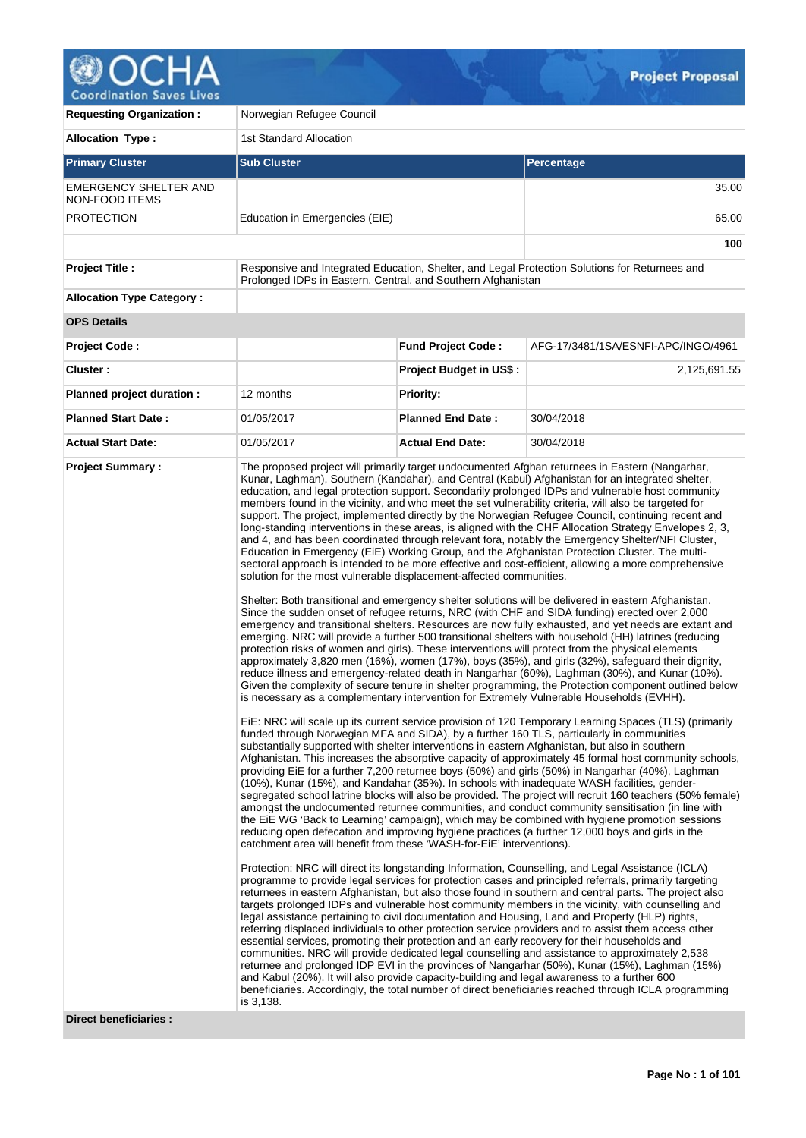

| <b>Requesting Organization:</b>                | Norwegian Refugee Council                                                                                                                                                                                                                                 |                           |                                                                                                                                                                                                                                                                                                                                                                                                                                                                                                                                                                                                                                                                                                                                                                                                                                                                                                                                                                                                                                                                                                                                                                                                                                                                                                                                                                                                                                                                                                                                                                                                                                                                                                                                                                                                                                                                                                                                                                                                                                                                                                                                                                                                                                                                                                                                                                                                                                                                                                                                                                                                                                                                                                                                                                                                                                                                                                                                                                                                                                                                                                                                                                                                                                                                                                                                                                                                                                                                                                                                                                                                                                                                                                                                                                                                                                                                                                                                                                                                         |  |  |  |  |
|------------------------------------------------|-----------------------------------------------------------------------------------------------------------------------------------------------------------------------------------------------------------------------------------------------------------|---------------------------|---------------------------------------------------------------------------------------------------------------------------------------------------------------------------------------------------------------------------------------------------------------------------------------------------------------------------------------------------------------------------------------------------------------------------------------------------------------------------------------------------------------------------------------------------------------------------------------------------------------------------------------------------------------------------------------------------------------------------------------------------------------------------------------------------------------------------------------------------------------------------------------------------------------------------------------------------------------------------------------------------------------------------------------------------------------------------------------------------------------------------------------------------------------------------------------------------------------------------------------------------------------------------------------------------------------------------------------------------------------------------------------------------------------------------------------------------------------------------------------------------------------------------------------------------------------------------------------------------------------------------------------------------------------------------------------------------------------------------------------------------------------------------------------------------------------------------------------------------------------------------------------------------------------------------------------------------------------------------------------------------------------------------------------------------------------------------------------------------------------------------------------------------------------------------------------------------------------------------------------------------------------------------------------------------------------------------------------------------------------------------------------------------------------------------------------------------------------------------------------------------------------------------------------------------------------------------------------------------------------------------------------------------------------------------------------------------------------------------------------------------------------------------------------------------------------------------------------------------------------------------------------------------------------------------------------------------------------------------------------------------------------------------------------------------------------------------------------------------------------------------------------------------------------------------------------------------------------------------------------------------------------------------------------------------------------------------------------------------------------------------------------------------------------------------------------------------------------------------------------------------------------------------------------------------------------------------------------------------------------------------------------------------------------------------------------------------------------------------------------------------------------------------------------------------------------------------------------------------------------------------------------------------------------------------------------------------------------------------------------------------------|--|--|--|--|
| <b>Allocation Type:</b>                        | 1st Standard Allocation                                                                                                                                                                                                                                   |                           |                                                                                                                                                                                                                                                                                                                                                                                                                                                                                                                                                                                                                                                                                                                                                                                                                                                                                                                                                                                                                                                                                                                                                                                                                                                                                                                                                                                                                                                                                                                                                                                                                                                                                                                                                                                                                                                                                                                                                                                                                                                                                                                                                                                                                                                                                                                                                                                                                                                                                                                                                                                                                                                                                                                                                                                                                                                                                                                                                                                                                                                                                                                                                                                                                                                                                                                                                                                                                                                                                                                                                                                                                                                                                                                                                                                                                                                                                                                                                                                                         |  |  |  |  |
| <b>Primary Cluster</b>                         | <b>Sub Cluster</b>                                                                                                                                                                                                                                        |                           | <b>Percentage</b>                                                                                                                                                                                                                                                                                                                                                                                                                                                                                                                                                                                                                                                                                                                                                                                                                                                                                                                                                                                                                                                                                                                                                                                                                                                                                                                                                                                                                                                                                                                                                                                                                                                                                                                                                                                                                                                                                                                                                                                                                                                                                                                                                                                                                                                                                                                                                                                                                                                                                                                                                                                                                                                                                                                                                                                                                                                                                                                                                                                                                                                                                                                                                                                                                                                                                                                                                                                                                                                                                                                                                                                                                                                                                                                                                                                                                                                                                                                                                                                       |  |  |  |  |
| <b>EMERGENCY SHELTER AND</b><br>NON-FOOD ITEMS |                                                                                                                                                                                                                                                           |                           | 35.00                                                                                                                                                                                                                                                                                                                                                                                                                                                                                                                                                                                                                                                                                                                                                                                                                                                                                                                                                                                                                                                                                                                                                                                                                                                                                                                                                                                                                                                                                                                                                                                                                                                                                                                                                                                                                                                                                                                                                                                                                                                                                                                                                                                                                                                                                                                                                                                                                                                                                                                                                                                                                                                                                                                                                                                                                                                                                                                                                                                                                                                                                                                                                                                                                                                                                                                                                                                                                                                                                                                                                                                                                                                                                                                                                                                                                                                                                                                                                                                                   |  |  |  |  |
| <b>PROTECTION</b>                              | Education in Emergencies (EIE)                                                                                                                                                                                                                            |                           |                                                                                                                                                                                                                                                                                                                                                                                                                                                                                                                                                                                                                                                                                                                                                                                                                                                                                                                                                                                                                                                                                                                                                                                                                                                                                                                                                                                                                                                                                                                                                                                                                                                                                                                                                                                                                                                                                                                                                                                                                                                                                                                                                                                                                                                                                                                                                                                                                                                                                                                                                                                                                                                                                                                                                                                                                                                                                                                                                                                                                                                                                                                                                                                                                                                                                                                                                                                                                                                                                                                                                                                                                                                                                                                                                                                                                                                                                                                                                                                                         |  |  |  |  |
|                                                |                                                                                                                                                                                                                                                           |                           | 100                                                                                                                                                                                                                                                                                                                                                                                                                                                                                                                                                                                                                                                                                                                                                                                                                                                                                                                                                                                                                                                                                                                                                                                                                                                                                                                                                                                                                                                                                                                                                                                                                                                                                                                                                                                                                                                                                                                                                                                                                                                                                                                                                                                                                                                                                                                                                                                                                                                                                                                                                                                                                                                                                                                                                                                                                                                                                                                                                                                                                                                                                                                                                                                                                                                                                                                                                                                                                                                                                                                                                                                                                                                                                                                                                                                                                                                                                                                                                                                                     |  |  |  |  |
| <b>Project Title:</b>                          | Prolonged IDPs in Eastern, Central, and Southern Afghanistan                                                                                                                                                                                              |                           | Responsive and Integrated Education, Shelter, and Legal Protection Solutions for Returnees and                                                                                                                                                                                                                                                                                                                                                                                                                                                                                                                                                                                                                                                                                                                                                                                                                                                                                                                                                                                                                                                                                                                                                                                                                                                                                                                                                                                                                                                                                                                                                                                                                                                                                                                                                                                                                                                                                                                                                                                                                                                                                                                                                                                                                                                                                                                                                                                                                                                                                                                                                                                                                                                                                                                                                                                                                                                                                                                                                                                                                                                                                                                                                                                                                                                                                                                                                                                                                                                                                                                                                                                                                                                                                                                                                                                                                                                                                                          |  |  |  |  |
| <b>Allocation Type Category:</b>               |                                                                                                                                                                                                                                                           |                           |                                                                                                                                                                                                                                                                                                                                                                                                                                                                                                                                                                                                                                                                                                                                                                                                                                                                                                                                                                                                                                                                                                                                                                                                                                                                                                                                                                                                                                                                                                                                                                                                                                                                                                                                                                                                                                                                                                                                                                                                                                                                                                                                                                                                                                                                                                                                                                                                                                                                                                                                                                                                                                                                                                                                                                                                                                                                                                                                                                                                                                                                                                                                                                                                                                                                                                                                                                                                                                                                                                                                                                                                                                                                                                                                                                                                                                                                                                                                                                                                         |  |  |  |  |
| <b>OPS Details</b>                             |                                                                                                                                                                                                                                                           |                           |                                                                                                                                                                                                                                                                                                                                                                                                                                                                                                                                                                                                                                                                                                                                                                                                                                                                                                                                                                                                                                                                                                                                                                                                                                                                                                                                                                                                                                                                                                                                                                                                                                                                                                                                                                                                                                                                                                                                                                                                                                                                                                                                                                                                                                                                                                                                                                                                                                                                                                                                                                                                                                                                                                                                                                                                                                                                                                                                                                                                                                                                                                                                                                                                                                                                                                                                                                                                                                                                                                                                                                                                                                                                                                                                                                                                                                                                                                                                                                                                         |  |  |  |  |
| <b>Project Code:</b>                           |                                                                                                                                                                                                                                                           | <b>Fund Project Code:</b> | AFG-17/3481/1SA/ESNFI-APC/INGO/4961                                                                                                                                                                                                                                                                                                                                                                                                                                                                                                                                                                                                                                                                                                                                                                                                                                                                                                                                                                                                                                                                                                                                                                                                                                                                                                                                                                                                                                                                                                                                                                                                                                                                                                                                                                                                                                                                                                                                                                                                                                                                                                                                                                                                                                                                                                                                                                                                                                                                                                                                                                                                                                                                                                                                                                                                                                                                                                                                                                                                                                                                                                                                                                                                                                                                                                                                                                                                                                                                                                                                                                                                                                                                                                                                                                                                                                                                                                                                                                     |  |  |  |  |
| Cluster:                                       |                                                                                                                                                                                                                                                           | Project Budget in US\$:   | 2,125,691.55                                                                                                                                                                                                                                                                                                                                                                                                                                                                                                                                                                                                                                                                                                                                                                                                                                                                                                                                                                                                                                                                                                                                                                                                                                                                                                                                                                                                                                                                                                                                                                                                                                                                                                                                                                                                                                                                                                                                                                                                                                                                                                                                                                                                                                                                                                                                                                                                                                                                                                                                                                                                                                                                                                                                                                                                                                                                                                                                                                                                                                                                                                                                                                                                                                                                                                                                                                                                                                                                                                                                                                                                                                                                                                                                                                                                                                                                                                                                                                                            |  |  |  |  |
| Planned project duration :                     | 12 months                                                                                                                                                                                                                                                 | <b>Priority:</b>          |                                                                                                                                                                                                                                                                                                                                                                                                                                                                                                                                                                                                                                                                                                                                                                                                                                                                                                                                                                                                                                                                                                                                                                                                                                                                                                                                                                                                                                                                                                                                                                                                                                                                                                                                                                                                                                                                                                                                                                                                                                                                                                                                                                                                                                                                                                                                                                                                                                                                                                                                                                                                                                                                                                                                                                                                                                                                                                                                                                                                                                                                                                                                                                                                                                                                                                                                                                                                                                                                                                                                                                                                                                                                                                                                                                                                                                                                                                                                                                                                         |  |  |  |  |
| <b>Planned Start Date:</b>                     | 01/05/2017                                                                                                                                                                                                                                                | <b>Planned End Date:</b>  | 30/04/2018                                                                                                                                                                                                                                                                                                                                                                                                                                                                                                                                                                                                                                                                                                                                                                                                                                                                                                                                                                                                                                                                                                                                                                                                                                                                                                                                                                                                                                                                                                                                                                                                                                                                                                                                                                                                                                                                                                                                                                                                                                                                                                                                                                                                                                                                                                                                                                                                                                                                                                                                                                                                                                                                                                                                                                                                                                                                                                                                                                                                                                                                                                                                                                                                                                                                                                                                                                                                                                                                                                                                                                                                                                                                                                                                                                                                                                                                                                                                                                                              |  |  |  |  |
| <b>Actual Start Date:</b>                      | 01/05/2017                                                                                                                                                                                                                                                | <b>Actual End Date:</b>   | 30/04/2018                                                                                                                                                                                                                                                                                                                                                                                                                                                                                                                                                                                                                                                                                                                                                                                                                                                                                                                                                                                                                                                                                                                                                                                                                                                                                                                                                                                                                                                                                                                                                                                                                                                                                                                                                                                                                                                                                                                                                                                                                                                                                                                                                                                                                                                                                                                                                                                                                                                                                                                                                                                                                                                                                                                                                                                                                                                                                                                                                                                                                                                                                                                                                                                                                                                                                                                                                                                                                                                                                                                                                                                                                                                                                                                                                                                                                                                                                                                                                                                              |  |  |  |  |
| <b>Project Summary:</b>                        | solution for the most vulnerable displacement-affected communities.<br>catchment area will benefit from these 'WASH-for-EiE' interventions).<br>and Kabul (20%). It will also provide capacity-building and legal awareness to a further 600<br>is 3,138. |                           | The proposed project will primarily target undocumented Afghan returnees in Eastern (Nangarhar,<br>Kunar, Laghman), Southern (Kandahar), and Central (Kabul) Afghanistan for an integrated shelter,<br>education, and legal protection support. Secondarily prolonged IDPs and vulnerable host community<br>members found in the vicinity, and who meet the set vulnerability criteria, will also be targeted for<br>support. The project, implemented directly by the Norwegian Refugee Council, continuing recent and<br>long-standing interventions in these areas, is aligned with the CHF Allocation Strategy Envelopes 2, 3,<br>and 4, and has been coordinated through relevant fora, notably the Emergency Shelter/NFI Cluster,<br>Education in Emergency (EiE) Working Group, and the Afghanistan Protection Cluster. The multi-<br>sectoral approach is intended to be more effective and cost-efficient, allowing a more comprehensive<br>Shelter: Both transitional and emergency shelter solutions will be delivered in eastern Afghanistan.<br>Since the sudden onset of refugee returns, NRC (with CHF and SIDA funding) erected over 2,000<br>emergency and transitional shelters. Resources are now fully exhausted, and yet needs are extant and<br>emerging. NRC will provide a further 500 transitional shelters with household (HH) latrines (reducing<br>protection risks of women and girls). These interventions will protect from the physical elements<br>approximately 3,820 men (16%), women (17%), boys (35%), and girls (32%), safeguard their dignity,<br>reduce illness and emergency-related death in Nangarhar (60%), Laghman (30%), and Kunar (10%).<br>Given the complexity of secure tenure in shelter programming, the Protection component outlined below<br>is necessary as a complementary intervention for Extremely Vulnerable Households (EVHH).<br>EiE: NRC will scale up its current service provision of 120 Temporary Learning Spaces (TLS) (primarily<br>funded through Norwegian MFA and SIDA), by a further 160 TLS, particularly in communities<br>substantially supported with shelter interventions in eastern Afghanistan, but also in southern<br>Afghanistan. This increases the absorptive capacity of approximately 45 formal host community schools,<br>providing EiE for a further 7,200 returnee boys (50%) and girls (50%) in Nangarhar (40%), Laghman<br>(10%), Kunar (15%), and Kandahar (35%). In schools with inadequate WASH facilities, gender-<br>segregated school latrine blocks will also be provided. The project will recruit 160 teachers (50% female)<br>amongst the undocumented returnee communities, and conduct community sensitisation (in line with<br>the EiE WG 'Back to Learning' campaign), which may be combined with hygiene promotion sessions<br>reducing open defecation and improving hygiene practices (a further 12,000 boys and girls in the<br>Protection: NRC will direct its longstanding Information, Counselling, and Legal Assistance (ICLA)<br>programme to provide legal services for protection cases and principled referrals, primarily targeting<br>returnees in eastern Afghanistan, but also those found in southern and central parts. The project also<br>targets prolonged IDPs and vulnerable host community members in the vicinity, with counselling and<br>legal assistance pertaining to civil documentation and Housing, Land and Property (HLP) rights,<br>referring displaced individuals to other protection service providers and to assist them access other<br>essential services, promoting their protection and an early recovery for their households and<br>communities. NRC will provide dedicated legal counselling and assistance to approximately 2,538<br>returnee and prolonged IDP EVI in the provinces of Nangarhar (50%), Kunar (15%), Laghman (15%)<br>beneficiaries. Accordingly, the total number of direct beneficiaries reached through ICLA programming |  |  |  |  |

**Direct beneficiaries :**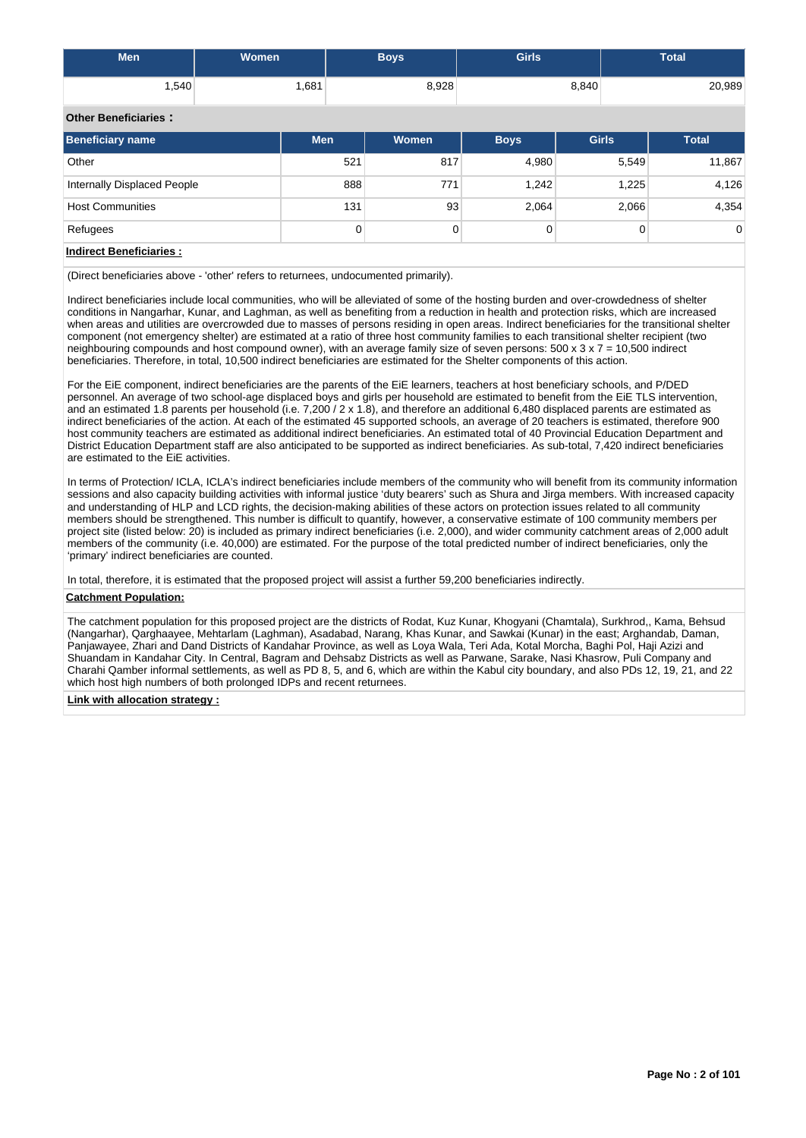| <b>Men</b>                  | <b>Women</b> | <b>Boys</b> | <b>Girls</b> | <b>Total</b> |
|-----------------------------|--------------|-------------|--------------|--------------|
| .540                        | 1,681        | 8,928       | 8,840        | 20,989       |
| <b>Other Beneficiaries:</b> |              |             |              |              |

| Beneficiary name            | <b>Men</b> | Women | <b>Boys</b> | <b>Girls</b> | <b>Total</b> |
|-----------------------------|------------|-------|-------------|--------------|--------------|
| Other                       | 521        | 817   | 4,980       | 5,549        | 11,867       |
| Internally Displaced People | 888        | 771   | 1.242       | 1,225        | 4,126        |
| <b>Host Communities</b>     | 131        | 93    | 2,064       | 2,066        | 4,354        |
| Refugees                    | 0          | 0     | 0           | 0            | $\Omega$     |

# **Indirect Beneficiaries :**

(Direct beneficiaries above - 'other' refers to returnees, undocumented primarily).

Indirect beneficiaries include local communities, who will be alleviated of some of the hosting burden and over-crowdedness of shelter conditions in Nangarhar, Kunar, and Laghman, as well as benefiting from a reduction in health and protection risks, which are increased when areas and utilities are overcrowded due to masses of persons residing in open areas. Indirect beneficiaries for the transitional shelter component (not emergency shelter) are estimated at a ratio of three host community families to each transitional shelter recipient (two neighbouring compounds and host compound owner), with an average family size of seven persons: 500 x  $3 \times 7 = 10,500$  indirect beneficiaries. Therefore, in total, 10,500 indirect beneficiaries are estimated for the Shelter components of this action.

For the EiE component, indirect beneficiaries are the parents of the EiE learners, teachers at host beneficiary schools, and P/DED personnel. An average of two school-age displaced boys and girls per household are estimated to benefit from the EiE TLS intervention, and an estimated 1.8 parents per household (i.e. 7,200 / 2 x 1.8), and therefore an additional 6,480 displaced parents are estimated as indirect beneficiaries of the action. At each of the estimated 45 supported schools, an average of 20 teachers is estimated, therefore 900 host community teachers are estimated as additional indirect beneficiaries. An estimated total of 40 Provincial Education Department and District Education Department staff are also anticipated to be supported as indirect beneficiaries. As sub-total, 7,420 indirect beneficiaries are estimated to the EiE activities.

In terms of Protection/ ICLA, ICLA's indirect beneficiaries include members of the community who will benefit from its community information sessions and also capacity building activities with informal justice 'duty bearers' such as Shura and Jirga members. With increased capacity and understanding of HLP and LCD rights, the decision-making abilities of these actors on protection issues related to all community members should be strengthened. This number is difficult to quantify, however, a conservative estimate of 100 community members per project site (listed below: 20) is included as primary indirect beneficiaries (i.e. 2,000), and wider community catchment areas of 2,000 adult members of the community (i.e. 40,000) are estimated. For the purpose of the total predicted number of indirect beneficiaries, only the 'primary' indirect beneficiaries are counted.

In total, therefore, it is estimated that the proposed project will assist a further 59,200 beneficiaries indirectly.

## **Catchment Population:**

The catchment population for this proposed project are the districts of Rodat, Kuz Kunar, Khogyani (Chamtala), Surkhrod,, Kama, Behsud (Nangarhar), Qarghaayee, Mehtarlam (Laghman), Asadabad, Narang, Khas Kunar, and Sawkai (Kunar) in the east; Arghandab, Daman, Panjawayee, Zhari and Dand Districts of Kandahar Province, as well as Loya Wala, Teri Ada, Kotal Morcha, Baghi Pol, Haji Azizi and Shuandam in Kandahar City. In Central, Bagram and Dehsabz Districts as well as Parwane, Sarake, Nasi Khasrow, Puli Company and Charahi Qamber informal settlements, as well as PD 8, 5, and 6, which are within the Kabul city boundary, and also PDs 12, 19, 21, and 22 which host high numbers of both prolonged IDPs and recent returnees.

#### **Link with allocation strategy :**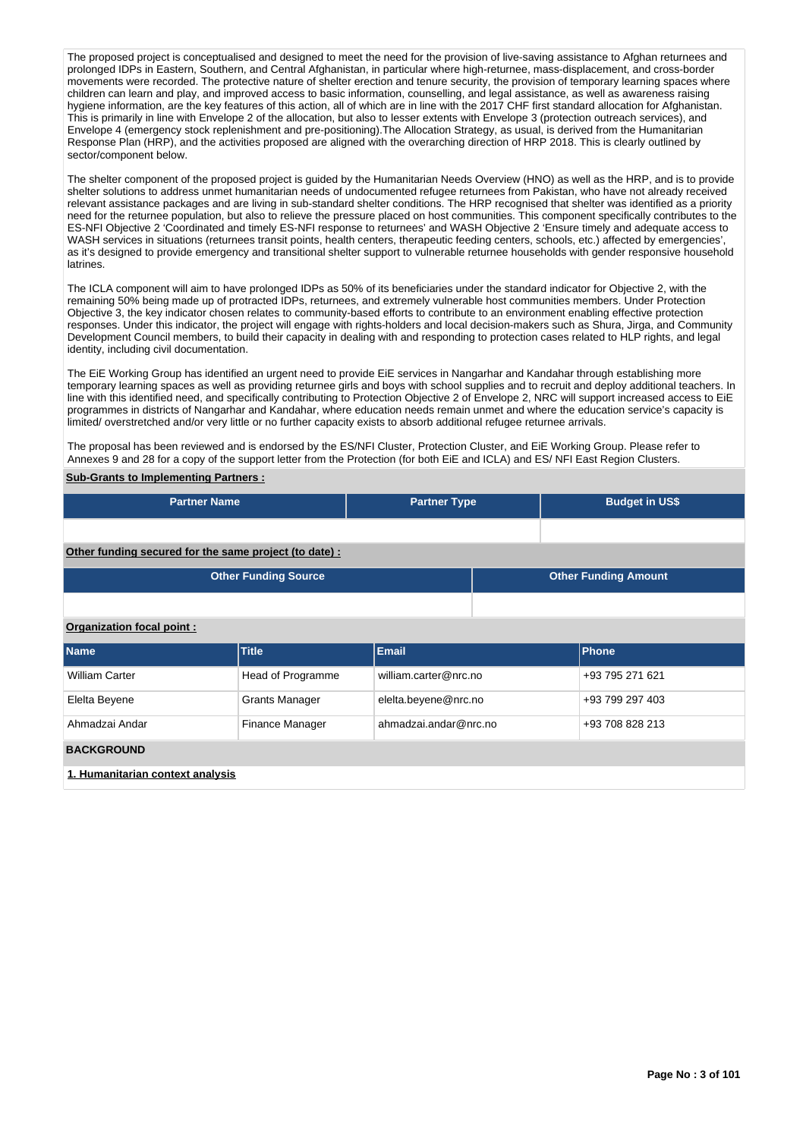The proposed project is conceptualised and designed to meet the need for the provision of live-saving assistance to Afghan returnees and prolonged IDPs in Eastern, Southern, and Central Afghanistan, in particular where high-returnee, mass-displacement, and cross-border movements were recorded. The protective nature of shelter erection and tenure security, the provision of temporary learning spaces where children can learn and play, and improved access to basic information, counselling, and legal assistance, as well as awareness raising hygiene information, are the key features of this action, all of which are in line with the 2017 CHF first standard allocation for Afghanistan. This is primarily in line with Envelope 2 of the allocation, but also to lesser extents with Envelope 3 (protection outreach services), and Envelope 4 (emergency stock replenishment and pre-positioning).The Allocation Strategy, as usual, is derived from the Humanitarian Response Plan (HRP), and the activities proposed are aligned with the overarching direction of HRP 2018. This is clearly outlined by sector/component below.

The shelter component of the proposed project is guided by the Humanitarian Needs Overview (HNO) as well as the HRP, and is to provide shelter solutions to address unmet humanitarian needs of undocumented refugee returnees from Pakistan, who have not already received relevant assistance packages and are living in sub-standard shelter conditions. The HRP recognised that shelter was identified as a priority need for the returnee population, but also to relieve the pressure placed on host communities. This component specifically contributes to the ES-NFI Objective 2 'Coordinated and timely ES-NFI response to returnees' and WASH Objective 2 'Ensure timely and adequate access to WASH services in situations (returnees transit points, health centers, therapeutic feeding centers, schools, etc.) affected by emergencies', as it's designed to provide emergency and transitional shelter support to vulnerable returnee households with gender responsive household latrines.

The ICLA component will aim to have prolonged IDPs as 50% of its beneficiaries under the standard indicator for Objective 2, with the remaining 50% being made up of protracted IDPs, returnees, and extremely vulnerable host communities members. Under Protection Objective 3, the key indicator chosen relates to community-based efforts to contribute to an environment enabling effective protection responses. Under this indicator, the project will engage with rights-holders and local decision-makers such as Shura, Jirga, and Community Development Council members, to build their capacity in dealing with and responding to protection cases related to HLP rights, and legal identity, including civil documentation.

The EiE Working Group has identified an urgent need to provide EiE services in Nangarhar and Kandahar through establishing more temporary learning spaces as well as providing returnee girls and boys with school supplies and to recruit and deploy additional teachers. In line with this identified need, and specifically contributing to Protection Objective 2 of Envelope 2, NRC will support increased access to EiE programmes in districts of Nangarhar and Kandahar, where education needs remain unmet and where the education service's capacity is limited/ overstretched and/or very little or no further capacity exists to absorb additional refugee returnee arrivals.

The proposal has been reviewed and is endorsed by the ES/NFI Cluster, Protection Cluster, and EiE Working Group. Please refer to Annexes 9 and 28 for a copy of the support letter from the Protection (for both EiE and ICLA) and ES/ NFI East Region Clusters.

#### **Sub-Grants to Implementing Partners :**

| <b>Partner Name</b>                                   |                             | <b>Partner Type</b>   |                             | <b>Budget in US\$</b> |                 |  |  |  |
|-------------------------------------------------------|-----------------------------|-----------------------|-----------------------------|-----------------------|-----------------|--|--|--|
|                                                       |                             |                       |                             |                       |                 |  |  |  |
| Other funding secured for the same project (to date): |                             |                       |                             |                       |                 |  |  |  |
|                                                       | <b>Other Funding Source</b> |                       | <b>Other Funding Amount</b> |                       |                 |  |  |  |
|                                                       |                             |                       |                             |                       |                 |  |  |  |
| Organization focal point:                             |                             |                       |                             |                       |                 |  |  |  |
| <b>Name</b>                                           | <b>Title</b>                | Email                 |                             |                       | Phone           |  |  |  |
| <b>William Carter</b>                                 | Head of Programme           | william.carter@nrc.no |                             |                       | +93 795 271 621 |  |  |  |
| Elelta Beyene                                         | <b>Grants Manager</b>       | elelta.beyene@nrc.no  |                             |                       | +93 799 297 403 |  |  |  |
| Ahmadzai Andar                                        | Finance Manager             | ahmadzai.andar@nrc.no |                             |                       | +93 708 828 213 |  |  |  |
| <b>BACKGROUND</b>                                     |                             |                       |                             |                       |                 |  |  |  |
| 1. Humanitarian context analysis                      |                             |                       |                             |                       |                 |  |  |  |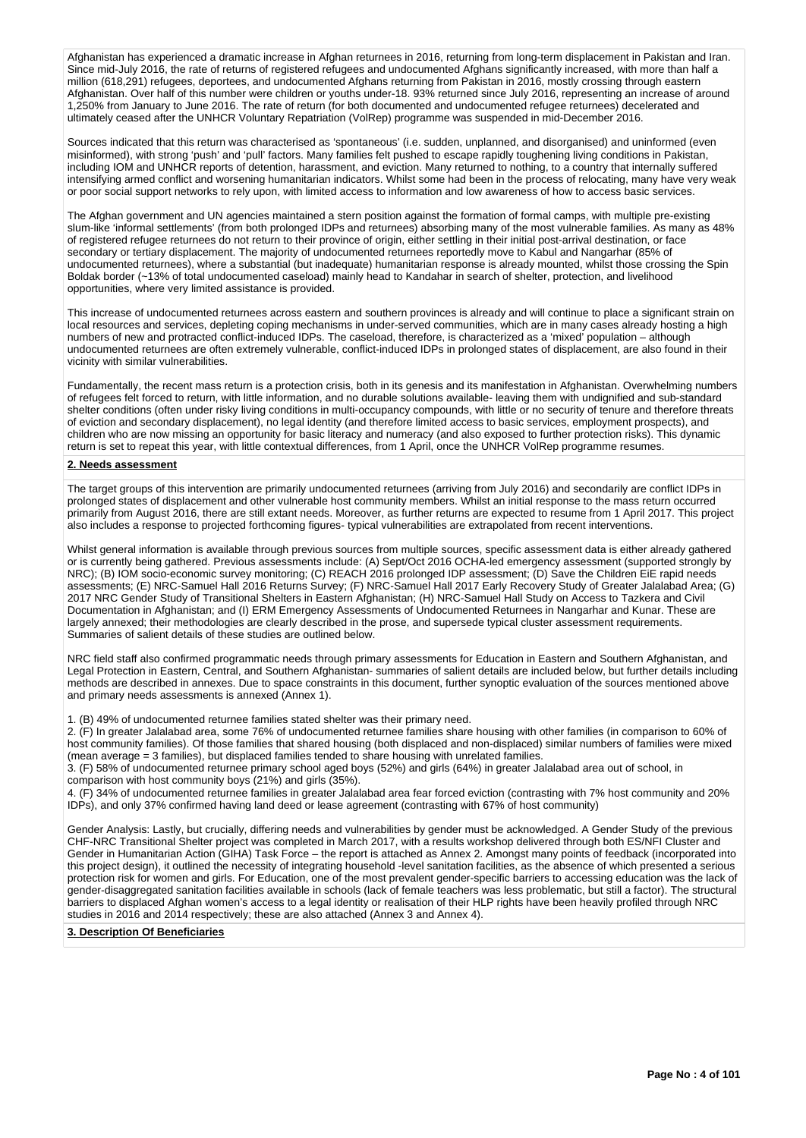Afghanistan has experienced a dramatic increase in Afghan returnees in 2016, returning from long-term displacement in Pakistan and Iran. Since mid-July 2016, the rate of returns of registered refugees and undocumented Afghans significantly increased, with more than half a million (618,291) refugees, deportees, and undocumented Afghans returning from Pakistan in 2016, mostly crossing through eastern Afghanistan. Over half of this number were children or youths under-18. 93% returned since July 2016, representing an increase of around 1,250% from January to June 2016. The rate of return (for both documented and undocumented refugee returnees) decelerated and ultimately ceased after the UNHCR Voluntary Repatriation (VolRep) programme was suspended in mid-December 2016.

Sources indicated that this return was characterised as 'spontaneous' (i.e. sudden, unplanned, and disorganised) and uninformed (even misinformed), with strong 'push' and 'pull' factors. Many families felt pushed to escape rapidly toughening living conditions in Pakistan, including IOM and UNHCR reports of detention, harassment, and eviction. Many returned to nothing, to a country that internally suffered intensifying armed conflict and worsening humanitarian indicators. Whilst some had been in the process of relocating, many have very weak or poor social support networks to rely upon, with limited access to information and low awareness of how to access basic services.

The Afghan government and UN agencies maintained a stern position against the formation of formal camps, with multiple pre-existing slum-like 'informal settlements' (from both prolonged IDPs and returnees) absorbing many of the most vulnerable families. As many as 48% of registered refugee returnees do not return to their province of origin, either settling in their initial post-arrival destination, or face secondary or tertiary displacement. The majority of undocumented returnees reportedly move to Kabul and Nangarhar (85% of undocumented returnees), where a substantial (but inadequate) humanitarian response is already mounted, whilst those crossing the Spin Boldak border (~13% of total undocumented caseload) mainly head to Kandahar in search of shelter, protection, and livelihood opportunities, where very limited assistance is provided.

This increase of undocumented returnees across eastern and southern provinces is already and will continue to place a significant strain on local resources and services, depleting coping mechanisms in under-served communities, which are in many cases already hosting a high numbers of new and protracted conflict-induced IDPs. The caseload, therefore, is characterized as a 'mixed' population – although undocumented returnees are often extremely vulnerable, conflict-induced IDPs in prolonged states of displacement, are also found in their vicinity with similar vulnerabilities.

Fundamentally, the recent mass return is a protection crisis, both in its genesis and its manifestation in Afghanistan. Overwhelming numbers of refugees felt forced to return, with little information, and no durable solutions available- leaving them with undignified and sub-standard shelter conditions (often under risky living conditions in multi-occupancy compounds, with little or no security of tenure and therefore threats of eviction and secondary displacement), no legal identity (and therefore limited access to basic services, employment prospects), and children who are now missing an opportunity for basic literacy and numeracy (and also exposed to further protection risks). This dynamic return is set to repeat this year, with little contextual differences, from 1 April, once the UNHCR VolRep programme resumes.

#### **2. Needs assessment**

The target groups of this intervention are primarily undocumented returnees (arriving from July 2016) and secondarily are conflict IDPs in prolonged states of displacement and other vulnerable host community members. Whilst an initial response to the mass return occurred primarily from August 2016, there are still extant needs. Moreover, as further returns are expected to resume from 1 April 2017. This project also includes a response to projected forthcoming figures- typical vulnerabilities are extrapolated from recent interventions.

Whilst general information is available through previous sources from multiple sources, specific assessment data is either already gathered or is currently being gathered. Previous assessments include: (A) Sept/Oct 2016 OCHA-led emergency assessment (supported strongly by NRC); (B) IOM socio-economic survey monitoring; (C) REACH 2016 prolonged IDP assessment; (D) Save the Children EiE rapid needs assessments; (E) NRC-Samuel Hall 2016 Returns Survey; (F) NRC-Samuel Hall 2017 Early Recovery Study of Greater Jalalabad Area; (G) 2017 NRC Gender Study of Transitional Shelters in Eastern Afghanistan; (H) NRC-Samuel Hall Study on Access to Tazkera and Civil Documentation in Afghanistan; and (I) ERM Emergency Assessments of Undocumented Returnees in Nangarhar and Kunar. These are largely annexed; their methodologies are clearly described in the prose, and supersede typical cluster assessment requirements. Summaries of salient details of these studies are outlined below.

NRC field staff also confirmed programmatic needs through primary assessments for Education in Eastern and Southern Afghanistan, and Legal Protection in Eastern, Central, and Southern Afghanistan- summaries of salient details are included below, but further details including methods are described in annexes. Due to space constraints in this document, further synoptic evaluation of the sources mentioned above and primary needs assessments is annexed (Annex 1).

1. (B) 49% of undocumented returnee families stated shelter was their primary need.

2. (F) In greater Jalalabad area, some 76% of undocumented returnee families share housing with other families (in comparison to 60% of host community families). Of those families that shared housing (both displaced and non-displaced) similar numbers of families were mixed (mean average = 3 families), but displaced families tended to share housing with unrelated families.

3. (F) 58% of undocumented returnee primary school aged boys (52%) and girls (64%) in greater Jalalabad area out of school, in comparison with host community boys (21%) and girls (35%).

4. (F) 34% of undocumented returnee families in greater Jalalabad area fear forced eviction (contrasting with 7% host community and 20% IDPs), and only 37% confirmed having land deed or lease agreement (contrasting with 67% of host community)

Gender Analysis: Lastly, but crucially, differing needs and vulnerabilities by gender must be acknowledged. A Gender Study of the previous CHF-NRC Transitional Shelter project was completed in March 2017, with a results workshop delivered through both ES/NFI Cluster and Gender in Humanitarian Action (GIHA) Task Force – the report is attached as Annex 2. Amongst many points of feedback (incorporated into this project design), it outlined the necessity of integrating household -level sanitation facilities, as the absence of which presented a serious protection risk for women and girls. For Education, one of the most prevalent gender-specific barriers to accessing education was the lack of gender-disaggregated sanitation facilities available in schools (lack of female teachers was less problematic, but still a factor). The structural barriers to displaced Afghan women's access to a legal identity or realisation of their HLP rights have been heavily profiled through NRC studies in 2016 and 2014 respectively; these are also attached (Annex 3 and Annex 4).

#### **3. Description Of Beneficiaries**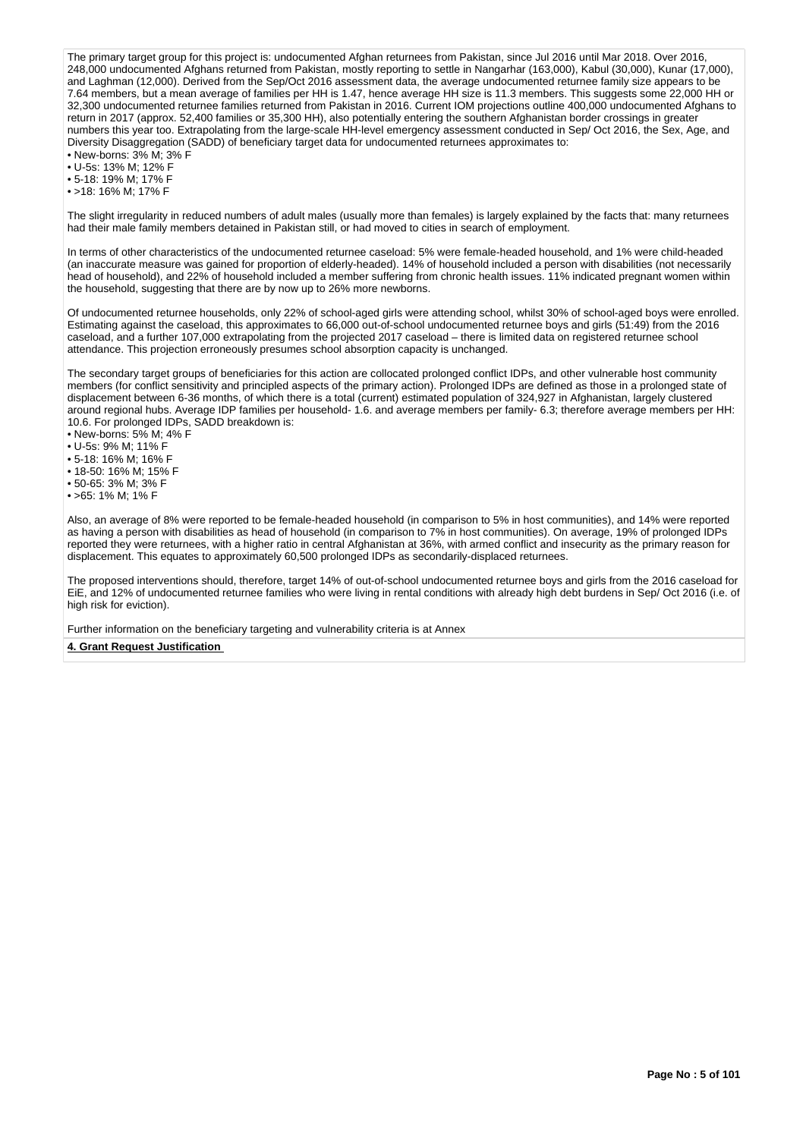The primary target group for this project is: undocumented Afghan returnees from Pakistan, since Jul 2016 until Mar 2018. Over 2016, 248,000 undocumented Afghans returned from Pakistan, mostly reporting to settle in Nangarhar (163,000), Kabul (30,000), Kunar (17,000), and Laghman (12,000). Derived from the Sep/Oct 2016 assessment data, the average undocumented returnee family size appears to be 7.64 members, but a mean average of families per HH is 1.47, hence average HH size is 11.3 members. This suggests some 22,000 HH or 32,300 undocumented returnee families returned from Pakistan in 2016. Current IOM projections outline 400,000 undocumented Afghans to return in 2017 (approx. 52,400 families or 35,300 HH), also potentially entering the southern Afghanistan border crossings in greater numbers this year too. Extrapolating from the large-scale HH-level emergency assessment conducted in Sep/ Oct 2016, the Sex, Age, and Diversity Disaggregation (SADD) of beneficiary target data for undocumented returnees approximates to:

• New-borns: 3% M; 3% F • U-5s: 13% M; 12% F

• 5-18: 19% M; 17% F

• >18: 16% M; 17% F

The slight irregularity in reduced numbers of adult males (usually more than females) is largely explained by the facts that: many returnees had their male family members detained in Pakistan still, or had moved to cities in search of employment.

In terms of other characteristics of the undocumented returnee caseload: 5% were female-headed household, and 1% were child-headed (an inaccurate measure was gained for proportion of elderly-headed). 14% of household included a person with disabilities (not necessarily head of household), and 22% of household included a member suffering from chronic health issues. 11% indicated pregnant women within the household, suggesting that there are by now up to 26% more newborns.

Of undocumented returnee households, only 22% of school-aged girls were attending school, whilst 30% of school-aged boys were enrolled. Estimating against the caseload, this approximates to 66,000 out-of-school undocumented returnee boys and girls (51:49) from the 2016 caseload, and a further 107,000 extrapolating from the projected 2017 caseload – there is limited data on registered returnee school attendance. This projection erroneously presumes school absorption capacity is unchanged.

The secondary target groups of beneficiaries for this action are collocated prolonged conflict IDPs, and other vulnerable host community members (for conflict sensitivity and principled aspects of the primary action). Prolonged IDPs are defined as those in a prolonged state of displacement between 6-36 months, of which there is a total (current) estimated population of 324,927 in Afghanistan, largely clustered around regional hubs. Average IDP families per household- 1.6. and average members per family- 6.3; therefore average members per HH: 10.6. For prolonged IDPs, SADD breakdown is:

• New-borns: 5% M; 4% F

- U-5s: 9% M; 11% F
- 5-18: 16% M; 16% F
- 18-50: 16% M; 15% F
- 50-65: 3% M; 3% F
- >65: 1% M; 1% F

Also, an average of 8% were reported to be female-headed household (in comparison to 5% in host communities), and 14% were reported as having a person with disabilities as head of household (in comparison to 7% in host communities). On average, 19% of prolonged IDPs reported they were returnees, with a higher ratio in central Afghanistan at 36%, with armed conflict and insecurity as the primary reason for displacement. This equates to approximately 60,500 prolonged IDPs as secondarily-displaced returnees.

The proposed interventions should, therefore, target 14% of out-of-school undocumented returnee boys and girls from the 2016 caseload for EiE, and 12% of undocumented returnee families who were living in rental conditions with already high debt burdens in Sep/ Oct 2016 (i.e. of high risk for eviction).

Further information on the beneficiary targeting and vulnerability criteria is at Annex

#### **4. Grant Request Justification**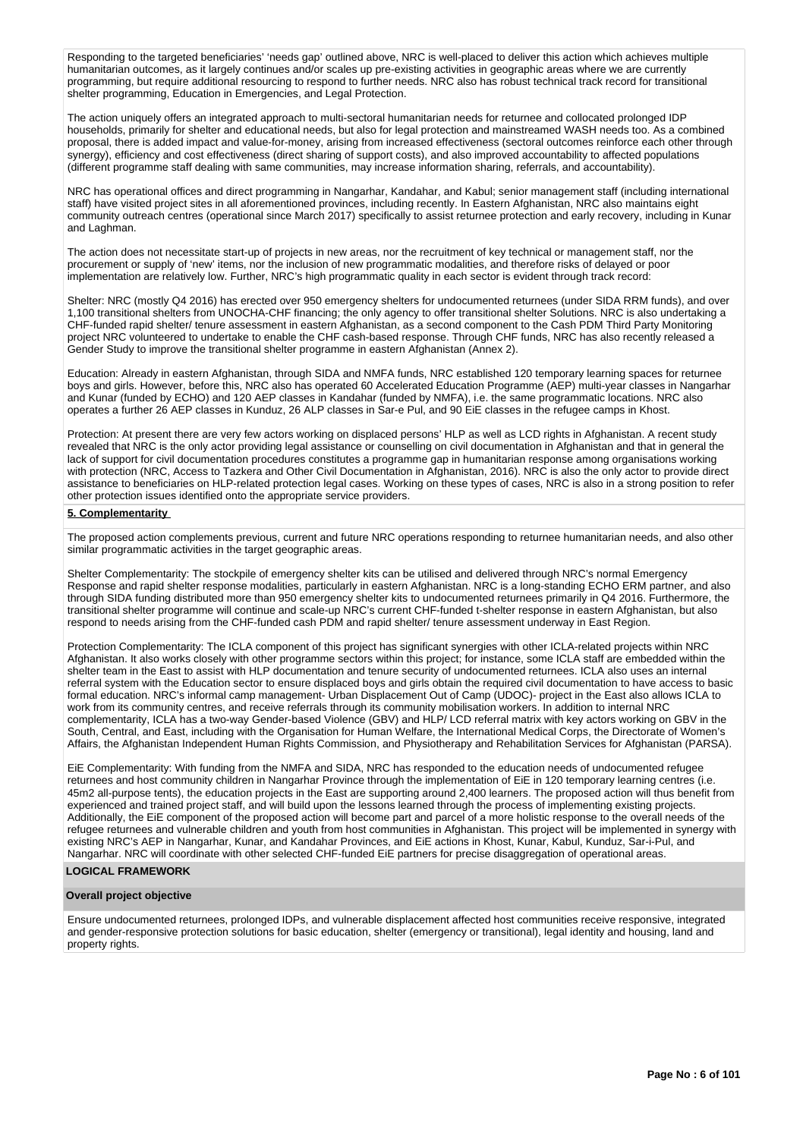Responding to the targeted beneficiaries' 'needs gap' outlined above, NRC is well-placed to deliver this action which achieves multiple humanitarian outcomes, as it largely continues and/or scales up pre-existing activities in geographic areas where we are currently programming, but require additional resourcing to respond to further needs. NRC also has robust technical track record for transitional shelter programming, Education in Emergencies, and Legal Protection.

The action uniquely offers an integrated approach to multi-sectoral humanitarian needs for returnee and collocated prolonged IDP households, primarily for shelter and educational needs, but also for legal protection and mainstreamed WASH needs too. As a combined proposal, there is added impact and value-for-money, arising from increased effectiveness (sectoral outcomes reinforce each other through synergy), efficiency and cost effectiveness (direct sharing of support costs), and also improved accountability to affected populations (different programme staff dealing with same communities, may increase information sharing, referrals, and accountability).

NRC has operational offices and direct programming in Nangarhar, Kandahar, and Kabul; senior management staff (including international staff) have visited project sites in all aforementioned provinces, including recently. In Eastern Afghanistan, NRC also maintains eight community outreach centres (operational since March 2017) specifically to assist returnee protection and early recovery, including in Kunar and Laghman.

The action does not necessitate start-up of projects in new areas, nor the recruitment of key technical or management staff, nor the procurement or supply of 'new' items, nor the inclusion of new programmatic modalities, and therefore risks of delayed or poor implementation are relatively low. Further, NRC's high programmatic quality in each sector is evident through track record:

Shelter: NRC (mostly Q4 2016) has erected over 950 emergency shelters for undocumented returnees (under SIDA RRM funds), and over 1,100 transitional shelters from UNOCHA-CHF financing; the only agency to offer transitional shelter Solutions. NRC is also undertaking a CHF-funded rapid shelter/ tenure assessment in eastern Afghanistan, as a second component to the Cash PDM Third Party Monitoring project NRC volunteered to undertake to enable the CHF cash-based response. Through CHF funds, NRC has also recently released a Gender Study to improve the transitional shelter programme in eastern Afghanistan (Annex 2).

Education: Already in eastern Afghanistan, through SIDA and NMFA funds, NRC established 120 temporary learning spaces for returnee boys and girls. However, before this, NRC also has operated 60 Accelerated Education Programme (AEP) multi-year classes in Nangarhar and Kunar (funded by ECHO) and 120 AEP classes in Kandahar (funded by NMFA), i.e. the same programmatic locations. NRC also operates a further 26 AEP classes in Kunduz, 26 ALP classes in Sar-e Pul, and 90 EiE classes in the refugee camps in Khost.

Protection: At present there are very few actors working on displaced persons' HLP as well as LCD rights in Afghanistan. A recent study revealed that NRC is the only actor providing legal assistance or counselling on civil documentation in Afghanistan and that in general the lack of support for civil documentation procedures constitutes a programme gap in humanitarian response among organisations working with protection (NRC, Access to Tazkera and Other Civil Documentation in Afghanistan, 2016). NRC is also the only actor to provide direct assistance to beneficiaries on HLP-related protection legal cases. Working on these types of cases, NRC is also in a strong position to refer other protection issues identified onto the appropriate service providers.

#### **5. Complementarity**

The proposed action complements previous, current and future NRC operations responding to returnee humanitarian needs, and also other similar programmatic activities in the target geographic areas.

Shelter Complementarity: The stockpile of emergency shelter kits can be utilised and delivered through NRC's normal Emergency Response and rapid shelter response modalities, particularly in eastern Afghanistan. NRC is a long-standing ECHO ERM partner, and also through SIDA funding distributed more than 950 emergency shelter kits to undocumented returnees primarily in Q4 2016. Furthermore, the transitional shelter programme will continue and scale-up NRC's current CHF-funded t-shelter response in eastern Afghanistan, but also respond to needs arising from the CHF-funded cash PDM and rapid shelter/ tenure assessment underway in East Region.

Protection Complementarity: The ICLA component of this project has significant synergies with other ICLA-related projects within NRC Afghanistan. It also works closely with other programme sectors within this project; for instance, some ICLA staff are embedded within the shelter team in the East to assist with HLP documentation and tenure security of undocumented returnees. ICLA also uses an internal referral system with the Education sector to ensure displaced boys and girls obtain the required civil documentation to have access to basic formal education. NRC's informal camp management- Urban Displacement Out of Camp (UDOC)- project in the East also allows ICLA to work from its community centres, and receive referrals through its community mobilisation workers. In addition to internal NRC complementarity, ICLA has a two-way Gender-based Violence (GBV) and HLP/ LCD referral matrix with key actors working on GBV in the South, Central, and East, including with the Organisation for Human Welfare, the International Medical Corps, the Directorate of Women's Affairs, the Afghanistan Independent Human Rights Commission, and Physiotherapy and Rehabilitation Services for Afghanistan (PARSA).

EiE Complementarity: With funding from the NMFA and SIDA, NRC has responded to the education needs of undocumented refugee returnees and host community children in Nangarhar Province through the implementation of EiE in 120 temporary learning centres (i.e. 45m2 all-purpose tents), the education projects in the East are supporting around 2,400 learners. The proposed action will thus benefit from experienced and trained project staff, and will build upon the lessons learned through the process of implementing existing projects. Additionally, the EiE component of the proposed action will become part and parcel of a more holistic response to the overall needs of the refugee returnees and vulnerable children and youth from host communities in Afghanistan. This project will be implemented in synergy with existing NRC's AEP in Nangarhar, Kunar, and Kandahar Provinces, and EiE actions in Khost, Kunar, Kabul, Kunduz, Sar-i-Pul, and Nangarhar. NRC will coordinate with other selected CHF-funded EiE partners for precise disaggregation of operational areas.

# **LOGICAL FRAMEWORK**

# **Overall project objective**

Ensure undocumented returnees, prolonged IDPs, and vulnerable displacement affected host communities receive responsive, integrated and gender-responsive protection solutions for basic education, shelter (emergency or transitional), legal identity and housing, land and property rights.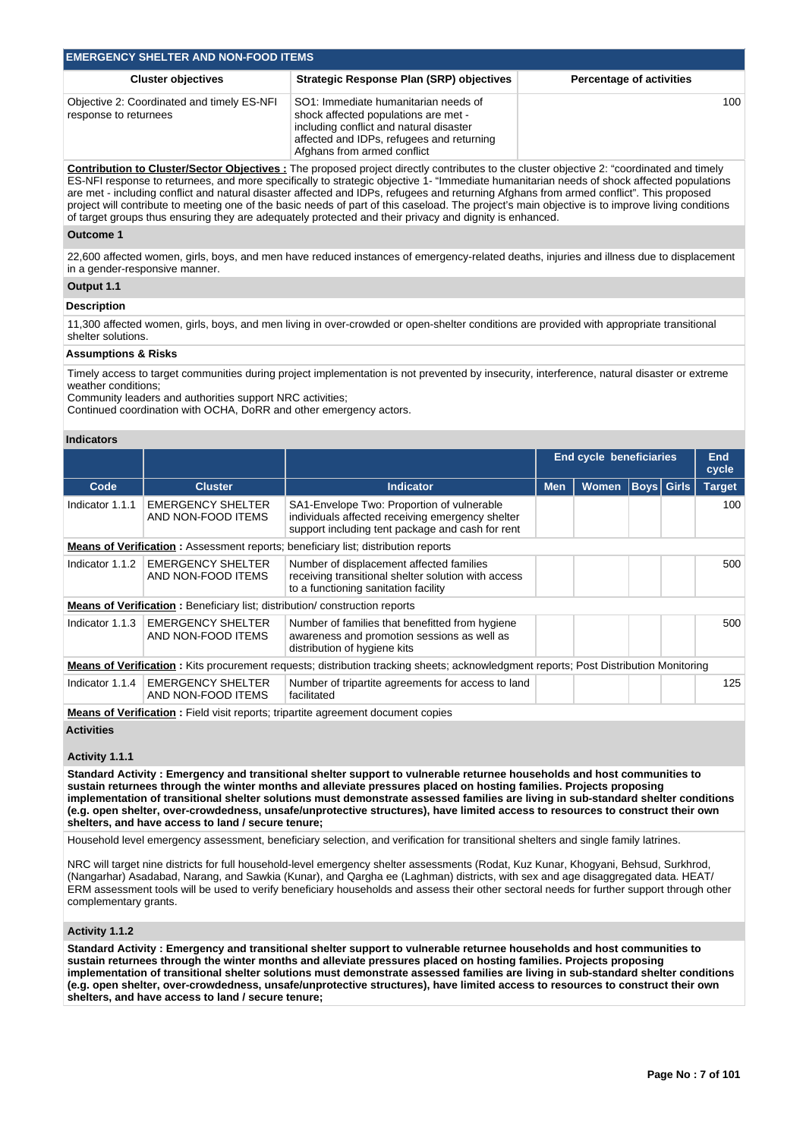| <b>EMERGENCY SHELTER AND NON-FOOD ITEMS</b>                         |                                                                                                                                                                                                     |                                 |  |  |  |  |  |  |
|---------------------------------------------------------------------|-----------------------------------------------------------------------------------------------------------------------------------------------------------------------------------------------------|---------------------------------|--|--|--|--|--|--|
| <b>Cluster objectives</b>                                           | <b>Strategic Response Plan (SRP) objectives</b>                                                                                                                                                     | <b>Percentage of activities</b> |  |  |  |  |  |  |
| Objective 2: Coordinated and timely ES-NFI<br>response to returnees | SO1: Immediate humanitarian needs of<br>shock affected populations are met -<br>including conflict and natural disaster<br>affected and IDPs, refugees and returning<br>Afghans from armed conflict | 100                             |  |  |  |  |  |  |

**Contribution to Cluster/Sector Objectives :** The proposed project directly contributes to the cluster objective 2: "coordinated and timely ES-NFI response to returnees, and more specifically to strategic objective 1- "Immediate humanitarian needs of shock affected populations are met - including conflict and natural disaster affected and IDPs, refugees and returning Afghans from armed conflict". This proposed project will contribute to meeting one of the basic needs of part of this caseload. The project's main objective is to improve living conditions of target groups thus ensuring they are adequately protected and their privacy and dignity is enhanced.

#### **Outcome 1**

22,600 affected women, girls, boys, and men have reduced instances of emergency-related deaths, injuries and illness due to displacement in a gender-responsive manner.

# **Output 1.1 Description**

11,300 affected women, girls, boys, and men living in over-crowded or open-shelter conditions are provided with appropriate transitional shelter solutions.

# **Assumptions & Risks**

Timely access to target communities during project implementation is not prevented by insecurity, interference, natural disaster or extreme weather conditions;

Community leaders and authorities support NRC activities;

Continued coordination with OCHA, DoRR and other emergency actors.

#### **Indicators**

|                 |                                                                                    |                                                                                                                                                    | <b>End cycle beneficiaries</b> |              |                   | <b>End</b><br>cycle |               |
|-----------------|------------------------------------------------------------------------------------|----------------------------------------------------------------------------------------------------------------------------------------------------|--------------------------------|--------------|-------------------|---------------------|---------------|
| Code            | <b>Cluster</b>                                                                     | Indicator                                                                                                                                          | <b>Men</b>                     | <b>Women</b> | <b>Boys Girls</b> |                     | <b>Target</b> |
| Indicator 1.1.1 | <b>EMERGENCY SHELTER</b><br>AND NON-FOOD ITEMS                                     | SA1-Envelope Two: Proportion of vulnerable<br>individuals affected receiving emergency shelter<br>support including tent package and cash for rent |                                |              |                   |                     | 100           |
|                 |                                                                                    | <b>Means of Verification:</b> Assessment reports; beneficiary list; distribution reports                                                           |                                |              |                   |                     |               |
| Indicator 1.1.2 | <b>EMERGENCY SHELTER</b><br>AND NON-FOOD ITEMS                                     | Number of displacement affected families<br>receiving transitional shelter solution with access<br>to a functioning sanitation facility            |                                |              |                   |                     | 500           |
|                 | <b>Means of Verification:</b> Beneficiary list; distribution/ construction reports |                                                                                                                                                    |                                |              |                   |                     |               |
| Indicator 1.1.3 | <b>EMERGENCY SHELTER</b><br>AND NON-FOOD ITEMS                                     | Number of families that benefitted from hygiene<br>awareness and promotion sessions as well as<br>distribution of hygiene kits                     |                                |              |                   |                     | 500           |
|                 |                                                                                    | <b>Means of Verification:</b> Kits procurement requests; distribution tracking sheets; acknowledgment reports; Post Distribution Monitoring        |                                |              |                   |                     |               |
| Indicator 1.1.4 | <b>EMERGENCY SHELTER</b><br>AND NON-FOOD ITEMS                                     | Number of tripartite agreements for access to land<br>facilitated                                                                                  |                                |              |                   |                     | 125           |
|                 |                                                                                    | <b>Means of Verification:</b> Field visit reports; tripartite agreement document copies                                                            |                                |              |                   |                     |               |

**Activities**

#### **Activity 1.1.1**

**Standard Activity : Emergency and transitional shelter support to vulnerable returnee households and host communities to sustain returnees through the winter months and alleviate pressures placed on hosting families. Projects proposing implementation of transitional shelter solutions must demonstrate assessed families are living in sub-standard shelter conditions (e.g. open shelter, over-crowdedness, unsafe/unprotective structures), have limited access to resources to construct their own shelters, and have access to land / secure tenure;**

Household level emergency assessment, beneficiary selection, and verification for transitional shelters and single family latrines.

NRC will target nine districts for full household-level emergency shelter assessments (Rodat, Kuz Kunar, Khogyani, Behsud, Surkhrod, (Nangarhar) Asadabad, Narang, and Sawkia (Kunar), and Qargha ee (Laghman) districts, with sex and age disaggregated data. HEAT/ ERM assessment tools will be used to verify beneficiary households and assess their other sectoral needs for further support through other complementary grants.

#### **Activity 1.1.2**

**Standard Activity : Emergency and transitional shelter support to vulnerable returnee households and host communities to sustain returnees through the winter months and alleviate pressures placed on hosting families. Projects proposing implementation of transitional shelter solutions must demonstrate assessed families are living in sub-standard shelter conditions (e.g. open shelter, over-crowdedness, unsafe/unprotective structures), have limited access to resources to construct their own shelters, and have access to land / secure tenure;**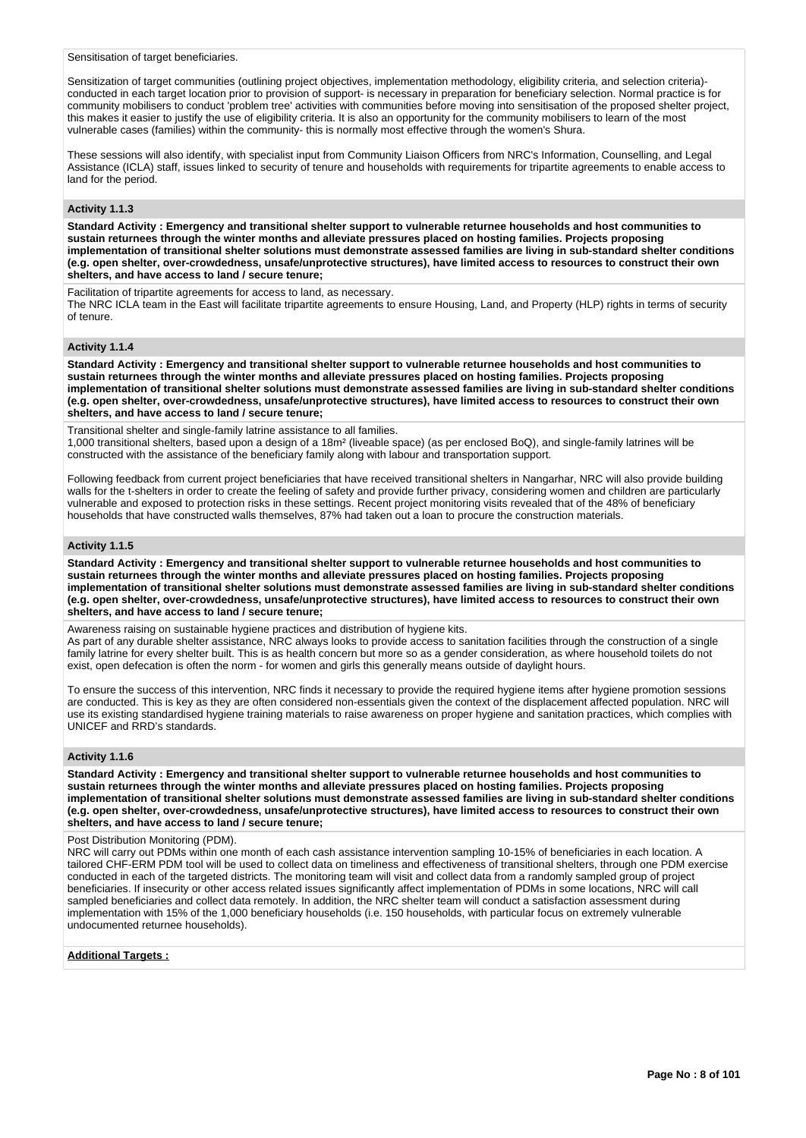Sensitisation of target beneficiaries.

Sensitization of target communities (outlining project objectives, implementation methodology, eligibility criteria, and selection criteria) conducted in each target location prior to provision of support- is necessary in preparation for beneficiary selection. Normal practice is for community mobilisers to conduct 'problem tree' activities with communities before moving into sensitisation of the proposed shelter project, this makes it easier to justify the use of eligibility criteria. It is also an opportunity for the community mobilisers to learn of the most vulnerable cases (families) within the community- this is normally most effective through the women's Shura.

These sessions will also identify, with specialist input from Community Liaison Officers from NRC's Information, Counselling, and Legal Assistance (ICLA) staff, issues linked to security of tenure and households with requirements for tripartite agreements to enable access to land for the period.

# **Activity 1.1.3**

**Standard Activity : Emergency and transitional shelter support to vulnerable returnee households and host communities to sustain returnees through the winter months and alleviate pressures placed on hosting families. Projects proposing implementation of transitional shelter solutions must demonstrate assessed families are living in sub-standard shelter conditions (e.g. open shelter, over-crowdedness, unsafe/unprotective structures), have limited access to resources to construct their own shelters, and have access to land / secure tenure;**

Facilitation of tripartite agreements for access to land, as necessary. The NRC ICLA team in the East will facilitate tripartite agreements to ensure Housing, Land, and Property (HLP) rights in terms of security of tenure.

# **Activity 1.1.4**

**Standard Activity : Emergency and transitional shelter support to vulnerable returnee households and host communities to sustain returnees through the winter months and alleviate pressures placed on hosting families. Projects proposing implementation of transitional shelter solutions must demonstrate assessed families are living in sub-standard shelter conditions (e.g. open shelter, over-crowdedness, unsafe/unprotective structures), have limited access to resources to construct their own shelters, and have access to land / secure tenure;**

Transitional shelter and single-family latrine assistance to all families.

1,000 transitional shelters, based upon a design of a 18m² (liveable space) (as per enclosed BoQ), and single-family latrines will be constructed with the assistance of the beneficiary family along with labour and transportation support.

Following feedback from current project beneficiaries that have received transitional shelters in Nangarhar, NRC will also provide building walls for the t-shelters in order to create the feeling of safety and provide further privacy, considering women and children are particularly vulnerable and exposed to protection risks in these settings. Recent project monitoring visits revealed that of the 48% of beneficiary households that have constructed walls themselves, 87% had taken out a loan to procure the construction materials.

#### **Activity 1.1.5**

**Standard Activity : Emergency and transitional shelter support to vulnerable returnee households and host communities to sustain returnees through the winter months and alleviate pressures placed on hosting families. Projects proposing implementation of transitional shelter solutions must demonstrate assessed families are living in sub-standard shelter conditions (e.g. open shelter, over-crowdedness, unsafe/unprotective structures), have limited access to resources to construct their own shelters, and have access to land / secure tenure;**

Awareness raising on sustainable hygiene practices and distribution of hygiene kits. As part of any durable shelter assistance, NRC always looks to provide access to sanitation facilities through the construction of a single family latrine for every shelter built. This is as health concern but more so as a gender consideration, as where household toilets do not exist, open defecation is often the norm - for women and girls this generally means outside of daylight hours.

To ensure the success of this intervention, NRC finds it necessary to provide the required hygiene items after hygiene promotion sessions are conducted. This is key as they are often considered non-essentials given the context of the displacement affected population. NRC will use its existing standardised hygiene training materials to raise awareness on proper hygiene and sanitation practices, which complies with UNICEF and RRD's standards.

#### **Activity 1.1.6**

**Standard Activity : Emergency and transitional shelter support to vulnerable returnee households and host communities to sustain returnees through the winter months and alleviate pressures placed on hosting families. Projects proposing implementation of transitional shelter solutions must demonstrate assessed families are living in sub-standard shelter conditions (e.g. open shelter, over-crowdedness, unsafe/unprotective structures), have limited access to resources to construct their own shelters, and have access to land / secure tenure;**

#### Post Distribution Monitoring (PDM).

NRC will carry out PDMs within one month of each cash assistance intervention sampling 10-15% of beneficiaries in each location. A tailored CHF-ERM PDM tool will be used to collect data on timeliness and effectiveness of transitional shelters, through one PDM exercise conducted in each of the targeted districts. The monitoring team will visit and collect data from a randomly sampled group of project beneficiaries. If insecurity or other access related issues significantly affect implementation of PDMs in some locations, NRC will call sampled beneficiaries and collect data remotely. In addition, the NRC shelter team will conduct a satisfaction assessment during implementation with 15% of the 1,000 beneficiary households (i.e. 150 households, with particular focus on extremely vulnerable undocumented returnee households).

**Additional Targets :**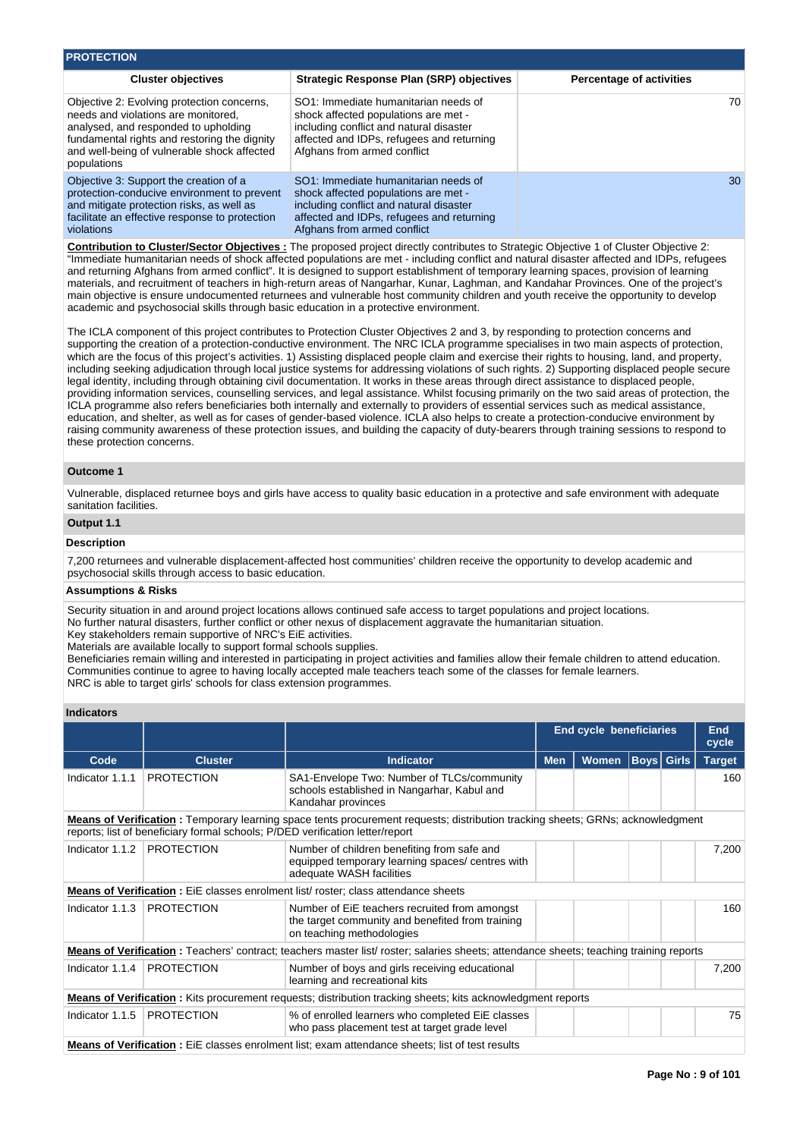| <b>PROTECTION</b>                                                                                                                                                                                                                       |                                                                                                                                                                                                     |                                 |
|-----------------------------------------------------------------------------------------------------------------------------------------------------------------------------------------------------------------------------------------|-----------------------------------------------------------------------------------------------------------------------------------------------------------------------------------------------------|---------------------------------|
| <b>Cluster objectives</b>                                                                                                                                                                                                               | <b>Strategic Response Plan (SRP) objectives</b>                                                                                                                                                     | <b>Percentage of activities</b> |
| Objective 2: Evolving protection concerns,<br>needs and violations are monitored.<br>analysed, and responded to upholding<br>fundamental rights and restoring the dignity<br>and well-being of vulnerable shock affected<br>populations | SO1: Immediate humanitarian needs of<br>shock affected populations are met -<br>including conflict and natural disaster<br>affected and IDPs, refugees and returning<br>Afghans from armed conflict | 70                              |
| Objective 3: Support the creation of a<br>protection-conducive environment to prevent<br>and mitigate protection risks, as well as<br>facilitate an effective response to protection<br>violations                                      | SO1: Immediate humanitarian needs of<br>shock affected populations are met -<br>including conflict and natural disaster<br>affected and IDPs, refugees and returning<br>Afghans from armed conflict | 30                              |

**Contribution to Cluster/Sector Objectives :** The proposed project directly contributes to Strategic Objective 1 of Cluster Objective 2: "Immediate humanitarian needs of shock affected populations are met - including conflict and natural disaster affected and IDPs, refugees and returning Afghans from armed conflict". It is designed to support establishment of temporary learning spaces, provision of learning materials, and recruitment of teachers in high-return areas of Nangarhar, Kunar, Laghman, and Kandahar Provinces. One of the project's main objective is ensure undocumented returnees and vulnerable host community children and youth receive the opportunity to develop academic and psychosocial skills through basic education in a protective environment.

The ICLA component of this project contributes to Protection Cluster Objectives 2 and 3, by responding to protection concerns and supporting the creation of a protection-conductive environment. The NRC ICLA programme specialises in two main aspects of protection, which are the focus of this project's activities. 1) Assisting displaced people claim and exercise their rights to housing, land, and property, including seeking adjudication through local justice systems for addressing violations of such rights. 2) Supporting displaced people secure legal identity, including through obtaining civil documentation. It works in these areas through direct assistance to displaced people, providing information services, counselling services, and legal assistance. Whilst focusing primarily on the two said areas of protection, the ICLA programme also refers beneficiaries both internally and externally to providers of essential services such as medical assistance, education, and shelter, as well as for cases of gender-based violence. ICLA also helps to create a protection-conducive environment by raising community awareness of these protection issues, and building the capacity of duty-bearers through training sessions to respond to these protection concerns.

# **Outcome 1**

Vulnerable, displaced returnee boys and girls have access to quality basic education in a protective and safe environment with adequate sanitation facilities.

# **Output 1.1**

# **Description**

7,200 returnees and vulnerable displacement-affected host communities' children receive the opportunity to develop academic and psychosocial skills through access to basic education.

### **Assumptions & Risks**

Security situation in and around project locations allows continued safe access to target populations and project locations. No further natural disasters, further conflict or other nexus of displacement aggravate the humanitarian situation. Key stakeholders remain supportive of NRC's EiE activities.

Materials are available locally to support formal schools supplies.

Beneficiaries remain willing and interested in participating in project activities and families allow their female children to attend education. Communities continue to agree to having locally accepted male teachers teach some of the classes for female learners. NRC is able to target girls' schools for class extension programmes.

# **Indicators**

|                 |                                                                               |                                                                                                                                        | End cycle beneficiaries |              |                   | <b>End</b><br>cycle |               |
|-----------------|-------------------------------------------------------------------------------|----------------------------------------------------------------------------------------------------------------------------------------|-------------------------|--------------|-------------------|---------------------|---------------|
| Code            | <b>Cluster</b>                                                                | <b>Indicator</b>                                                                                                                       | <b>Men</b>              | <b>Women</b> | <b>Boys Girls</b> |                     | <b>Target</b> |
| Indicator 1.1.1 | <b>PROTECTION</b>                                                             | SA1-Envelope Two: Number of TLCs/community<br>schools established in Nangarhar, Kabul and<br>Kandahar provinces                        |                         |              |                   |                     | 160           |
|                 | reports; list of beneficiary formal schools; P/DED verification letter/report | <b>Means of Verification</b> : Temporary learning space tents procurement requests; distribution tracking sheets; GRNs; acknowledgment |                         |              |                   |                     |               |
| Indicator 1.1.2 | <b>PROTECTION</b>                                                             | Number of children benefiting from safe and<br>equipped temporary learning spaces/ centres with<br>adequate WASH facilities            |                         |              |                   |                     | 7,200         |
|                 |                                                                               | <b>Means of Verification:</b> EiE classes enrolment list/ roster; class attendance sheets                                              |                         |              |                   |                     |               |
| Indicator 1.1.3 | <b>PROTECTION</b>                                                             | Number of EiE teachers recruited from amongst<br>the target community and benefited from training<br>on teaching methodologies         |                         |              |                   |                     | 160           |
|                 |                                                                               | Means of Verification: Teachers' contract; teachers master list/ roster; salaries sheets; attendance sheets; teaching training reports |                         |              |                   |                     |               |
|                 | Indicator 1.1.4   PROTECTION                                                  | Number of boys and girls receiving educational<br>learning and recreational kits                                                       |                         |              |                   |                     | 7,200         |
|                 |                                                                               | <b>Means of Verification:</b> Kits procurement requests; distribution tracking sheets; kits acknowledgment reports                     |                         |              |                   |                     |               |
| Indicator 1.1.5 | <b>PROTECTION</b>                                                             | % of enrolled learners who completed EiE classes<br>who pass placement test at target grade level                                      |                         |              |                   |                     | 75            |
|                 |                                                                               | Maana of Varification : EiE elecces enrolment list: evem ettendence sheete: list of test results                                       |                         |              |                   |                     |               |

**Means of Verification :** EiE classes enrolment list; exam attendance sheets; list of test results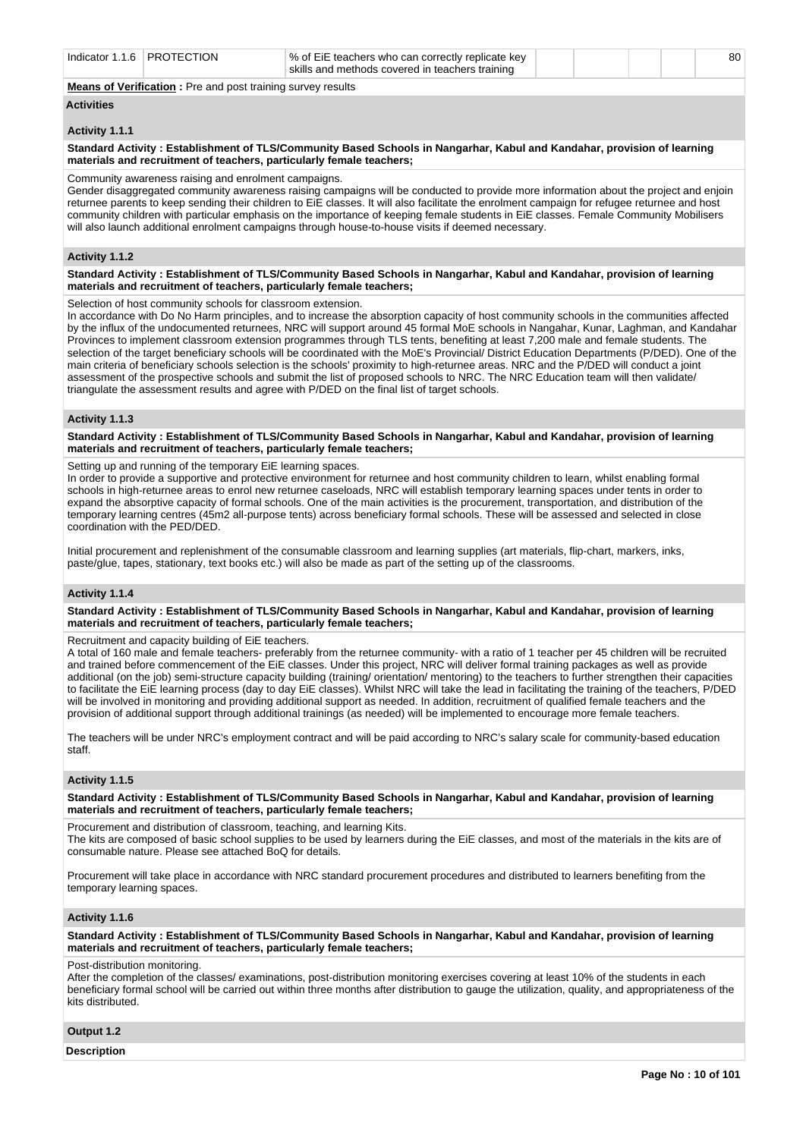| <b>PROTECTION</b><br>Indicator 1<br>16. | √% of EiE teachers who can correctly replicate key<br>skills and methods covered in teachers training | 80 |
|-----------------------------------------|-------------------------------------------------------------------------------------------------------|----|
|                                         |                                                                                                       |    |

**Means of Verification :** Pre and post training survey results

# **Activities**

#### **Activity 1.1.1**

#### **Standard Activity : Establishment of TLS/Community Based Schools in Nangarhar, Kabul and Kandahar, provision of learning materials and recruitment of teachers, particularly female teachers;**

#### Community awareness raising and enrolment campaigns.

Gender disaggregated community awareness raising campaigns will be conducted to provide more information about the project and enjoin returnee parents to keep sending their children to EiE classes. It will also facilitate the enrolment campaign for refugee returnee and host community children with particular emphasis on the importance of keeping female students in EiE classes. Female Community Mobilisers will also launch additional enrolment campaigns through house-to-house visits if deemed necessary.

# **Activity 1.1.2**

**Standard Activity : Establishment of TLS/Community Based Schools in Nangarhar, Kabul and Kandahar, provision of learning materials and recruitment of teachers, particularly female teachers;**

Selection of host community schools for classroom extension.

In accordance with Do No Harm principles, and to increase the absorption capacity of host community schools in the communities affected by the influx of the undocumented returnees, NRC will support around 45 formal MoE schools in Nangahar, Kunar, Laghman, and Kandahar Provinces to implement classroom extension programmes through TLS tents, benefiting at least 7,200 male and female students. The selection of the target beneficiary schools will be coordinated with the MoE's Provincial/ District Education Departments (P/DED). One of the main criteria of beneficiary schools selection is the schools' proximity to high-returnee areas. NRC and the P/DED will conduct a joint assessment of the prospective schools and submit the list of proposed schools to NRC. The NRC Education team will then validate/ triangulate the assessment results and agree with P/DED on the final list of target schools.

#### **Activity 1.1.3**

**Standard Activity : Establishment of TLS/Community Based Schools in Nangarhar, Kabul and Kandahar, provision of learning materials and recruitment of teachers, particularly female teachers;**

Setting up and running of the temporary EiE learning spaces.

In order to provide a supportive and protective environment for returnee and host community children to learn, whilst enabling formal schools in high-returnee areas to enrol new returnee caseloads, NRC will establish temporary learning spaces under tents in order to expand the absorptive capacity of formal schools. One of the main activities is the procurement, transportation, and distribution of the temporary learning centres (45m2 all-purpose tents) across beneficiary formal schools. These will be assessed and selected in close coordination with the PED/DED.

Initial procurement and replenishment of the consumable classroom and learning supplies (art materials, flip-chart, markers, inks, paste/glue, tapes, stationary, text books etc.) will also be made as part of the setting up of the classrooms.

#### **Activity 1.1.4**

**Standard Activity : Establishment of TLS/Community Based Schools in Nangarhar, Kabul and Kandahar, provision of learning materials and recruitment of teachers, particularly female teachers;**

Recruitment and capacity building of EiE teachers.

A total of 160 male and female teachers- preferably from the returnee community- with a ratio of 1 teacher per 45 children will be recruited and trained before commencement of the EiE classes. Under this project, NRC will deliver formal training packages as well as provide additional (on the job) semi-structure capacity building (training/ orientation/ mentoring) to the teachers to further strengthen their capacities to facilitate the EiE learning process (day to day EiE classes). Whilst NRC will take the lead in facilitating the training of the teachers, P/DED will be involved in monitoring and providing additional support as needed. In addition, recruitment of qualified female teachers and the provision of additional support through additional trainings (as needed) will be implemented to encourage more female teachers.

The teachers will be under NRC's employment contract and will be paid according to NRC's salary scale for community-based education staff.

# **Activity 1.1.5**

**Standard Activity : Establishment of TLS/Community Based Schools in Nangarhar, Kabul and Kandahar, provision of learning materials and recruitment of teachers, particularly female teachers;**

Procurement and distribution of classroom, teaching, and learning Kits.

The kits are composed of basic school supplies to be used by learners during the EiE classes, and most of the materials in the kits are of consumable nature. Please see attached BoQ for details.

Procurement will take place in accordance with NRC standard procurement procedures and distributed to learners benefiting from the temporary learning spaces.

# **Activity 1.1.6**

**Standard Activity : Establishment of TLS/Community Based Schools in Nangarhar, Kabul and Kandahar, provision of learning materials and recruitment of teachers, particularly female teachers;**

#### Post-distribution monitoring.

After the completion of the classes/ examinations, post-distribution monitoring exercises covering at least 10% of the students in each beneficiary formal school will be carried out within three months after distribution to gauge the utilization, quality, and appropriateness of the kits distributed.

#### **Output 1.2**

**Description**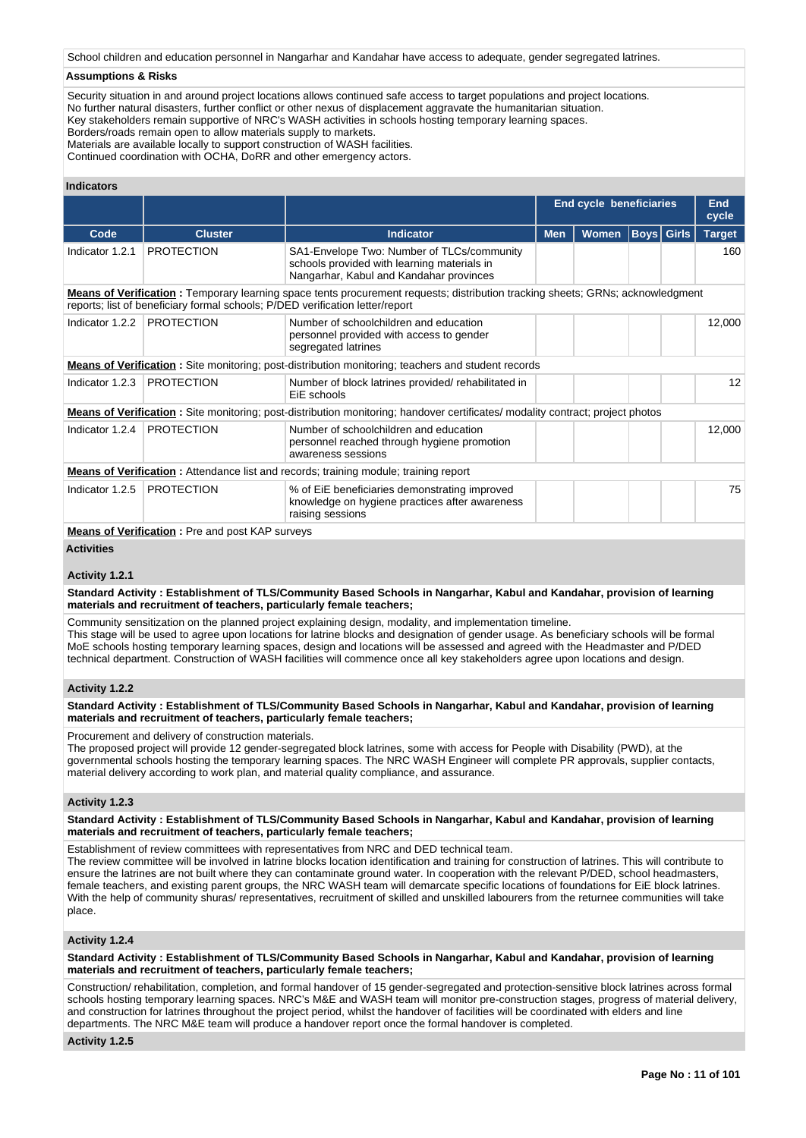School children and education personnel in Nangarhar and Kandahar have access to adequate, gender segregated latrines.

#### **Assumptions & Risks**

Security situation in and around project locations allows continued safe access to target populations and project locations. No further natural disasters, further conflict or other nexus of displacement aggravate the humanitarian situation. Key stakeholders remain supportive of NRC's WASH activities in schools hosting temporary learning spaces.

Borders/roads remain open to allow materials supply to markets.

Materials are available locally to support construction of WASH facilities.

Continued coordination with OCHA, DoRR and other emergency actors.

# **Indicators**

|                 |                                                                               |                                                                                                                                        |            | <b>End cycle beneficiaries</b> |                   | <b>End</b><br>cycle |
|-----------------|-------------------------------------------------------------------------------|----------------------------------------------------------------------------------------------------------------------------------------|------------|--------------------------------|-------------------|---------------------|
| Code            | <b>Cluster</b>                                                                | <b>Indicator</b>                                                                                                                       | <b>Men</b> | Women                          | <b>Boys</b> Girls | <b>Target</b>       |
| Indicator 1.2.1 | <b>PROTECTION</b>                                                             | SA1-Envelope Two: Number of TLCs/community<br>schools provided with learning materials in<br>Nangarhar, Kabul and Kandahar provinces   |            |                                |                   | 160                 |
|                 | reports; list of beneficiary formal schools; P/DED verification letter/report | <b>Means of Verification</b> : Temporary learning space tents procurement requests; distribution tracking sheets; GRNs; acknowledgment |            |                                |                   |                     |
| Indicator 1.2.2 | <b>PROTECTION</b>                                                             | Number of schoolchildren and education<br>personnel provided with access to gender<br>segregated latrines                              |            |                                |                   | 12,000              |
|                 |                                                                               | <b>Means of Verification:</b> Site monitoring; post-distribution monitoring; teachers and student records                              |            |                                |                   |                     |
| Indicator 1.2.3 | <b>PROTECTION</b>                                                             | Number of block latrines provided/rehabilitated in<br>EiE schools                                                                      |            |                                |                   | $12 \overline{ }$   |
|                 |                                                                               | <b>Means of Verification</b> : Site monitoring; post-distribution monitoring; handover certificates/ modality contract; project photos |            |                                |                   |                     |
| Indicator 1.2.4 | <b>PROTECTION</b>                                                             | Number of schoolchildren and education<br>personnel reached through hygiene promotion<br>awareness sessions                            |            |                                |                   | 12,000              |
|                 |                                                                               | <b>Means of Verification:</b> Attendance list and records; training module; training report                                            |            |                                |                   |                     |
| Indicator 1.2.5 | <b>PROTECTION</b>                                                             | % of EiE beneficiaries demonstrating improved<br>knowledge on hygiene practices after awareness<br>raising sessions                    |            |                                |                   | 75                  |

**Means of Verification : Pre and post KAP surveys** 

# **Activities**

#### **Activity 1.2.1**

**Standard Activity : Establishment of TLS/Community Based Schools in Nangarhar, Kabul and Kandahar, provision of learning materials and recruitment of teachers, particularly female teachers;**

Community sensitization on the planned project explaining design, modality, and implementation timeline. This stage will be used to agree upon locations for latrine blocks and designation of gender usage. As beneficiary schools will be formal MoE schools hosting temporary learning spaces, design and locations will be assessed and agreed with the Headmaster and P/DED technical department. Construction of WASH facilities will commence once all key stakeholders agree upon locations and design.

#### **Activity 1.2.2**

**Standard Activity : Establishment of TLS/Community Based Schools in Nangarhar, Kabul and Kandahar, provision of learning materials and recruitment of teachers, particularly female teachers;**

Procurement and delivery of construction materials.

The proposed project will provide 12 gender-segregated block latrines, some with access for People with Disability (PWD), at the governmental schools hosting the temporary learning spaces. The NRC WASH Engineer will complete PR approvals, supplier contacts, material delivery according to work plan, and material quality compliance, and assurance.

#### **Activity 1.2.3**

**Standard Activity : Establishment of TLS/Community Based Schools in Nangarhar, Kabul and Kandahar, provision of learning materials and recruitment of teachers, particularly female teachers;**

Establishment of review committees with representatives from NRC and DED technical team.

The review committee will be involved in latrine blocks location identification and training for construction of latrines. This will contribute to ensure the latrines are not built where they can contaminate ground water. In cooperation with the relevant P/DED, school headmasters, female teachers, and existing parent groups, the NRC WASH team will demarcate specific locations of foundations for EiE block latrines. With the help of community shuras/ representatives, recruitment of skilled and unskilled labourers from the returnee communities will take place.

# **Activity 1.2.4**

**Standard Activity : Establishment of TLS/Community Based Schools in Nangarhar, Kabul and Kandahar, provision of learning materials and recruitment of teachers, particularly female teachers;**

Construction/ rehabilitation, completion, and formal handover of 15 gender-segregated and protection-sensitive block latrines across formal schools hosting temporary learning spaces. NRC's M&E and WASH team will monitor pre-construction stages, progress of material delivery, and construction for latrines throughout the project period, whilst the handover of facilities will be coordinated with elders and line departments. The NRC M&E team will produce a handover report once the formal handover is completed.

#### **Activity 1.2.5**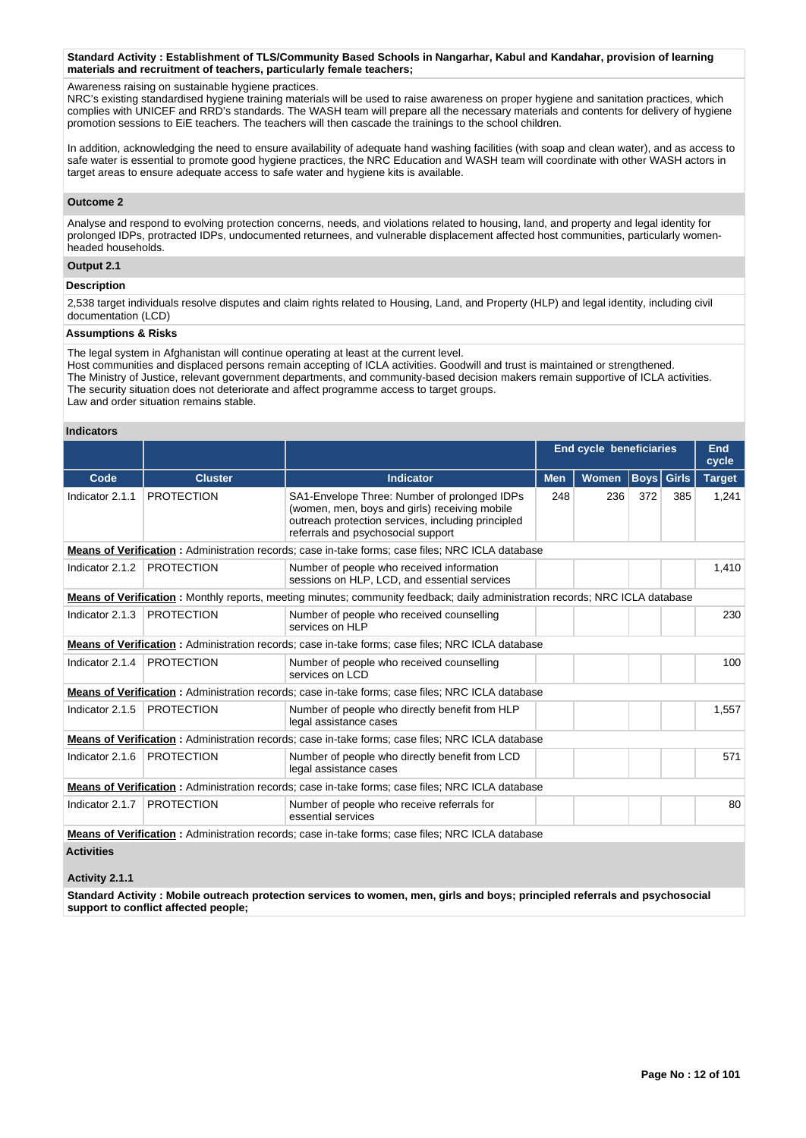#### **Standard Activity : Establishment of TLS/Community Based Schools in Nangarhar, Kabul and Kandahar, provision of learning materials and recruitment of teachers, particularly female teachers;**

#### Awareness raising on sustainable hygiene practices.

NRC's existing standardised hygiene training materials will be used to raise awareness on proper hygiene and sanitation practices, which complies with UNICEF and RRD's standards. The WASH team will prepare all the necessary materials and contents for delivery of hygiene promotion sessions to EiE teachers. The teachers will then cascade the trainings to the school children.

In addition, acknowledging the need to ensure availability of adequate hand washing facilities (with soap and clean water), and as access to safe water is essential to promote good hygiene practices, the NRC Education and WASH team will coordinate with other WASH actors in target areas to ensure adequate access to safe water and hygiene kits is available.

#### **Outcome 2**

Analyse and respond to evolving protection concerns, needs, and violations related to housing, land, and property and legal identity for prolonged IDPs, protracted IDPs, undocumented returnees, and vulnerable displacement affected host communities, particularly womenheaded households.

# **Output 2.1**

#### **Description**

2,538 target individuals resolve disputes and claim rights related to Housing, Land, and Property (HLP) and legal identity, including civil documentation (LCD)

# **Assumptions & Risks**

The legal system in Afghanistan will continue operating at least at the current level.

Host communities and displaced persons remain accepting of ICLA activities. Goodwill and trust is maintained or strengthened. The Ministry of Justice, relevant government departments, and community-based decision makers remain supportive of ICLA activities. The security situation does not deteriorate and affect programme access to target groups. Law and order situation remains stable.

#### **Indicators**

|                   |                   |                                                                                                                                                                                           | <b>End cycle beneficiaries</b> |       |              |              | <b>End</b><br>cycle |
|-------------------|-------------------|-------------------------------------------------------------------------------------------------------------------------------------------------------------------------------------------|--------------------------------|-------|--------------|--------------|---------------------|
| Code              | <b>Cluster</b>    | Indicator                                                                                                                                                                                 | <b>Men</b>                     | Women | $ $ Boys $ $ | <b>Girls</b> | <b>Target</b>       |
| Indicator 2.1.1   | <b>PROTECTION</b> | SA1-Envelope Three: Number of prolonged IDPs<br>(women, men, boys and girls) receiving mobile<br>outreach protection services, including principled<br>referrals and psychosocial support | 248                            | 236   | 372          | 385          | 1,241               |
|                   |                   | Means of Verification: Administration records; case in-take forms; case files; NRC ICLA database                                                                                          |                                |       |              |              |                     |
| Indicator 2.1.2   | <b>PROTECTION</b> | Number of people who received information<br>sessions on HLP, LCD, and essential services                                                                                                 |                                |       |              |              | 1,410               |
|                   |                   | Means of Verification: Monthly reports, meeting minutes; community feedback; daily administration records; NRC ICLA database                                                              |                                |       |              |              |                     |
| Indicator 2.1.3   | <b>PROTECTION</b> | Number of people who received counselling<br>services on HLP                                                                                                                              |                                |       |              |              | 230                 |
|                   |                   | <b>Means of Verification:</b> Administration records; case in-take forms; case files; NRC ICLA database                                                                                   |                                |       |              |              |                     |
| Indicator 2.1.4   | <b>PROTECTION</b> | Number of people who received counselling<br>services on LCD                                                                                                                              |                                |       |              |              | 100                 |
|                   |                   | <b>Means of Verification:</b> Administration records; case in-take forms; case files; NRC ICLA database                                                                                   |                                |       |              |              |                     |
| Indicator 2.1.5   | <b>PROTECTION</b> | Number of people who directly benefit from HLP<br>legal assistance cases                                                                                                                  |                                |       |              |              | 1,557               |
|                   |                   | <b>Means of Verification:</b> Administration records; case in-take forms; case files; NRC ICLA database                                                                                   |                                |       |              |              |                     |
| Indicator 2.1.6   | <b>PROTECTION</b> | Number of people who directly benefit from LCD<br>legal assistance cases                                                                                                                  |                                |       |              |              | 571                 |
|                   |                   | Means of Verification: Administration records; case in-take forms; case files; NRC ICLA database                                                                                          |                                |       |              |              |                     |
| Indicator 2.1.7   | <b>PROTECTION</b> | Number of people who receive referrals for<br>essential services                                                                                                                          |                                |       |              |              | 80                  |
|                   |                   | <b>Means of Verification:</b> Administration records; case in-take forms; case files; NRC ICLA database                                                                                   |                                |       |              |              |                     |
| <b>Activities</b> |                   |                                                                                                                                                                                           |                                |       |              |              |                     |

#### **Activity 2.1.1**

**Standard Activity : Mobile outreach protection services to women, men, girls and boys; principled referrals and psychosocial support to conflict affected people;**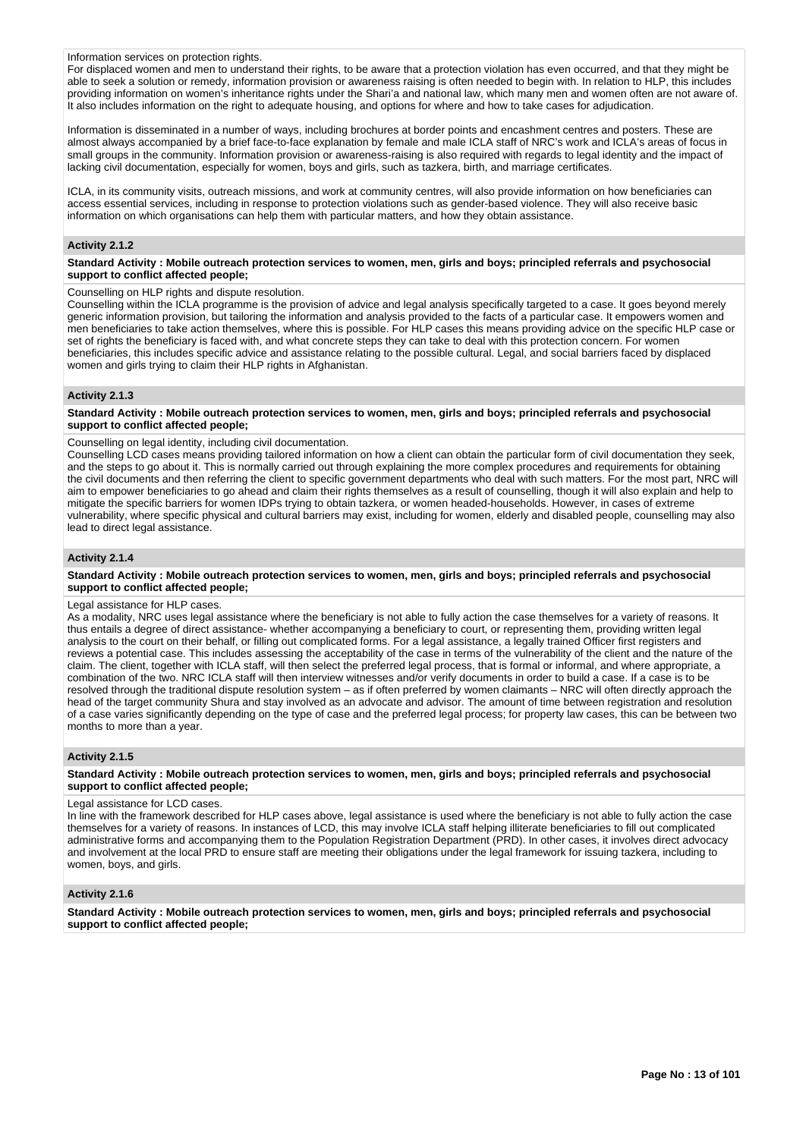#### Information services on protection rights.

For displaced women and men to understand their rights, to be aware that a protection violation has even occurred, and that they might be able to seek a solution or remedy, information provision or awareness raising is often needed to begin with. In relation to HLP, this includes providing information on women's inheritance rights under the Shari'a and national law, which many men and women often are not aware of. It also includes information on the right to adequate housing, and options for where and how to take cases for adjudication.

Information is disseminated in a number of ways, including brochures at border points and encashment centres and posters. These are almost always accompanied by a brief face-to-face explanation by female and male ICLA staff of NRC's work and ICLA's areas of focus in small groups in the community. Information provision or awareness-raising is also required with regards to legal identity and the impact of lacking civil documentation, especially for women, boys and girls, such as tazkera, birth, and marriage certificates.

ICLA, in its community visits, outreach missions, and work at community centres, will also provide information on how beneficiaries can access essential services, including in response to protection violations such as gender-based violence. They will also receive basic information on which organisations can help them with particular matters, and how they obtain assistance.

#### **Activity 2.1.2**

**Standard Activity : Mobile outreach protection services to women, men, girls and boys; principled referrals and psychosocial support to conflict affected people;**

Counselling on HLP rights and dispute resolution.

Counselling within the ICLA programme is the provision of advice and legal analysis specifically targeted to a case. It goes beyond merely generic information provision, but tailoring the information and analysis provided to the facts of a particular case. It empowers women and men beneficiaries to take action themselves, where this is possible. For HLP cases this means providing advice on the specific HLP case or set of rights the beneficiary is faced with, and what concrete steps they can take to deal with this protection concern. For women beneficiaries, this includes specific advice and assistance relating to the possible cultural. Legal, and social barriers faced by displaced women and girls trying to claim their HLP rights in Afghanistan.

#### **Activity 2.1.3**

**Standard Activity : Mobile outreach protection services to women, men, girls and boys; principled referrals and psychosocial support to conflict affected people;**

Counselling on legal identity, including civil documentation.

Counselling LCD cases means providing tailored information on how a client can obtain the particular form of civil documentation they seek, and the steps to go about it. This is normally carried out through explaining the more complex procedures and requirements for obtaining the civil documents and then referring the client to specific government departments who deal with such matters. For the most part, NRC will aim to empower beneficiaries to go ahead and claim their rights themselves as a result of counselling, though it will also explain and help to mitigate the specific barriers for women IDPs trying to obtain tazkera, or women headed-households. However, in cases of extreme vulnerability, where specific physical and cultural barriers may exist, including for women, elderly and disabled people, counselling may also lead to direct legal assistance.

# **Activity 2.1.4**

**Standard Activity : Mobile outreach protection services to women, men, girls and boys; principled referrals and psychosocial support to conflict affected people;**

#### Legal assistance for HLP cases.

As a modality, NRC uses legal assistance where the beneficiary is not able to fully action the case themselves for a variety of reasons. It thus entails a degree of direct assistance- whether accompanying a beneficiary to court, or representing them, providing written legal analysis to the court on their behalf, or filling out complicated forms. For a legal assistance, a legally trained Officer first registers and reviews a potential case. This includes assessing the acceptability of the case in terms of the vulnerability of the client and the nature of the claim. The client, together with ICLA staff, will then select the preferred legal process, that is formal or informal, and where appropriate, a combination of the two. NRC ICLA staff will then interview witnesses and/or verify documents in order to build a case. If a case is to be resolved through the traditional dispute resolution system – as if often preferred by women claimants – NRC will often directly approach the head of the target community Shura and stay involved as an advocate and advisor. The amount of time between registration and resolution of a case varies significantly depending on the type of case and the preferred legal process; for property law cases, this can be between two months to more than a year.

#### **Activity 2.1.5**

**Standard Activity : Mobile outreach protection services to women, men, girls and boys; principled referrals and psychosocial support to conflict affected people;**

#### Legal assistance for LCD cases.

In line with the framework described for HLP cases above, legal assistance is used where the beneficiary is not able to fully action the case themselves for a variety of reasons. In instances of LCD, this may involve ICLA staff helping illiterate beneficiaries to fill out complicated administrative forms and accompanying them to the Population Registration Department (PRD). In other cases, it involves direct advocacy and involvement at the local PRD to ensure staff are meeting their obligations under the legal framework for issuing tazkera, including to women, boys, and girls.

# **Activity 2.1.6**

**Standard Activity : Mobile outreach protection services to women, men, girls and boys; principled referrals and psychosocial support to conflict affected people;**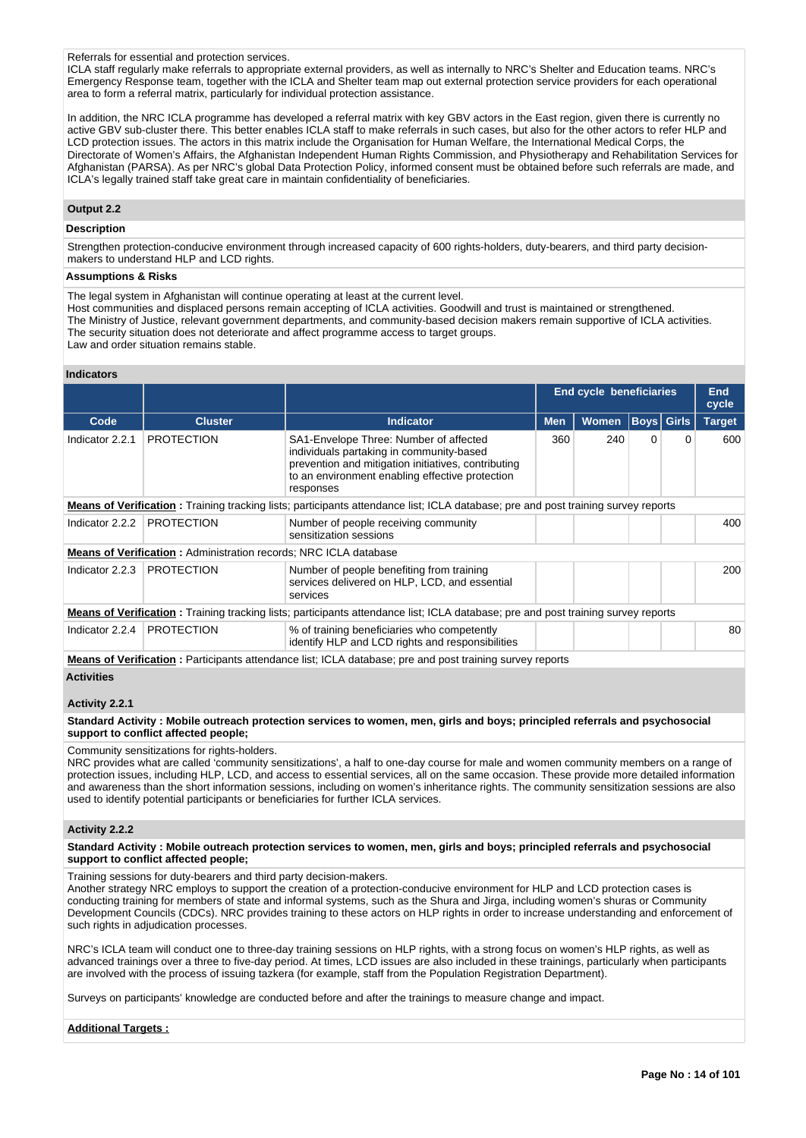#### Referrals for essential and protection services.

ICLA staff regularly make referrals to appropriate external providers, as well as internally to NRC's Shelter and Education teams. NRC's Emergency Response team, together with the ICLA and Shelter team map out external protection service providers for each operational area to form a referral matrix, particularly for individual protection assistance.

In addition, the NRC ICLA programme has developed a referral matrix with key GBV actors in the East region, given there is currently no active GBV sub-cluster there. This better enables ICLA staff to make referrals in such cases, but also for the other actors to refer HLP and LCD protection issues. The actors in this matrix include the Organisation for Human Welfare, the International Medical Corps, the Directorate of Women's Affairs, the Afghanistan Independent Human Rights Commission, and Physiotherapy and Rehabilitation Services for Afghanistan (PARSA). As per NRC's global Data Protection Policy, informed consent must be obtained before such referrals are made, and ICLA's legally trained staff take great care in maintain confidentiality of beneficiaries.

#### **Output 2.2**

# **Description**

Strengthen protection-conducive environment through increased capacity of 600 rights-holders, duty-bearers, and third party decisionmakers to understand HLP and LCD rights.

#### **Assumptions & Risks**

The legal system in Afghanistan will continue operating at least at the current level.

- Host communities and displaced persons remain accepting of ICLA activities. Goodwill and trust is maintained or strengthened.
- The Ministry of Justice, relevant government departments, and community-based decision makers remain supportive of ICLA activities. The security situation does not deteriorate and affect programme access to target groups.
- Law and order situation remains stable.

#### **Indicators**

|                   |                                                                         |                                                                                                                                                                                                           | End cycle beneficiaries |       |          | <b>End</b><br>cycle |               |
|-------------------|-------------------------------------------------------------------------|-----------------------------------------------------------------------------------------------------------------------------------------------------------------------------------------------------------|-------------------------|-------|----------|---------------------|---------------|
| Code              | <b>Cluster</b>                                                          | <b>Indicator</b>                                                                                                                                                                                          | <b>Men</b>              | Women |          | <b>Boys Girls</b>   | <b>Target</b> |
| Indicator 2.2.1   | <b>PROTECTION</b>                                                       | SA1-Envelope Three: Number of affected<br>individuals partaking in community-based<br>prevention and mitigation initiatives, contributing<br>to an environment enabling effective protection<br>responses | 360                     | 240   | $\Omega$ | 0                   | 600           |
|                   |                                                                         | <b>Means of Verification</b> : Training tracking lists; participants attendance list; ICLA database; pre and post training survey reports                                                                 |                         |       |          |                     |               |
| Indicator 2.2.2   | <b>PROTECTION</b>                                                       | Number of people receiving community<br>sensitization sessions                                                                                                                                            |                         |       |          |                     | 400           |
|                   | <b>Means of Verification: Administration records: NRC ICLA database</b> |                                                                                                                                                                                                           |                         |       |          |                     |               |
| Indicator 2.2.3   | <b>PROTECTION</b>                                                       | Number of people benefiting from training<br>services delivered on HLP, LCD, and essential<br>services                                                                                                    |                         |       |          |                     | 200           |
|                   |                                                                         | <b>Means of Verification:</b> Training tracking lists; participants attendance list; ICLA database; pre and post training survey reports                                                                  |                         |       |          |                     |               |
| Indicator $2.2.4$ | <b>PROTECTION</b>                                                       | % of training beneficiaries who competently<br>identify HLP and LCD rights and responsibilities                                                                                                           |                         |       |          |                     | 80            |
|                   |                                                                         | <b>Means of Verification</b> : Participants attendance list; ICLA database; pre and post training survey reports                                                                                          |                         |       |          |                     |               |
| $\blacksquare$    |                                                                         |                                                                                                                                                                                                           |                         |       |          |                     |               |

# **Activities**

# **Activity 2.2.1**

**Standard Activity : Mobile outreach protection services to women, men, girls and boys; principled referrals and psychosocial support to conflict affected people;**

Community sensitizations for rights-holders.

NRC provides what are called 'community sensitizations', a half to one-day course for male and women community members on a range of protection issues, including HLP, LCD, and access to essential services, all on the same occasion. These provide more detailed information and awareness than the short information sessions, including on women's inheritance rights. The community sensitization sessions are also used to identify potential participants or beneficiaries for further ICLA services.

#### **Activity 2.2.2**

**Standard Activity : Mobile outreach protection services to women, men, girls and boys; principled referrals and psychosocial support to conflict affected people;**

Training sessions for duty-bearers and third party decision-makers.

Another strategy NRC employs to support the creation of a protection-conducive environment for HLP and LCD protection cases is conducting training for members of state and informal systems, such as the Shura and Jirga, including women's shuras or Community Development Councils (CDCs). NRC provides training to these actors on HLP rights in order to increase understanding and enforcement of such rights in adjudication processes.

NRC's ICLA team will conduct one to three-day training sessions on HLP rights, with a strong focus on women's HLP rights, as well as advanced trainings over a three to five-day period. At times, LCD issues are also included in these trainings, particularly when participants are involved with the process of issuing tazkera (for example, staff from the Population Registration Department).

Surveys on participants' knowledge are conducted before and after the trainings to measure change and impact.

#### **Additional Targets :**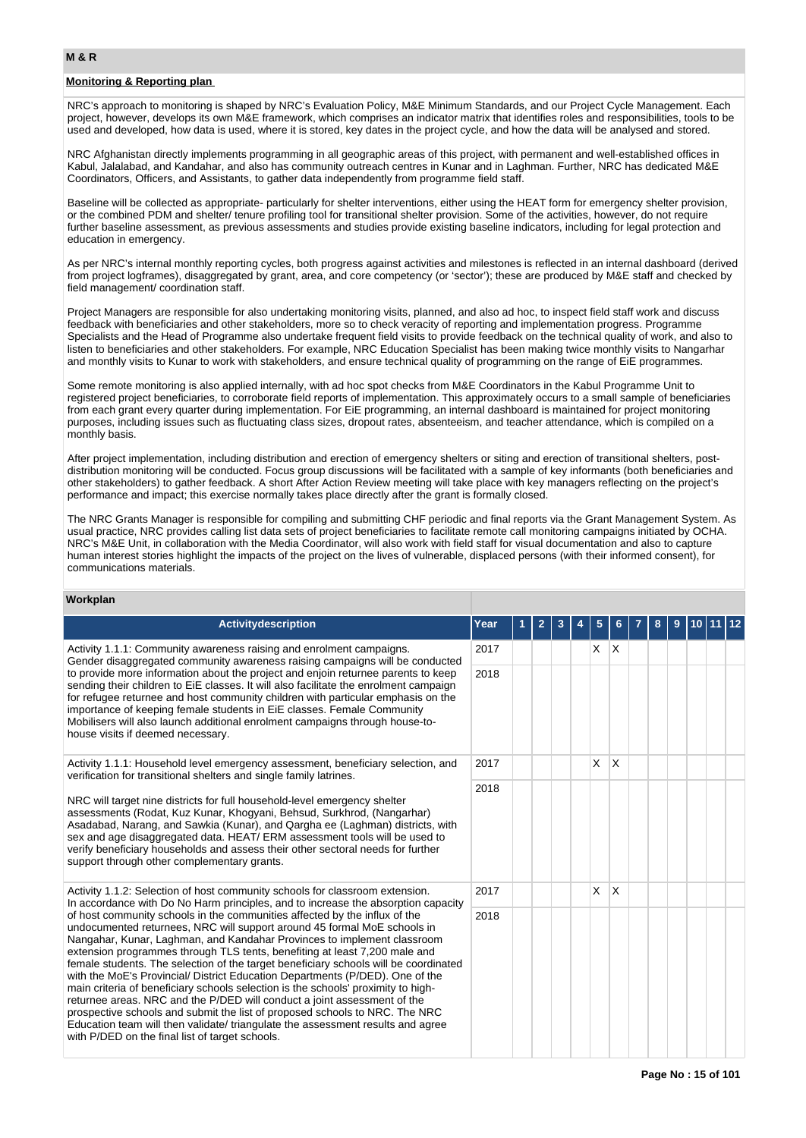# **Monitoring & Reporting plan**

NRC's approach to monitoring is shaped by NRC's Evaluation Policy, M&E Minimum Standards, and our Project Cycle Management. Each project, however, develops its own M&E framework, which comprises an indicator matrix that identifies roles and responsibilities, tools to be used and developed, how data is used, where it is stored, key dates in the project cycle, and how the data will be analysed and stored.

NRC Afghanistan directly implements programming in all geographic areas of this project, with permanent and well-established offices in Kabul, Jalalabad, and Kandahar, and also has community outreach centres in Kunar and in Laghman. Further, NRC has dedicated M&E Coordinators, Officers, and Assistants, to gather data independently from programme field staff.

Baseline will be collected as appropriate- particularly for shelter interventions, either using the HEAT form for emergency shelter provision, or the combined PDM and shelter/ tenure profiling tool for transitional shelter provision. Some of the activities, however, do not require further baseline assessment, as previous assessments and studies provide existing baseline indicators, including for legal protection and education in emergency.

As per NRC's internal monthly reporting cycles, both progress against activities and milestones is reflected in an internal dashboard (derived from project logframes), disaggregated by grant, area, and core competency (or 'sector'); these are produced by M&E staff and checked by field management/ coordination staff.

Project Managers are responsible for also undertaking monitoring visits, planned, and also ad hoc, to inspect field staff work and discuss feedback with beneficiaries and other stakeholders, more so to check veracity of reporting and implementation progress. Programme Specialists and the Head of Programme also undertake frequent field visits to provide feedback on the technical quality of work, and also to listen to beneficiaries and other stakeholders. For example, NRC Education Specialist has been making twice monthly visits to Nangarhar and monthly visits to Kunar to work with stakeholders, and ensure technical quality of programming on the range of EiE programmes.

Some remote monitoring is also applied internally, with ad hoc spot checks from M&E Coordinators in the Kabul Programme Unit to registered project beneficiaries, to corroborate field reports of implementation. This approximately occurs to a small sample of beneficiaries from each grant every quarter during implementation. For EiE programming, an internal dashboard is maintained for project monitoring purposes, including issues such as fluctuating class sizes, dropout rates, absenteeism, and teacher attendance, which is compiled on a monthly basis.

After project implementation, including distribution and erection of emergency shelters or siting and erection of transitional shelters, postdistribution monitoring will be conducted. Focus group discussions will be facilitated with a sample of key informants (both beneficiaries and other stakeholders) to gather feedback. A short After Action Review meeting will take place with key managers reflecting on the project's performance and impact; this exercise normally takes place directly after the grant is formally closed.

The NRC Grants Manager is responsible for compiling and submitting CHF periodic and final reports via the Grant Management System. As usual practice, NRC provides calling list data sets of project beneficiaries to facilitate remote call monitoring campaigns initiated by OCHA. NRC's M&E Unit, in collaboration with the Media Coordinator, will also work with field staff for visual documentation and also to capture human interest stories highlight the impacts of the project on the lives of vulnerable, displaced persons (with their informed consent), for communications materials.

# **Workplan**

| <b>Activitydescription</b>                                                                                                                                                                                                                                                                                                                                                                                                                                                                                                                                                                                                                                                                                                                                                                                                                                                     | Year |  |  | 5 |          | 8 | 9 |  |  |
|--------------------------------------------------------------------------------------------------------------------------------------------------------------------------------------------------------------------------------------------------------------------------------------------------------------------------------------------------------------------------------------------------------------------------------------------------------------------------------------------------------------------------------------------------------------------------------------------------------------------------------------------------------------------------------------------------------------------------------------------------------------------------------------------------------------------------------------------------------------------------------|------|--|--|---|----------|---|---|--|--|
| Activity 1.1.1: Community awareness raising and enrolment campaigns.<br>Gender disaggregated community awareness raising campaigns will be conducted                                                                                                                                                                                                                                                                                                                                                                                                                                                                                                                                                                                                                                                                                                                           | 2017 |  |  | X | ΙX.      |   |   |  |  |
| to provide more information about the project and enjoin returnee parents to keep<br>sending their children to EiE classes. It will also facilitate the enrolment campaign<br>for refugee returnee and host community children with particular emphasis on the<br>importance of keeping female students in EiE classes. Female Community<br>Mobilisers will also launch additional enrolment campaigns through house-to-<br>house visits if deemed necessary.<br>Activity 1.1.1: Household level emergency assessment, beneficiary selection, and                                                                                                                                                                                                                                                                                                                              | 2018 |  |  |   |          |   |   |  |  |
| verification for transitional shelters and single family latrines.                                                                                                                                                                                                                                                                                                                                                                                                                                                                                                                                                                                                                                                                                                                                                                                                             | 2017 |  |  | X | $\times$ |   |   |  |  |
| NRC will target nine districts for full household-level emergency shelter<br>assessments (Rodat, Kuz Kunar, Khogyani, Behsud, Surkhrod, (Nangarhar)<br>Asadabad, Narang, and Sawkia (Kunar), and Qargha ee (Laghman) districts, with<br>sex and age disaggregated data. HEAT/ERM assessment tools will be used to<br>verify beneficiary households and assess their other sectoral needs for further<br>support through other complementary grants.                                                                                                                                                                                                                                                                                                                                                                                                                            | 2018 |  |  |   |          |   |   |  |  |
| Activity 1.1.2: Selection of host community schools for classroom extension.<br>In accordance with Do No Harm principles, and to increase the absorption capacity                                                                                                                                                                                                                                                                                                                                                                                                                                                                                                                                                                                                                                                                                                              | 2017 |  |  | X | X        |   |   |  |  |
| of host community schools in the communities affected by the influx of the<br>undocumented returnees, NRC will support around 45 formal MoE schools in<br>Nangahar, Kunar, Laghman, and Kandahar Provinces to implement classroom<br>extension programmes through TLS tents, benefiting at least 7,200 male and<br>female students. The selection of the target beneficiary schools will be coordinated<br>with the MoE's Provincial/ District Education Departments (P/DED). One of the<br>main criteria of beneficiary schools selection is the schools' proximity to high-<br>returnee areas. NRC and the P/DED will conduct a joint assessment of the<br>prospective schools and submit the list of proposed schools to NRC. The NRC<br>Education team will then validate/ triangulate the assessment results and agree<br>with P/DED on the final list of target schools. | 2018 |  |  |   |          |   |   |  |  |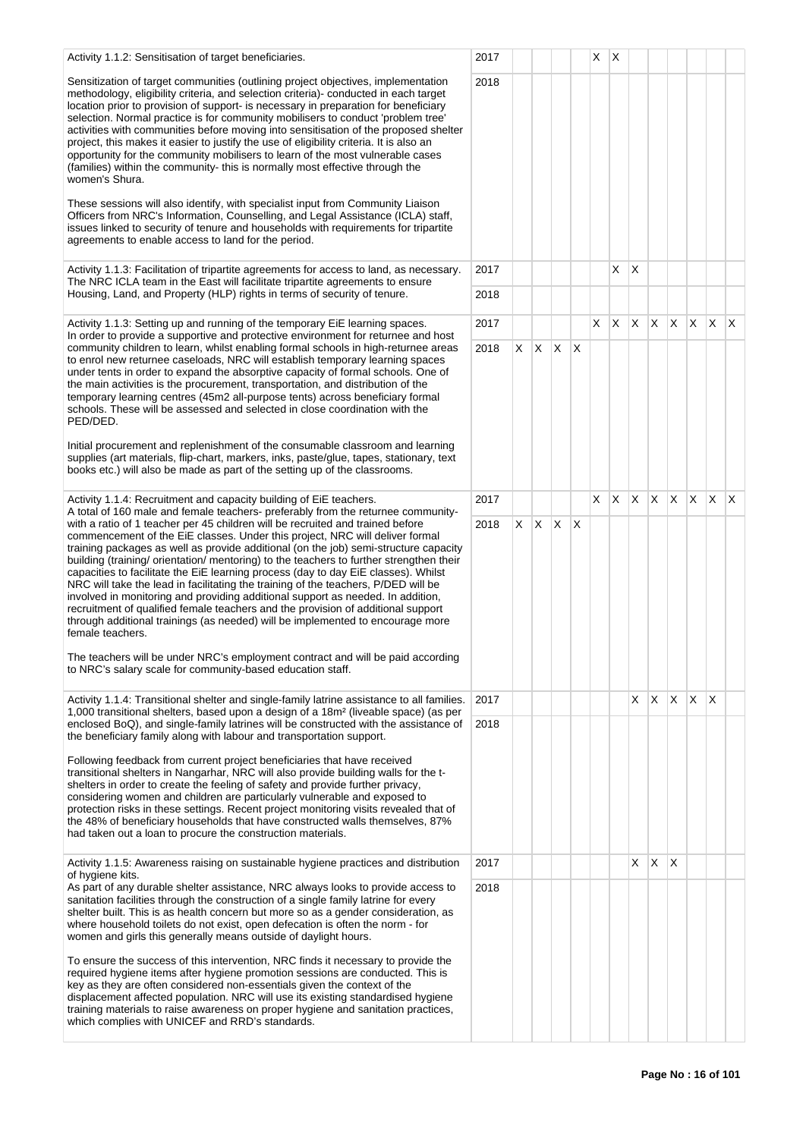| Activity 1.1.2: Sensitisation of target beneficiaries.                                                                                                                                                                                                                                                                                                                                                                                                                                                                                                                                                                                                                                                                                                                                                                                                                                      | 2017 |    |   |    |                         | X. | Х  |    |              |                                 |              |              |              |
|---------------------------------------------------------------------------------------------------------------------------------------------------------------------------------------------------------------------------------------------------------------------------------------------------------------------------------------------------------------------------------------------------------------------------------------------------------------------------------------------------------------------------------------------------------------------------------------------------------------------------------------------------------------------------------------------------------------------------------------------------------------------------------------------------------------------------------------------------------------------------------------------|------|----|---|----|-------------------------|----|----|----|--------------|---------------------------------|--------------|--------------|--------------|
| Sensitization of target communities (outlining project objectives, implementation<br>methodology, eligibility criteria, and selection criteria)- conducted in each target<br>location prior to provision of support- is necessary in preparation for beneficiary<br>selection. Normal practice is for community mobilisers to conduct 'problem tree'<br>activities with communities before moving into sensitisation of the proposed shelter<br>project, this makes it easier to justify the use of eligibility criteria. It is also an<br>opportunity for the community mobilisers to learn of the most vulnerable cases<br>(families) within the community-this is normally most effective through the<br>women's Shura.                                                                                                                                                                  | 2018 |    |   |    |                         |    |    |    |              |                                 |              |              |              |
| These sessions will also identify, with specialist input from Community Liaison<br>Officers from NRC's Information, Counselling, and Legal Assistance (ICLA) staff,<br>issues linked to security of tenure and households with requirements for tripartite<br>agreements to enable access to land for the period.                                                                                                                                                                                                                                                                                                                                                                                                                                                                                                                                                                           |      |    |   |    |                         |    |    |    |              |                                 |              |              |              |
| Activity 1.1.3: Facilitation of tripartite agreements for access to land, as necessary.<br>The NRC ICLA team in the East will facilitate tripartite agreements to ensure                                                                                                                                                                                                                                                                                                                                                                                                                                                                                                                                                                                                                                                                                                                    | 2017 |    |   |    |                         |    | X  | X  |              |                                 |              |              |              |
| Housing, Land, and Property (HLP) rights in terms of security of tenure.                                                                                                                                                                                                                                                                                                                                                                                                                                                                                                                                                                                                                                                                                                                                                                                                                    | 2018 |    |   |    |                         |    |    |    |              |                                 |              |              |              |
| Activity 1.1.3: Setting up and running of the temporary EiE learning spaces.<br>In order to provide a supportive and protective environment for returnee and host                                                                                                                                                                                                                                                                                                                                                                                                                                                                                                                                                                                                                                                                                                                           | 2017 |    |   |    |                         | X  | X. | X. | $x \times$   |                                 | $\mathsf{X}$ | $\mathsf{X}$ | $\mathsf{X}$ |
| community children to learn, whilst enabling formal schools in high-returnee areas<br>to enrol new returnee caseloads, NRC will establish temporary learning spaces<br>under tents in order to expand the absorptive capacity of formal schools. One of<br>the main activities is the procurement, transportation, and distribution of the<br>temporary learning centres (45m2 all-purpose tents) across beneficiary formal<br>schools. These will be assessed and selected in close coordination with the<br>PED/DED.                                                                                                                                                                                                                                                                                                                                                                      | 2018 | X. | X | X. | $\mathsf{I} \mathsf{X}$ |    |    |    |              |                                 |              |              |              |
| Initial procurement and replenishment of the consumable classroom and learning<br>supplies (art materials, flip-chart, markers, inks, paste/glue, tapes, stationary, text<br>books etc.) will also be made as part of the setting up of the classrooms.                                                                                                                                                                                                                                                                                                                                                                                                                                                                                                                                                                                                                                     |      |    |   |    |                         |    |    |    |              |                                 |              |              |              |
| Activity 1.1.4: Recruitment and capacity building of EiE teachers.<br>A total of 160 male and female teachers- preferably from the returnee community-                                                                                                                                                                                                                                                                                                                                                                                                                                                                                                                                                                                                                                                                                                                                      | 2017 |    |   |    |                         | X  |    |    |              | $x \mid x \mid x \mid x \mid x$ |              | ΙX.          | $\mathsf{X}$ |
| with a ratio of 1 teacher per 45 children will be recruited and trained before<br>commencement of the EiE classes. Under this project, NRC will deliver formal<br>training packages as well as provide additional (on the job) semi-structure capacity<br>building (training/orientation/mentoring) to the teachers to further strengthen their<br>capacities to facilitate the EiE learning process (day to day EiE classes). Whilst<br>NRC will take the lead in facilitating the training of the teachers, P/DED will be<br>involved in monitoring and providing additional support as needed. In addition,<br>recruitment of qualified female teachers and the provision of additional support<br>through additional trainings (as needed) will be implemented to encourage more<br>female teachers.<br>The teachers will be under NRC's employment contract and will be paid according | 2018 | X  | X | X  | ΙX                      |    |    |    |              |                                 |              |              |              |
| to NRC's salary scale for community-based education staff.                                                                                                                                                                                                                                                                                                                                                                                                                                                                                                                                                                                                                                                                                                                                                                                                                                  |      |    |   |    |                         |    |    |    |              |                                 |              |              |              |
| Activity 1.1.4: Transitional shelter and single-family latrine assistance to all families.<br>1,000 transitional shelters, based upon a design of a 18m <sup>2</sup> (liveable space) (as per                                                                                                                                                                                                                                                                                                                                                                                                                                                                                                                                                                                                                                                                                               | 2017 |    |   |    |                         |    |    | X  | X.           | $\mathsf{X}$                    | <b>X</b>     | $\mathsf{X}$ |              |
| enclosed BoQ), and single-family latrines will be constructed with the assistance of<br>the beneficiary family along with labour and transportation support.                                                                                                                                                                                                                                                                                                                                                                                                                                                                                                                                                                                                                                                                                                                                | 2018 |    |   |    |                         |    |    |    |              |                                 |              |              |              |
| Following feedback from current project beneficiaries that have received<br>transitional shelters in Nangarhar, NRC will also provide building walls for the t-<br>shelters in order to create the feeling of safety and provide further privacy,<br>considering women and children are particularly vulnerable and exposed to<br>protection risks in these settings. Recent project monitoring visits revealed that of<br>the 48% of beneficiary households that have constructed walls themselves, 87%<br>had taken out a loan to procure the construction materials.                                                                                                                                                                                                                                                                                                                     |      |    |   |    |                         |    |    |    |              |                                 |              |              |              |
| Activity 1.1.5: Awareness raising on sustainable hygiene practices and distribution<br>of hygiene kits.                                                                                                                                                                                                                                                                                                                                                                                                                                                                                                                                                                                                                                                                                                                                                                                     | 2017 |    |   |    |                         |    |    | X  | $\mathsf{X}$ | ΙX.                             |              |              |              |
| As part of any durable shelter assistance, NRC always looks to provide access to<br>sanitation facilities through the construction of a single family latrine for every<br>shelter built. This is as health concern but more so as a gender consideration, as<br>where household toilets do not exist, open defecation is often the norm - for<br>women and girls this generally means outside of daylight hours.                                                                                                                                                                                                                                                                                                                                                                                                                                                                           | 2018 |    |   |    |                         |    |    |    |              |                                 |              |              |              |
| To ensure the success of this intervention, NRC finds it necessary to provide the<br>required hygiene items after hygiene promotion sessions are conducted. This is<br>key as they are often considered non-essentials given the context of the<br>displacement affected population. NRC will use its existing standardised hygiene<br>training materials to raise awareness on proper hygiene and sanitation practices,<br>which complies with UNICEF and RRD's standards.                                                                                                                                                                                                                                                                                                                                                                                                                 |      |    |   |    |                         |    |    |    |              |                                 |              |              |              |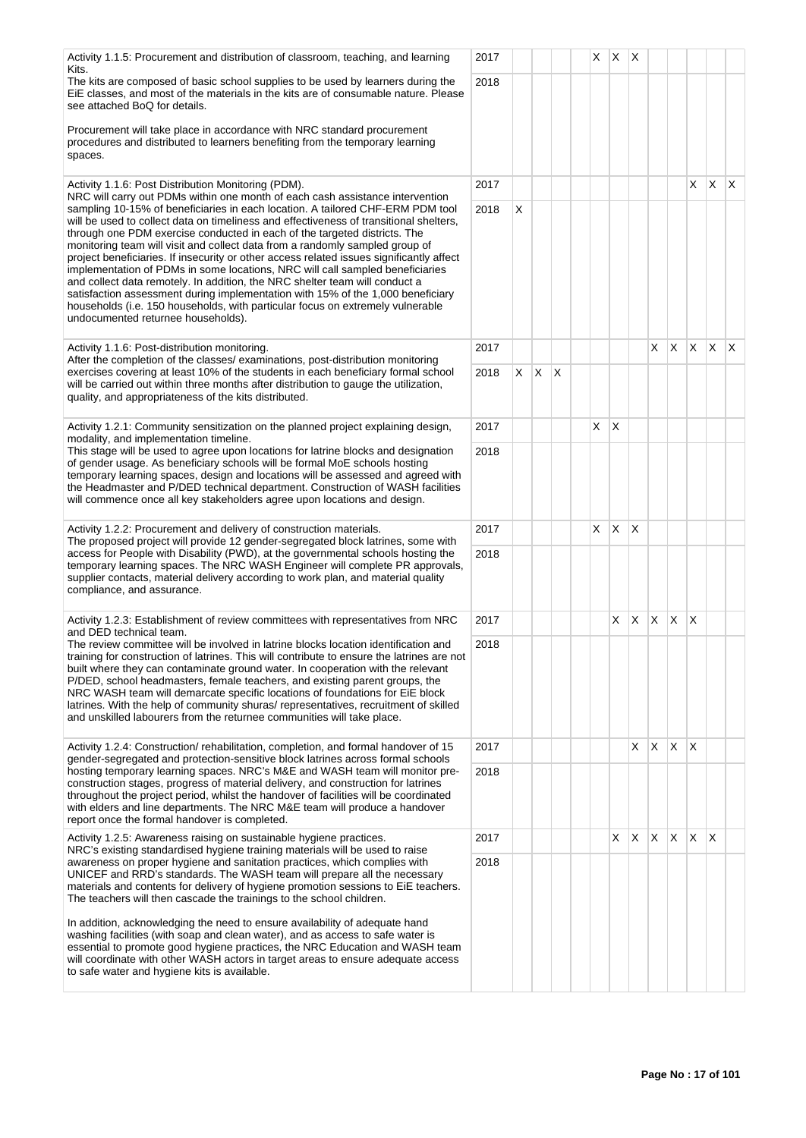| Activity 1.1.5: Procurement and distribution of classroom, teaching, and learning<br>Kits.                                                                                                                                                                                                                                                                                                                                                                                                                                                                                                                                                                                                                                                                                                                   | 2017 |   |              |   | X | $\mathsf{X}$ | $\mathsf{X}$ |              |              |              |             |     |
|--------------------------------------------------------------------------------------------------------------------------------------------------------------------------------------------------------------------------------------------------------------------------------------------------------------------------------------------------------------------------------------------------------------------------------------------------------------------------------------------------------------------------------------------------------------------------------------------------------------------------------------------------------------------------------------------------------------------------------------------------------------------------------------------------------------|------|---|--------------|---|---|--------------|--------------|--------------|--------------|--------------|-------------|-----|
| The kits are composed of basic school supplies to be used by learners during the<br>EIE classes, and most of the materials in the kits are of consumable nature. Please<br>see attached BoQ for details.                                                                                                                                                                                                                                                                                                                                                                                                                                                                                                                                                                                                     | 2018 |   |              |   |   |              |              |              |              |              |             |     |
| Procurement will take place in accordance with NRC standard procurement<br>procedures and distributed to learners benefiting from the temporary learning<br>spaces.                                                                                                                                                                                                                                                                                                                                                                                                                                                                                                                                                                                                                                          |      |   |              |   |   |              |              |              |              |              |             |     |
| Activity 1.1.6: Post Distribution Monitoring (PDM).<br>NRC will carry out PDMs within one month of each cash assistance intervention                                                                                                                                                                                                                                                                                                                                                                                                                                                                                                                                                                                                                                                                         | 2017 |   |              |   |   |              |              |              |              | X            | X           | IX. |
| sampling 10-15% of beneficiaries in each location. A tailored CHF-ERM PDM tool<br>will be used to collect data on timeliness and effectiveness of transitional shelters,<br>through one PDM exercise conducted in each of the targeted districts. The<br>monitoring team will visit and collect data from a randomly sampled group of<br>project beneficiaries. If insecurity or other access related issues significantly affect<br>implementation of PDMs in some locations, NRC will call sampled beneficiaries<br>and collect data remotely. In addition, the NRC shelter team will conduct a<br>satisfaction assessment during implementation with 15% of the 1,000 beneficiary<br>households (i.e. 150 households, with particular focus on extremely vulnerable<br>undocumented returnee households). | 2018 | X |              |   |   |              |              |              |              |              |             |     |
| Activity 1.1.6: Post-distribution monitoring.<br>After the completion of the classes/ examinations, post-distribution monitoring                                                                                                                                                                                                                                                                                                                                                                                                                                                                                                                                                                                                                                                                             | 2017 |   |              |   |   |              |              | X.           | $X$ $X$      |              | $ X $ $ X $ |     |
| exercises covering at least 10% of the students in each beneficiary formal school<br>will be carried out within three months after distribution to gauge the utilization,<br>quality, and appropriateness of the kits distributed.                                                                                                                                                                                                                                                                                                                                                                                                                                                                                                                                                                           | 2018 | X | $\mathsf{X}$ | X |   |              |              |              |              |              |             |     |
| Activity 1.2.1: Community sensitization on the planned project explaining design,                                                                                                                                                                                                                                                                                                                                                                                                                                                                                                                                                                                                                                                                                                                            | 2017 |   |              |   | X | X            |              |              |              |              |             |     |
| modality, and implementation timeline.<br>This stage will be used to agree upon locations for latrine blocks and designation<br>of gender usage. As beneficiary schools will be formal MoE schools hosting<br>temporary learning spaces, design and locations will be assessed and agreed with<br>the Headmaster and P/DED technical department. Construction of WASH facilities<br>will commence once all key stakeholders agree upon locations and design.                                                                                                                                                                                                                                                                                                                                                 | 2018 |   |              |   |   |              |              |              |              |              |             |     |
| Activity 1.2.2: Procurement and delivery of construction materials.                                                                                                                                                                                                                                                                                                                                                                                                                                                                                                                                                                                                                                                                                                                                          | 2017 |   |              |   | X | X            | $\times$     |              |              |              |             |     |
| The proposed project will provide 12 gender-segregated block latrines, some with<br>access for People with Disability (PWD), at the governmental schools hosting the<br>temporary learning spaces. The NRC WASH Engineer will complete PR approvals,<br>supplier contacts, material delivery according to work plan, and material quality<br>compliance, and assurance.                                                                                                                                                                                                                                                                                                                                                                                                                                      | 2018 |   |              |   |   |              |              |              |              |              |             |     |
| Activity 1.2.3: Establishment of review committees with representatives from NRC<br>and DED technical team.                                                                                                                                                                                                                                                                                                                                                                                                                                                                                                                                                                                                                                                                                                  | 2017 |   |              |   |   | X            | X.           | X            | $\mathsf{X}$ | ΙX.          |             |     |
| The review committee will be involved in latrine blocks location identification and<br>training for construction of latrines. This will contribute to ensure the latrines are not<br>built where they can contaminate ground water. In cooperation with the relevant<br>P/DED, school headmasters, female teachers, and existing parent groups, the<br>NRC WASH team will demarcate specific locations of foundations for EiE block<br>latrines. With the help of community shuras/ representatives, recruitment of skilled<br>and unskilled labourers from the returnee communities will take place.                                                                                                                                                                                                        | 2018 |   |              |   |   |              |              |              |              |              |             |     |
| Activity 1.2.4: Construction/rehabilitation, completion, and formal handover of 15<br>gender-segregated and protection-sensitive block latrines across formal schools                                                                                                                                                                                                                                                                                                                                                                                                                                                                                                                                                                                                                                        | 2017 |   |              |   |   |              | X            | X.           | X            | ΙX.          |             |     |
| hosting temporary learning spaces. NRC's M&E and WASH team will monitor pre-<br>construction stages, progress of material delivery, and construction for latrines<br>throughout the project period, whilst the handover of facilities will be coordinated<br>with elders and line departments. The NRC M&E team will produce a handover<br>report once the formal handover is completed.                                                                                                                                                                                                                                                                                                                                                                                                                     | 2018 |   |              |   |   |              |              |              |              |              |             |     |
| Activity 1.2.5: Awareness raising on sustainable hygiene practices.<br>NRC's existing standardised hygiene training materials will be used to raise                                                                                                                                                                                                                                                                                                                                                                                                                                                                                                                                                                                                                                                          | 2017 |   |              |   |   | X            | X            | $\mathsf{X}$ | X.           | $\mathsf{X}$ | ΙX          |     |
| awareness on proper hygiene and sanitation practices, which complies with<br>UNICEF and RRD's standards. The WASH team will prepare all the necessary<br>materials and contents for delivery of hygiene promotion sessions to EiE teachers.<br>The teachers will then cascade the trainings to the school children.                                                                                                                                                                                                                                                                                                                                                                                                                                                                                          | 2018 |   |              |   |   |              |              |              |              |              |             |     |
| In addition, acknowledging the need to ensure availability of adequate hand<br>washing facilities (with soap and clean water), and as access to safe water is<br>essential to promote good hygiene practices, the NRC Education and WASH team<br>will coordinate with other WASH actors in target areas to ensure adequate access<br>to safe water and hygiene kits is available.                                                                                                                                                                                                                                                                                                                                                                                                                            |      |   |              |   |   |              |              |              |              |              |             |     |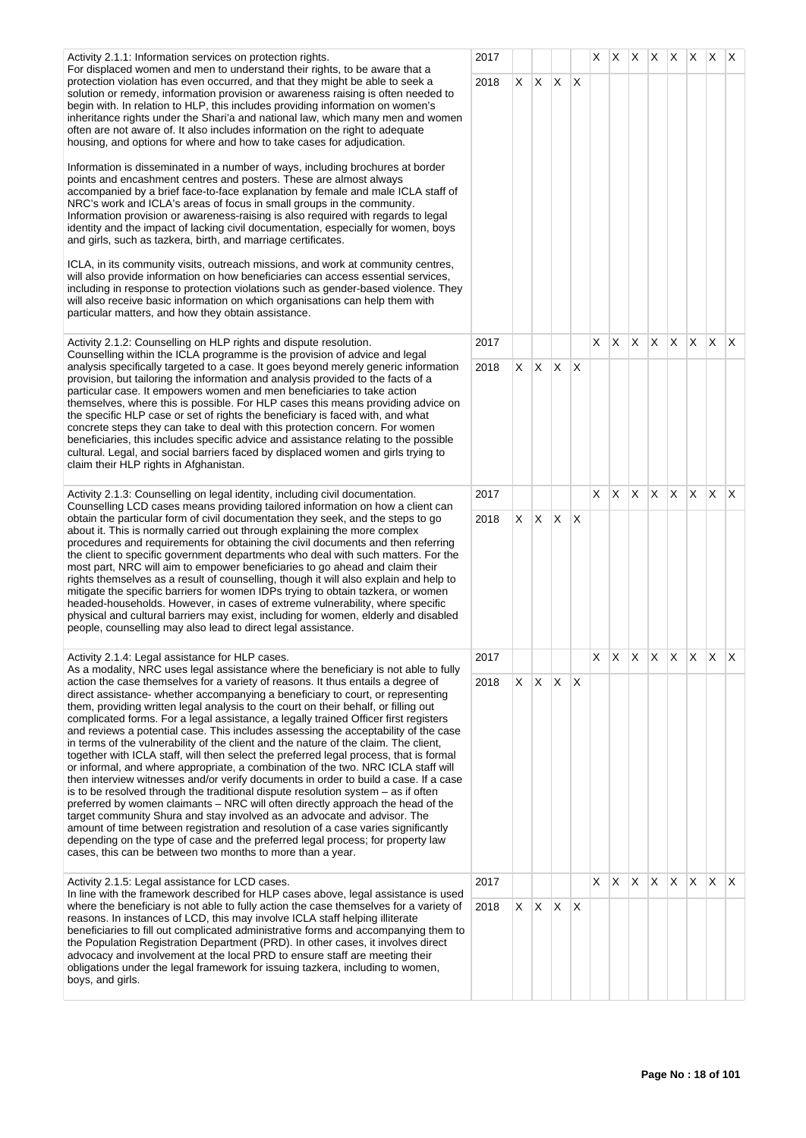| Activity 2.1.1: Information services on protection rights.<br>For displaced women and men to understand their rights, to be aware that a                                                                                                                                                                                                                                                                                                                                                                                                                                                                                                                                                                                                                                                                                                                                                                                                                                                                                                                                                                                                                                                                                                                                                             |      |    |                          |              |          | X. |   |     |    |     | $ X $ $ X $ $ X $ $ X $ $ X $   |              |              |
|------------------------------------------------------------------------------------------------------------------------------------------------------------------------------------------------------------------------------------------------------------------------------------------------------------------------------------------------------------------------------------------------------------------------------------------------------------------------------------------------------------------------------------------------------------------------------------------------------------------------------------------------------------------------------------------------------------------------------------------------------------------------------------------------------------------------------------------------------------------------------------------------------------------------------------------------------------------------------------------------------------------------------------------------------------------------------------------------------------------------------------------------------------------------------------------------------------------------------------------------------------------------------------------------------|------|----|--------------------------|--------------|----------|----|---|-----|----|-----|---------------------------------|--------------|--------------|
| protection violation has even occurred, and that they might be able to seek a<br>solution or remedy, information provision or awareness raising is often needed to<br>begin with. In relation to HLP, this includes providing information on women's<br>inheritance rights under the Shari'a and national law, which many men and women<br>often are not aware of. It also includes information on the right to adequate<br>housing, and options for where and how to take cases for adjudication.                                                                                                                                                                                                                                                                                                                                                                                                                                                                                                                                                                                                                                                                                                                                                                                                   | 2018 |    | $X$ $X$ $X$ $X$          |              |          |    |   |     |    |     |                                 |              |              |
| Information is disseminated in a number of ways, including brochures at border<br>points and encashment centres and posters. These are almost always<br>accompanied by a brief face-to-face explanation by female and male ICLA staff of<br>NRC's work and ICLA's areas of focus in small groups in the community.<br>Information provision or awareness-raising is also required with regards to legal<br>identity and the impact of lacking civil documentation, especially for women, boys<br>and girls, such as tazkera, birth, and marriage certificates.                                                                                                                                                                                                                                                                                                                                                                                                                                                                                                                                                                                                                                                                                                                                       |      |    |                          |              |          |    |   |     |    |     |                                 |              |              |
| ICLA, in its community visits, outreach missions, and work at community centres,<br>will also provide information on how beneficiaries can access essential services,<br>including in response to protection violations such as gender-based violence. They<br>will also receive basic information on which organisations can help them with<br>particular matters, and how they obtain assistance.                                                                                                                                                                                                                                                                                                                                                                                                                                                                                                                                                                                                                                                                                                                                                                                                                                                                                                  |      |    |                          |              |          |    |   |     |    |     |                                 |              |              |
| Activity 2.1.2: Counselling on HLP rights and dispute resolution.<br>Counselling within the ICLA programme is the provision of advice and legal                                                                                                                                                                                                                                                                                                                                                                                                                                                                                                                                                                                                                                                                                                                                                                                                                                                                                                                                                                                                                                                                                                                                                      | 2017 |    |                          |              |          | X  | Χ | X.  | X. | ΙX. | X                               | X.           | ΙX.          |
| analysis specifically targeted to a case. It goes beyond merely generic information<br>provision, but tailoring the information and analysis provided to the facts of a<br>particular case. It empowers women and men beneficiaries to take action<br>themselves, where this is possible. For HLP cases this means providing advice on<br>the specific HLP case or set of rights the beneficiary is faced with, and what<br>concrete steps they can take to deal with this protection concern. For women<br>beneficiaries, this includes specific advice and assistance relating to the possible<br>cultural. Legal, and social barriers faced by displaced women and girls trying to<br>claim their HLP rights in Afghanistan.                                                                                                                                                                                                                                                                                                                                                                                                                                                                                                                                                                      | 2018 | X. | X.                       | ΙX.          | X        |    |   |     |    |     |                                 |              |              |
| Activity 2.1.3: Counselling on legal identity, including civil documentation.<br>Counselling LCD cases means providing tailored information on how a client can                                                                                                                                                                                                                                                                                                                                                                                                                                                                                                                                                                                                                                                                                                                                                                                                                                                                                                                                                                                                                                                                                                                                      | 2017 |    |                          |              |          | X  | X | ΙX. | X. | X.  | $\mathsf{X}$                    | $\mathsf{X}$ | $\mathsf{X}$ |
| obtain the particular form of civil documentation they seek, and the steps to go<br>about it. This is normally carried out through explaining the more complex<br>procedures and requirements for obtaining the civil documents and then referring<br>the client to specific government departments who deal with such matters. For the<br>most part, NRC will aim to empower beneficiaries to go ahead and claim their<br>rights themselves as a result of counselling, though it will also explain and help to<br>mitigate the specific barriers for women IDPs trying to obtain tazkera, or women<br>headed-households. However, in cases of extreme vulnerability, where specific<br>physical and cultural barriers may exist, including for women, elderly and disabled<br>people, counselling may also lead to direct legal assistance.                                                                                                                                                                                                                                                                                                                                                                                                                                                        | 2018 | X. | $\mathsf{X}$             | X.           | X        |    |   |     |    |     |                                 |              |              |
| Activity 2.1.4: Legal assistance for HLP cases.<br>As a modality, NRC uses legal assistance where the beneficiary is not able to fully                                                                                                                                                                                                                                                                                                                                                                                                                                                                                                                                                                                                                                                                                                                                                                                                                                                                                                                                                                                                                                                                                                                                                               | 2017 |    |                          |              |          |    |   |     |    |     | $X$ $X$ $X$ $X$ $X$ $X$ $X$ $X$ |              |              |
| action the case themselves for a variety of reasons. It thus entails a degree of<br>direct assistance- whether accompanying a beneficiary to court, or representing<br>them, providing written legal analysis to the court on their behalf, or filling out<br>complicated forms. For a legal assistance, a legally trained Officer first registers<br>and reviews a potential case. This includes assessing the acceptability of the case<br>in terms of the vulnerability of the client and the nature of the claim. The client,<br>together with ICLA staff, will then select the preferred legal process, that is formal<br>or informal, and where appropriate, a combination of the two. NRC ICLA staff will<br>then interview witnesses and/or verify documents in order to build a case. If a case<br>is to be resolved through the traditional dispute resolution system $-$ as if often<br>preferred by women claimants – NRC will often directly approach the head of the<br>target community Shura and stay involved as an advocate and advisor. The<br>amount of time between registration and resolution of a case varies significantly<br>depending on the type of case and the preferred legal process; for property law<br>cases, this can be between two months to more than a year. | 2018 |    | $X \mid X \mid X \mid X$ |              |          |    |   |     |    |     |                                 |              |              |
| Activity 2.1.5: Legal assistance for LCD cases.<br>In line with the framework described for HLP cases above, legal assistance is used                                                                                                                                                                                                                                                                                                                                                                                                                                                                                                                                                                                                                                                                                                                                                                                                                                                                                                                                                                                                                                                                                                                                                                | 2017 |    |                          |              |          | X  | Χ | X.  | X  | X   | $\mathsf{X}$                    | ΙX.          | $\mathsf{X}$ |
| where the beneficiary is not able to fully action the case themselves for a variety of<br>reasons. In instances of LCD, this may involve ICLA staff helping illiterate<br>beneficiaries to fill out complicated administrative forms and accompanying them to<br>the Population Registration Department (PRD). In other cases, it involves direct<br>advocacy and involvement at the local PRD to ensure staff are meeting their<br>obligations under the legal framework for issuing tazkera, including to women,<br>boys, and girls.                                                                                                                                                                                                                                                                                                                                                                                                                                                                                                                                                                                                                                                                                                                                                               | 2018 | X. | X                        | $\mathsf{X}$ | $\times$ |    |   |     |    |     |                                 |              |              |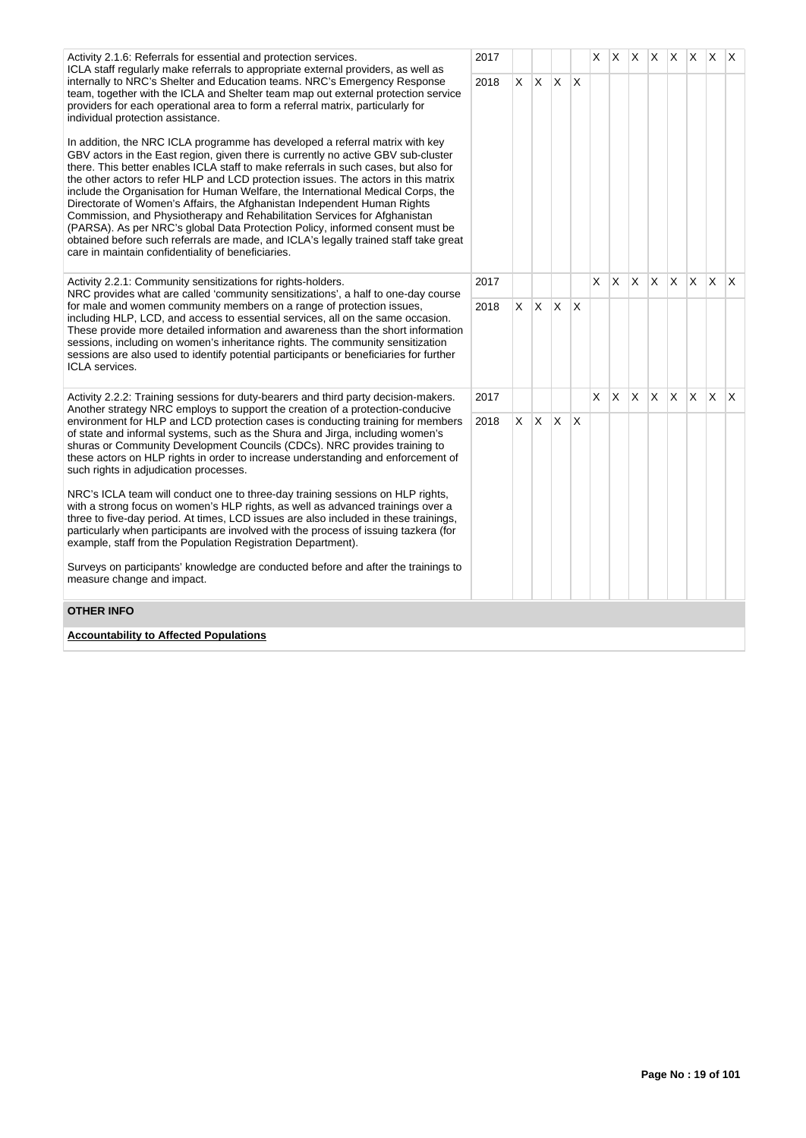| Activity 2.1.6: Referrals for essential and protection services.                                                                                                                                                                                                                                                                                                                                                                                                                                                                                                                                                                                                                                                                                                                                                           | 2017 |    |            |   |              | X. | X  |     |              | $X \mid X \mid X$ | ΙX. | $\times$ | $\mathsf{X}$ |
|----------------------------------------------------------------------------------------------------------------------------------------------------------------------------------------------------------------------------------------------------------------------------------------------------------------------------------------------------------------------------------------------------------------------------------------------------------------------------------------------------------------------------------------------------------------------------------------------------------------------------------------------------------------------------------------------------------------------------------------------------------------------------------------------------------------------------|------|----|------------|---|--------------|----|----|-----|--------------|-------------------|-----|----------|--------------|
| ICLA staff regularly make referrals to appropriate external providers, as well as<br>internally to NRC's Shelter and Education teams. NRC's Emergency Response<br>team, together with the ICLA and Shelter team map out external protection service<br>providers for each operational area to form a referral matrix, particularly for<br>individual protection assistance.                                                                                                                                                                                                                                                                                                                                                                                                                                                | 2018 | X. | <b>X</b>   | X | $\mathsf{X}$ |    |    |     |              |                   |     |          |              |
| In addition, the NRC ICLA programme has developed a referral matrix with key<br>GBV actors in the East region, given there is currently no active GBV sub-cluster<br>there. This better enables ICLA staff to make referrals in such cases, but also for<br>the other actors to refer HLP and LCD protection issues. The actors in this matrix<br>include the Organisation for Human Welfare, the International Medical Corps, the<br>Directorate of Women's Affairs, the Afghanistan Independent Human Rights<br>Commission, and Physiotherapy and Rehabilitation Services for Afghanistan<br>(PARSA). As per NRC's global Data Protection Policy, informed consent must be<br>obtained before such referrals are made, and ICLA's legally trained staff take great<br>care in maintain confidentiality of beneficiaries. |      |    |            |   |              |    |    |     |              |                   |     |          |              |
| Activity 2.2.1: Community sensitizations for rights-holders.                                                                                                                                                                                                                                                                                                                                                                                                                                                                                                                                                                                                                                                                                                                                                               | 2017 |    |            |   |              | X. | X. | ΙX. | $\mathsf{X}$ | $\mathsf{X}$      | X.  | ΙX.      | $\mathsf{X}$ |
| NRC provides what are called 'community sensitizations', a half to one-day course<br>for male and women community members on a range of protection issues,<br>including HLP, LCD, and access to essential services, all on the same occasion.<br>These provide more detailed information and awareness than the short information<br>sessions, including on women's inheritance rights. The community sensitization<br>sessions are also used to identify potential participants or beneficiaries for further<br><b>ICLA</b> services.                                                                                                                                                                                                                                                                                     | 2018 |    | $X \mid X$ | X |              |    |    |     |              |                   |     |          |              |
| Activity 2.2.2: Training sessions for duty-bearers and third party decision-makers.<br>Another strategy NRC employs to support the creation of a protection-conducive                                                                                                                                                                                                                                                                                                                                                                                                                                                                                                                                                                                                                                                      | 2017 |    |            |   |              | X. | X. | X.  | X.           | $\mathsf{X}$      | X.  | X        | $\mathsf{X}$ |
| environment for HLP and LCD protection cases is conducting training for members<br>of state and informal systems, such as the Shura and Jirga, including women's<br>shuras or Community Development Councils (CDCs). NRC provides training to<br>these actors on HLP rights in order to increase understanding and enforcement of<br>such rights in adjudication processes.                                                                                                                                                                                                                                                                                                                                                                                                                                                | 2018 | X. | X.         | X | ΙX.          |    |    |     |              |                   |     |          |              |
| NRC's ICLA team will conduct one to three-day training sessions on HLP rights,<br>with a strong focus on women's HLP rights, as well as advanced trainings over a<br>three to five-day period. At times, LCD issues are also included in these trainings,<br>particularly when participants are involved with the process of issuing tazkera (for<br>example, staff from the Population Registration Department).                                                                                                                                                                                                                                                                                                                                                                                                          |      |    |            |   |              |    |    |     |              |                   |     |          |              |
| Surveys on participants' knowledge are conducted before and after the trainings to<br>measure change and impact.                                                                                                                                                                                                                                                                                                                                                                                                                                                                                                                                                                                                                                                                                                           |      |    |            |   |              |    |    |     |              |                   |     |          |              |
| <b>OTHER INFO</b>                                                                                                                                                                                                                                                                                                                                                                                                                                                                                                                                                                                                                                                                                                                                                                                                          |      |    |            |   |              |    |    |     |              |                   |     |          |              |
| <b>Accountability to Affected Populations</b>                                                                                                                                                                                                                                                                                                                                                                                                                                                                                                                                                                                                                                                                                                                                                                              |      |    |            |   |              |    |    |     |              |                   |     |          |              |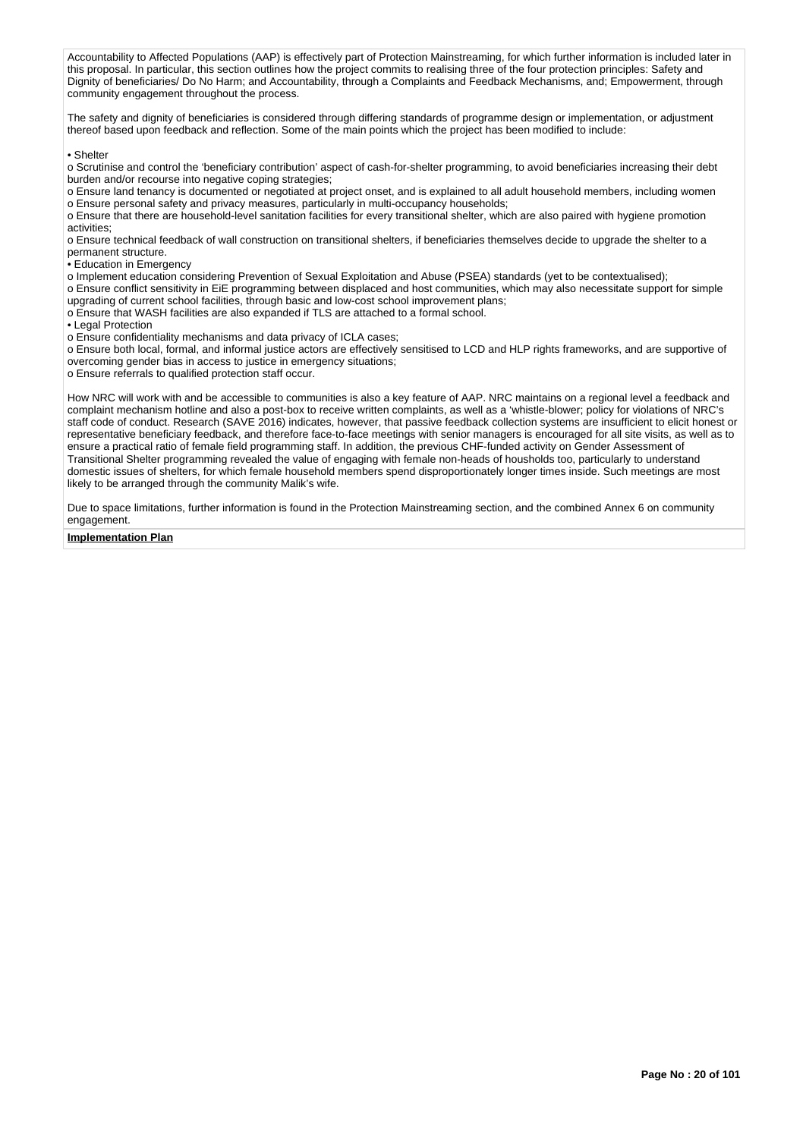Accountability to Affected Populations (AAP) is effectively part of Protection Mainstreaming, for which further information is included later in this proposal. In particular, this section outlines how the project commits to realising three of the four protection principles: Safety and Dignity of beneficiaries/ Do No Harm; and Accountability, through a Complaints and Feedback Mechanisms, and; Empowerment, through community engagement throughout the process.

The safety and dignity of beneficiaries is considered through differing standards of programme design or implementation, or adjustment thereof based upon feedback and reflection. Some of the main points which the project has been modified to include:

• Shelter

o Scrutinise and control the 'beneficiary contribution' aspect of cash-for-shelter programming, to avoid beneficiaries increasing their debt burden and/or recourse into negative coping strategies;

o Ensure land tenancy is documented or negotiated at project onset, and is explained to all adult household members, including women o Ensure personal safety and privacy measures, particularly in multi-occupancy households;

o Ensure that there are household-level sanitation facilities for every transitional shelter, which are also paired with hygiene promotion activities;

o Ensure technical feedback of wall construction on transitional shelters, if beneficiaries themselves decide to upgrade the shelter to a permanent structure.

• Education in Emergency

o Implement education considering Prevention of Sexual Exploitation and Abuse (PSEA) standards (yet to be contextualised);

o Ensure conflict sensitivity in EiE programming between displaced and host communities, which may also necessitate support for simple upgrading of current school facilities, through basic and low-cost school improvement plans;

o Ensure that WASH facilities are also expanded if TLS are attached to a formal school.

• Legal Protection

o Ensure confidentiality mechanisms and data privacy of ICLA cases;

o Ensure both local, formal, and informal justice actors are effectively sensitised to LCD and HLP rights frameworks, and are supportive of overcoming gender bias in access to justice in emergency situations;

o Ensure referrals to qualified protection staff occur.

How NRC will work with and be accessible to communities is also a key feature of AAP. NRC maintains on a regional level a feedback and complaint mechanism hotline and also a post-box to receive written complaints, as well as a 'whistle-blower; policy for violations of NRC's staff code of conduct. Research (SAVE 2016) indicates, however, that passive feedback collection systems are insufficient to elicit honest or representative beneficiary feedback, and therefore face-to-face meetings with senior managers is encouraged for all site visits, as well as to ensure a practical ratio of female field programming staff. In addition, the previous CHF-funded activity on Gender Assessment of Transitional Shelter programming revealed the value of engaging with female non-heads of housholds too, particularly to understand domestic issues of shelters, for which female household members spend disproportionately longer times inside. Such meetings are most likely to be arranged through the community Malik's wife.

Due to space limitations, further information is found in the Protection Mainstreaming section, and the combined Annex 6 on community engagement.

#### **Implementation Plan**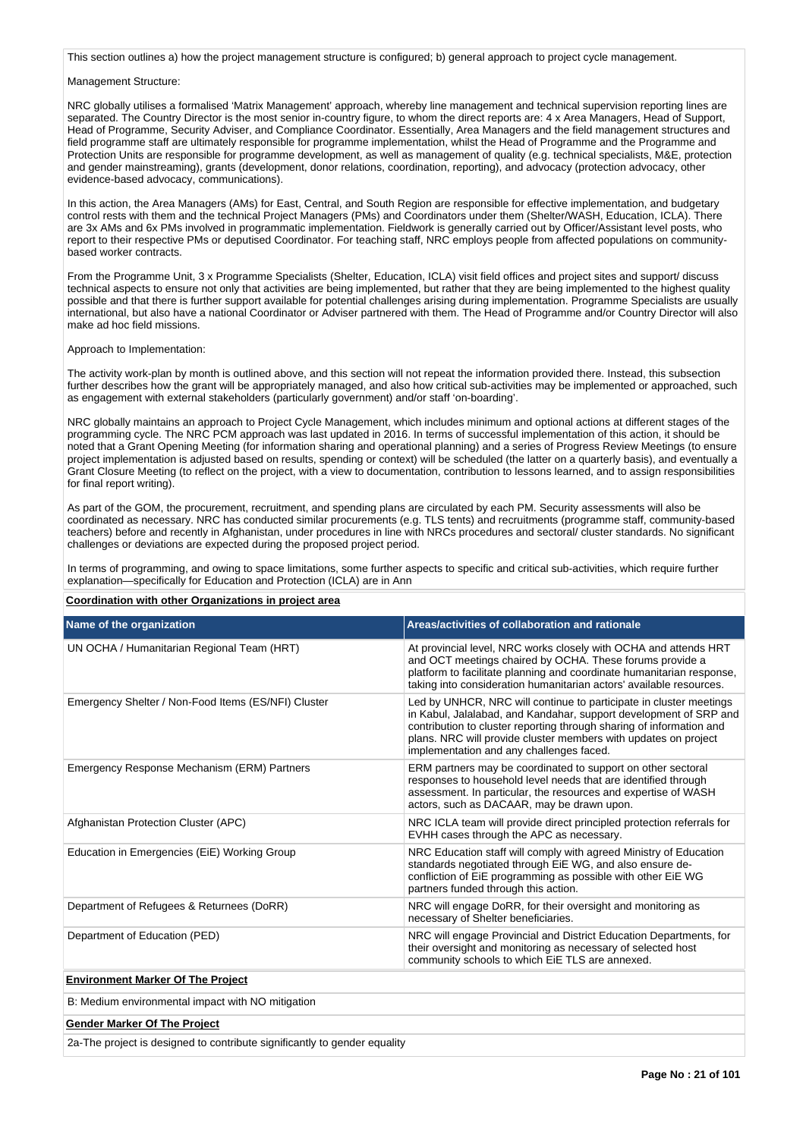This section outlines a) how the project management structure is configured; b) general approach to project cycle management.

#### Management Structure:

NRC globally utilises a formalised 'Matrix Management' approach, whereby line management and technical supervision reporting lines are separated. The Country Director is the most senior in-country figure, to whom the direct reports are: 4 x Area Managers, Head of Support, Head of Programme, Security Adviser, and Compliance Coordinator. Essentially, Area Managers and the field management structures and field programme staff are ultimately responsible for programme implementation, whilst the Head of Programme and the Programme and Protection Units are responsible for programme development, as well as management of quality (e.g. technical specialists, M&E, protection and gender mainstreaming), grants (development, donor relations, coordination, reporting), and advocacy (protection advocacy, other evidence-based advocacy, communications).

In this action, the Area Managers (AMs) for East, Central, and South Region are responsible for effective implementation, and budgetary control rests with them and the technical Project Managers (PMs) and Coordinators under them (Shelter/WASH, Education, ICLA). There are 3x AMs and 6x PMs involved in programmatic implementation. Fieldwork is generally carried out by Officer/Assistant level posts, who report to their respective PMs or deputised Coordinator. For teaching staff, NRC employs people from affected populations on communitybased worker contracts.

From the Programme Unit, 3 x Programme Specialists (Shelter, Education, ICLA) visit field offices and project sites and support/ discuss technical aspects to ensure not only that activities are being implemented, but rather that they are being implemented to the highest quality possible and that there is further support available for potential challenges arising during implementation. Programme Specialists are usually international, but also have a national Coordinator or Adviser partnered with them. The Head of Programme and/or Country Director will also make ad hoc field missions.

#### Approach to Implementation:

The activity work-plan by month is outlined above, and this section will not repeat the information provided there. Instead, this subsection further describes how the grant will be appropriately managed, and also how critical sub-activities may be implemented or approached, such as engagement with external stakeholders (particularly government) and/or staff 'on-boarding'.

NRC globally maintains an approach to Project Cycle Management, which includes minimum and optional actions at different stages of the programming cycle. The NRC PCM approach was last updated in 2016. In terms of successful implementation of this action, it should be noted that a Grant Opening Meeting (for information sharing and operational planning) and a series of Progress Review Meetings (to ensure project implementation is adjusted based on results, spending or context) will be scheduled (the latter on a quarterly basis), and eventually a Grant Closure Meeting (to reflect on the project, with a view to documentation, contribution to lessons learned, and to assign responsibilities for final report writing).

As part of the GOM, the procurement, recruitment, and spending plans are circulated by each PM. Security assessments will also be coordinated as necessary. NRC has conducted similar procurements (e.g. TLS tents) and recruitments (programme staff, community-based teachers) before and recently in Afghanistan, under procedures in line with NRCs procedures and sectoral/ cluster standards. No significant challenges or deviations are expected during the proposed project period.

In terms of programming, and owing to space limitations, some further aspects to specific and critical sub-activities, which require further explanation—specifically for Education and Protection (ICLA) are in Ann

#### **Coordination with other Organizations in project area**

| Name of the organization                            | Areas/activities of collaboration and rationale                                                                                                                                                                                                                                                                                |
|-----------------------------------------------------|--------------------------------------------------------------------------------------------------------------------------------------------------------------------------------------------------------------------------------------------------------------------------------------------------------------------------------|
| UN OCHA / Humanitarian Regional Team (HRT)          | At provincial level, NRC works closely with OCHA and attends HRT<br>and OCT meetings chaired by OCHA. These forums provide a<br>platform to facilitate planning and coordinate humanitarian response,<br>taking into consideration humanitarian actors' available resources.                                                   |
| Emergency Shelter / Non-Food Items (ES/NFI) Cluster | Led by UNHCR, NRC will continue to participate in cluster meetings<br>in Kabul, Jalalabad, and Kandahar, support development of SRP and<br>contribution to cluster reporting through sharing of information and<br>plans. NRC will provide cluster members with updates on project<br>implementation and any challenges faced. |
| Emergency Response Mechanism (ERM) Partners         | ERM partners may be coordinated to support on other sectoral<br>responses to household level needs that are identified through<br>assessment. In particular, the resources and expertise of WASH<br>actors, such as DACAAR, may be drawn upon.                                                                                 |
| Afghanistan Protection Cluster (APC)                | NRC ICLA team will provide direct principled protection referrals for<br>EVHH cases through the APC as necessary.                                                                                                                                                                                                              |
| Education in Emergencies (EiE) Working Group        | NRC Education staff will comply with agreed Ministry of Education<br>standards negotiated through EiE WG, and also ensure de-<br>confliction of EiE programming as possible with other EiE WG<br>partners funded through this action.                                                                                          |
| Department of Refugees & Returnees (DoRR)           | NRC will engage DoRR, for their oversight and monitoring as<br>necessary of Shelter beneficiaries.                                                                                                                                                                                                                             |
| Department of Education (PED)                       | NRC will engage Provincial and District Education Departments, for<br>their oversight and monitoring as necessary of selected host<br>community schools to which EIE TLS are annexed.                                                                                                                                          |
| <b>Environment Marker Of The Project</b>            |                                                                                                                                                                                                                                                                                                                                |
| B: Medium environmental impact with NO mitigation   |                                                                                                                                                                                                                                                                                                                                |
| <b>Gender Marker Of The Project</b>                 |                                                                                                                                                                                                                                                                                                                                |

2a-The project is designed to contribute significantly to gender equality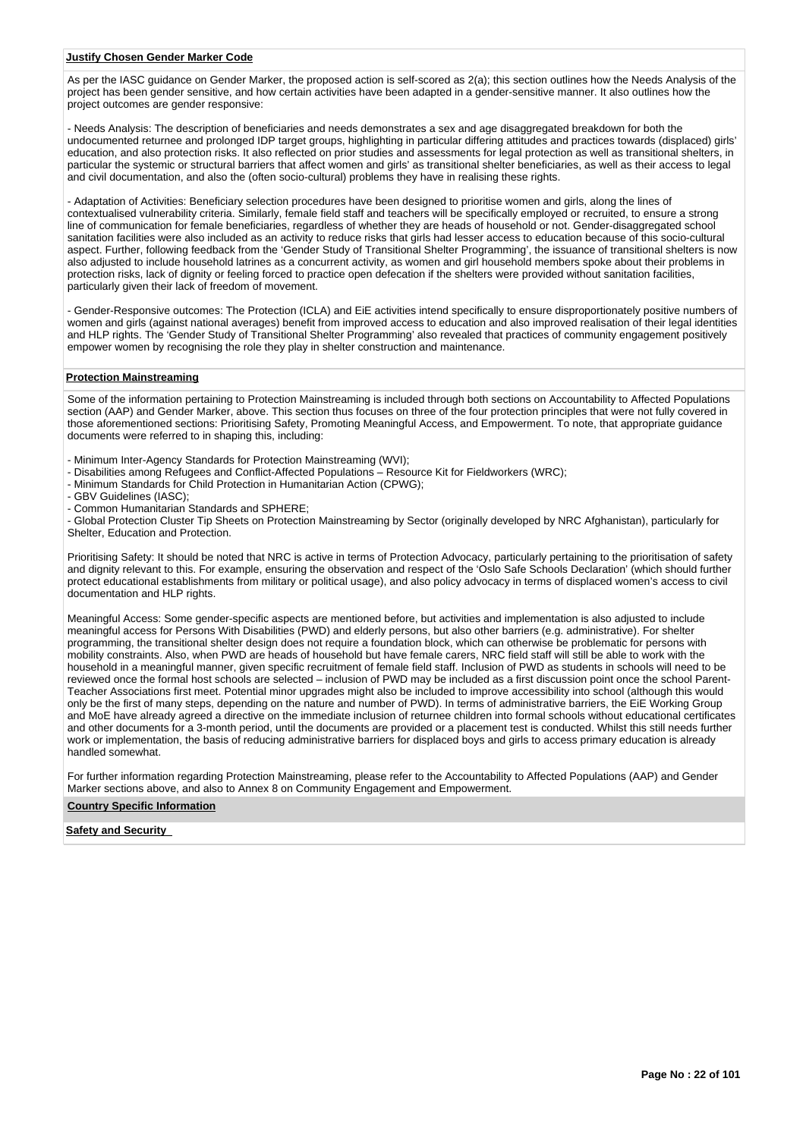#### **Justify Chosen Gender Marker Code**

As per the IASC guidance on Gender Marker, the proposed action is self-scored as 2(a); this section outlines how the Needs Analysis of the project has been gender sensitive, and how certain activities have been adapted in a gender-sensitive manner. It also outlines how the project outcomes are gender responsive:

- Needs Analysis: The description of beneficiaries and needs demonstrates a sex and age disaggregated breakdown for both the undocumented returnee and prolonged IDP target groups, highlighting in particular differing attitudes and practices towards (displaced) girls' education, and also protection risks. It also reflected on prior studies and assessments for legal protection as well as transitional shelters, in particular the systemic or structural barriers that affect women and girls' as transitional shelter beneficiaries, as well as their access to legal and civil documentation, and also the (often socio-cultural) problems they have in realising these rights.

- Adaptation of Activities: Beneficiary selection procedures have been designed to prioritise women and girls, along the lines of contextualised vulnerability criteria. Similarly, female field staff and teachers will be specifically employed or recruited, to ensure a strong line of communication for female beneficiaries, regardless of whether they are heads of household or not. Gender-disaggregated school sanitation facilities were also included as an activity to reduce risks that girls had lesser access to education because of this socio-cultural aspect. Further, following feedback from the 'Gender Study of Transitional Shelter Programming', the issuance of transitional shelters is now also adjusted to include household latrines as a concurrent activity, as women and girl household members spoke about their problems in protection risks, lack of dignity or feeling forced to practice open defecation if the shelters were provided without sanitation facilities, particularly given their lack of freedom of movement.

- Gender-Responsive outcomes: The Protection (ICLA) and EiE activities intend specifically to ensure disproportionately positive numbers of women and girls (against national averages) benefit from improved access to education and also improved realisation of their legal identities and HLP rights. The 'Gender Study of Transitional Shelter Programming' also revealed that practices of community engagement positively empower women by recognising the role they play in shelter construction and maintenance.

# **Protection Mainstreaming**

Some of the information pertaining to Protection Mainstreaming is included through both sections on Accountability to Affected Populations section (AAP) and Gender Marker, above. This section thus focuses on three of the four protection principles that were not fully covered in those aforementioned sections: Prioritising Safety, Promoting Meaningful Access, and Empowerment. To note, that appropriate guidance documents were referred to in shaping this, including:

- Minimum Inter-Agency Standards for Protection Mainstreaming (WVI);
- Disabilities among Refugees and Conflict-Affected Populations Resource Kit for Fieldworkers (WRC);
- Minimum Standards for Child Protection in Humanitarian Action (CPWG);
- GBV Guidelines (IASC);
- Common Humanitarian Standards and SPHERE;

- Global Protection Cluster Tip Sheets on Protection Mainstreaming by Sector (originally developed by NRC Afghanistan), particularly for Shelter, Education and Protection.

Prioritising Safety: It should be noted that NRC is active in terms of Protection Advocacy, particularly pertaining to the prioritisation of safety and dignity relevant to this. For example, ensuring the observation and respect of the 'Oslo Safe Schools Declaration' (which should further protect educational establishments from military or political usage), and also policy advocacy in terms of displaced women's access to civil documentation and HLP rights.

Meaningful Access: Some gender-specific aspects are mentioned before, but activities and implementation is also adjusted to include meaningful access for Persons With Disabilities (PWD) and elderly persons, but also other barriers (e.g. administrative). For shelter programming, the transitional shelter design does not require a foundation block, which can otherwise be problematic for persons with mobility constraints. Also, when PWD are heads of household but have female carers, NRC field staff will still be able to work with the household in a meaningful manner, given specific recruitment of female field staff. Inclusion of PWD as students in schools will need to be reviewed once the formal host schools are selected – inclusion of PWD may be included as a first discussion point once the school Parent-Teacher Associations first meet. Potential minor upgrades might also be included to improve accessibility into school (although this would only be the first of many steps, depending on the nature and number of PWD). In terms of administrative barriers, the EiE Working Group and MoE have already agreed a directive on the immediate inclusion of returnee children into formal schools without educational certificates and other documents for a 3-month period, until the documents are provided or a placement test is conducted. Whilst this still needs further work or implementation, the basis of reducing administrative barriers for displaced boys and girls to access primary education is already handled somewhat.

For further information regarding Protection Mainstreaming, please refer to the Accountability to Affected Populations (AAP) and Gender Marker sections above, and also to Annex 8 on Community Engagement and Empowerment.

#### **Country Specific Information**

**Safety and Security**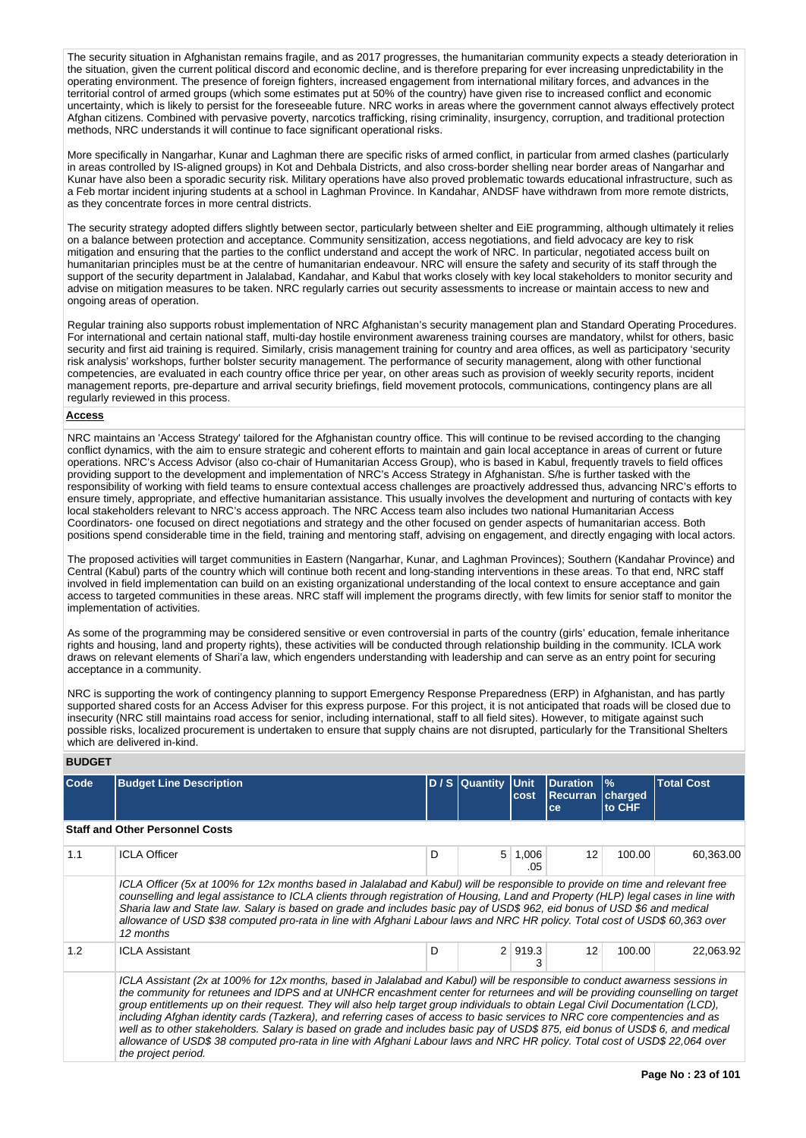The security situation in Afghanistan remains fragile, and as 2017 progresses, the humanitarian community expects a steady deterioration in the situation, given the current political discord and economic decline, and is therefore preparing for ever increasing unpredictability in the operating environment. The presence of foreign fighters, increased engagement from international military forces, and advances in the territorial control of armed groups (which some estimates put at 50% of the country) have given rise to increased conflict and economic uncertainty, which is likely to persist for the foreseeable future. NRC works in areas where the government cannot always effectively protect Afghan citizens. Combined with pervasive poverty, narcotics trafficking, rising criminality, insurgency, corruption, and traditional protection methods. NRC understands it will continue to face significant operational risks.

More specifically in Nangarhar, Kunar and Laghman there are specific risks of armed conflict, in particular from armed clashes (particularly in areas controlled by IS-aligned groups) in Kot and Dehbala Districts, and also cross-border shelling near border areas of Nangarhar and Kunar have also been a sporadic security risk. Military operations have also proved problematic towards educational infrastructure, such as a Feb mortar incident injuring students at a school in Laghman Province. In Kandahar, ANDSF have withdrawn from more remote districts, as they concentrate forces in more central districts.

The security strategy adopted differs slightly between sector, particularly between shelter and EiE programming, although ultimately it relies on a balance between protection and acceptance. Community sensitization, access negotiations, and field advocacy are key to risk mitigation and ensuring that the parties to the conflict understand and accept the work of NRC. In particular, negotiated access built on humanitarian principles must be at the centre of humanitarian endeavour. NRC will ensure the safety and security of its staff through the support of the security department in Jalalabad, Kandahar, and Kabul that works closely with key local stakeholders to monitor security and advise on mitigation measures to be taken. NRC regularly carries out security assessments to increase or maintain access to new and ongoing areas of operation.

Regular training also supports robust implementation of NRC Afghanistan's security management plan and Standard Operating Procedures. For international and certain national staff, multi-day hostile environment awareness training courses are mandatory, whilst for others, basic security and first aid training is required. Similarly, crisis management training for country and area offices, as well as participatory 'security risk analysis' workshops, further bolster security management. The performance of security management, along with other functional competencies, are evaluated in each country office thrice per year, on other areas such as provision of weekly security reports, incident management reports, pre-departure and arrival security briefings, field movement protocols, communications, contingency plans are all regularly reviewed in this process.

#### **Access**

NRC maintains an 'Access Strategy' tailored for the Afghanistan country office. This will continue to be revised according to the changing conflict dynamics, with the aim to ensure strategic and coherent efforts to maintain and gain local acceptance in areas of current or future operations. NRC's Access Advisor (also co-chair of Humanitarian Access Group), who is based in Kabul, frequently travels to field offices providing support to the development and implementation of NRC's Access Strategy in Afghanistan. S/he is further tasked with the responsibility of working with field teams to ensure contextual access challenges are proactively addressed thus, advancing NRC's efforts to ensure timely, appropriate, and effective humanitarian assistance. This usually involves the development and nurturing of contacts with key local stakeholders relevant to NRC's access approach. The NRC Access team also includes two national Humanitarian Access Coordinators- one focused on direct negotiations and strategy and the other focused on gender aspects of humanitarian access. Both positions spend considerable time in the field, training and mentoring staff, advising on engagement, and directly engaging with local actors.

The proposed activities will target communities in Eastern (Nangarhar, Kunar, and Laghman Provinces); Southern (Kandahar Province) and Central (Kabul) parts of the country which will continue both recent and long-standing interventions in these areas. To that end, NRC staff involved in field implementation can build on an existing organizational understanding of the local context to ensure acceptance and gain access to targeted communities in these areas. NRC staff will implement the programs directly, with few limits for senior staff to monitor the implementation of activities.

As some of the programming may be considered sensitive or even controversial in parts of the country (girls' education, female inheritance rights and housing, land and property rights), these activities will be conducted through relationship building in the community. ICLA work draws on relevant elements of Shari'a law, which engenders understanding with leadership and can serve as an entry point for securing acceptance in a community.

NRC is supporting the work of contingency planning to support Emergency Response Preparedness (ERP) in Afghanistan, and has partly supported shared costs for an Access Adviser for this express purpose. For this project, it is not anticipated that roads will be closed due to insecurity (NRC still maintains road access for senior, including international, staff to all field sites). However, to mitigate against such possible risks, localized procurement is undertaken to ensure that supply chains are not disrupted, particularly for the Transitional Shelters which are delivered in-kind.

#### **BUDGET**

| <b>Code</b> | <b>Budget Line Description</b>                                                                                                                                                                                                                                                                                                                                                                                                                                                                                                                                                                                                                                                                                                                                                                                         |   | D/S Quantity   | <b>Unit</b><br>cost | <b>Duration</b><br><b>Recurran</b><br>ce | $\frac{9}{6}$<br>charged<br>to CHF | <b>Total Cost</b> |
|-------------|------------------------------------------------------------------------------------------------------------------------------------------------------------------------------------------------------------------------------------------------------------------------------------------------------------------------------------------------------------------------------------------------------------------------------------------------------------------------------------------------------------------------------------------------------------------------------------------------------------------------------------------------------------------------------------------------------------------------------------------------------------------------------------------------------------------------|---|----------------|---------------------|------------------------------------------|------------------------------------|-------------------|
|             |                                                                                                                                                                                                                                                                                                                                                                                                                                                                                                                                                                                                                                                                                                                                                                                                                        |   |                |                     |                                          |                                    |                   |
|             | <b>Staff and Other Personnel Costs</b>                                                                                                                                                                                                                                                                                                                                                                                                                                                                                                                                                                                                                                                                                                                                                                                 |   |                |                     |                                          |                                    |                   |
| 1.1         | <b>ICLA Officer</b>                                                                                                                                                                                                                                                                                                                                                                                                                                                                                                                                                                                                                                                                                                                                                                                                    | D | 5 <sup>1</sup> | 1,006<br>.05        | 12                                       | 100.00                             | 60,363.00         |
|             | ICLA Officer (5x at 100% for 12x months based in Jalalabad and Kabul) will be responsible to provide on time and relevant free<br>counselling and legal assistance to ICLA clients through registration of Housing, Land and Property (HLP) legal cases in line with<br>Sharia law and State law. Salary is based on grade and includes basic pay of USD\$ 962, eid bonus of USD \$6 and medical<br>allowance of USD \$38 computed pro-rata in line with Afghani Labour laws and NRC HR policy. Total cost of USD\$ 60,363 over<br>12 months                                                                                                                                                                                                                                                                           |   |                |                     |                                          |                                    |                   |
| 1.2         | <b>ICLA Assistant</b>                                                                                                                                                                                                                                                                                                                                                                                                                                                                                                                                                                                                                                                                                                                                                                                                  | D | 2 <sup>1</sup> | 919.3<br>3          | 12                                       | 100.00                             | 22.063.92         |
|             | ICLA Assistant (2x at 100% for 12x months, based in Jalalabad and Kabul) will be responsible to conduct awarness sessions in<br>the community for retunees and IDPS and at UNHCR encashment center for returnees and will be providing counselling on target<br>group entitlements up on their request. They will also help target group individuals to obtain Legal Civil Documentation (LCD),<br>including Afghan identity cards (Tazkera), and referring cases of access to basic services to NRC core compentencies and as<br>well as to other stakeholders. Salary is based on grade and includes basic pay of USD\$ 875, eid bonus of USD\$ 6, and medical<br>allowance of USD\$ 38 computed pro-rata in line with Afghani Labour laws and NRC HR policy. Total cost of USD\$ 22,064 over<br>the project period. |   |                |                     |                                          |                                    |                   |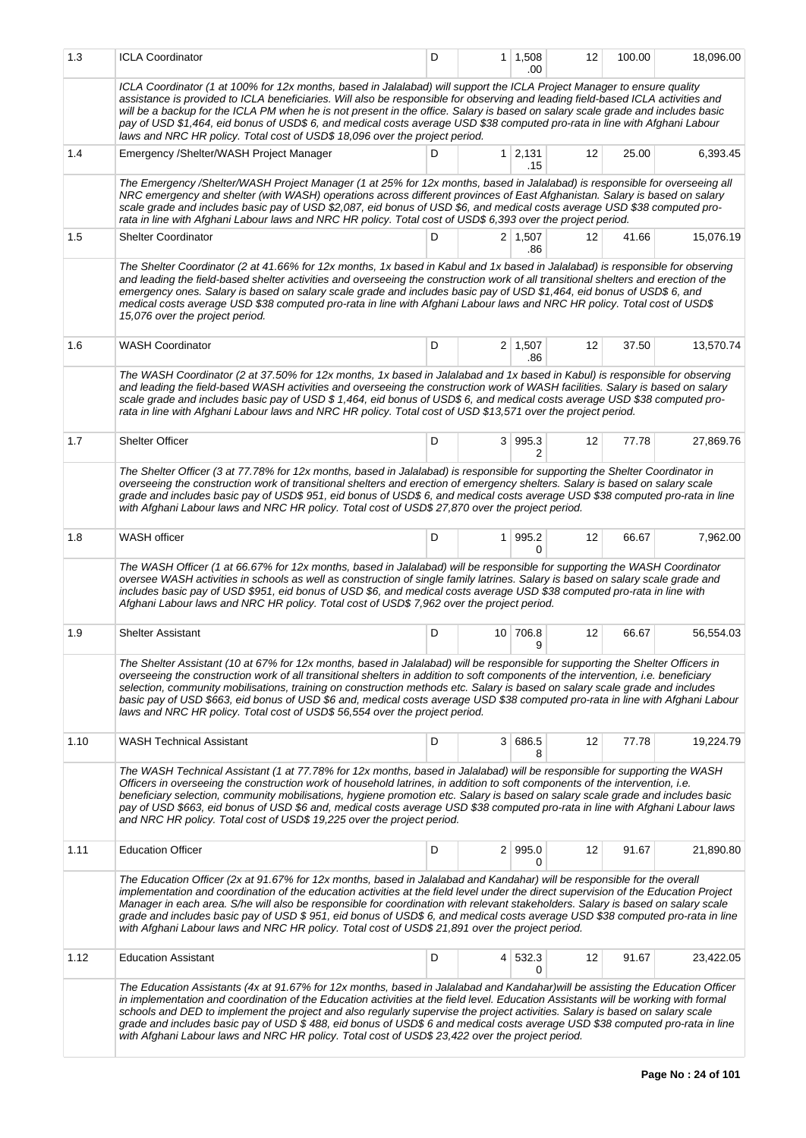| 1.3  | <b>ICLA Coordinator</b>                                                                                                                                                                                                                                                                                                                                                                                                                                                                                                                                                                                                                     | D |                | $1 \mid 1,508$<br>.00 | 12 | 100.00 | 18,096.00 |  |  |  |  |  |
|------|---------------------------------------------------------------------------------------------------------------------------------------------------------------------------------------------------------------------------------------------------------------------------------------------------------------------------------------------------------------------------------------------------------------------------------------------------------------------------------------------------------------------------------------------------------------------------------------------------------------------------------------------|---|----------------|-----------------------|----|--------|-----------|--|--|--|--|--|
|      | ICLA Coordinator (1 at 100% for 12x months, based in Jalalabad) will support the ICLA Project Manager to ensure quality<br>assistance is provided to ICLA beneficiaries. Will also be responsible for observing and leading field-based ICLA activities and<br>will be a backup for the ICLA PM when he is not present in the office. Salary is based on salary scale grade and includes basic<br>pay of USD \$1,464, eid bonus of USD\$ 6, and medical costs average USD \$38 computed pro-rata in line with Afghani Labour<br>laws and NRC HR policy. Total cost of USD\$ 18,096 over the project period.                                 |   |                |                       |    |        |           |  |  |  |  |  |
| 1.4  | Emergency / Shelter/WASH Project Manager                                                                                                                                                                                                                                                                                                                                                                                                                                                                                                                                                                                                    | D |                | $1 \mid 2,131$<br>.15 | 12 | 25.00  | 6,393.45  |  |  |  |  |  |
|      | The Emergency /Shelter/WASH Project Manager (1 at 25% for 12x months, based in Jalalabad) is responsible for overseeing all<br>NRC emergency and shelter (with WASH) operations across different provinces of East Afghanistan. Salary is based on salary<br>scale grade and includes basic pay of USD \$2,087, eid bonus of USD \$6, and medical costs average USD \$38 computed pro-<br>rata in line with Afghani Labour laws and NRC HR policy. Total cost of USD\$ 6,393 over the project period.                                                                                                                                       |   |                |                       |    |        |           |  |  |  |  |  |
| 1.5  | <b>Shelter Coordinator</b>                                                                                                                                                                                                                                                                                                                                                                                                                                                                                                                                                                                                                  | D |                | $2 \mid 1,507$<br>.86 | 12 | 41.66  | 15,076.19 |  |  |  |  |  |
|      | The Shelter Coordinator (2 at 41.66% for 12x months, 1x based in Kabul and 1x based in Jalalabad) is responsible for observing<br>and leading the field-based shelter activities and overseeing the construction work of all transitional shelters and erection of the<br>emergency ones. Salary is based on salary scale grade and includes basic pay of USD \$1,464, eid bonus of USD\$6, and<br>medical costs average USD \$38 computed pro-rata in line with Afghani Labour laws and NRC HR policy. Total cost of USD\$<br>15,076 over the project period.                                                                              |   |                |                       |    |        |           |  |  |  |  |  |
| 1.6  | <b>WASH Coordinator</b>                                                                                                                                                                                                                                                                                                                                                                                                                                                                                                                                                                                                                     | D |                | $2 \mid 1,507$<br>.86 | 12 | 37.50  | 13,570.74 |  |  |  |  |  |
|      | The WASH Coordinator (2 at 37.50% for 12x months, 1x based in Jalalabad and 1x based in Kabul) is responsible for observing<br>and leading the field-based WASH activities and overseeing the construction work of WASH facilities. Salary is based on salary<br>scale grade and includes basic pay of USD \$ 1,464, eid bonus of USD\$ 6, and medical costs average USD \$38 computed pro-<br>rata in line with Afghani Labour laws and NRC HR policy. Total cost of USD \$13,571 over the project period.                                                                                                                                 |   |                |                       |    |        |           |  |  |  |  |  |
| 1.7  | <b>Shelter Officer</b>                                                                                                                                                                                                                                                                                                                                                                                                                                                                                                                                                                                                                      | D |                | 3 995.3<br>2          | 12 | 77.78  | 27,869.76 |  |  |  |  |  |
|      | The Shelter Officer (3 at 77.78% for 12x months, based in Jalalabad) is responsible for supporting the Shelter Coordinator in<br>overseeing the construction work of transitional shelters and erection of emergency shelters. Salary is based on salary scale<br>grade and includes basic pay of USD\$ 951, eid bonus of USD\$ 6, and medical costs average USD \$38 computed pro-rata in line<br>with Afghani Labour laws and NRC HR policy. Total cost of USD\$ 27,870 over the project period.                                                                                                                                          |   |                |                       |    |        |           |  |  |  |  |  |
| 1.8  | WASH officer                                                                                                                                                                                                                                                                                                                                                                                                                                                                                                                                                                                                                                | D | 1 <sup>1</sup> | 995.2<br>0            | 12 | 66.67  | 7,962.00  |  |  |  |  |  |
|      | The WASH Officer (1 at 66.67% for 12x months, based in Jalalabad) will be responsible for supporting the WASH Coordinator<br>oversee WASH activities in schools as well as construction of single family latrines. Salary is based on salary scale grade and<br>includes basic pay of USD \$951, eid bonus of USD \$6, and medical costs average USD \$38 computed pro-rata in line with<br>Afghani Labour laws and NRC HR policy. Total cost of USD\$ 7,962 over the project period.                                                                                                                                                       |   |                |                       |    |        |           |  |  |  |  |  |
| 1.9  | <b>Shelter Assistant</b>                                                                                                                                                                                                                                                                                                                                                                                                                                                                                                                                                                                                                    | D |                | 10 706.8<br>9         | 12 | 66.67  | 56,554.03 |  |  |  |  |  |
|      | The Shelter Assistant (10 at 67% for 12x months, based in Jalalabad) will be responsible for supporting the Shelter Officers in<br>overseeing the construction work of all transitional shelters in addition to soft components of the intervention, i.e. beneficiary<br>selection, community mobilisations, training on construction methods etc. Salary is based on salary scale grade and includes<br>basic pay of USD \$663, eid bonus of USD \$6 and, medical costs average USD \$38 computed pro-rata in line with Afghani Labour<br>laws and NRC HR policy. Total cost of USD\$ 56,554 over the project period.                      |   |                |                       |    |        |           |  |  |  |  |  |
| 1.10 | <b>WASH Technical Assistant</b>                                                                                                                                                                                                                                                                                                                                                                                                                                                                                                                                                                                                             | D |                | 3 686.5<br>8          | 12 | 77.78  | 19,224.79 |  |  |  |  |  |
|      | The WASH Technical Assistant (1 at 77.78% for 12x months, based in Jalalabad) will be responsible for supporting the WASH<br>Officers in overseeing the construction work of household latrines, in addition to soft components of the intervention, i.e.<br>beneficiary selection, community mobilisations, hygiene promotion etc. Salary is based on salary scale grade and includes basic<br>pay of USD \$663, eid bonus of USD \$6 and, medical costs average USD \$38 computed pro-rata in line with Afghani Labour laws<br>and NRC HR policy. Total cost of USD\$ 19,225 over the project period.                                     |   |                |                       |    |        |           |  |  |  |  |  |
| 1.11 | <b>Education Officer</b>                                                                                                                                                                                                                                                                                                                                                                                                                                                                                                                                                                                                                    | D |                | 2   995.0<br>0        | 12 | 91.67  | 21,890.80 |  |  |  |  |  |
|      | The Education Officer (2x at 91.67% for 12x months, based in Jalalabad and Kandahar) will be responsible for the overall<br>implementation and coordination of the education activities at the field level under the direct supervision of the Education Project<br>Manager in each area. S/he will also be responsible for coordination with relevant stakeholders. Salary is based on salary scale<br>grade and includes basic pay of USD \$951, eid bonus of USD\$6, and medical costs average USD \$38 computed pro-rata in line<br>with Afghani Labour laws and NRC HR policy. Total cost of USD\$ 21,891 over the project period.     |   |                |                       |    |        |           |  |  |  |  |  |
| 1.12 | <b>Education Assistant</b>                                                                                                                                                                                                                                                                                                                                                                                                                                                                                                                                                                                                                  | D |                | 4 532.3<br>0          | 12 | 91.67  | 23,422.05 |  |  |  |  |  |
|      | The Education Assistants (4x at 91.67% for 12x months, based in Jalalabad and Kandahar) will be assisting the Education Officer<br>in implementation and coordination of the Education activities at the field level. Education Assistants will be working with formal<br>schools and DED to implement the project and also regularly supervise the project activities. Salary is based on salary scale<br>grade and includes basic pay of USD \$ 488, eid bonus of USD\$ 6 and medical costs average USD \$38 computed pro-rata in line<br>with Afghani Labour laws and NRC HR policy. Total cost of USD\$ 23,422 over the project period. |   |                |                       |    |        |           |  |  |  |  |  |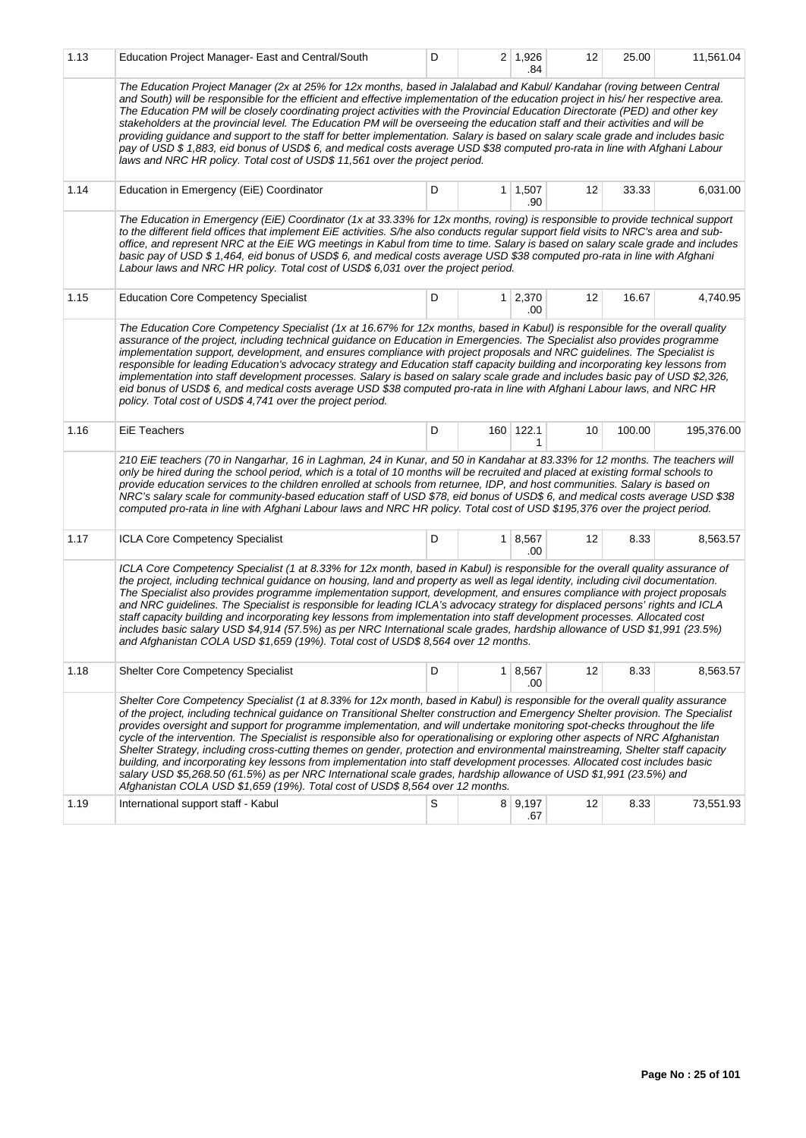| 1.13 | Education Project Manager- East and Central/South                                                                                                                                                                                                                                                                                                                                                                                                                                                                                                                                                                                                                                                                                                                                                                                                                                                                                                                                                             | D |                | $2 \mid 1,926$<br>.84 | 12 | 25.00  | 11,561.04  |  |  |  |  |  |
|------|---------------------------------------------------------------------------------------------------------------------------------------------------------------------------------------------------------------------------------------------------------------------------------------------------------------------------------------------------------------------------------------------------------------------------------------------------------------------------------------------------------------------------------------------------------------------------------------------------------------------------------------------------------------------------------------------------------------------------------------------------------------------------------------------------------------------------------------------------------------------------------------------------------------------------------------------------------------------------------------------------------------|---|----------------|-----------------------|----|--------|------------|--|--|--|--|--|
|      | The Education Project Manager (2x at 25% for 12x months, based in Jalalabad and Kabul/Kandahar (roving between Central<br>and South) will be responsible for the efficient and effective implementation of the education project in his/ her respective area.<br>The Education PM will be closely coordinating project activities with the Provincial Education Directorate (PED) and other key<br>stakeholders at the provincial level. The Education PM will be overseeing the education staff and their activities and will be<br>providing guidance and support to the staff for better implementation. Salary is based on salary scale grade and includes basic<br>pay of USD \$ 1,883, eid bonus of USD\$ 6, and medical costs average USD \$38 computed pro-rata in line with Afghani Labour<br>laws and NRC HR policy. Total cost of USD\$ 11,561 over the project period.                                                                                                                            |   |                |                       |    |        |            |  |  |  |  |  |
| 1.14 | Education in Emergency (EiE) Coordinator                                                                                                                                                                                                                                                                                                                                                                                                                                                                                                                                                                                                                                                                                                                                                                                                                                                                                                                                                                      | D |                | $1 \mid 1,507$<br>.90 | 12 | 33.33  | 6,031.00   |  |  |  |  |  |
|      | The Education in Emergency (EiE) Coordinator (1x at 33.33% for 12x months, roving) is responsible to provide technical support<br>to the different field offices that implement EiE activities. S/he also conducts regular support field visits to NRC's area and sub-<br>office, and represent NRC at the EiE WG meetings in Kabul from time to time. Salary is based on salary scale grade and includes<br>basic pay of USD \$ 1,464, eid bonus of USD\$ 6, and medical costs average USD \$38 computed pro-rata in line with Afghani<br>Labour laws and NRC HR policy. Total cost of USD\$ 6,031 over the project period.                                                                                                                                                                                                                                                                                                                                                                                  |   |                |                       |    |        |            |  |  |  |  |  |
| 1.15 | <b>Education Core Competency Specialist</b>                                                                                                                                                                                                                                                                                                                                                                                                                                                                                                                                                                                                                                                                                                                                                                                                                                                                                                                                                                   | D | 1 <sup>1</sup> | 2,370<br>.00          | 12 | 16.67  | 4,740.95   |  |  |  |  |  |
|      | The Education Core Competency Specialist (1x at 16.67% for 12x months, based in Kabul) is responsible for the overall quality<br>assurance of the project, including technical guidance on Education in Emergencies. The Specialist also provides programme<br>implementation support, development, and ensures compliance with project proposals and NRC guidelines. The Specialist is<br>responsible for leading Education's advocacy strategy and Education staff capacity building and incorporating key lessons from<br>implementation into staff development processes. Salary is based on salary scale grade and includes basic pay of USD \$2,326,<br>eid bonus of USD\$ 6, and medical costs average USD \$38 computed pro-rata in line with Afghani Labour laws, and NRC HR<br>policy. Total cost of USD\$ 4,741 over the project period.                                                                                                                                                           |   |                |                       |    |        |            |  |  |  |  |  |
| 1.16 | <b>EiE Teachers</b>                                                                                                                                                                                                                                                                                                                                                                                                                                                                                                                                                                                                                                                                                                                                                                                                                                                                                                                                                                                           | D |                | 160 122.1<br>1        | 10 | 100.00 | 195,376.00 |  |  |  |  |  |
|      | 210 EiE teachers (70 in Nangarhar, 16 in Laghman, 24 in Kunar, and 50 in Kandahar at 83.33% for 12 months. The teachers will<br>only be hired during the school period, which is a total of 10 months will be recruited and placed at existing formal schools to<br>provide education services to the children enrolled at schools from returnee, IDP, and host communities. Salary is based on<br>NRC's salary scale for community-based education staff of USD \$78, eid bonus of USD\$ 6, and medical costs average USD \$38<br>computed pro-rata in line with Afghani Labour laws and NRC HR policy. Total cost of USD \$195,376 over the project period.                                                                                                                                                                                                                                                                                                                                                 |   |                |                       |    |        |            |  |  |  |  |  |
| 1.17 | ICLA Core Competency Specialist                                                                                                                                                                                                                                                                                                                                                                                                                                                                                                                                                                                                                                                                                                                                                                                                                                                                                                                                                                               | D | 1 <sup>1</sup> | 8,567<br>.00          | 12 | 8.33   | 8,563.57   |  |  |  |  |  |
|      | ICLA Core Competency Specialist (1 at 8.33% for 12x month, based in Kabul) is responsible for the overall quality assurance of<br>the project, including technical guidance on housing, land and property as well as legal identity, including civil documentation.<br>The Specialist also provides programme implementation support, development, and ensures compliance with project proposals<br>and NRC guidelines. The Specialist is responsible for leading ICLA's advocacy strategy for displaced persons' rights and ICLA<br>staff capacity building and incorporating key lessons from implementation into staff development processes. Allocated cost<br>includes basic salary USD \$4,914 (57.5%) as per NRC International scale grades, hardship allowance of USD \$1,991 (23.5%)<br>and Afghanistan COLA USD \$1,659 (19%). Total cost of USD\$ 8,564 over 12 months.                                                                                                                            |   |                |                       |    |        |            |  |  |  |  |  |
| 1.18 | <b>Shelter Core Competency Specialist</b>                                                                                                                                                                                                                                                                                                                                                                                                                                                                                                                                                                                                                                                                                                                                                                                                                                                                                                                                                                     | D | 1              | 8,567<br>.00          | 12 | 8.33   | 8,563.57   |  |  |  |  |  |
|      | Shelter Core Competency Specialist (1 at 8.33% for 12x month, based in Kabul) is responsible for the overall quality assurance<br>of the project, including technical guidance on Transitional Shelter construction and Emergency Shelter provision. The Specialist<br>provides oversight and support for programme implementation, and will undertake monitoring spot-checks throughout the life<br>cycle of the intervention. The Specialist is responsible also for operationalising or exploring other aspects of NRC Afghanistan<br>Shelter Strategy, including cross-cutting themes on gender, protection and environmental mainstreaming, Shelter staff capacity<br>building, and incorporating key lessons from implementation into staff development processes. Allocated cost includes basic<br>salary USD \$5,268.50 (61.5%) as per NRC International scale grades, hardship allowance of USD \$1,991 (23.5%) and<br>Afghanistan COLA USD \$1,659 (19%). Total cost of USD\$ 8,564 over 12 months. |   |                |                       |    |        |            |  |  |  |  |  |
| 1.19 | International support staff - Kabul                                                                                                                                                                                                                                                                                                                                                                                                                                                                                                                                                                                                                                                                                                                                                                                                                                                                                                                                                                           | S |                | 8 9,197<br>.67        | 12 | 8.33   | 73,551.93  |  |  |  |  |  |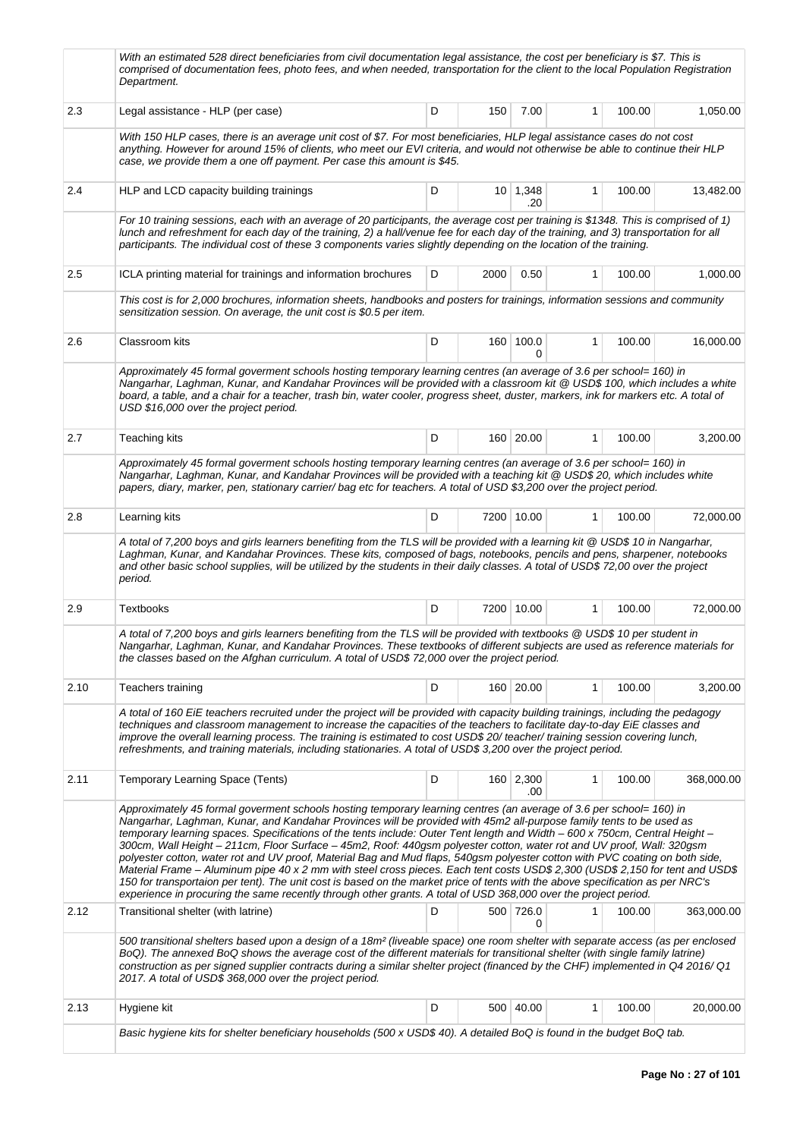|         | With an estimated 528 direct beneficiaries from civil documentation legal assistance, the cost per beneficiary is \$7. This is<br>comprised of documentation fees, photo fees, and when needed, transportation for the client to the local Population Registration<br>Department.                                                                                                                                                                                                                                                                                                                                                                                                                                                                                                                                                                                                                                                                                                                                        |   |      |                        |              |        |            |
|---------|--------------------------------------------------------------------------------------------------------------------------------------------------------------------------------------------------------------------------------------------------------------------------------------------------------------------------------------------------------------------------------------------------------------------------------------------------------------------------------------------------------------------------------------------------------------------------------------------------------------------------------------------------------------------------------------------------------------------------------------------------------------------------------------------------------------------------------------------------------------------------------------------------------------------------------------------------------------------------------------------------------------------------|---|------|------------------------|--------------|--------|------------|
| 2.3     | Legal assistance - HLP (per case)                                                                                                                                                                                                                                                                                                                                                                                                                                                                                                                                                                                                                                                                                                                                                                                                                                                                                                                                                                                        | D | 150  | 7.00                   | $\mathbf{1}$ | 100.00 | 1,050.00   |
|         | With 150 HLP cases, there is an average unit cost of \$7. For most beneficiaries, HLP legal assistance cases do not cost<br>anything. However for around 15% of clients, who meet our EVI criteria, and would not otherwise be able to continue their HLP<br>case, we provide them a one off payment. Per case this amount is \$45.                                                                                                                                                                                                                                                                                                                                                                                                                                                                                                                                                                                                                                                                                      |   |      |                        |              |        |            |
| 2.4     | HLP and LCD capacity building trainings                                                                                                                                                                                                                                                                                                                                                                                                                                                                                                                                                                                                                                                                                                                                                                                                                                                                                                                                                                                  | D |      | $10 \mid 1,348$<br>.20 | 1            | 100.00 | 13,482.00  |
|         | For 10 training sessions, each with an average of 20 participants, the average cost per training is \$1348. This is comprised of 1)<br>lunch and refreshment for each day of the training, 2) a hall/venue fee for each day of the training, and 3) transportation for all<br>participants. The individual cost of these 3 components varies slightly depending on the location of the training.                                                                                                                                                                                                                                                                                                                                                                                                                                                                                                                                                                                                                         |   |      |                        |              |        |            |
| 2.5     | ICLA printing material for trainings and information brochures                                                                                                                                                                                                                                                                                                                                                                                                                                                                                                                                                                                                                                                                                                                                                                                                                                                                                                                                                           | D | 2000 | 0.50                   | 1            | 100.00 | 1,000.00   |
|         | This cost is for 2,000 brochures, information sheets, handbooks and posters for trainings, information sessions and community<br>sensitization session. On average, the unit cost is \$0.5 per item.                                                                                                                                                                                                                                                                                                                                                                                                                                                                                                                                                                                                                                                                                                                                                                                                                     |   |      |                        |              |        |            |
| $2.6\,$ | Classroom kits                                                                                                                                                                                                                                                                                                                                                                                                                                                                                                                                                                                                                                                                                                                                                                                                                                                                                                                                                                                                           | D |      | 160 100.0<br>0         | 1            | 100.00 | 16,000.00  |
|         | Approximately 45 formal goverment schools hosting temporary learning centres (an average of 3.6 per school= 160) in<br>Nangarhar, Laghman, Kunar, and Kandahar Provinces will be provided with a classroom kit @ USD\$ 100, which includes a white<br>board, a table, and a chair for a teacher, trash bin, water cooler, progress sheet, duster, markers, ink for markers etc. A total of<br>USD \$16,000 over the project period.                                                                                                                                                                                                                                                                                                                                                                                                                                                                                                                                                                                      |   |      |                        |              |        |            |
| 2.7     | <b>Teaching kits</b>                                                                                                                                                                                                                                                                                                                                                                                                                                                                                                                                                                                                                                                                                                                                                                                                                                                                                                                                                                                                     | D |      | 160 20.00              | 1            | 100.00 | 3,200.00   |
|         | Approximately 45 formal goverment schools hosting temporary learning centres (an average of 3.6 per school= 160) in<br>Nangarhar, Laghman, Kunar, and Kandahar Provinces will be provided with a teaching kit @ USD\$20, which includes white<br>papers, diary, marker, pen, stationary carrier/bag etc for teachers. A total of USD \$3,200 over the project period.                                                                                                                                                                                                                                                                                                                                                                                                                                                                                                                                                                                                                                                    |   |      |                        |              |        |            |
| 2.8     | Learning kits                                                                                                                                                                                                                                                                                                                                                                                                                                                                                                                                                                                                                                                                                                                                                                                                                                                                                                                                                                                                            | D |      | 7200 10.00             | 1            | 100.00 | 72,000.00  |
|         | A total of 7,200 boys and girls learners benefiting from the TLS will be provided with a learning kit @ USD\$ 10 in Nangarhar,<br>Laghman, Kunar, and Kandahar Provinces. These kits, composed of bags, notebooks, pencils and pens, sharpener, notebooks<br>and other basic school supplies, will be utilized by the students in their daily classes. A total of USD\$ 72,00 over the project<br>period.                                                                                                                                                                                                                                                                                                                                                                                                                                                                                                                                                                                                                |   |      |                        |              |        |            |
| 2.9     | <b>Textbooks</b>                                                                                                                                                                                                                                                                                                                                                                                                                                                                                                                                                                                                                                                                                                                                                                                                                                                                                                                                                                                                         | D |      | 7200 10.00             | 1            | 100.00 | 72,000.00  |
|         | A total of 7,200 boys and girls learners benefiting from the TLS will be provided with textbooks @ USD\$ 10 per student in<br>Nangarhar, Laghman, Kunar, and Kandahar Provinces. These textbooks of different subjects are used as reference materials for<br>the classes based on the Afghan curriculum. A total of USD\$ 72,000 over the project period.                                                                                                                                                                                                                                                                                                                                                                                                                                                                                                                                                                                                                                                               |   |      |                        |              |        |            |
| 2.10    | Teachers training                                                                                                                                                                                                                                                                                                                                                                                                                                                                                                                                                                                                                                                                                                                                                                                                                                                                                                                                                                                                        | D |      | 160 20.00              | 1            | 100.00 | 3,200.00   |
|         | A total of 160 EiE teachers recruited under the project will be provided with capacity building trainings, including the pedagogy<br>techniques and classroom management to increase the capacities of the teachers to facilitate day-to-day EiE classes and<br>improve the overall learning process. The training is estimated to cost USD\$ 20/ teacher/ training session covering lunch,<br>refreshments, and training materials, including stationaries. A total of USD\$ 3,200 over the project period.                                                                                                                                                                                                                                                                                                                                                                                                                                                                                                             |   |      |                        |              |        |            |
| 2.11    | Temporary Learning Space (Tents)                                                                                                                                                                                                                                                                                                                                                                                                                                                                                                                                                                                                                                                                                                                                                                                                                                                                                                                                                                                         | D |      | 160 2,300<br>.00       | 1            | 100.00 | 368,000.00 |
|         | Approximately 45 formal goverment schools hosting temporary learning centres (an average of 3.6 per school= 160) in<br>Nangarhar, Laghman, Kunar, and Kandahar Provinces will be provided with 45m2 all-purpose family tents to be used as<br>temporary learning spaces. Specifications of the tents include: Outer Tent length and Width - 600 x 750cm, Central Height -<br>300cm, Wall Height - 211cm, Floor Surface - 45m2, Roof: 440gsm polyester cotton, water rot and UV proof, Wall: 320gsm<br>polyester cotton, water rot and UV proof, Material Bag and Mud flaps, 540gsm polyester cotton with PVC coating on both side,<br>Material Frame – Aluminum pipe 40 x 2 mm with steel cross pieces. Each tent costs USD\$ 2,300 (USD\$ 2,150 for tent and USD\$<br>150 for transportaion per tent). The unit cost is based on the market price of tents with the above specification as per NRC's<br>experience in procuring the same recently through other grants. A total of USD 368,000 over the project period. |   |      |                        |              |        |            |
| 2.12    | Transitional shelter (with latrine)                                                                                                                                                                                                                                                                                                                                                                                                                                                                                                                                                                                                                                                                                                                                                                                                                                                                                                                                                                                      | D |      | 500 726.0<br>0         | 1            | 100.00 | 363,000.00 |
|         | 500 transitional shelters based upon a design of a 18m <sup>2</sup> (liveable space) one room shelter with separate access (as per enclosed<br>BoQ). The annexed BoQ shows the average cost of the different materials for transitional shelter (with single family latrine)<br>construction as per signed supplier contracts during a similar shelter project (financed by the CHF) implemented in Q4 2016/ Q1<br>2017. A total of USD\$ 368,000 over the project period.                                                                                                                                                                                                                                                                                                                                                                                                                                                                                                                                               |   |      |                        |              |        |            |
| 2.13    | Hygiene kit                                                                                                                                                                                                                                                                                                                                                                                                                                                                                                                                                                                                                                                                                                                                                                                                                                                                                                                                                                                                              | D |      | 500 40.00              | 1            | 100.00 | 20,000.00  |
|         | Basic hygiene kits for shelter beneficiary households (500 x USD\$ 40). A detailed BoQ is found in the budget BoQ tab.                                                                                                                                                                                                                                                                                                                                                                                                                                                                                                                                                                                                                                                                                                                                                                                                                                                                                                   |   |      |                        |              |        |            |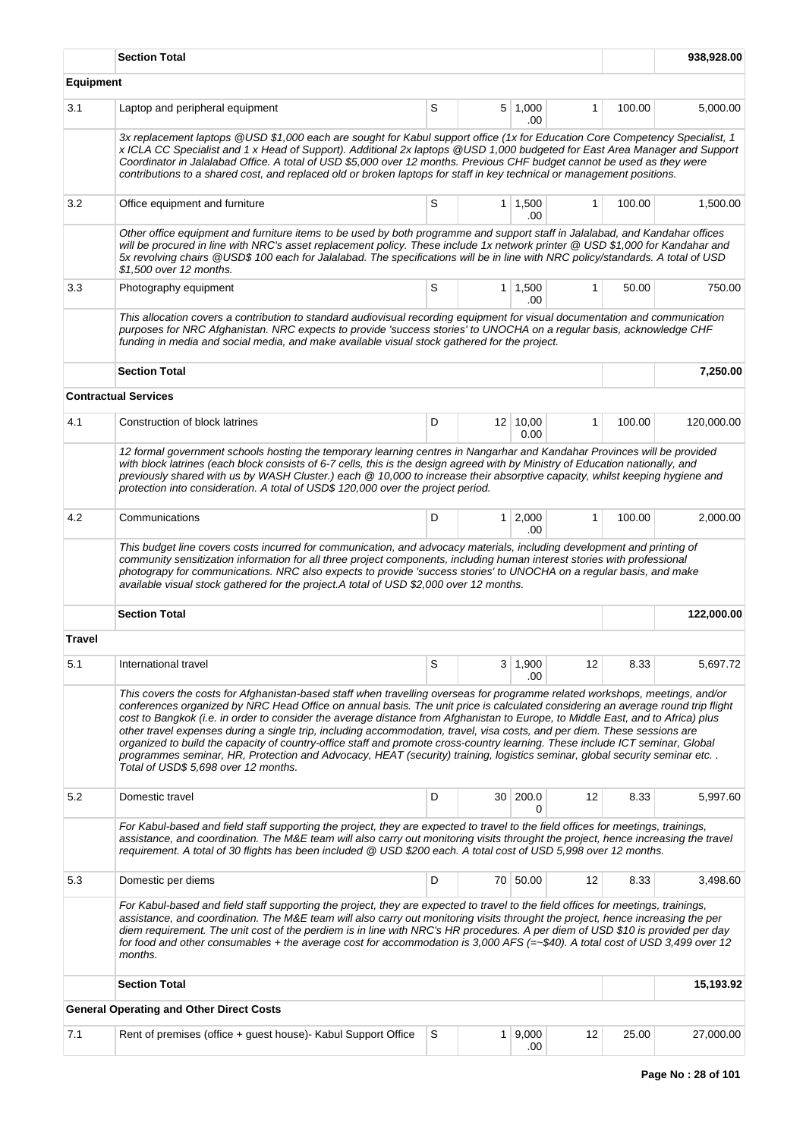|                  | <b>Section Total</b>                                                                                                                                                                                                                                                                                                                                                                                                                                                                                                                                                                                                                                                                                                                                                                                                                  |   |              |                         |              |        | 938,928.00 |
|------------------|---------------------------------------------------------------------------------------------------------------------------------------------------------------------------------------------------------------------------------------------------------------------------------------------------------------------------------------------------------------------------------------------------------------------------------------------------------------------------------------------------------------------------------------------------------------------------------------------------------------------------------------------------------------------------------------------------------------------------------------------------------------------------------------------------------------------------------------|---|--------------|-------------------------|--------------|--------|------------|
| <b>Equipment</b> |                                                                                                                                                                                                                                                                                                                                                                                                                                                                                                                                                                                                                                                                                                                                                                                                                                       |   |              |                         |              |        |            |
| 3.1              | Laptop and peripheral equipment                                                                                                                                                                                                                                                                                                                                                                                                                                                                                                                                                                                                                                                                                                                                                                                                       | S |              | 5 1,000<br>.00          | $\mathbf{1}$ | 100.00 | 5,000.00   |
|                  | 3x replacement laptops @USD\$1,000 each are sought for Kabul support office (1x for Education Core Competency Specialist, 1<br>x ICLA CC Specialist and 1 x Head of Support). Additional 2x laptops @USD 1,000 budgeted for East Area Manager and Support<br>Coordinator in Jalalabad Office. A total of USD \$5,000 over 12 months. Previous CHF budget cannot be used as they were<br>contributions to a shared cost, and replaced old or broken laptops for staff in key technical or management positions.                                                                                                                                                                                                                                                                                                                        |   |              |                         |              |        |            |
| 3.2              | Office equipment and furniture                                                                                                                                                                                                                                                                                                                                                                                                                                                                                                                                                                                                                                                                                                                                                                                                        | S |              | $1 \mid 1,500$<br>.00   | 1            | 100.00 | 1,500.00   |
|                  | Other office equipment and furniture items to be used by both programme and support staff in Jalalabad, and Kandahar offices<br>will be procured in line with NRC's asset replacement policy. These include 1x network printer @ USD \$1,000 for Kandahar and<br>5x revolving chairs @USD\$ 100 each for Jalalabad. The specifications will be in line with NRC policy/standards. A total of USD<br>\$1,500 over 12 months.                                                                                                                                                                                                                                                                                                                                                                                                           |   |              |                         |              |        |            |
| 3.3              | Photography equipment                                                                                                                                                                                                                                                                                                                                                                                                                                                                                                                                                                                                                                                                                                                                                                                                                 | S |              | $1 \mid 1,500$<br>.00   | $\mathbf{1}$ | 50.00  | 750.00     |
|                  | This allocation covers a contribution to standard audiovisual recording equipment for visual documentation and communication<br>purposes for NRC Afghanistan. NRC expects to provide 'success stories' to UNOCHA on a regular basis, acknowledge CHF<br>funding in media and social media, and make available visual stock gathered for the project.                                                                                                                                                                                                                                                                                                                                                                                                                                                                                  |   |              |                         |              |        |            |
|                  | <b>Section Total</b>                                                                                                                                                                                                                                                                                                                                                                                                                                                                                                                                                                                                                                                                                                                                                                                                                  |   |              |                         |              |        | 7.250.00   |
|                  | <b>Contractual Services</b>                                                                                                                                                                                                                                                                                                                                                                                                                                                                                                                                                                                                                                                                                                                                                                                                           |   |              |                         |              |        |            |
| 4.1              | Construction of block latrines                                                                                                                                                                                                                                                                                                                                                                                                                                                                                                                                                                                                                                                                                                                                                                                                        | D |              | $12 \mid 10,00$<br>0.00 | $\mathbf{1}$ | 100.00 | 120,000.00 |
|                  | 12 formal government schools hosting the temporary learning centres in Nangarhar and Kandahar Provinces will be provided<br>with block latrines (each block consists of 6-7 cells, this is the design agreed with by Ministry of Education nationally, and<br>previously shared with us by WASH Cluster.) each @ 10,000 to increase their absorptive capacity, whilst keeping hygiene and<br>protection into consideration. A total of USD\$ 120,000 over the project period.                                                                                                                                                                                                                                                                                                                                                         |   |              |                         |              |        |            |
| 4.2              | Communications                                                                                                                                                                                                                                                                                                                                                                                                                                                                                                                                                                                                                                                                                                                                                                                                                        | D |              | $1 \mid 2,000$<br>.00   | $\mathbf{1}$ | 100.00 | 2,000.00   |
|                  | This budget line covers costs incurred for communication, and advocacy materials, including development and printing of<br>community sensitization information for all three project components, including human interest stories with professional<br>photograpy for communications. NRC also expects to provide 'success stories' to UNOCHA on a regular basis, and make<br>available visual stock gathered for the project.A total of USD \$2,000 over 12 months.                                                                                                                                                                                                                                                                                                                                                                  |   |              |                         |              |        |            |
|                  | <b>Section Total</b>                                                                                                                                                                                                                                                                                                                                                                                                                                                                                                                                                                                                                                                                                                                                                                                                                  |   |              |                         |              |        | 122,000.00 |
| <b>Travel</b>    |                                                                                                                                                                                                                                                                                                                                                                                                                                                                                                                                                                                                                                                                                                                                                                                                                                       |   |              |                         |              |        |            |
| 5.1              | International travel                                                                                                                                                                                                                                                                                                                                                                                                                                                                                                                                                                                                                                                                                                                                                                                                                  | S |              | 3   1,900<br>.00        | 12           | 8.33   | 5,697.72   |
|                  | This covers the costs for Afghanistan-based staff when travelling overseas for programme related workshops, meetings, and/or<br>conferences organized by NRC Head Office on annual basis. The unit price is calculated considering an average round trip flight<br>cost to Bangkok (i.e. in order to consider the average distance from Afghanistan to Europe, to Middle East, and to Africa) plus<br>other travel expenses during a single trip, including accommodation, travel, visa costs, and per diem. These sessions are<br>organized to build the capacity of country-office staff and promote cross-country learning. These include ICT seminar, Global<br>programmes seminar, HR, Protection and Advocacy, HEAT (security) training, logistics seminar, global security seminar etc<br>Total of USD\$ 5,698 over 12 months. |   |              |                         |              |        |            |
| 5.2              | Domestic travel                                                                                                                                                                                                                                                                                                                                                                                                                                                                                                                                                                                                                                                                                                                                                                                                                       | D |              | 30 200.0<br>0           | 12           | 8.33   | 5,997.60   |
|                  | For Kabul-based and field staff supporting the project, they are expected to travel to the field offices for meetings, trainings,<br>assistance, and coordination. The M&E team will also carry out monitoring visits throught the project, hence increasing the travel<br>requirement. A total of 30 flights has been included @ USD \$200 each. A total cost of USD 5,998 over 12 months.                                                                                                                                                                                                                                                                                                                                                                                                                                           |   |              |                         |              |        |            |
| 5.3              | Domestic per diems                                                                                                                                                                                                                                                                                                                                                                                                                                                                                                                                                                                                                                                                                                                                                                                                                    | D |              | 70 50.00                | 12           | 8.33   | 3,498.60   |
|                  | For Kabul-based and field staff supporting the project, they are expected to travel to the field offices for meetings, trainings,<br>assistance, and coordination. The M&E team will also carry out monitoring visits throught the project, hence increasing the per<br>diem requirement. The unit cost of the perdiem is in line with NRC's HR procedures. A per diem of USD \$10 is provided per day<br>for food and other consumables + the average cost for accommodation is 3,000 AFS (=~\$40). A total cost of USD 3,499 over 12<br>months.                                                                                                                                                                                                                                                                                     |   |              |                         |              |        |            |
|                  | <b>Section Total</b>                                                                                                                                                                                                                                                                                                                                                                                                                                                                                                                                                                                                                                                                                                                                                                                                                  |   |              |                         |              |        | 15,193.92  |
|                  | <b>General Operating and Other Direct Costs</b>                                                                                                                                                                                                                                                                                                                                                                                                                                                                                                                                                                                                                                                                                                                                                                                       |   |              |                         |              |        |            |
| 7.1              | Rent of premises (office + guest house) Kabul Support Office                                                                                                                                                                                                                                                                                                                                                                                                                                                                                                                                                                                                                                                                                                                                                                          | S | $\mathbf{1}$ | 9,000<br>.00            | 12           | 25.00  | 27,000.00  |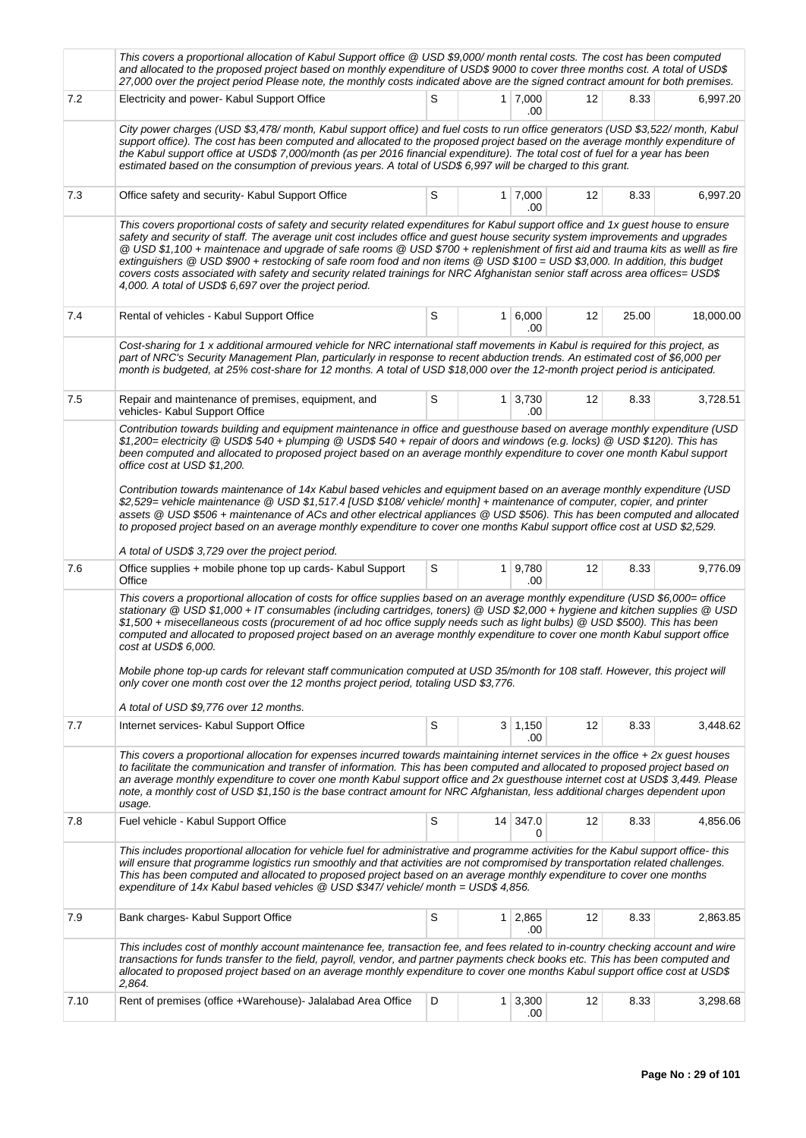|      | This covers a proportional allocation of Kabul Support office @ USD \$9,000/ month rental costs. The cost has been computed<br>and allocated to the proposed project based on monthly expenditure of USD\$ 9000 to cover three months cost. A total of USD\$<br>27,000 over the project period Please note, the monthly costs indicated above are the signed contract amount for both premises.                                                                                                                                                                                                                                                                                                                                                                                                                                                                                                                                     |   |  |                        |    |       |           |  |  |  |  |  |
|------|-------------------------------------------------------------------------------------------------------------------------------------------------------------------------------------------------------------------------------------------------------------------------------------------------------------------------------------------------------------------------------------------------------------------------------------------------------------------------------------------------------------------------------------------------------------------------------------------------------------------------------------------------------------------------------------------------------------------------------------------------------------------------------------------------------------------------------------------------------------------------------------------------------------------------------------|---|--|------------------------|----|-------|-----------|--|--|--|--|--|
| 7.2  | Electricity and power- Kabul Support Office                                                                                                                                                                                                                                                                                                                                                                                                                                                                                                                                                                                                                                                                                                                                                                                                                                                                                         | S |  | $1 \mid 7,000$<br>.00  | 12 | 8.33  | 6,997.20  |  |  |  |  |  |
|      | City power charges (USD \$3,478/month, Kabul support office) and fuel costs to run office generators (USD \$3,522/month, Kabul<br>support office). The cost has been computed and allocated to the proposed project based on the average monthly expenditure of<br>the Kabul support office at USD\$ 7,000/month (as per 2016 financial expenditure). The total cost of fuel for a year has been<br>estimated based on the consumption of previous years. A total of USD\$ 6,997 will be charged to this grant.                                                                                                                                                                                                                                                                                                                                                                                                                     |   |  |                        |    |       |           |  |  |  |  |  |
| 7.3  | Office safety and security- Kabul Support Office                                                                                                                                                                                                                                                                                                                                                                                                                                                                                                                                                                                                                                                                                                                                                                                                                                                                                    | S |  | $1 \mid 7,000$<br>.00  | 12 | 8.33  | 6,997.20  |  |  |  |  |  |
|      | This covers proportional costs of safety and security related expenditures for Kabul support office and 1x guest house to ensure<br>safety and security of staff. The average unit cost includes office and guest house security system improvements and upgrades<br>@ USD\$1,100 + maintenace and upgrade of safe rooms @ USD\$700 + replenishment of first aid and trauma kits as welll as fire<br>extinguishers @ USD \$900 + restocking of safe room food and non items @ USD \$100 = USD \$3,000. In addition, this budget<br>covers costs associated with safety and security related trainings for NRC Afghanistan senior staff across area offices= USD\$<br>4,000. A total of USD\$ 6,697 over the project period.                                                                                                                                                                                                         |   |  |                        |    |       |           |  |  |  |  |  |
| 7.4  | Rental of vehicles - Kabul Support Office                                                                                                                                                                                                                                                                                                                                                                                                                                                                                                                                                                                                                                                                                                                                                                                                                                                                                           | S |  | $1 \ 6,000$<br>.00     | 12 | 25.00 | 18,000.00 |  |  |  |  |  |
|      | Cost-sharing for 1 x additional armoured vehicle for NRC international staff movements in Kabul is required for this project, as<br>part of NRC's Security Management Plan, particularly in response to recent abduction trends. An estimated cost of \$6,000 per<br>month is budgeted, at 25% cost-share for 12 months. A total of USD \$18,000 over the 12-month project period is anticipated.                                                                                                                                                                                                                                                                                                                                                                                                                                                                                                                                   |   |  |                        |    |       |           |  |  |  |  |  |
| 7.5  | Repair and maintenance of premises, equipment, and<br>vehicles- Kabul Support Office                                                                                                                                                                                                                                                                                                                                                                                                                                                                                                                                                                                                                                                                                                                                                                                                                                                | S |  | $1 \mid 3,730$<br>.00  | 12 | 8.33  | 3,728.51  |  |  |  |  |  |
|      | Contribution towards building and equipment maintenance in office and guesthouse based on average monthly expenditure (USD<br>\$1,200= electricity @ USD\$ 540 + plumping @ USD\$ 540 + repair of doors and windows (e.g. locks) @ USD \$120). This has<br>been computed and allocated to proposed project based on an average monthly expenditure to cover one month Kabul support<br>office cost at USD \$1,200.<br>Contribution towards maintenance of 14x Kabul based vehicles and equipment based on an average monthly expenditure (USD<br>\$2,529= vehicle maintenance @ USD \$1,517.4 [USD \$108/ vehicle/ month] + maintenance of computer, copier, and printer<br>assets @ USD \$506 + maintenance of ACs and other electrical appliances @ USD \$506). This has been computed and allocated<br>to proposed project based on an average monthly expenditure to cover one months Kabul support office cost at USD \$2,529. |   |  |                        |    |       |           |  |  |  |  |  |
| 7.6  | A total of USD\$ 3,729 over the project period.<br>Office supplies + mobile phone top up cards- Kabul Support                                                                                                                                                                                                                                                                                                                                                                                                                                                                                                                                                                                                                                                                                                                                                                                                                       | S |  | 1 9,780                | 12 | 8.33  | 9,776.09  |  |  |  |  |  |
|      | Office<br>.00<br>This covers a proportional allocation of costs for office supplies based on an average monthly expenditure (USD \$6,000= office<br>stationary @ USD \$1,000 + IT consumables (including cartridges, toners) @ USD \$2,000 + hygiene and kitchen supplies @ USD<br>\$1,500 + misecellaneous costs (procurement of ad hoc office supply needs such as light bulbs) @ USD \$500). This has been<br>computed and allocated to proposed project based on an average monthly expenditure to cover one month Kabul support office<br>cost at USD\$ 6,000.<br>Mobile phone top-up cards for relevant staff communication computed at USD 35/month for 108 staff. However, this project will<br>only cover one month cost over the 12 months project period, totaling USD \$3,776.<br>A total of USD \$9,776 over 12 months.                                                                                                |   |  |                        |    |       |           |  |  |  |  |  |
| 7.7  | Internet services- Kabul Support Office                                                                                                                                                                                                                                                                                                                                                                                                                                                                                                                                                                                                                                                                                                                                                                                                                                                                                             | S |  | $3 \mid 1,150$         | 12 | 8.33  | 3,448.62  |  |  |  |  |  |
|      | .00<br>This covers a proportional allocation for expenses incurred towards maintaining internet services in the office + 2x guest houses<br>to facilitate the communication and transfer of information. This has been computed and allocated to proposed project based on<br>an average monthly expenditure to cover one month Kabul support office and 2x guesthouse internet cost at USD\$ 3,449. Please<br>note, a monthly cost of USD \$1,150 is the base contract amount for NRC Afghanistan, less additional charges dependent upon<br>usage.                                                                                                                                                                                                                                                                                                                                                                                |   |  |                        |    |       |           |  |  |  |  |  |
| 7.8  | Fuel vehicle - Kabul Support Office                                                                                                                                                                                                                                                                                                                                                                                                                                                                                                                                                                                                                                                                                                                                                                                                                                                                                                 | S |  | 14 347.0<br>0          | 12 | 8.33  | 4,856.06  |  |  |  |  |  |
|      | This includes proportional allocation for vehicle fuel for administrative and programme activities for the Kabul support office- this<br>will ensure that programme logistics run smoothly and that activities are not compromised by transportation related challenges.<br>This has been computed and allocated to proposed project based on an average monthly expenditure to cover one months<br>expenditure of 14x Kabul based vehicles $\textcircled{a}$ USD \$347/ vehicle/ month = USD\$ 4,856.                                                                                                                                                                                                                                                                                                                                                                                                                              |   |  |                        |    |       |           |  |  |  |  |  |
| 7.9  | Bank charges- Kabul Support Office                                                                                                                                                                                                                                                                                                                                                                                                                                                                                                                                                                                                                                                                                                                                                                                                                                                                                                  | S |  | $1 \quad 2,865$<br>.00 | 12 | 8.33  | 2,863.85  |  |  |  |  |  |
|      | This includes cost of monthly account maintenance fee, transaction fee, and fees related to in-country checking account and wire<br>transactions for funds transfer to the field, payroll, vendor, and partner payments check books etc. This has been computed and<br>allocated to proposed project based on an average monthly expenditure to cover one months Kabul support office cost at USD\$<br>2,864.                                                                                                                                                                                                                                                                                                                                                                                                                                                                                                                       |   |  |                        |    |       |           |  |  |  |  |  |
| 7.10 | Rent of premises (office +Warehouse) Jalalabad Area Office                                                                                                                                                                                                                                                                                                                                                                                                                                                                                                                                                                                                                                                                                                                                                                                                                                                                          | D |  | $1 \mid 3,300$<br>.00  | 12 | 8.33  | 3,298.68  |  |  |  |  |  |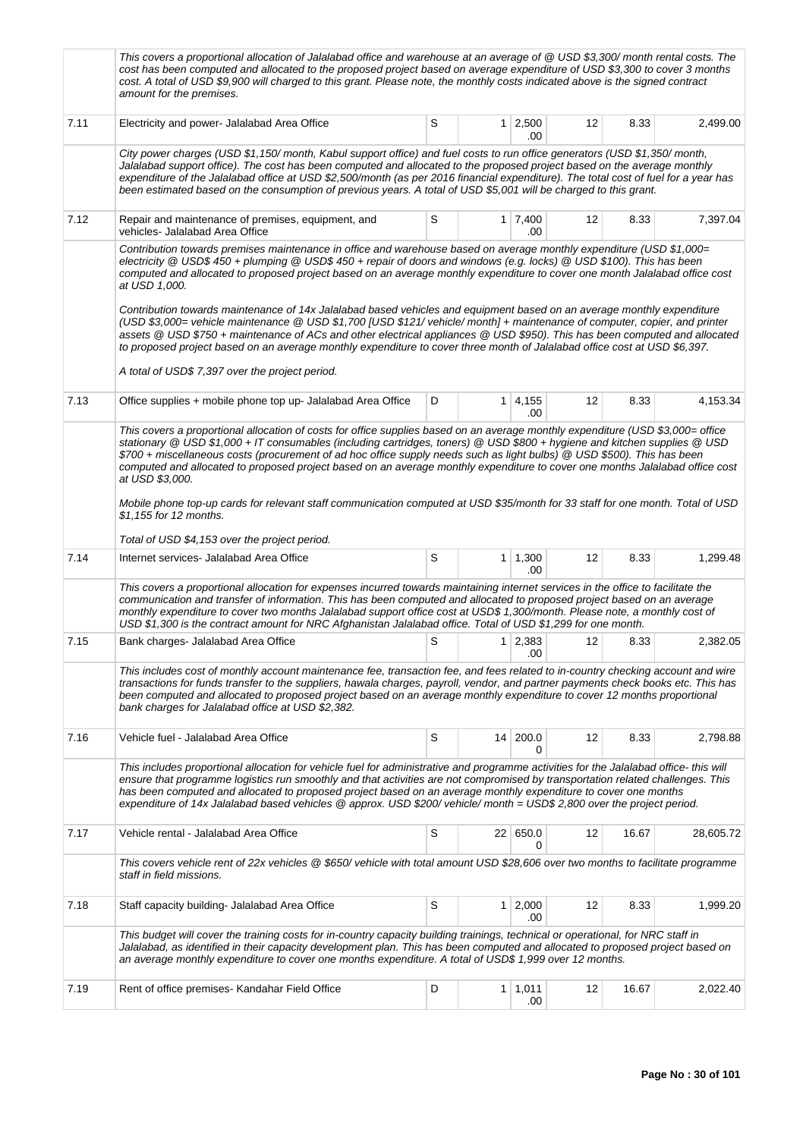|      | This covers a proportional allocation of Jalalabad office and warehouse at an average of @ USD \$3,300/ month rental costs. The<br>cost has been computed and allocated to the proposed project based on average expenditure of USD \$3,300 to cover 3 months<br>cost. A total of USD \$9,900 will charged to this grant. Please note, the monthly costs indicated above is the signed contract<br>amount for the premises.                                                                                                                                                                                                                                                                            |   |                 |                       |    |       |           |  |  |  |  |  |
|------|--------------------------------------------------------------------------------------------------------------------------------------------------------------------------------------------------------------------------------------------------------------------------------------------------------------------------------------------------------------------------------------------------------------------------------------------------------------------------------------------------------------------------------------------------------------------------------------------------------------------------------------------------------------------------------------------------------|---|-----------------|-----------------------|----|-------|-----------|--|--|--|--|--|
| 7.11 | Electricity and power- Jalalabad Area Office                                                                                                                                                                                                                                                                                                                                                                                                                                                                                                                                                                                                                                                           | S |                 | $1 \mid 2,500$<br>.00 | 12 | 8.33  | 2,499.00  |  |  |  |  |  |
|      | City power charges (USD \$1,150/month, Kabul support office) and fuel costs to run office generators (USD \$1,350/month,<br>Jalalabad support office). The cost has been computed and allocated to the proposed project based on the average monthly<br>expenditure of the Jalalabad office at USD \$2,500/month (as per 2016 financial expenditure). The total cost of fuel for a year has<br>been estimated based on the consumption of previous years. A total of USD \$5,001 will be charged to this grant.                                                                                                                                                                                        |   |                 |                       |    |       |           |  |  |  |  |  |
| 7.12 | Repair and maintenance of premises, equipment, and<br>vehicles- Jalalabad Area Office                                                                                                                                                                                                                                                                                                                                                                                                                                                                                                                                                                                                                  | S |                 | $1 \mid 7,400$<br>.00 | 12 | 8.33  | 7,397.04  |  |  |  |  |  |
|      | Contribution towards premises maintenance in office and warehouse based on average monthly expenditure (USD \$1,000=<br>electricity @ USD\$450 + plumping @ USD\$450 + repair of doors and windows (e.g. locks) @ USD\$100). This has been<br>computed and allocated to proposed project based on an average monthly expenditure to cover one month Jalalabad office cost<br>at USD 1,000.<br>Contribution towards maintenance of 14x Jalalabad based vehicles and equipment based on an average monthly expenditure                                                                                                                                                                                   |   |                 |                       |    |       |           |  |  |  |  |  |
|      | (USD \$3,000= vehicle maintenance @ USD \$1,700 [USD \$121/ vehicle/ month] + maintenance of computer, copier, and printer<br>assets @ USD \$750 + maintenance of ACs and other electrical appliances @ USD \$950). This has been computed and allocated<br>to proposed project based on an average monthly expenditure to cover three month of Jalalabad office cost at USD \$6,397.<br>A total of USD\$ 7,397 over the project period.                                                                                                                                                                                                                                                               |   |                 |                       |    |       |           |  |  |  |  |  |
| 7.13 | Office supplies + mobile phone top up- Jalalabad Area Office                                                                                                                                                                                                                                                                                                                                                                                                                                                                                                                                                                                                                                           | D |                 | 1 4,155<br>.00        | 12 | 8.33  | 4,153.34  |  |  |  |  |  |
|      | This covers a proportional allocation of costs for office supplies based on an average monthly expenditure (USD \$3,000= office<br>stationary @ USD \$1,000 + IT consumables (including cartridges, toners) @ USD \$800 + hygiene and kitchen supplies @ USD<br>\$700 + miscellaneous costs (procurement of ad hoc office supply needs such as light bulbs) @ USD \$500). This has been<br>computed and allocated to proposed project based on an average monthly expenditure to cover one months Jalalabad office cost<br>at USD \$3,000.<br>Mobile phone top-up cards for relevant staff communication computed at USD \$35/month for 33 staff for one month. Total of USD<br>\$1,155 for 12 months. |   |                 |                       |    |       |           |  |  |  |  |  |
|      | Total of USD \$4,153 over the project period.                                                                                                                                                                                                                                                                                                                                                                                                                                                                                                                                                                                                                                                          |   |                 |                       |    |       |           |  |  |  |  |  |
| 7.14 | Internet services- Jalalabad Area Office                                                                                                                                                                                                                                                                                                                                                                                                                                                                                                                                                                                                                                                               | S |                 | $1 \mid 1,300$<br>.00 | 12 | 8.33  | 1,299.48  |  |  |  |  |  |
|      | This covers a proportional allocation for expenses incurred towards maintaining internet services in the office to facilitate the<br>communication and transfer of information. This has been computed and allocated to proposed project based on an average<br>monthly expenditure to cover two months Jalalabad support office cost at USD\$ 1,300/month. Please note, a monthly cost of<br>USD \$1,300 is the contract amount for NRC Afghanistan Jalalabad office. Total of USD \$1,299 for one month.                                                                                                                                                                                             |   |                 |                       |    |       |           |  |  |  |  |  |
| 7.15 | Bank charges- Jalalabad Area Office                                                                                                                                                                                                                                                                                                                                                                                                                                                                                                                                                                                                                                                                    | S |                 | $1 \mid 2,383$<br>.00 | 12 | 8.33  | 2,382.05  |  |  |  |  |  |
|      | This includes cost of monthly account maintenance fee, transaction fee, and fees related to in-country checking account and wire<br>transactions for funds transfer to the suppliers, hawala charges, payroll, vendor, and partner payments check books etc. This has<br>been computed and allocated to proposed project based on an average monthly expenditure to cover 12 months proportional<br>bank charges for Jalalabad office at USD \$2,382.                                                                                                                                                                                                                                                  |   |                 |                       |    |       |           |  |  |  |  |  |
| 7.16 | Vehicle fuel - Jalalabad Area Office                                                                                                                                                                                                                                                                                                                                                                                                                                                                                                                                                                                                                                                                   | S |                 | 14 200.0<br>0         | 12 | 8.33  | 2,798.88  |  |  |  |  |  |
|      | This includes proportional allocation for vehicle fuel for administrative and programme activities for the Jalalabad office- this will<br>ensure that programme logistics run smoothly and that activities are not compromised by transportation related challenges. This<br>has been computed and allocated to proposed project based on an average monthly expenditure to cover one months<br>expenditure of 14x Jalalabad based vehicles @ approx. USD \$200/ vehicle/month = USD\$ 2,800 over the project period.                                                                                                                                                                                  |   |                 |                       |    |       |           |  |  |  |  |  |
| 7.17 | Vehicle rental - Jalalabad Area Office                                                                                                                                                                                                                                                                                                                                                                                                                                                                                                                                                                                                                                                                 | S | 22 <sub>1</sub> | 650.0<br>0            | 12 | 16.67 | 28,605.72 |  |  |  |  |  |
|      | This covers vehicle rent of 22x vehicles @ \$650/ vehicle with total amount USD \$28,606 over two months to facilitate programme<br>staff in field missions.                                                                                                                                                                                                                                                                                                                                                                                                                                                                                                                                           |   |                 |                       |    |       |           |  |  |  |  |  |
| 7.18 | Staff capacity building- Jalalabad Area Office                                                                                                                                                                                                                                                                                                                                                                                                                                                                                                                                                                                                                                                         | S | $\mathbf{1}$    | 2,000<br>.00          | 12 | 8.33  | 1,999.20  |  |  |  |  |  |
|      | This budget will cover the training costs for in-country capacity building trainings, technical or operational, for NRC staff in<br>Jalalabad, as identified in their capacity development plan. This has been computed and allocated to proposed project based on<br>an average monthly expenditure to cover one months expenditure. A total of USD\$ 1,999 over 12 months.                                                                                                                                                                                                                                                                                                                           |   |                 |                       |    |       |           |  |  |  |  |  |
| 7.19 | Rent of office premises- Kandahar Field Office                                                                                                                                                                                                                                                                                                                                                                                                                                                                                                                                                                                                                                                         | D |                 | $1 \mid 1,011$<br>.00 | 12 | 16.67 | 2,022.40  |  |  |  |  |  |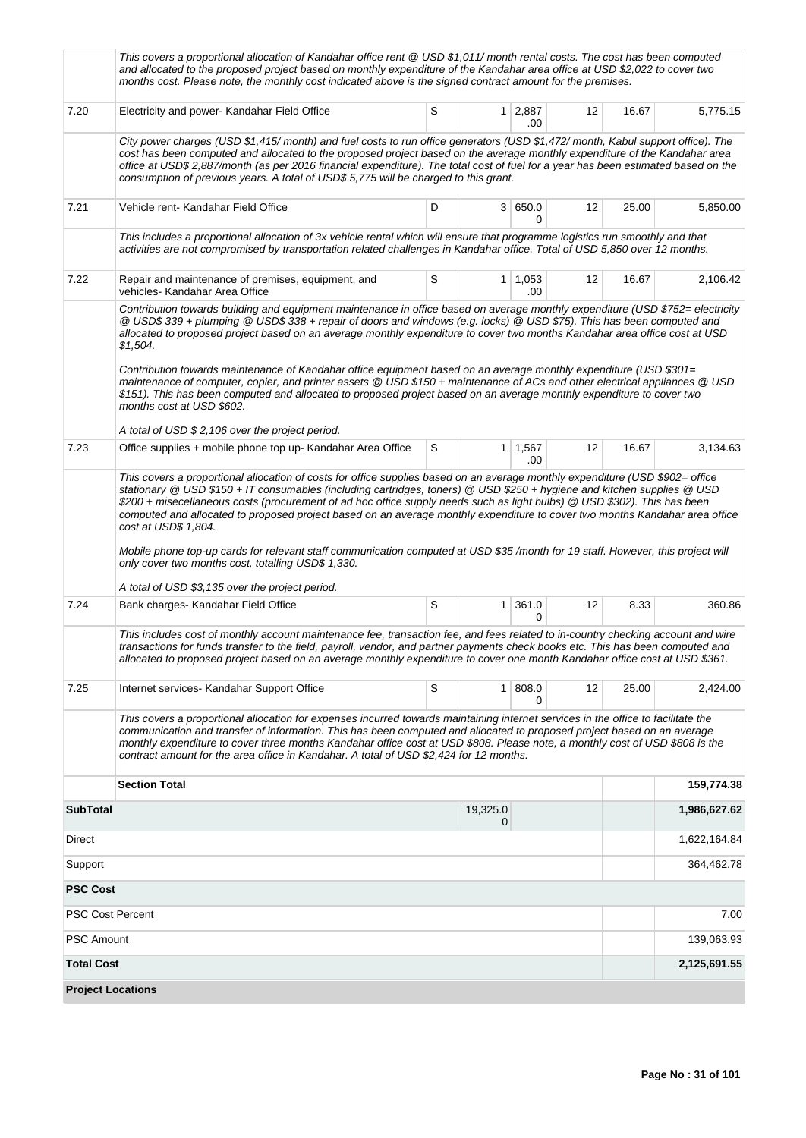|                          | This covers a proportional allocation of Kandahar office rent @ USD \$1,011/ month rental costs. The cost has been computed<br>and allocated to the proposed project based on monthly expenditure of the Kandahar area office at USD \$2,022 to cover two<br>months cost. Please note, the monthly cost indicated above is the signed contract amount for the premises.                                                                                                                                                                                                                                                                                                                                                                                                                                                                                     |    |                |                       |    |       |              |  |  |  |  |
|--------------------------|-------------------------------------------------------------------------------------------------------------------------------------------------------------------------------------------------------------------------------------------------------------------------------------------------------------------------------------------------------------------------------------------------------------------------------------------------------------------------------------------------------------------------------------------------------------------------------------------------------------------------------------------------------------------------------------------------------------------------------------------------------------------------------------------------------------------------------------------------------------|----|----------------|-----------------------|----|-------|--------------|--|--|--|--|
| 7.20                     | Electricity and power- Kandahar Field Office                                                                                                                                                                                                                                                                                                                                                                                                                                                                                                                                                                                                                                                                                                                                                                                                                | S  | 1 <sup>1</sup> | 2,887<br>.00          | 12 | 16.67 | 5,775.15     |  |  |  |  |
|                          | City power charges (USD \$1,415/month) and fuel costs to run office generators (USD \$1,472/month, Kabul support office). The<br>cost has been computed and allocated to the proposed project based on the average monthly expenditure of the Kandahar area<br>office at USD\$ 2,887/month (as per 2016 financial expenditure). The total cost of fuel for a year has been estimated based on the<br>consumption of previous years. A total of USD\$ 5,775 will be charged to this grant.                                                                                                                                                                                                                                                                                                                                                                   |    |                |                       |    |       |              |  |  |  |  |
| 7.21                     | Vehicle rent- Kandahar Field Office                                                                                                                                                                                                                                                                                                                                                                                                                                                                                                                                                                                                                                                                                                                                                                                                                         | 12 | 25.00          | 5,850.00              |    |       |              |  |  |  |  |
|                          | This includes a proportional allocation of 3x vehicle rental which will ensure that programme logistics run smoothly and that<br>activities are not compromised by transportation related challenges in Kandahar office. Total of USD 5,850 over 12 months.                                                                                                                                                                                                                                                                                                                                                                                                                                                                                                                                                                                                 |    |                |                       |    |       |              |  |  |  |  |
| 7.22                     | Repair and maintenance of premises, equipment, and<br>vehicles- Kandahar Area Office                                                                                                                                                                                                                                                                                                                                                                                                                                                                                                                                                                                                                                                                                                                                                                        | 12 | 16.67          | 2,106.42              |    |       |              |  |  |  |  |
|                          | Contribution towards building and equipment maintenance in office based on average monthly expenditure (USD \$752= electricity<br>@ USD\$339 + plumping @ USD\$338 + repair of doors and windows (e.g. locks) @ USD\$75). This has been computed and<br>allocated to proposed project based on an average monthly expenditure to cover two months Kandahar area office cost at USD<br>\$1,504.<br>Contribution towards maintenance of Kandahar office equipment based on an average monthly expenditure (USD \$301=<br>maintenance of computer, copier, and printer assets @ USD \$150 + maintenance of ACs and other electrical appliances @ USD<br>\$151). This has been computed and allocated to proposed project based on an average monthly expenditure to cover two<br>months cost at USD \$602.<br>A total of USD \$ 2,106 over the project period. |    |                |                       |    |       |              |  |  |  |  |
| 7.23                     | Office supplies + mobile phone top up- Kandahar Area Office                                                                                                                                                                                                                                                                                                                                                                                                                                                                                                                                                                                                                                                                                                                                                                                                 | S  |                | $1 \mid 1,567$<br>.00 | 12 | 16.67 | 3,134.63     |  |  |  |  |
|                          | This covers a proportional allocation of costs for office supplies based on an average monthly expenditure (USD \$902= office<br>stationary @ USD \$150 + IT consumables (including cartridges, toners) @ USD \$250 + hygiene and kitchen supplies @ USD<br>\$200 + misecellaneous costs (procurement of ad hoc office supply needs such as light bulbs) @ USD \$302). This has been<br>computed and allocated to proposed project based on an average monthly expenditure to cover two months Kandahar area office<br>cost at USD\$ 1,804.<br>Mobile phone top-up cards for relevant staff communication computed at USD \$35/month for 19 staff. However, this project will<br>only cover two months cost, totalling USD\$ 1,330.<br>A total of USD \$3,135 over the project period.                                                                      |    |                |                       |    |       |              |  |  |  |  |
| 7.24                     | Bank charges- Kandahar Field Office                                                                                                                                                                                                                                                                                                                                                                                                                                                                                                                                                                                                                                                                                                                                                                                                                         | S  | $\mathbf{1}$   | 361.0                 | 12 | 8.33  | 360.86       |  |  |  |  |
|                          | 0<br>This includes cost of monthly account maintenance fee, transaction fee, and fees related to in-country checking account and wire<br>transactions for funds transfer to the field, payroll, vendor, and partner payments check books etc. This has been computed and<br>allocated to proposed project based on an average monthly expenditure to cover one month Kandahar office cost at USD \$361.                                                                                                                                                                                                                                                                                                                                                                                                                                                     |    |                |                       |    |       |              |  |  |  |  |
| 7.25                     | Internet services- Kandahar Support Office                                                                                                                                                                                                                                                                                                                                                                                                                                                                                                                                                                                                                                                                                                                                                                                                                  | S  | 1 <sup>1</sup> | 808.0<br>0            | 12 | 25.00 | 2,424.00     |  |  |  |  |
|                          | This covers a proportional allocation for expenses incurred towards maintaining internet services in the office to facilitate the<br>communication and transfer of information. This has been computed and allocated to proposed project based on an average<br>monthly expenditure to cover three months Kandahar office cost at USD \$808. Please note, a monthly cost of USD \$808 is the<br>contract amount for the area office in Kandahar. A total of USD \$2,424 for 12 months.                                                                                                                                                                                                                                                                                                                                                                      |    |                |                       |    |       |              |  |  |  |  |
|                          | <b>Section Total</b>                                                                                                                                                                                                                                                                                                                                                                                                                                                                                                                                                                                                                                                                                                                                                                                                                                        |    |                |                       |    |       | 159,774.38   |  |  |  |  |
| <b>SubTotal</b>          |                                                                                                                                                                                                                                                                                                                                                                                                                                                                                                                                                                                                                                                                                                                                                                                                                                                             |    | 19,325.0<br>0  |                       |    |       | 1,986,627.62 |  |  |  |  |
| Direct                   |                                                                                                                                                                                                                                                                                                                                                                                                                                                                                                                                                                                                                                                                                                                                                                                                                                                             |    |                |                       |    |       | 1,622,164.84 |  |  |  |  |
| Support                  |                                                                                                                                                                                                                                                                                                                                                                                                                                                                                                                                                                                                                                                                                                                                                                                                                                                             |    |                |                       |    |       | 364,462.78   |  |  |  |  |
| <b>PSC Cost</b>          |                                                                                                                                                                                                                                                                                                                                                                                                                                                                                                                                                                                                                                                                                                                                                                                                                                                             |    |                |                       |    |       |              |  |  |  |  |
| <b>PSC Cost Percent</b>  |                                                                                                                                                                                                                                                                                                                                                                                                                                                                                                                                                                                                                                                                                                                                                                                                                                                             |    |                |                       |    |       | 7.00         |  |  |  |  |
| <b>PSC Amount</b>        |                                                                                                                                                                                                                                                                                                                                                                                                                                                                                                                                                                                                                                                                                                                                                                                                                                                             |    |                |                       |    |       | 139,063.93   |  |  |  |  |
| <b>Total Cost</b>        |                                                                                                                                                                                                                                                                                                                                                                                                                                                                                                                                                                                                                                                                                                                                                                                                                                                             |    |                |                       |    |       | 2,125,691.55 |  |  |  |  |
| <b>Project Locations</b> |                                                                                                                                                                                                                                                                                                                                                                                                                                                                                                                                                                                                                                                                                                                                                                                                                                                             |    |                |                       |    |       |              |  |  |  |  |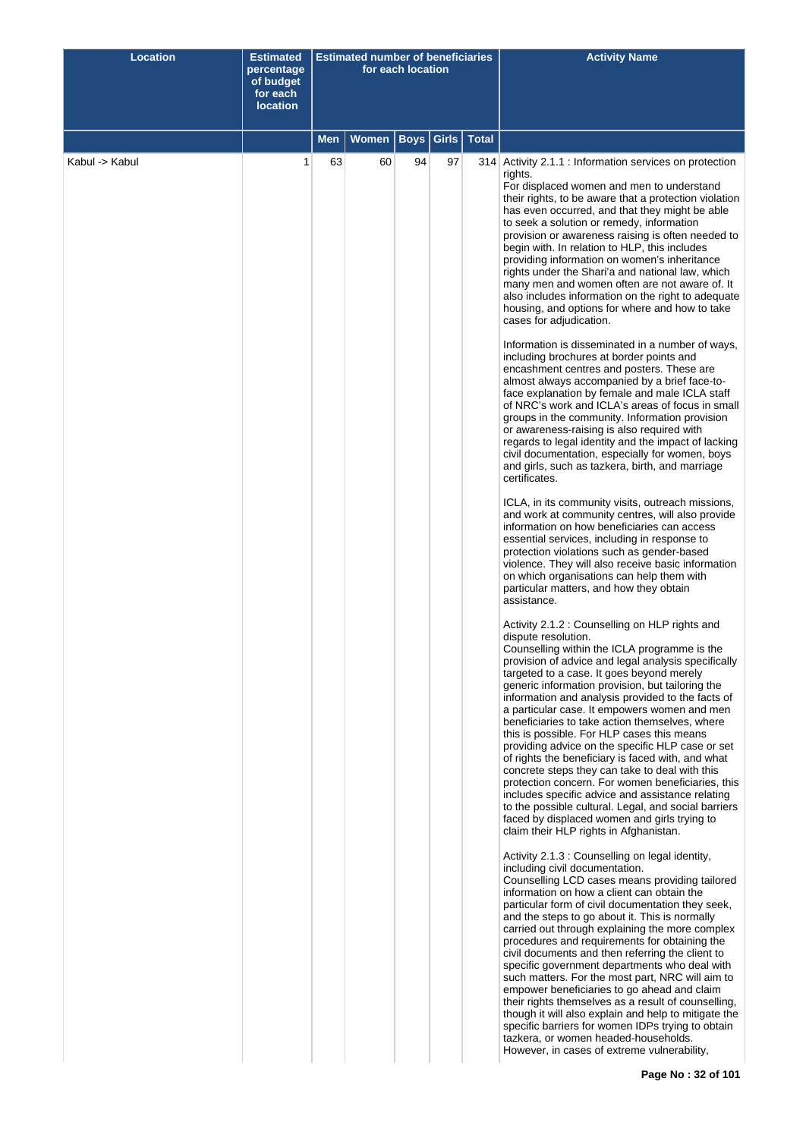| Women<br><b>Boys</b><br>Girls $\vert$<br><b>Total</b><br>Men<br>Kabul -> Kabul<br>63<br>97<br>1<br>60<br>94<br>314 Activity 2.1.1 : Information services on protection<br>rights.<br>For displaced women and men to understand<br>their rights, to be aware that a protection violation<br>has even occurred, and that they might be able<br>to seek a solution or remedy, information<br>provision or awareness raising is often needed to<br>begin with. In relation to HLP, this includes<br>providing information on women's inheritance<br>rights under the Shari'a and national law, which<br>many men and women often are not aware of. It<br>also includes information on the right to adequate<br>housing, and options for where and how to take<br>cases for adjudication.<br>Information is disseminated in a number of ways,<br>including brochures at border points and<br>encashment centres and posters. These are<br>almost always accompanied by a brief face-to-<br>face explanation by female and male ICLA staff<br>of NRC's work and ICLA's areas of focus in small<br>groups in the community. Information provision<br>or awareness-raising is also required with<br>regards to legal identity and the impact of lacking<br>civil documentation, especially for women, boys<br>and girls, such as tazkera, birth, and marriage<br>certificates.<br>ICLA, in its community visits, outreach missions,<br>and work at community centres, will also provide<br>information on how beneficiaries can access<br>essential services, including in response to<br>protection violations such as gender-based<br>violence. They will also receive basic information<br>on which organisations can help them with<br>particular matters, and how they obtain<br>assistance.<br>Activity 2.1.2 : Counselling on HLP rights and<br>dispute resolution.<br>Counselling within the ICLA programme is the<br>provision of advice and legal analysis specifically<br>targeted to a case. It goes beyond merely<br>generic information provision, but tailoring the<br>information and analysis provided to the facts of<br>a particular case. It empowers women and men<br>beneficiaries to take action themselves, where<br>this is possible. For HLP cases this means<br>providing advice on the specific HLP case or set<br>of rights the beneficiary is faced with, and what<br>concrete steps they can take to deal with this<br>protection concern. For women beneficiaries, this<br>includes specific advice and assistance relating<br>to the possible cultural. Legal, and social barriers<br>faced by displaced women and girls trying to<br>claim their HLP rights in Afghanistan.<br>Activity 2.1.3 : Counselling on legal identity,<br>including civil documentation.<br>Counselling LCD cases means providing tailored<br>information on how a client can obtain the<br>particular form of civil documentation they seek,<br>and the steps to go about it. This is normally<br>carried out through explaining the more complex<br>procedures and requirements for obtaining the<br>civil documents and then referring the client to<br>specific government departments who deal with<br>such matters. For the most part, NRC will aim to<br>empower beneficiaries to go ahead and claim<br>their rights themselves as a result of counselling,<br>though it will also explain and help to mitigate the<br>specific barriers for women IDPs trying to obtain<br>tazkera, or women headed-households.<br>However, in cases of extreme vulnerability, | <b>Location</b> | <b>Estimated</b><br>percentage<br>of budget<br>for each<br><b>location</b> | Estimated number of beneficiaries | for each location |  | <b>Activity Name</b> |
|--------------------------------------------------------------------------------------------------------------------------------------------------------------------------------------------------------------------------------------------------------------------------------------------------------------------------------------------------------------------------------------------------------------------------------------------------------------------------------------------------------------------------------------------------------------------------------------------------------------------------------------------------------------------------------------------------------------------------------------------------------------------------------------------------------------------------------------------------------------------------------------------------------------------------------------------------------------------------------------------------------------------------------------------------------------------------------------------------------------------------------------------------------------------------------------------------------------------------------------------------------------------------------------------------------------------------------------------------------------------------------------------------------------------------------------------------------------------------------------------------------------------------------------------------------------------------------------------------------------------------------------------------------------------------------------------------------------------------------------------------------------------------------------------------------------------------------------------------------------------------------------------------------------------------------------------------------------------------------------------------------------------------------------------------------------------------------------------------------------------------------------------------------------------------------------------------------------------------------------------------------------------------------------------------------------------------------------------------------------------------------------------------------------------------------------------------------------------------------------------------------------------------------------------------------------------------------------------------------------------------------------------------------------------------------------------------------------------------------------------------------------------------------------------------------------------------------------------------------------------------------------------------------------------------------------------------------------------------------------------------------------------------------------------------------------------------------------------------------------------------------------------------------------------------------------------------------------------------------------------------------------------------------------------------------------------------------------------------------------------------------------------------------------------------------------------------------------------------------------------------------------------------------------------------------------------------|-----------------|----------------------------------------------------------------------------|-----------------------------------|-------------------|--|----------------------|
|                                                                                                                                                                                                                                                                                                                                                                                                                                                                                                                                                                                                                                                                                                                                                                                                                                                                                                                                                                                                                                                                                                                                                                                                                                                                                                                                                                                                                                                                                                                                                                                                                                                                                                                                                                                                                                                                                                                                                                                                                                                                                                                                                                                                                                                                                                                                                                                                                                                                                                                                                                                                                                                                                                                                                                                                                                                                                                                                                                                                                                                                                                                                                                                                                                                                                                                                                                                                                                                                                                                                                                          |                 |                                                                            |                                   |                   |  |                      |
|                                                                                                                                                                                                                                                                                                                                                                                                                                                                                                                                                                                                                                                                                                                                                                                                                                                                                                                                                                                                                                                                                                                                                                                                                                                                                                                                                                                                                                                                                                                                                                                                                                                                                                                                                                                                                                                                                                                                                                                                                                                                                                                                                                                                                                                                                                                                                                                                                                                                                                                                                                                                                                                                                                                                                                                                                                                                                                                                                                                                                                                                                                                                                                                                                                                                                                                                                                                                                                                                                                                                                                          |                 |                                                                            |                                   |                   |  |                      |
|                                                                                                                                                                                                                                                                                                                                                                                                                                                                                                                                                                                                                                                                                                                                                                                                                                                                                                                                                                                                                                                                                                                                                                                                                                                                                                                                                                                                                                                                                                                                                                                                                                                                                                                                                                                                                                                                                                                                                                                                                                                                                                                                                                                                                                                                                                                                                                                                                                                                                                                                                                                                                                                                                                                                                                                                                                                                                                                                                                                                                                                                                                                                                                                                                                                                                                                                                                                                                                                                                                                                                                          |                 |                                                                            |                                   |                   |  |                      |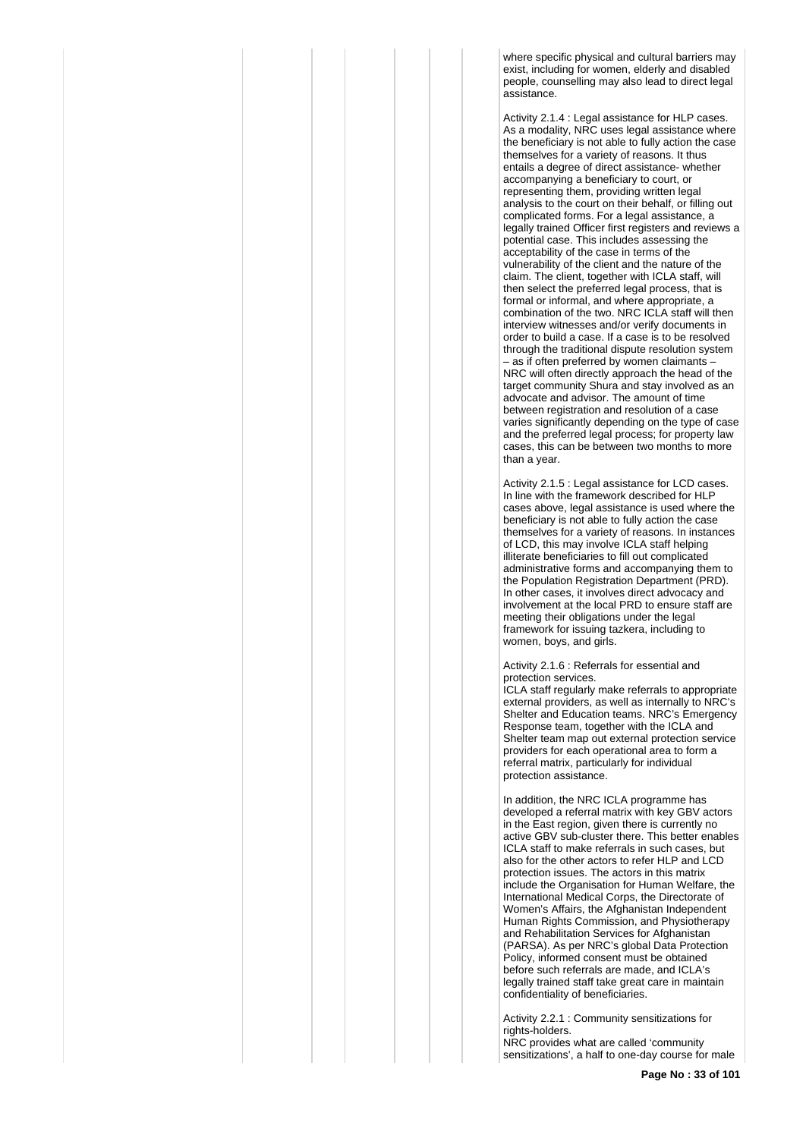where specific physical and cultural barriers may exist, including for women, elderly and disabled people, counselling may also lead to direct legal assistance.

Activity 2.1.4 : Legal assistance for HLP cases. As a modality, NRC uses legal assistance where the beneficiary is not able to fully action the case themselves for a variety of reasons. It thus entails a degree of direct assistance- whether accompanying a beneficiary to court, or representing them, providing written legal analysis to the court on their behalf, or filling out complicated forms. For a legal assistance, a legally trained Officer first registers and reviews a potential case. This includes assessing the acceptability of the case in terms of the vulnerability of the client and the nature of the claim. The client, together with ICLA staff, will then select the preferred legal process, that is formal or informal, and where appropriate, a combination of the two. NRC ICLA staff will then interview witnesses and/or verify documents in order to build a case. If a case is to be resolved through the traditional dispute resolution system – as if often preferred by women claimants – NRC will often directly approach the head of the target community Shura and stay involved as an advocate and advisor. The amount of time between registration and resolution of a case varies significantly depending on the type of case and the preferred legal process; for property law cases, this can be between two months to more than a year.

Activity 2.1.5 : Legal assistance for LCD cases. In line with the framework described for HLP cases above, legal assistance is used where the beneficiary is not able to fully action the case themselves for a variety of reasons. In instances of LCD, this may involve ICLA staff helping illiterate beneficiaries to fill out complicated administrative forms and accompanying them to the Population Registration Department (PRD). In other cases, it involves direct advocacy and involvement at the local PRD to ensure staff are meeting their obligations under the legal framework for issuing tazkera, including to women, boys, and girls.

Activity 2.1.6 : Referrals for essential and protection services.

ICLA staff regularly make referrals to appropriate external providers, as well as internally to NRC's Shelter and Education teams. NRC's Emergency Response team, together with the ICLA and Shelter team map out external protection service providers for each operational area to form a referral matrix, particularly for individual protection assistance.

In addition, the NRC ICLA programme has developed a referral matrix with key GBV actors in the East region, given there is currently no active GBV sub-cluster there. This better enables ICLA staff to make referrals in such cases, but also for the other actors to refer HLP and LCD protection issues. The actors in this matrix include the Organisation for Human Welfare, the International Medical Corps, the Directorate of Women's Affairs, the Afghanistan Independent Human Rights Commission, and Physiotherapy and Rehabilitation Services for Afghanistan (PARSA). As per NRC's global Data Protection Policy, informed consent must be obtained before such referrals are made, and ICLA's legally trained staff take great care in maintain confidentiality of beneficiaries.

Activity 2.2.1 : Community sensitizations for rights-holders. NRC provides what are called 'community

sensitizations', a half to one-day course for male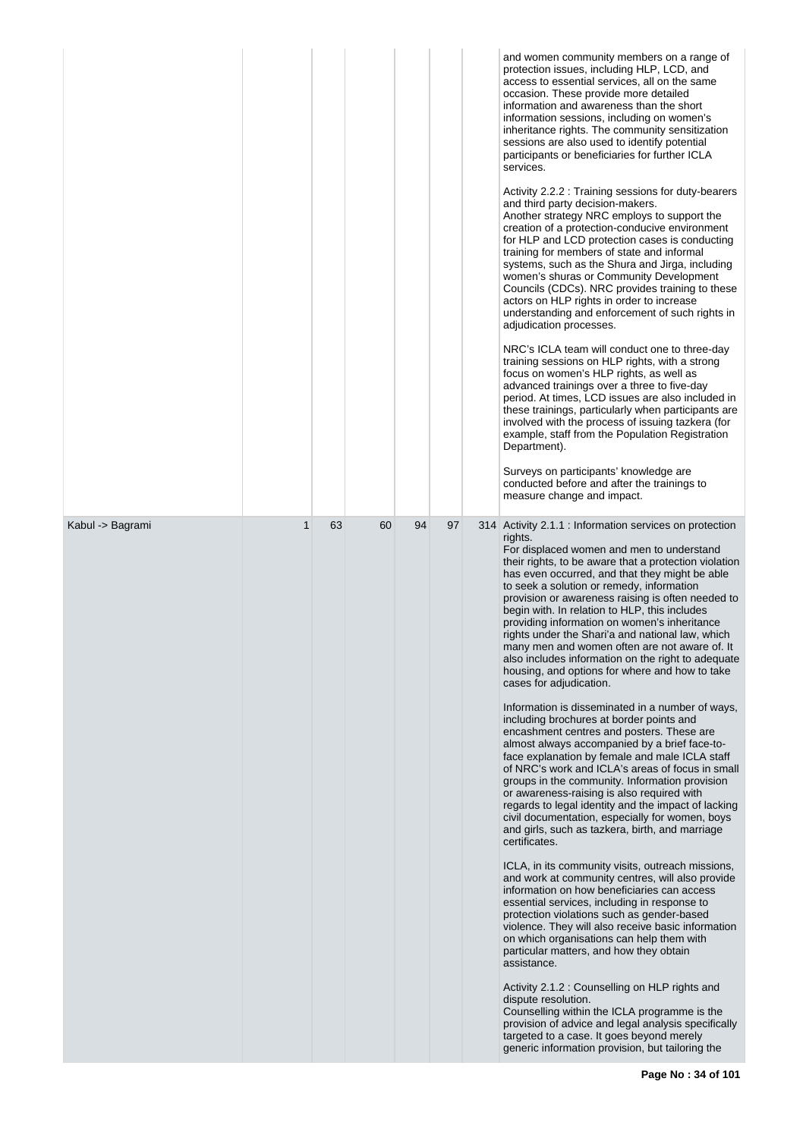|                  |              |    |    |    |    | and women community members on a range of<br>protection issues, including HLP, LCD, and<br>access to essential services, all on the same<br>occasion. These provide more detailed<br>information and awareness than the short<br>information sessions, including on women's<br>inheritance rights. The community sensitization<br>sessions are also used to identify potential<br>participants or beneficiaries for further ICLA<br>services.<br>Activity 2.2.2: Training sessions for duty-bearers<br>and third party decision-makers.<br>Another strategy NRC employs to support the<br>creation of a protection-conducive environment<br>for HLP and LCD protection cases is conducting<br>training for members of state and informal<br>systems, such as the Shura and Jirga, including<br>women's shuras or Community Development<br>Councils (CDCs). NRC provides training to these<br>actors on HLP rights in order to increase<br>understanding and enforcement of such rights in<br>adjudication processes.<br>NRC's ICLA team will conduct one to three-day<br>training sessions on HLP rights, with a strong<br>focus on women's HLP rights, as well as<br>advanced trainings over a three to five-day<br>period. At times, LCD issues are also included in<br>these trainings, particularly when participants are<br>involved with the process of issuing tazkera (for<br>example, staff from the Population Registration<br>Department).<br>Surveys on participants' knowledge are<br>conducted before and after the trainings to<br>measure change and impact.                                                                                                                                                                                                                                                                                                                                                                                |
|------------------|--------------|----|----|----|----|-------------------------------------------------------------------------------------------------------------------------------------------------------------------------------------------------------------------------------------------------------------------------------------------------------------------------------------------------------------------------------------------------------------------------------------------------------------------------------------------------------------------------------------------------------------------------------------------------------------------------------------------------------------------------------------------------------------------------------------------------------------------------------------------------------------------------------------------------------------------------------------------------------------------------------------------------------------------------------------------------------------------------------------------------------------------------------------------------------------------------------------------------------------------------------------------------------------------------------------------------------------------------------------------------------------------------------------------------------------------------------------------------------------------------------------------------------------------------------------------------------------------------------------------------------------------------------------------------------------------------------------------------------------------------------------------------------------------------------------------------------------------------------------------------------------------------------------------------------------------------------------------------------------------------------------------------------------|
| Kabul -> Bagrami | $\mathbf{1}$ | 63 | 60 | 94 | 97 | 314 Activity 2.1.1 : Information services on protection<br>rights.<br>For displaced women and men to understand<br>their rights, to be aware that a protection violation<br>has even occurred, and that they might be able<br>to seek a solution or remedy, information<br>provision or awareness raising is often needed to<br>begin with. In relation to HLP, this includes<br>providing information on women's inheritance<br>rights under the Shari'a and national law, which<br>many men and women often are not aware of. It<br>also includes information on the right to adequate<br>housing, and options for where and how to take<br>cases for adjudication.<br>Information is disseminated in a number of ways,<br>including brochures at border points and<br>encashment centres and posters. These are<br>almost always accompanied by a brief face-to-<br>face explanation by female and male ICLA staff<br>of NRC's work and ICLA's areas of focus in small<br>groups in the community. Information provision<br>or awareness-raising is also required with<br>regards to legal identity and the impact of lacking<br>civil documentation, especially for women, boys<br>and girls, such as tazkera, birth, and marriage<br>certificates.<br>ICLA, in its community visits, outreach missions,<br>and work at community centres, will also provide<br>information on how beneficiaries can access<br>essential services, including in response to<br>protection violations such as gender-based<br>violence. They will also receive basic information<br>on which organisations can help them with<br>particular matters, and how they obtain<br>assistance.<br>Activity 2.1.2 : Counselling on HLP rights and<br>dispute resolution.<br>Counselling within the ICLA programme is the<br>provision of advice and legal analysis specifically<br>targeted to a case. It goes beyond merely<br>generic information provision, but tailoring the |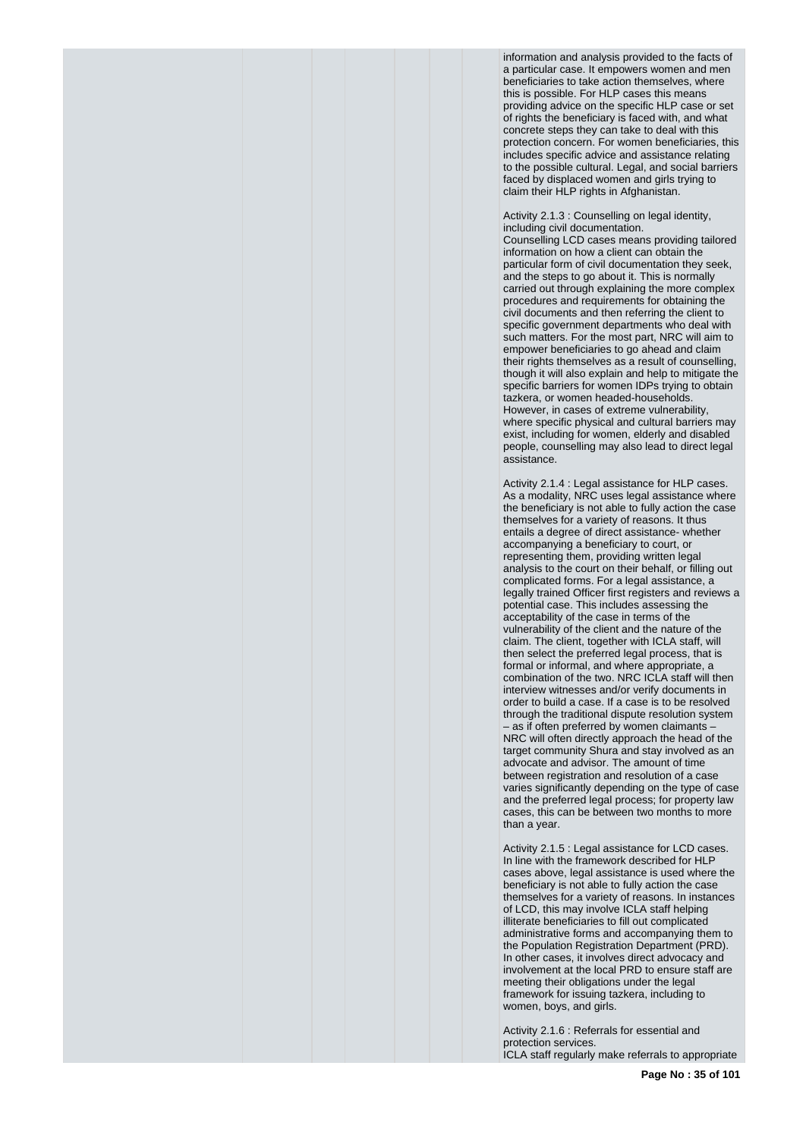information and analysis provided to the facts of a particular case. It empowers women and men beneficiaries to take action themselves, where this is possible. For HLP cases this means providing advice on the specific HLP case or set of rights the beneficiary is faced with, and what concrete steps they can take to deal with this protection concern. For women beneficiaries, this includes specific advice and assistance relating to the possible cultural. Legal, and social barriers faced by displaced women and girls trying to claim their HLP rights in Afghanistan.

Activity 2.1.3 : Counselling on legal identity, including civil documentation.

Counselling LCD cases means providing tailored information on how a client can obtain the particular form of civil documentation they seek, and the steps to go about it. This is normally carried out through explaining the more complex procedures and requirements for obtaining the civil documents and then referring the client to specific government departments who deal with such matters. For the most part, NRC will aim to empower beneficiaries to go ahead and claim their rights themselves as a result of counselling, though it will also explain and help to mitigate the specific barriers for women IDPs trying to obtain tazkera, or women headed-households. However, in cases of extreme vulnerability, where specific physical and cultural barriers may exist, including for women, elderly and disabled people, counselling may also lead to direct legal assistance.

Activity 2.1.4 : Legal assistance for HLP cases. As a modality, NRC uses legal assistance where the beneficiary is not able to fully action the case themselves for a variety of reasons. It thus entails a degree of direct assistance- whether accompanying a beneficiary to court, or representing them, providing written legal analysis to the court on their behalf, or filling out complicated forms. For a legal assistance, a legally trained Officer first registers and reviews a potential case. This includes assessing the acceptability of the case in terms of the vulnerability of the client and the nature of the claim. The client, together with ICLA staff, will then select the preferred legal process, that is formal or informal, and where appropriate, a combination of the two. NRC ICLA staff will then interview witnesses and/or verify documents in order to build a case. If a case is to be resolved through the traditional dispute resolution system – as if often preferred by women claimants – NRC will often directly approach the head of the target community Shura and stay involved as an advocate and advisor. The amount of time between registration and resolution of a case varies significantly depending on the type of case and the preferred legal process; for property law cases, this can be between two months to more than a year.

Activity 2.1.5 : Legal assistance for LCD cases. In line with the framework described for HLP cases above, legal assistance is used where the beneficiary is not able to fully action the case themselves for a variety of reasons. In instances of LCD, this may involve ICLA staff helping illiterate beneficiaries to fill out complicated administrative forms and accompanying them to the Population Registration Department (PRD). In other cases, it involves direct advocacy and involvement at the local PRD to ensure staff are meeting their obligations under the legal framework for issuing tazkera, including to women, boys, and girls.

Activity 2.1.6 : Referrals for essential and protection services. ICLA staff regularly make referrals to appropriate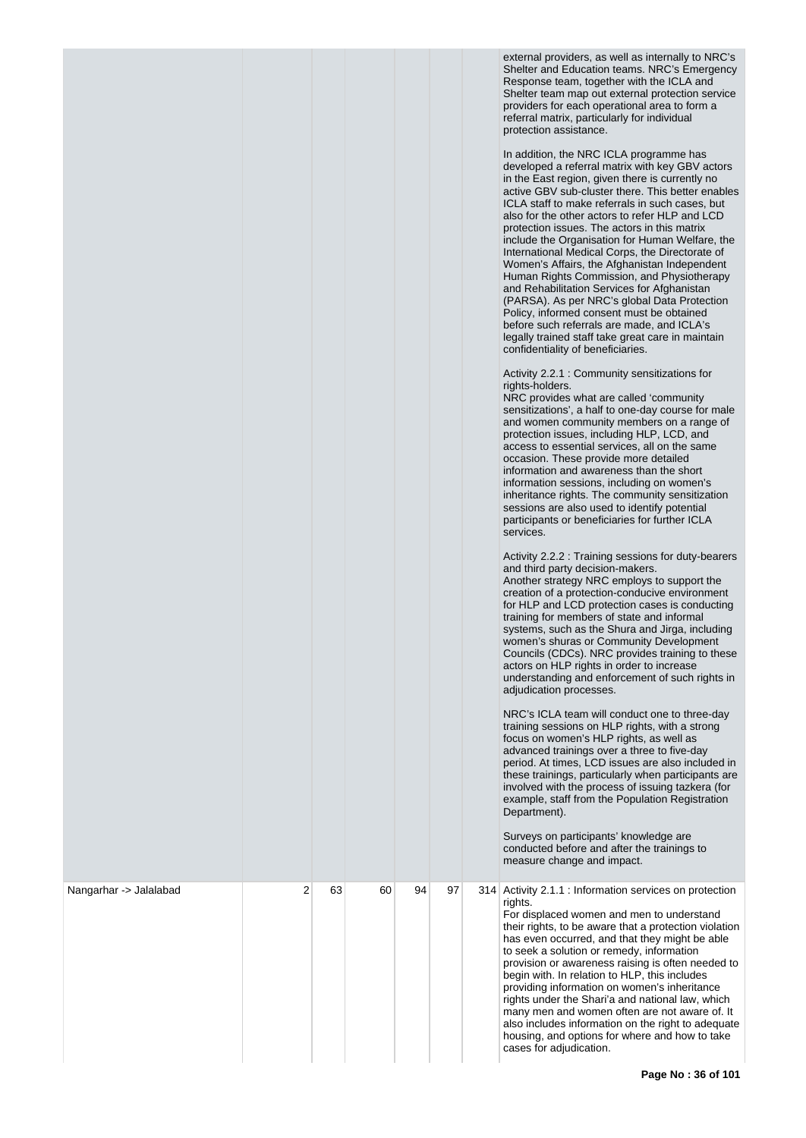external providers, as well as internally to NRC's Shelter and Education teams. NRC's Emergency Response team, together with the ICLA and Shelter team map out external protection service providers for each operational area to form a referral matrix, particularly for individual protection assistance.

In addition, the NRC ICLA programme has developed a referral matrix with key GBV actors in the East region, given there is currently no active GBV sub-cluster there. This better enables ICLA staff to make referrals in such cases, but also for the other actors to refer HLP and LCD protection issues. The actors in this matrix include the Organisation for Human Welfare, the International Medical Corps, the Directorate of Women's Affairs, the Afghanistan Independent Human Rights Commission, and Physiotherapy and Rehabilitation Services for Afghanistan (PARSA). As per NRC's global Data Protection Policy, informed consent must be obtained before such referrals are made, and ICLA's legally trained staff take great care in maintain confidentiality of beneficiaries.

Activity 2.2.1 : Community sensitizations for rights-holders.

NRC provides what are called 'community sensitizations', a half to one-day course for male and women community members on a range of protection issues, including HLP, LCD, and access to essential services, all on the same occasion. These provide more detailed information and awareness than the short information sessions, including on women's inheritance rights. The community sensitization sessions are also used to identify potential participants or beneficiaries for further ICLA services.

Activity 2.2.2 : Training sessions for duty-bearers and third party decision-makers. Another strategy NRC employs to support the creation of a protection-conducive environment for HLP and LCD protection cases is conducting training for members of state and informal systems, such as the Shura and Jirga, including women's shuras or Community Development Councils (CDCs). NRC provides training to these actors on HLP rights in order to increase understanding and enforcement of such rights in adjudication processes.

NRC's ICLA team will conduct one to three-day training sessions on HLP rights, with a strong focus on women's HLP rights, as well as advanced trainings over a three to five-day period. At times, LCD issues are also included in these trainings, particularly when participants are involved with the process of issuing tazkera (for example, staff from the Population Registration Department).

Surveys on participants' knowledge are conducted before and after the trainings to measure change and impact.

| Nangarhar -> Jalalabad | 2 | 63 | 60 | 94 | 97 | 314 Activity 2.1.1 : Information services on protection<br>rights.<br>For displaced women and men to understand<br>their rights, to be aware that a protection violation<br>has even occurred, and that they might be able<br>to seek a solution or remedy, information<br>provision or awareness raising is often needed to<br>begin with. In relation to HLP, this includes<br>providing information on women's inheritance<br>rights under the Shari'a and national law, which<br>many men and women often are not aware of. It<br>also includes information on the right to adequate<br>housing, and options for where and how to take<br>cases for adjudication. |
|------------------------|---|----|----|----|----|-----------------------------------------------------------------------------------------------------------------------------------------------------------------------------------------------------------------------------------------------------------------------------------------------------------------------------------------------------------------------------------------------------------------------------------------------------------------------------------------------------------------------------------------------------------------------------------------------------------------------------------------------------------------------|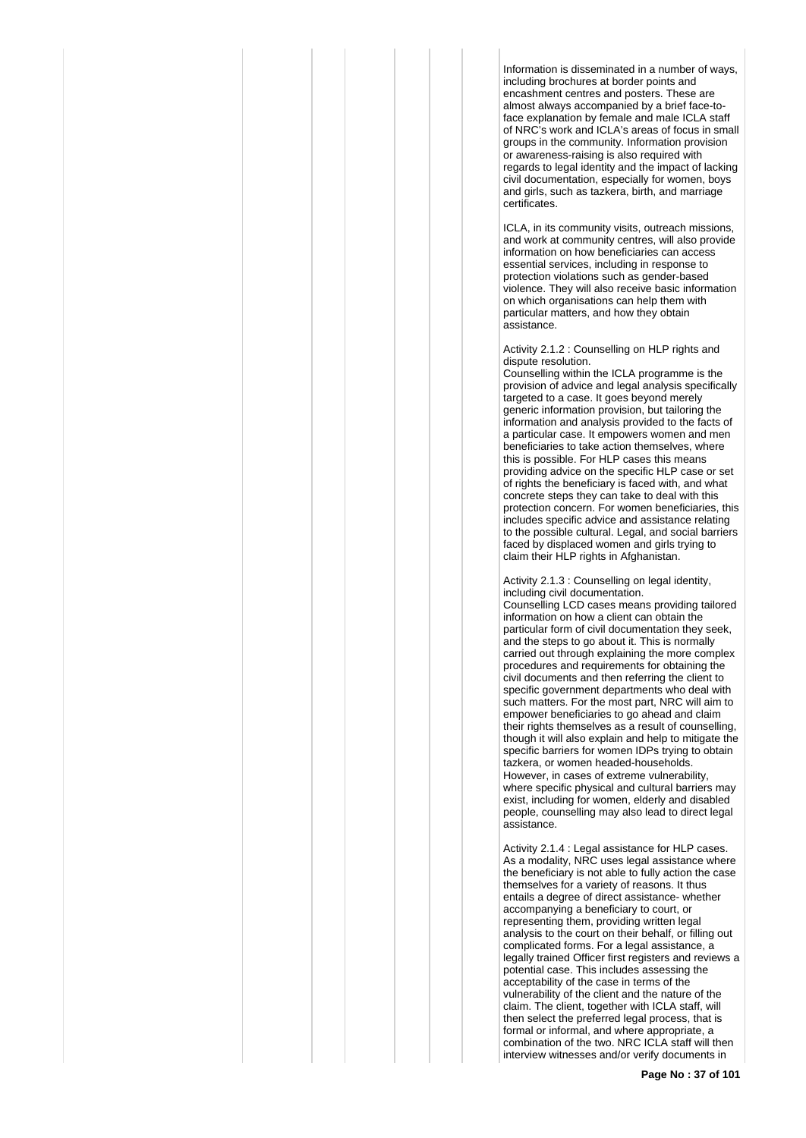Information is disseminated in a number of ways, including brochures at border points and encashment centres and posters. These are almost always accompanied by a brief face-toface explanation by female and male ICLA staff of NRC's work and ICLA's areas of focus in small groups in the community. Information provision or awareness-raising is also required with regards to legal identity and the impact of lacking civil documentation, especially for women, boys and girls, such as tazkera, birth, and marriage certificates.

ICLA, in its community visits, outreach missions, and work at community centres, will also provide information on how beneficiaries can access essential services, including in response to protection violations such as gender-based violence. They will also receive basic information on which organisations can help them with particular matters, and how they obtain assistance.

Activity 2.1.2 : Counselling on HLP rights and dispute resolution.

Counselling within the ICLA programme is the provision of advice and legal analysis specifically targeted to a case. It goes beyond merely generic information provision, but tailoring the information and analysis provided to the facts of a particular case. It empowers women and men beneficiaries to take action themselves, where this is possible. For HLP cases this means providing advice on the specific HLP case or set of rights the beneficiary is faced with, and what concrete steps they can take to deal with this protection concern. For women beneficiaries, this includes specific advice and assistance relating to the possible cultural. Legal, and social barriers faced by displaced women and girls trying to claim their HLP rights in Afghanistan.

Activity 2.1.3 : Counselling on legal identity, including civil documentation.

Counselling LCD cases means providing tailored information on how a client can obtain the particular form of civil documentation they seek, and the steps to go about it. This is normally carried out through explaining the more complex procedures and requirements for obtaining the civil documents and then referring the client to specific government departments who deal with such matters. For the most part, NRC will aim to empower beneficiaries to go ahead and claim their rights themselves as a result of counselling, though it will also explain and help to mitigate the specific barriers for women IDPs trying to obtain tazkera, or women headed-households. However, in cases of extreme vulnerability, where specific physical and cultural barriers may exist, including for women, elderly and disabled people, counselling may also lead to direct legal assistance.

Activity 2.1.4 : Legal assistance for HLP cases. As a modality, NRC uses legal assistance where the beneficiary is not able to fully action the case themselves for a variety of reasons. It thus entails a degree of direct assistance- whether accompanying a beneficiary to court, or representing them, providing written legal analysis to the court on their behalf, or filling out complicated forms. For a legal assistance, a legally trained Officer first registers and reviews a potential case. This includes assessing the acceptability of the case in terms of the vulnerability of the client and the nature of the claim. The client, together with ICLA staff, will then select the preferred legal process, that is formal or informal, and where appropriate, a combination of the two. NRC ICLA staff will then interview witnesses and/or verify documents in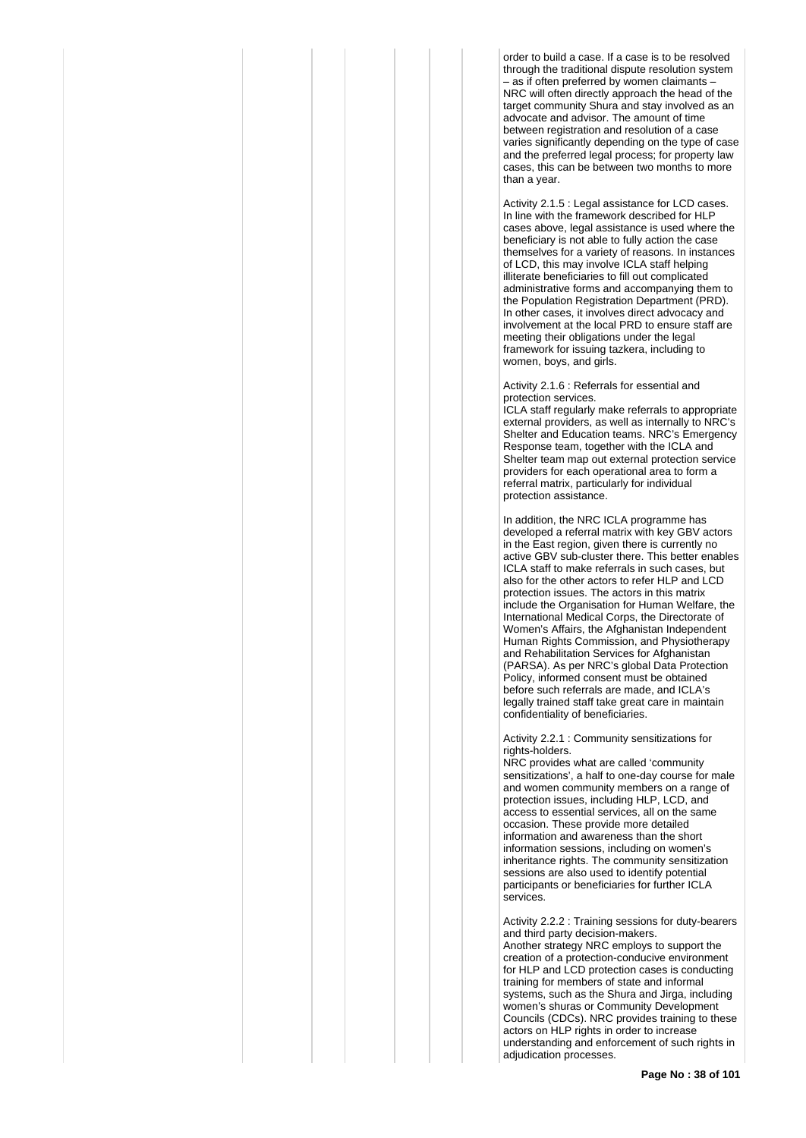order to build a case. If a case is to be resolved through the traditional dispute resolution system – as if often preferred by women claimants – NRC will often directly approach the head of the target community Shura and stay involved as an advocate and advisor. The amount of time between registration and resolution of a case varies significantly depending on the type of case and the preferred legal process; for property law cases, this can be between two months to more than a year.

Activity 2.1.5 : Legal assistance for LCD cases. In line with the framework described for HLP cases above, legal assistance is used where the beneficiary is not able to fully action the case themselves for a variety of reasons. In instances of LCD, this may involve ICLA staff helping illiterate beneficiaries to fill out complicated administrative forms and accompanying them to the Population Registration Department (PRD). In other cases, it involves direct advocacy and involvement at the local PRD to ensure staff are meeting their obligations under the legal framework for issuing tazkera, including to women, boys, and girls.

Activity 2.1.6 : Referrals for essential and protection services.

ICLA staff regularly make referrals to appropriate external providers, as well as internally to NRC's Shelter and Education teams. NRC's Emergency Response team, together with the ICLA and Shelter team map out external protection service providers for each operational area to form a referral matrix, particularly for individual protection assistance.

In addition, the NRC ICLA programme has developed a referral matrix with key GBV actors in the East region, given there is currently no active GBV sub-cluster there. This better enables ICLA staff to make referrals in such cases, but also for the other actors to refer HLP and LCD protection issues. The actors in this matrix include the Organisation for Human Welfare, the International Medical Corps, the Directorate of Women's Affairs, the Afghanistan Independent Human Rights Commission, and Physiotherapy and Rehabilitation Services for Afghanistan (PARSA). As per NRC's global Data Protection Policy, informed consent must be obtained before such referrals are made, and ICLA's legally trained staff take great care in maintain confidentiality of beneficiaries.

Activity 2.2.1 : Community sensitizations for rights-holders.

NRC provides what are called 'community sensitizations', a half to one-day course for male and women community members on a range of protection issues, including HLP, LCD, and access to essential services, all on the same occasion. These provide more detailed information and awareness than the short information sessions, including on women's inheritance rights. The community sensitization sessions are also used to identify potential participants or beneficiaries for further ICLA services.

Activity 2.2.2 : Training sessions for duty-bearers and third party decision-makers. Another strategy NRC employs to support the creation of a protection-conducive environment for HLP and LCD protection cases is conducting training for members of state and informal systems, such as the Shura and Jirga, including women's shuras or Community Development Councils (CDCs). NRC provides training to these actors on HLP rights in order to increase understanding and enforcement of such rights in adjudication processes.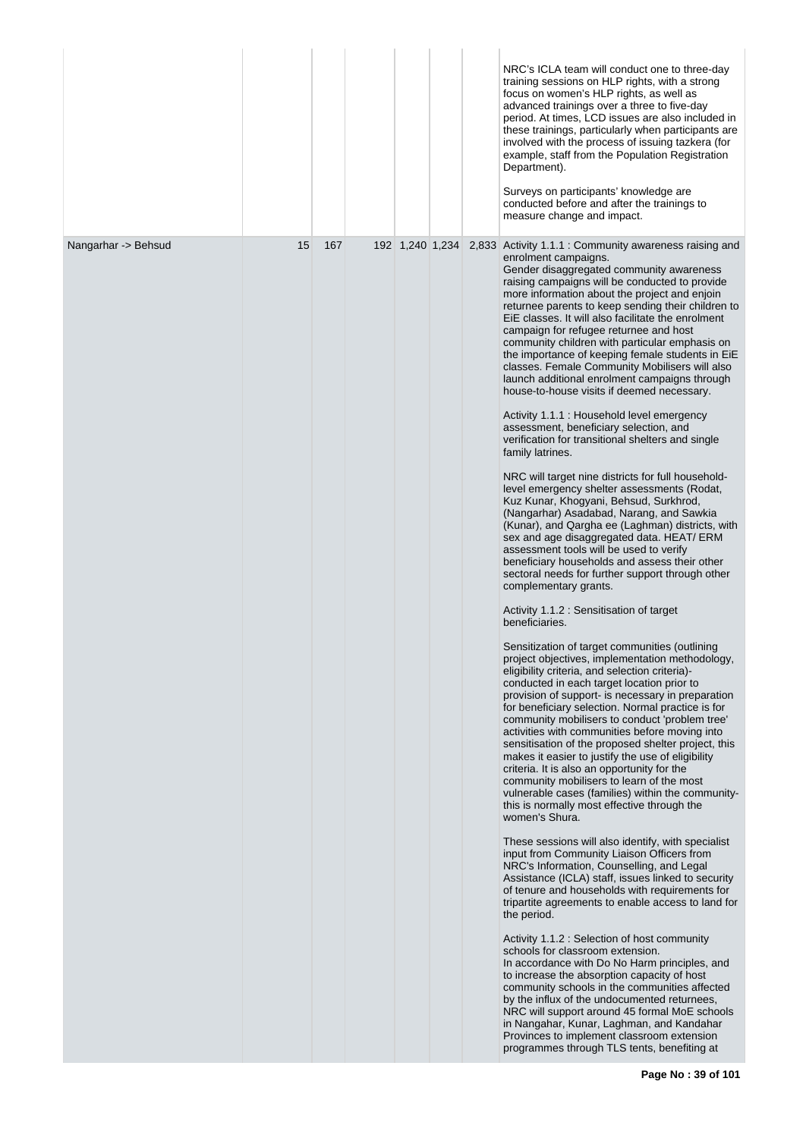|                     |    |     |                 |  | NRC's ICLA team will conduct one to three-day<br>training sessions on HLP rights, with a strong<br>focus on women's HLP rights, as well as<br>advanced trainings over a three to five-day<br>period. At times, LCD issues are also included in<br>these trainings, particularly when participants are<br>involved with the process of issuing tazkera (for<br>example, staff from the Population Registration<br>Department).<br>Surveys on participants' knowledge are<br>conducted before and after the trainings to<br>measure change and impact.                                                                                                                                                                                                                                                                                                                                                                                                                                                                                                                                                                                                                                                                                                                                                                                                                                                                                                                                                                                                                                                                                                                                                                                                                                                                                                                                                                                                                                                                                                                                                                                                                                                                                                                                                                                                                                                                                                                                                                                                                                                                                                                                                                                                                |
|---------------------|----|-----|-----------------|--|---------------------------------------------------------------------------------------------------------------------------------------------------------------------------------------------------------------------------------------------------------------------------------------------------------------------------------------------------------------------------------------------------------------------------------------------------------------------------------------------------------------------------------------------------------------------------------------------------------------------------------------------------------------------------------------------------------------------------------------------------------------------------------------------------------------------------------------------------------------------------------------------------------------------------------------------------------------------------------------------------------------------------------------------------------------------------------------------------------------------------------------------------------------------------------------------------------------------------------------------------------------------------------------------------------------------------------------------------------------------------------------------------------------------------------------------------------------------------------------------------------------------------------------------------------------------------------------------------------------------------------------------------------------------------------------------------------------------------------------------------------------------------------------------------------------------------------------------------------------------------------------------------------------------------------------------------------------------------------------------------------------------------------------------------------------------------------------------------------------------------------------------------------------------------------------------------------------------------------------------------------------------------------------------------------------------------------------------------------------------------------------------------------------------------------------------------------------------------------------------------------------------------------------------------------------------------------------------------------------------------------------------------------------------------------------------------------------------------------------------------------------------|
| Nangarhar -> Behsud | 15 | 167 | 192 1,240 1,234 |  | 2,833 Activity 1.1.1 : Community awareness raising and<br>enrolment campaigns.<br>Gender disaggregated community awareness<br>raising campaigns will be conducted to provide<br>more information about the project and enjoin<br>returnee parents to keep sending their children to<br>EiE classes. It will also facilitate the enrolment<br>campaign for refugee returnee and host<br>community children with particular emphasis on<br>the importance of keeping female students in EiE<br>classes. Female Community Mobilisers will also<br>launch additional enrolment campaigns through<br>house-to-house visits if deemed necessary.<br>Activity 1.1.1 : Household level emergency<br>assessment, beneficiary selection, and<br>verification for transitional shelters and single<br>family latrines.<br>NRC will target nine districts for full household-<br>level emergency shelter assessments (Rodat,<br>Kuz Kunar, Khogyani, Behsud, Surkhrod,<br>(Nangarhar) Asadabad, Narang, and Sawkia<br>(Kunar), and Qargha ee (Laghman) districts, with<br>sex and age disaggregated data. HEAT/ ERM<br>assessment tools will be used to verify<br>beneficiary households and assess their other<br>sectoral needs for further support through other<br>complementary grants.<br>Activity 1.1.2 : Sensitisation of target<br>beneficiaries.<br>Sensitization of target communities (outlining<br>project objectives, implementation methodology,<br>eligibility criteria, and selection criteria)-<br>conducted in each target location prior to<br>provision of support- is necessary in preparation<br>for beneficiary selection. Normal practice is for<br>community mobilisers to conduct 'problem tree'<br>activities with communities before moving into<br>sensitisation of the proposed shelter project, this<br>makes it easier to justify the use of eligibility<br>criteria. It is also an opportunity for the<br>community mobilisers to learn of the most<br>vulnerable cases (families) within the community-<br>this is normally most effective through the<br>women's Shura.<br>These sessions will also identify, with specialist<br>input from Community Liaison Officers from<br>NRC's Information, Counselling, and Legal<br>Assistance (ICLA) staff, issues linked to security<br>of tenure and households with requirements for<br>tripartite agreements to enable access to land for<br>the period.<br>Activity 1.1.2 : Selection of host community<br>schools for classroom extension.<br>In accordance with Do No Harm principles, and<br>to increase the absorption capacity of host<br>community schools in the communities affected<br>by the influx of the undocumented returnees,<br>NRC will support around 45 formal MoE schools |
|                     |    |     |                 |  | in Nangahar, Kunar, Laghman, and Kandahar<br>Provinces to implement classroom extension<br>programmes through TLS tents, benefiting at                                                                                                                                                                                                                                                                                                                                                                                                                                                                                                                                                                                                                                                                                                                                                                                                                                                                                                                                                                                                                                                                                                                                                                                                                                                                                                                                                                                                                                                                                                                                                                                                                                                                                                                                                                                                                                                                                                                                                                                                                                                                                                                                                                                                                                                                                                                                                                                                                                                                                                                                                                                                                              |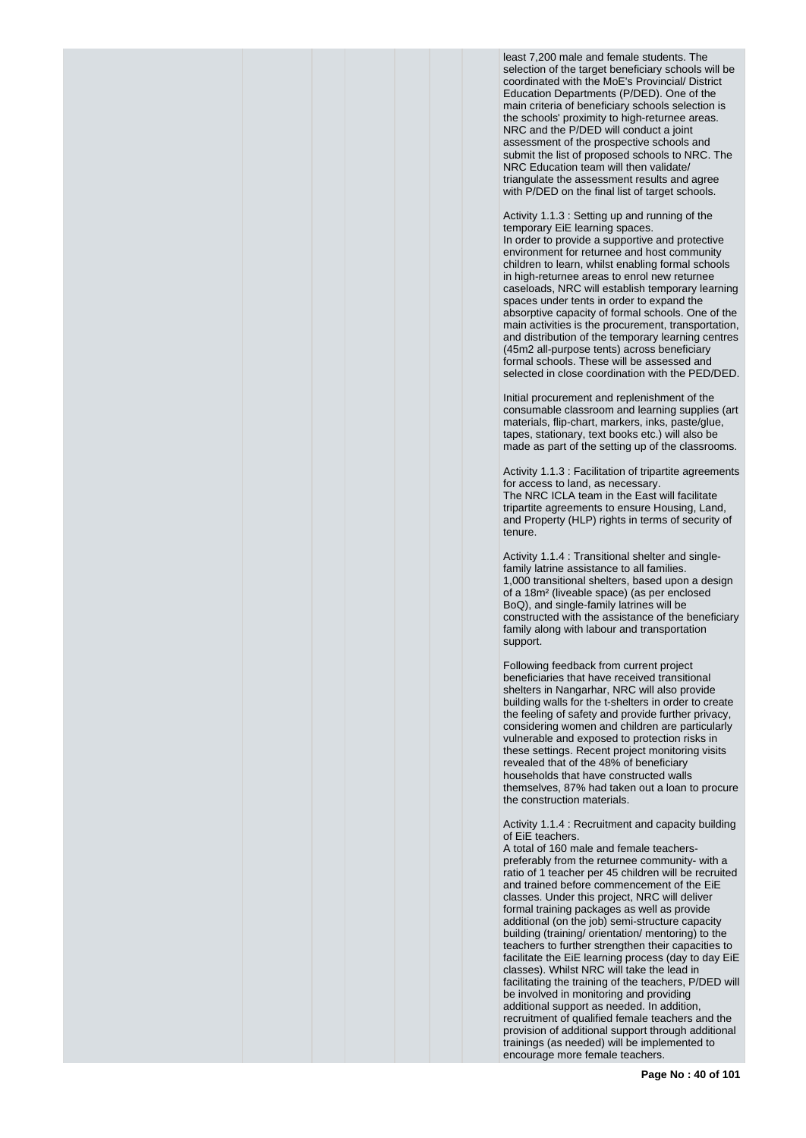least 7,200 male and female students. The selection of the target beneficiary schools will be coordinated with the MoE's Provincial/ District Education Departments (P/DED). One of the main criteria of beneficiary schools selection is the schools' proximity to high-returnee areas. NRC and the P/DED will conduct a joint assessment of the prospective schools and submit the list of proposed schools to NRC. The NRC Education team will then validate/ triangulate the assessment results and agree with P/DED on the final list of target schools.

Activity 1.1.3 : Setting up and running of the temporary EiE learning spaces. In order to provide a supportive and protective environment for returnee and host community children to learn, whilst enabling formal schools in high-returnee areas to enrol new returnee caseloads, NRC will establish temporary learning spaces under tents in order to expand the absorptive capacity of formal schools. One of the main activities is the procurement, transportation, and distribution of the temporary learning centres (45m2 all-purpose tents) across beneficiary formal schools. These will be assessed and selected in close coordination with the PED/DED.

Initial procurement and replenishment of the consumable classroom and learning supplies (art materials, flip-chart, markers, inks, paste/glue, tapes, stationary, text books etc.) will also be made as part of the setting up of the classrooms.

Activity 1.1.3 : Facilitation of tripartite agreements for access to land, as necessary. The NRC ICLA team in the East will facilitate tripartite agreements to ensure Housing, Land, and Property (HLP) rights in terms of security of tenure.

Activity 1.1.4 : Transitional shelter and singlefamily latrine assistance to all families. 1,000 transitional shelters, based upon a design of a 18m² (liveable space) (as per enclosed BoQ), and single-family latrines will be constructed with the assistance of the beneficiary family along with labour and transportation support.

Following feedback from current project beneficiaries that have received transitional shelters in Nangarhar, NRC will also provide building walls for the t-shelters in order to create the feeling of safety and provide further privacy, considering women and children are particularly vulnerable and exposed to protection risks in these settings. Recent project monitoring visits revealed that of the 48% of beneficiary households that have constructed walls themselves, 87% had taken out a loan to procure the construction materials.

Activity 1.1.4 : Recruitment and capacity building of EiE teachers.

A total of 160 male and female teacherspreferably from the returnee community- with a ratio of 1 teacher per 45 children will be recruited and trained before commencement of the EiE classes. Under this project, NRC will deliver formal training packages as well as provide additional (on the job) semi-structure capacity building (training/ orientation/ mentoring) to the teachers to further strengthen their capacities to facilitate the EiE learning process (day to day EiE classes). Whilst NRC will take the lead in facilitating the training of the teachers, P/DED will be involved in monitoring and providing additional support as needed. In addition, recruitment of qualified female teachers and the provision of additional support through additional trainings (as needed) will be implemented to encourage more female teachers.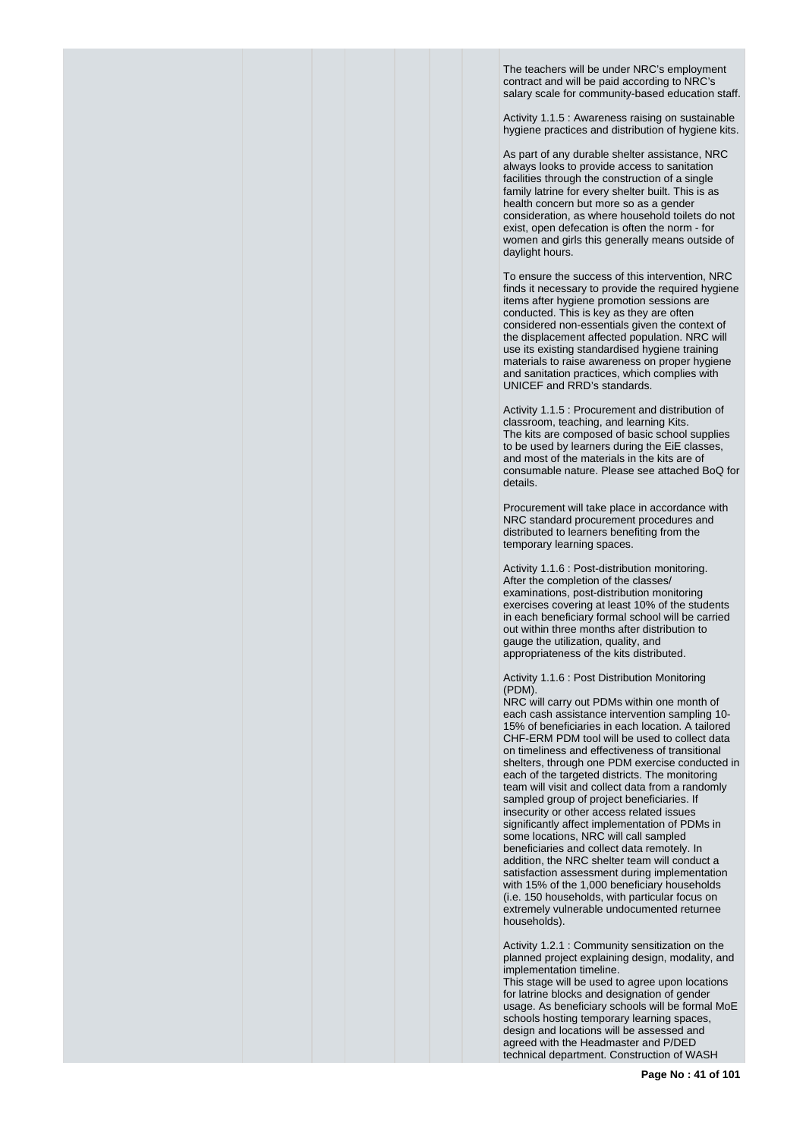The teachers will be under NRC's employment contract and will be paid according to NRC's salary scale for community-based education staff.

Activity 1.1.5 : Awareness raising on sustainable hygiene practices and distribution of hygiene kits.

As part of any durable shelter assistance, NRC always looks to provide access to sanitation facilities through the construction of a single family latrine for every shelter built. This is as health concern but more so as a gender consideration, as where household toilets do not exist, open defecation is often the norm - for women and girls this generally means outside of daylight hours.

To ensure the success of this intervention, NRC finds it necessary to provide the required hygiene items after hygiene promotion sessions are conducted. This is key as they are often considered non-essentials given the context of the displacement affected population. NRC will use its existing standardised hygiene training materials to raise awareness on proper hygiene and sanitation practices, which complies with UNICEF and RRD's standards.

Activity 1.1.5 : Procurement and distribution of classroom, teaching, and learning Kits. The kits are composed of basic school supplies to be used by learners during the EiE classes, and most of the materials in the kits are of consumable nature. Please see attached BoQ for details.

Procurement will take place in accordance with NRC standard procurement procedures and distributed to learners benefiting from the temporary learning spaces.

Activity 1.1.6 : Post-distribution monitoring. After the completion of the classes/ examinations, post-distribution monitoring exercises covering at least 10% of the students in each beneficiary formal school will be carried out within three months after distribution to gauge the utilization, quality, and appropriateness of the kits distributed.

Activity 1.1.6 : Post Distribution Monitoring (PDM).

NRC will carry out PDMs within one month of each cash assistance intervention sampling 10- 15% of beneficiaries in each location. A tailored CHF-ERM PDM tool will be used to collect data on timeliness and effectiveness of transitional shelters, through one PDM exercise conducted in each of the targeted districts. The monitoring team will visit and collect data from a randomly sampled group of project beneficiaries. If insecurity or other access related issues significantly affect implementation of PDMs in some locations, NRC will call sampled beneficiaries and collect data remotely. In addition, the NRC shelter team will conduct a satisfaction assessment during implementation with 15% of the 1,000 beneficiary households (i.e. 150 households, with particular focus on extremely vulnerable undocumented returnee households).

Activity 1.2.1 : Community sensitization on the planned project explaining design, modality, and implementation timeline.

This stage will be used to agree upon locations for latrine blocks and designation of gender usage. As beneficiary schools will be formal MoE schools hosting temporary learning spaces, design and locations will be assessed and agreed with the Headmaster and P/DED technical department. Construction of WASH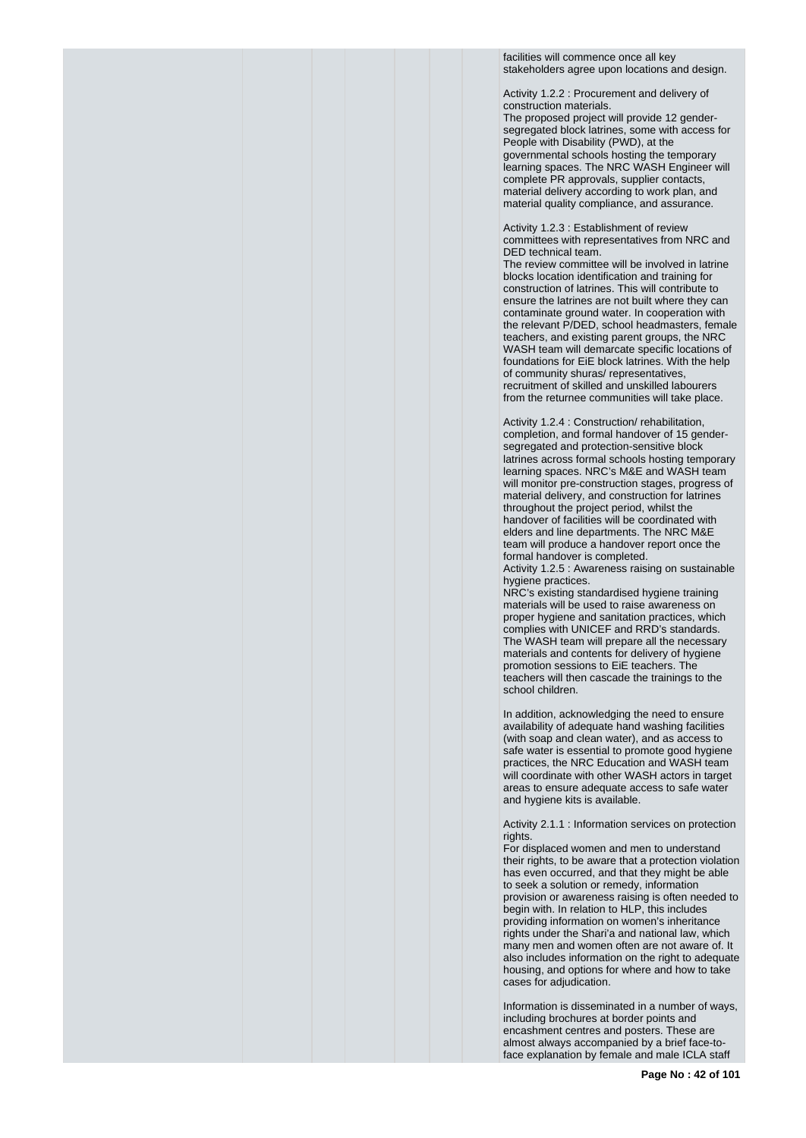facilities will commence once all key stakeholders agree upon locations and design.

Activity 1.2.2 : Procurement and delivery of construction materials.

The proposed project will provide 12 gendersegregated block latrines, some with access for People with Disability (PWD), at the governmental schools hosting the temporary learning spaces. The NRC WASH Engineer will complete PR approvals, supplier contacts, material delivery according to work plan, and material quality compliance, and assurance.

Activity 1.2.3 : Establishment of review committees with representatives from NRC and DED technical team.

The review committee will be involved in latrine blocks location identification and training for construction of latrines. This will contribute to ensure the latrines are not built where they can contaminate ground water. In cooperation with the relevant P/DED, school headmasters, female teachers, and existing parent groups, the NRC WASH team will demarcate specific locations of foundations for EiE block latrines. With the help of community shuras/ representatives, recruitment of skilled and unskilled labourers from the returnee communities will take place.

Activity 1.2.4 : Construction/ rehabilitation, completion, and formal handover of 15 gendersegregated and protection-sensitive block latrines across formal schools hosting temporary learning spaces. NRC's M&E and WASH team will monitor pre-construction stages, progress of material delivery, and construction for latrines throughout the project period, whilst the handover of facilities will be coordinated with elders and line departments. The NRC M&E team will produce a handover report once the formal handover is completed.

Activity 1.2.5 : Awareness raising on sustainable hygiene practices.

NRC's existing standardised hygiene training materials will be used to raise awareness on proper hygiene and sanitation practices, which complies with UNICEF and RRD's standards. The WASH team will prepare all the necessary materials and contents for delivery of hygiene promotion sessions to EiE teachers. The teachers will then cascade the trainings to the school children.

In addition, acknowledging the need to ensure availability of adequate hand washing facilities (with soap and clean water), and as access to safe water is essential to promote good hygiene practices, the NRC Education and WASH team will coordinate with other WASH actors in target areas to ensure adequate access to safe water and hygiene kits is available.

Activity 2.1.1 : Information services on protection rights.

For displaced women and men to understand their rights, to be aware that a protection violation has even occurred, and that they might be able to seek a solution or remedy, information provision or awareness raising is often needed to begin with. In relation to HLP, this includes providing information on women's inheritance rights under the Shari'a and national law, which many men and women often are not aware of. It also includes information on the right to adequate housing, and options for where and how to take cases for adjudication.

Information is disseminated in a number of ways, including brochures at border points and encashment centres and posters. These are almost always accompanied by a brief face-toface explanation by female and male ICLA staff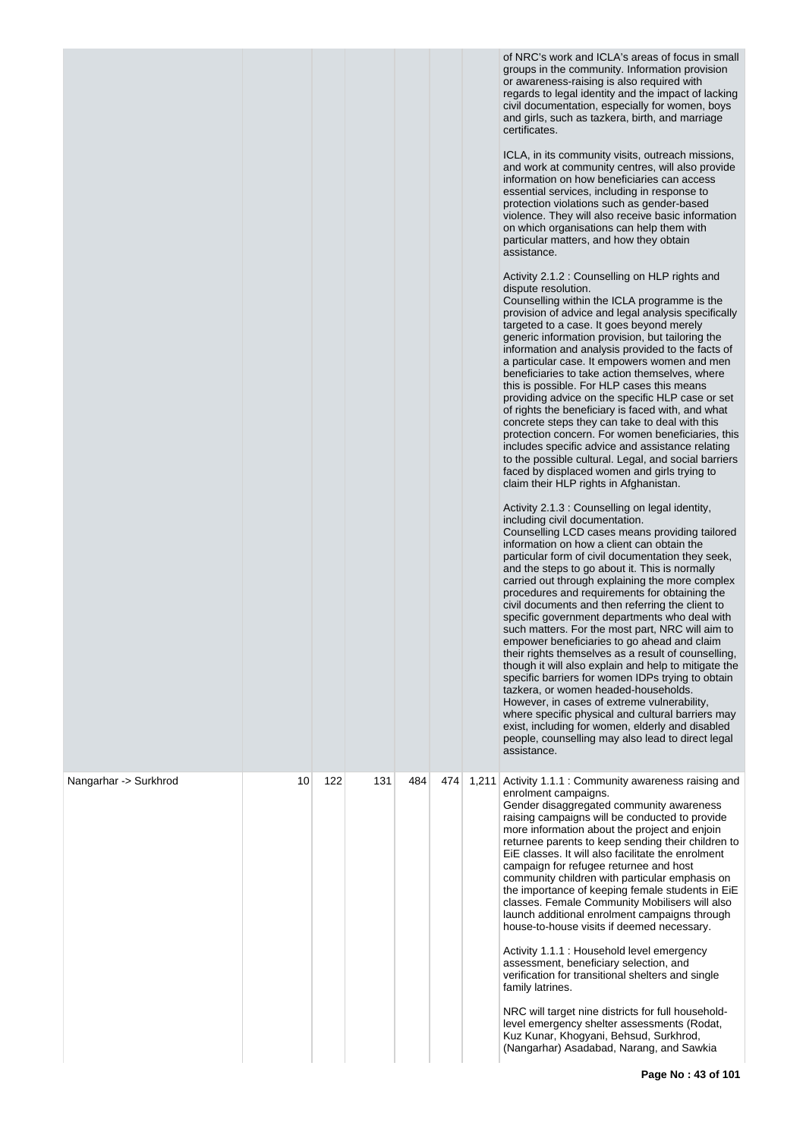|                       |    |     |     |     |     |       | of NRC's work and ICLA's areas of focus in small<br>groups in the community. Information provision<br>or awareness-raising is also required with<br>regards to legal identity and the impact of lacking<br>civil documentation, especially for women, boys<br>and girls, such as tazkera, birth, and marriage<br>certificates.<br>ICLA, in its community visits, outreach missions,<br>and work at community centres, will also provide<br>information on how beneficiaries can access<br>essential services, including in response to<br>protection violations such as gender-based<br>violence. They will also receive basic information<br>on which organisations can help them with<br>particular matters, and how they obtain<br>assistance.<br>Activity 2.1.2 : Counselling on HLP rights and<br>dispute resolution.<br>Counselling within the ICLA programme is the<br>provision of advice and legal analysis specifically<br>targeted to a case. It goes beyond merely<br>generic information provision, but tailoring the<br>information and analysis provided to the facts of<br>a particular case. It empowers women and men<br>beneficiaries to take action themselves, where<br>this is possible. For HLP cases this means<br>providing advice on the specific HLP case or set<br>of rights the beneficiary is faced with, and what<br>concrete steps they can take to deal with this<br>protection concern. For women beneficiaries, this<br>includes specific advice and assistance relating<br>to the possible cultural. Legal, and social barriers<br>faced by displaced women and girls trying to<br>claim their HLP rights in Afghanistan.<br>Activity 2.1.3 : Counselling on legal identity,<br>including civil documentation.<br>Counselling LCD cases means providing tailored<br>information on how a client can obtain the<br>particular form of civil documentation they seek,<br>and the steps to go about it. This is normally<br>carried out through explaining the more complex<br>procedures and requirements for obtaining the<br>civil documents and then referring the client to<br>specific government departments who deal with<br>such matters. For the most part, NRC will aim to<br>empower beneficiaries to go ahead and claim<br>their rights themselves as a result of counselling,<br>though it will also explain and help to mitigate the<br>specific barriers for women IDPs trying to obtain<br>tazkera, or women headed-households.<br>However, in cases of extreme vulnerability,<br>where specific physical and cultural barriers may<br>exist, including for women, elderly and disabled<br>people, counselling may also lead to direct legal<br>assistance. |
|-----------------------|----|-----|-----|-----|-----|-------|---------------------------------------------------------------------------------------------------------------------------------------------------------------------------------------------------------------------------------------------------------------------------------------------------------------------------------------------------------------------------------------------------------------------------------------------------------------------------------------------------------------------------------------------------------------------------------------------------------------------------------------------------------------------------------------------------------------------------------------------------------------------------------------------------------------------------------------------------------------------------------------------------------------------------------------------------------------------------------------------------------------------------------------------------------------------------------------------------------------------------------------------------------------------------------------------------------------------------------------------------------------------------------------------------------------------------------------------------------------------------------------------------------------------------------------------------------------------------------------------------------------------------------------------------------------------------------------------------------------------------------------------------------------------------------------------------------------------------------------------------------------------------------------------------------------------------------------------------------------------------------------------------------------------------------------------------------------------------------------------------------------------------------------------------------------------------------------------------------------------------------------------------------------------------------------------------------------------------------------------------------------------------------------------------------------------------------------------------------------------------------------------------------------------------------------------------------------------------------------------------------------------------------------------------------------------------------------------------------------------------------------------------------------------------------------------------------------|
| Nangarhar -> Surkhrod | 10 | 122 | 131 | 484 | 474 | 1,211 | Activity 1.1.1 : Community awareness raising and<br>enrolment campaigns.<br>Gender disaggregated community awareness<br>raising campaigns will be conducted to provide<br>more information about the project and enjoin<br>returnee parents to keep sending their children to<br>EiE classes. It will also facilitate the enrolment<br>campaign for refugee returnee and host<br>community children with particular emphasis on<br>the importance of keeping female students in EiE<br>classes. Female Community Mobilisers will also<br>launch additional enrolment campaigns through<br>house-to-house visits if deemed necessary.<br>Activity 1.1.1 : Household level emergency<br>assessment, beneficiary selection, and<br>verification for transitional shelters and single<br>family latrines.<br>NRC will target nine districts for full household-<br>level emergency shelter assessments (Rodat,<br>Kuz Kunar, Khogyani, Behsud, Surkhrod,<br>(Nangarhar) Asadabad, Narang, and Sawkia                                                                                                                                                                                                                                                                                                                                                                                                                                                                                                                                                                                                                                                                                                                                                                                                                                                                                                                                                                                                                                                                                                                                                                                                                                                                                                                                                                                                                                                                                                                                                                                                                                                                                                              |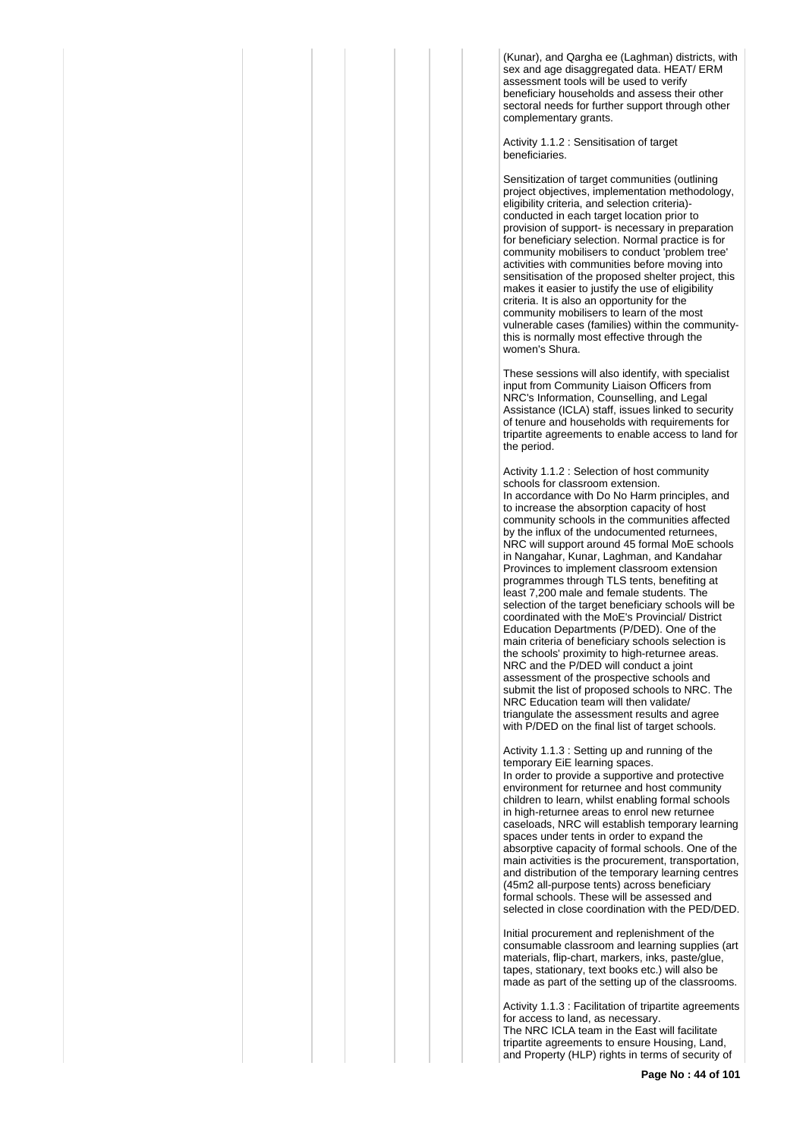(Kunar), and Qargha ee (Laghman) districts, with sex and age disaggregated data. HEAT/ ERM assessment tools will be used to verify beneficiary households and assess their other sectoral needs for further support through other complementary grants.

Activity 1.1.2 : Sensitisation of target beneficiaries.

Sensitization of target communities (outlining project objectives, implementation methodology, eligibility criteria, and selection criteria) conducted in each target location prior to provision of support- is necessary in preparation for beneficiary selection. Normal practice is for community mobilisers to conduct 'problem tree' activities with communities before moving into sensitisation of the proposed shelter project, this makes it easier to justify the use of eligibility criteria. It is also an opportunity for the community mobilisers to learn of the most vulnerable cases (families) within the communitythis is normally most effective through the women's Shura.

These sessions will also identify, with specialist input from Community Liaison Officers from NRC's Information, Counselling, and Legal Assistance (ICLA) staff, issues linked to security of tenure and households with requirements for tripartite agreements to enable access to land for the period.

Activity 1.1.2 : Selection of host community schools for classroom extension. In accordance with Do No Harm principles, and to increase the absorption capacity of host community schools in the communities affected by the influx of the undocumented returnees, NRC will support around 45 formal MoE schools in Nangahar, Kunar, Laghman, and Kandahar Provinces to implement classroom extension programmes through TLS tents, benefiting at least 7,200 male and female students. The selection of the target beneficiary schools will be coordinated with the MoE's Provincial/ District Education Departments (P/DED). One of the main criteria of beneficiary schools selection is the schools' proximity to high-returnee areas. NRC and the P/DED will conduct a joint assessment of the prospective schools and submit the list of proposed schools to NRC. The NRC Education team will then validate/ triangulate the assessment results and agree with P/DED on the final list of target schools.

Activity 1.1.3 : Setting up and running of the temporary EiE learning spaces.

In order to provide a supportive and protective environment for returnee and host community children to learn, whilst enabling formal schools in high-returnee areas to enrol new returnee caseloads, NRC will establish temporary learning spaces under tents in order to expand the absorptive capacity of formal schools. One of the main activities is the procurement, transportation, and distribution of the temporary learning centres (45m2 all-purpose tents) across beneficiary formal schools. These will be assessed and selected in close coordination with the PED/DED.

Initial procurement and replenishment of the consumable classroom and learning supplies (art materials, flip-chart, markers, inks, paste/glue, tapes, stationary, text books etc.) will also be made as part of the setting up of the classrooms.

Activity 1.1.3 : Facilitation of tripartite agreements for access to land, as necessary. The NRC ICLA team in the East will facilitate tripartite agreements to ensure Housing, Land, and Property (HLP) rights in terms of security of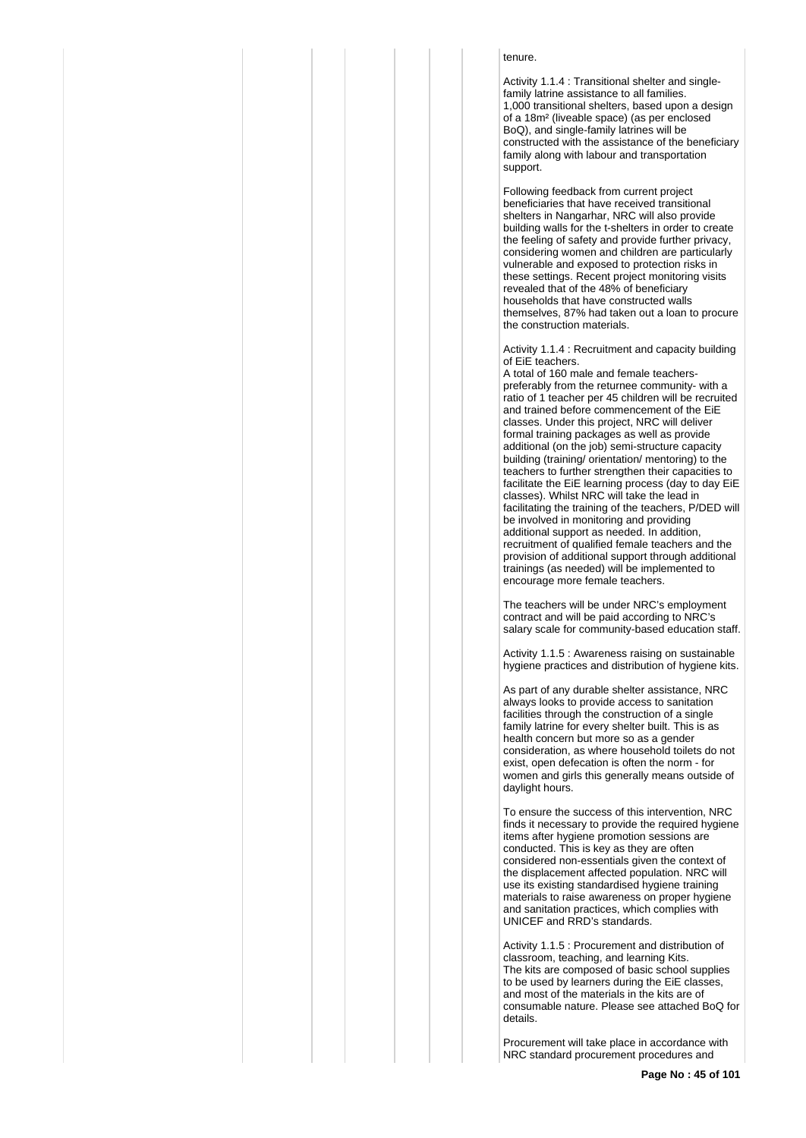# tenure.

Activity 1.1.4 : Transitional shelter and singlefamily latrine assistance to all families. 1,000 transitional shelters, based upon a design of a 18m² (liveable space) (as per enclosed BoQ), and single-family latrines will be constructed with the assistance of the beneficiary family along with labour and transportation support.

Following feedback from current project beneficiaries that have received transitional shelters in Nangarhar, NRC will also provide building walls for the t-shelters in order to create the feeling of safety and provide further privacy, considering women and children are particularly vulnerable and exposed to protection risks in these settings. Recent project monitoring visits revealed that of the 48% of beneficiary households that have constructed walls themselves, 87% had taken out a loan to procure the construction materials.

Activity 1.1.4 : Recruitment and capacity building of EiE teachers.

A total of 160 male and female teacherspreferably from the returnee community- with a ratio of 1 teacher per 45 children will be recruited and trained before commencement of the EiE classes. Under this project, NRC will deliver formal training packages as well as provide additional (on the job) semi-structure capacity building (training/ orientation/ mentoring) to the teachers to further strengthen their capacities to facilitate the EiE learning process (day to day EiE classes). Whilst NRC will take the lead in facilitating the training of the teachers, P/DED will be involved in monitoring and providing additional support as needed. In addition, recruitment of qualified female teachers and the provision of additional support through additional trainings (as needed) will be implemented to encourage more female teachers.

The teachers will be under NRC's employment contract and will be paid according to NRC's salary scale for community-based education staff.

Activity 1.1.5 : Awareness raising on sustainable hygiene practices and distribution of hygiene kits.

As part of any durable shelter assistance, NRC always looks to provide access to sanitation facilities through the construction of a single family latrine for every shelter built. This is as health concern but more so as a gender consideration, as where household toilets do not exist, open defecation is often the norm - for women and girls this generally means outside of daylight hours.

To ensure the success of this intervention, NRC finds it necessary to provide the required hygiene items after hygiene promotion sessions are conducted. This is key as they are often considered non-essentials given the context of the displacement affected population. NRC will use its existing standardised hygiene training materials to raise awareness on proper hygiene and sanitation practices, which complies with UNICEF and RRD's standards.

Activity 1.1.5 : Procurement and distribution of classroom, teaching, and learning Kits. The kits are composed of basic school supplies to be used by learners during the EiE classes, and most of the materials in the kits are of consumable nature. Please see attached BoQ for details.

Procurement will take place in accordance with NRC standard procurement procedures and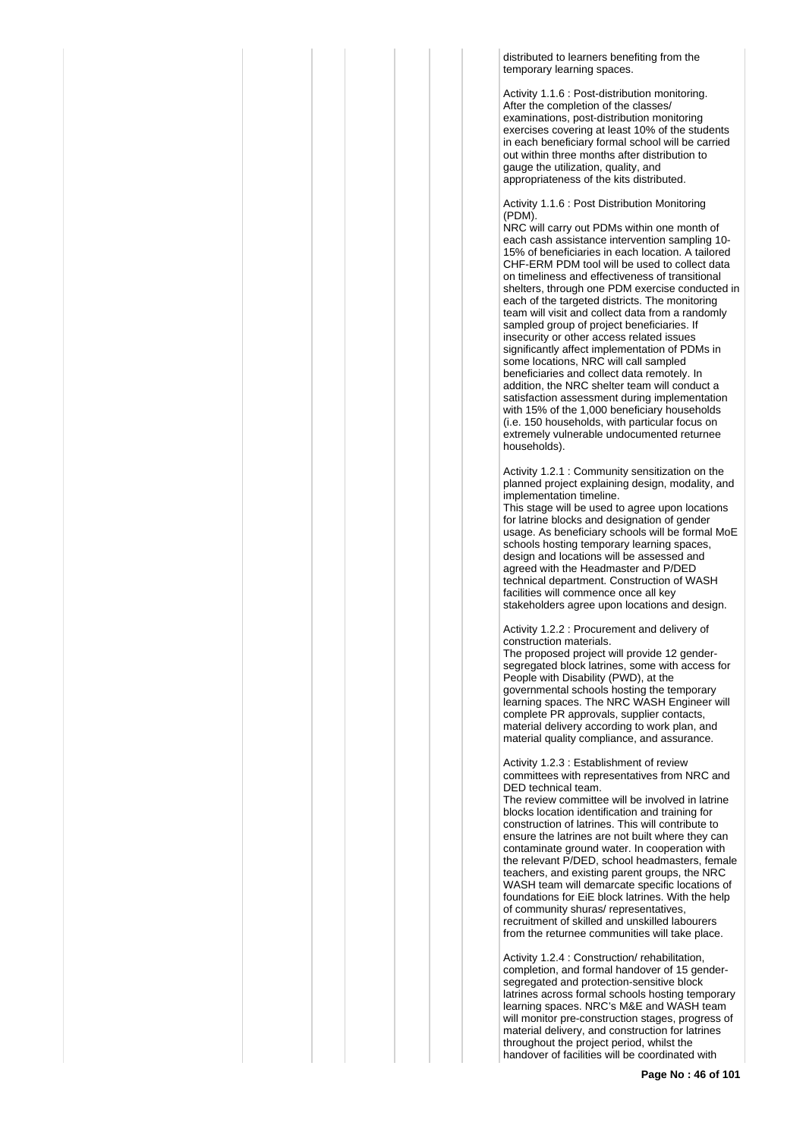distributed to learners benefiting from the temporary learning spaces.

Activity 1.1.6 : Post-distribution monitoring. After the completion of the classes/ examinations, post-distribution monitoring exercises covering at least 10% of the students in each beneficiary formal school will be carried out within three months after distribution to gauge the utilization, quality, and appropriateness of the kits distributed.

Activity 1.1.6 : Post Distribution Monitoring (PDM).

NRC will carry out PDMs within one month of each cash assistance intervention sampling 10- 15% of beneficiaries in each location. A tailored CHF-ERM PDM tool will be used to collect data on timeliness and effectiveness of transitional shelters, through one PDM exercise conducted in each of the targeted districts. The monitoring team will visit and collect data from a randomly sampled group of project beneficiaries. If insecurity or other access related issues significantly affect implementation of PDMs in some locations, NRC will call sampled beneficiaries and collect data remotely. In addition, the NRC shelter team will conduct a satisfaction assessment during implementation with 15% of the 1,000 beneficiary households (i.e. 150 households, with particular focus on extremely vulnerable undocumented returnee households).

Activity 1.2.1 : Community sensitization on the planned project explaining design, modality, and implementation timeline.

This stage will be used to agree upon locations for latrine blocks and designation of gender usage. As beneficiary schools will be formal MoE schools hosting temporary learning spaces, design and locations will be assessed and agreed with the Headmaster and P/DED technical department. Construction of WASH facilities will commence once all key stakeholders agree upon locations and design.

Activity 1.2.2 : Procurement and delivery of construction materials.

The proposed project will provide 12 gendersegregated block latrines, some with access for People with Disability (PWD), at the governmental schools hosting the temporary learning spaces. The NRC WASH Engineer will complete PR approvals, supplier contacts, material delivery according to work plan, and material quality compliance, and assurance.

Activity 1.2.3 : Establishment of review committees with representatives from NRC and DED technical team.

The review committee will be involved in latrine blocks location identification and training for construction of latrines. This will contribute to ensure the latrines are not built where they can contaminate ground water. In cooperation with the relevant P/DED, school headmasters, female teachers, and existing parent groups, the NRC WASH team will demarcate specific locations of foundations for EiE block latrines. With the help of community shuras/ representatives, recruitment of skilled and unskilled labourers from the returnee communities will take place.

Activity 1.2.4 : Construction/ rehabilitation, completion, and formal handover of 15 gendersegregated and protection-sensitive block latrines across formal schools hosting temporary learning spaces. NRC's M&E and WASH team will monitor pre-construction stages, progress of material delivery, and construction for latrines throughout the project period, whilst the handover of facilities will be coordinated with

**Page No : 46 of 101**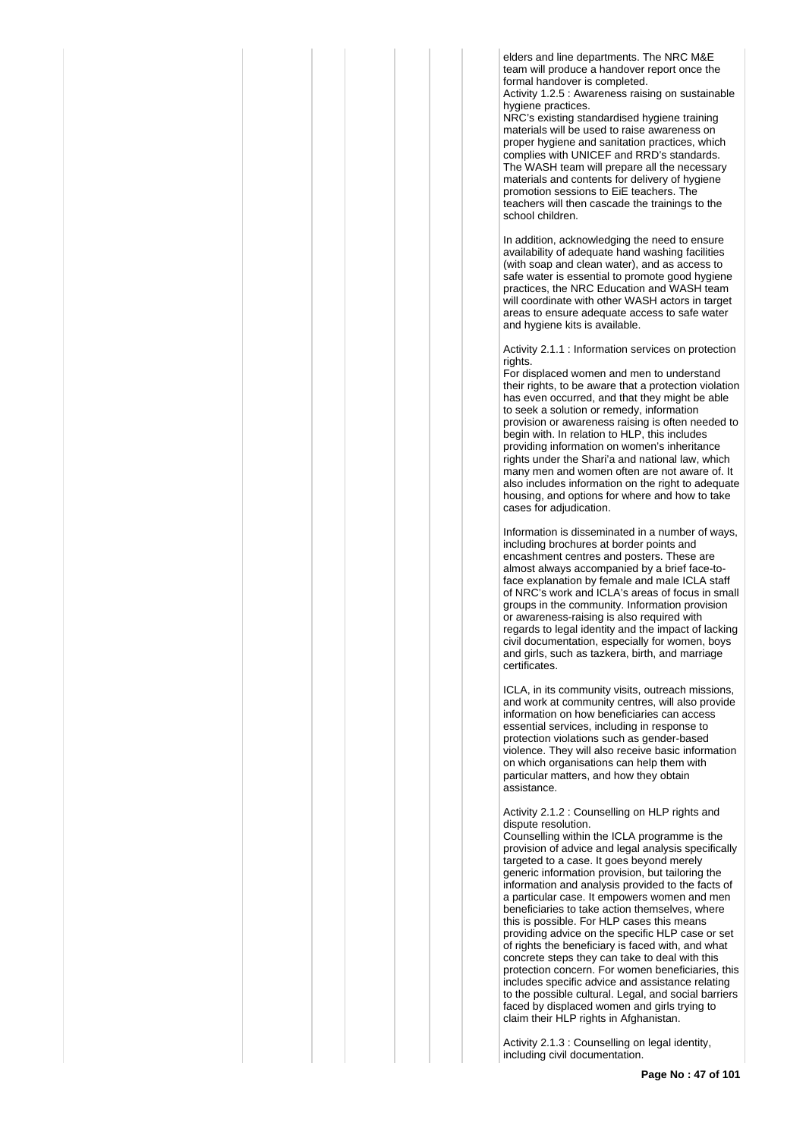elders and line departments. The NRC M&E team will produce a handover report once the formal handover is completed.

Activity 1.2.5 : Awareness raising on sustainable hygiene practices.

NRC's existing standardised hygiene training materials will be used to raise awareness on proper hygiene and sanitation practices, which complies with UNICEF and RRD's standards. The WASH team will prepare all the necessary materials and contents for delivery of hygiene promotion sessions to EiE teachers. The teachers will then cascade the trainings to the school children.

In addition, acknowledging the need to ensure availability of adequate hand washing facilities (with soap and clean water), and as access to safe water is essential to promote good hygiene practices, the NRC Education and WASH team will coordinate with other WASH actors in target areas to ensure adequate access to safe water and hygiene kits is available.

Activity 2.1.1 : Information services on protection rights.

For displaced women and men to understand their rights, to be aware that a protection violation has even occurred, and that they might be able to seek a solution or remedy, information provision or awareness raising is often needed to begin with. In relation to HLP, this includes providing information on women's inheritance rights under the Shari'a and national law, which many men and women often are not aware of. It also includes information on the right to adequate housing, and options for where and how to take cases for adjudication.

Information is disseminated in a number of ways, including brochures at border points and encashment centres and posters. These are almost always accompanied by a brief face-toface explanation by female and male ICLA staff of NRC's work and ICLA's areas of focus in small groups in the community. Information provision or awareness-raising is also required with regards to legal identity and the impact of lacking civil documentation, especially for women, boys and girls, such as tazkera, birth, and marriage certificates.

ICLA, in its community visits, outreach missions, and work at community centres, will also provide information on how beneficiaries can access essential services, including in response to protection violations such as gender-based violence. They will also receive basic information on which organisations can help them with particular matters, and how they obtain assistance.

## Activity 2.1.2 : Counselling on HLP rights and dispute resolution.

Counselling within the ICLA programme is the provision of advice and legal analysis specifically targeted to a case. It goes beyond merely generic information provision, but tailoring the information and analysis provided to the facts of a particular case. It empowers women and men beneficiaries to take action themselves, where this is possible. For HLP cases this means providing advice on the specific HLP case or set of rights the beneficiary is faced with, and what concrete steps they can take to deal with this protection concern. For women beneficiaries, this includes specific advice and assistance relating to the possible cultural. Legal, and social barriers faced by displaced women and girls trying to claim their HLP rights in Afghanistan.

Activity 2.1.3 : Counselling on legal identity, including civil documentation.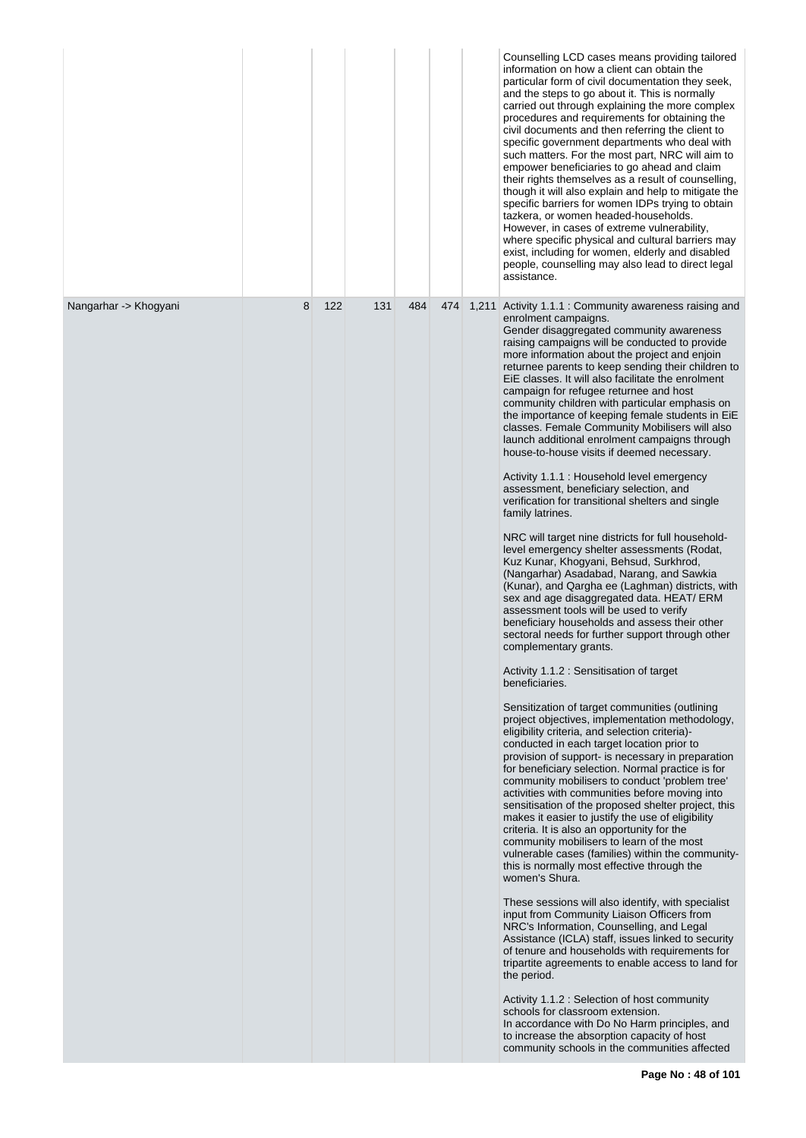|                       |   |     |     |     |     | Counselling LCD cases means providing tailored<br>information on how a client can obtain the<br>particular form of civil documentation they seek,<br>and the steps to go about it. This is normally<br>carried out through explaining the more complex<br>procedures and requirements for obtaining the<br>civil documents and then referring the client to<br>specific government departments who deal with<br>such matters. For the most part, NRC will aim to<br>empower beneficiaries to go ahead and claim<br>their rights themselves as a result of counselling,<br>though it will also explain and help to mitigate the<br>specific barriers for women IDPs trying to obtain<br>tazkera, or women headed-households.<br>However, in cases of extreme vulnerability,<br>where specific physical and cultural barriers may<br>exist, including for women, elderly and disabled<br>people, counselling may also lead to direct legal<br>assistance. |
|-----------------------|---|-----|-----|-----|-----|---------------------------------------------------------------------------------------------------------------------------------------------------------------------------------------------------------------------------------------------------------------------------------------------------------------------------------------------------------------------------------------------------------------------------------------------------------------------------------------------------------------------------------------------------------------------------------------------------------------------------------------------------------------------------------------------------------------------------------------------------------------------------------------------------------------------------------------------------------------------------------------------------------------------------------------------------------|
| Nangarhar -> Khogyani | 8 | 122 | 131 | 484 | 474 | 1,211 Activity 1.1.1 : Community awareness raising and<br>enrolment campaigns.<br>Gender disaggregated community awareness<br>raising campaigns will be conducted to provide<br>more information about the project and enjoin<br>returnee parents to keep sending their children to<br>EiE classes. It will also facilitate the enrolment<br>campaign for refugee returnee and host<br>community children with particular emphasis on<br>the importance of keeping female students in EiE<br>classes. Female Community Mobilisers will also<br>launch additional enrolment campaigns through<br>house-to-house visits if deemed necessary.<br>Activity 1.1.1 : Household level emergency<br>assessment, beneficiary selection, and                                                                                                                                                                                                                      |
|                       |   |     |     |     |     | verification for transitional shelters and single<br>family latrines.<br>NRC will target nine districts for full household-<br>level emergency shelter assessments (Rodat,<br>Kuz Kunar, Khogyani, Behsud, Surkhrod,<br>(Nangarhar) Asadabad, Narang, and Sawkia<br>(Kunar), and Qargha ee (Laghman) districts, with<br>sex and age disaggregated data. HEAT/ERM<br>assessment tools will be used to verify<br>beneficiary households and assess their other<br>sectoral needs for further support through other<br>complementary grants.<br>Activity 1.1.2 : Sensitisation of target                                                                                                                                                                                                                                                                                                                                                                   |
|                       |   |     |     |     |     | beneficiaries.<br>Sensitization of target communities (outlining<br>project objectives, implementation methodology,<br>eligibility criteria, and selection criteria)-<br>conducted in each target location prior to<br>provision of support- is necessary in preparation<br>for beneficiary selection. Normal practice is for<br>community mobilisers to conduct 'problem tree'<br>activities with communities before moving into<br>sensitisation of the proposed shelter project, this<br>makes it easier to justify the use of eligibility<br>criteria. It is also an opportunity for the<br>community mobilisers to learn of the most<br>vulnerable cases (families) within the community-<br>this is normally most effective through the<br>women's Shura.                                                                                                                                                                                         |
|                       |   |     |     |     |     | These sessions will also identify, with specialist<br>input from Community Liaison Officers from<br>NRC's Information, Counselling, and Legal<br>Assistance (ICLA) staff, issues linked to security<br>of tenure and households with requirements for<br>tripartite agreements to enable access to land for<br>the period.<br>Activity 1.1.2 : Selection of host community                                                                                                                                                                                                                                                                                                                                                                                                                                                                                                                                                                              |
|                       |   |     |     |     |     | schools for classroom extension.<br>In accordance with Do No Harm principles, and<br>to increase the absorption capacity of host<br>community schools in the communities affected                                                                                                                                                                                                                                                                                                                                                                                                                                                                                                                                                                                                                                                                                                                                                                       |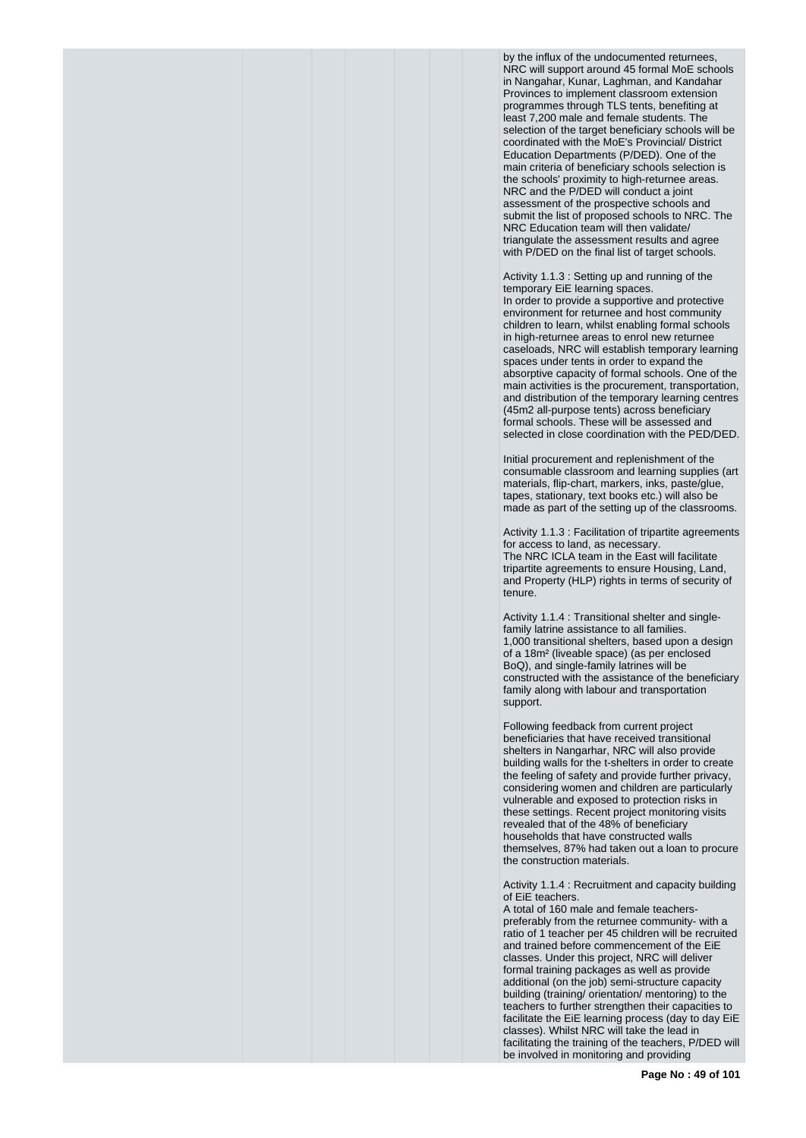by the influx of the undocumented returnees, NRC will support around 45 formal MoE schools in Nangahar, Kunar, Laghman, and Kandahar Provinces to implement classroom extension programmes through TLS tents, benefiting at least 7,200 male and female students. The selection of the target beneficiary schools will be coordinated with the MoE's Provincial/ District Education Departments (P/DED). One of the main criteria of beneficiary schools selection is the schools' proximity to high-returnee areas. NRC and the P/DED will conduct a joint assessment of the prospective schools and submit the list of proposed schools to NRC. The NRC Education team will then validate/ triangulate the assessment results and agree with P/DED on the final list of target schools.

Activity 1.1.3 : Setting up and running of the temporary EiE learning spaces. In order to provide a supportive and protective environment for returnee and host community children to learn, whilst enabling formal schools

in high-returnee areas to enrol new returnee caseloads, NRC will establish temporary learning spaces under tents in order to expand the absorptive capacity of formal schools. One of the main activities is the procurement, transportation, and distribution of the temporary learning centres (45m2 all-purpose tents) across beneficiary formal schools. These will be assessed and selected in close coordination with the PED/DED.

Initial procurement and replenishment of the consumable classroom and learning supplies (art materials, flip-chart, markers, inks, paste/glue, tapes, stationary, text books etc.) will also be made as part of the setting up of the classrooms.

Activity 1.1.3 : Facilitation of tripartite agreements for access to land, as necessary. The NRC ICLA team in the East will facilitate tripartite agreements to ensure Housing, Land, and Property (HLP) rights in terms of security of tenure.

Activity 1.1.4 : Transitional shelter and singlefamily latrine assistance to all families. 1,000 transitional shelters, based upon a design of a 18m² (liveable space) (as per enclosed BoQ), and single-family latrines will be constructed with the assistance of the beneficiary family along with labour and transportation support.

Following feedback from current project beneficiaries that have received transitional shelters in Nangarhar, NRC will also provide building walls for the t-shelters in order to create the feeling of safety and provide further privacy, considering women and children are particularly vulnerable and exposed to protection risks in these settings. Recent project monitoring visits revealed that of the 48% of beneficiary households that have constructed walls themselves, 87% had taken out a loan to procure the construction materials.

Activity 1.1.4 : Recruitment and capacity building of EiE teachers.

A total of 160 male and female teacherspreferably from the returnee community- with a ratio of 1 teacher per 45 children will be recruited and trained before commencement of the EiE classes. Under this project, NRC will deliver formal training packages as well as provide additional (on the job) semi-structure capacity building (training/ orientation/ mentoring) to the teachers to further strengthen their capacities to facilitate the EiE learning process (day to day EiE classes). Whilst NRC will take the lead in facilitating the training of the teachers, P/DED will be involved in monitoring and providing

**Page No : 49 of 101**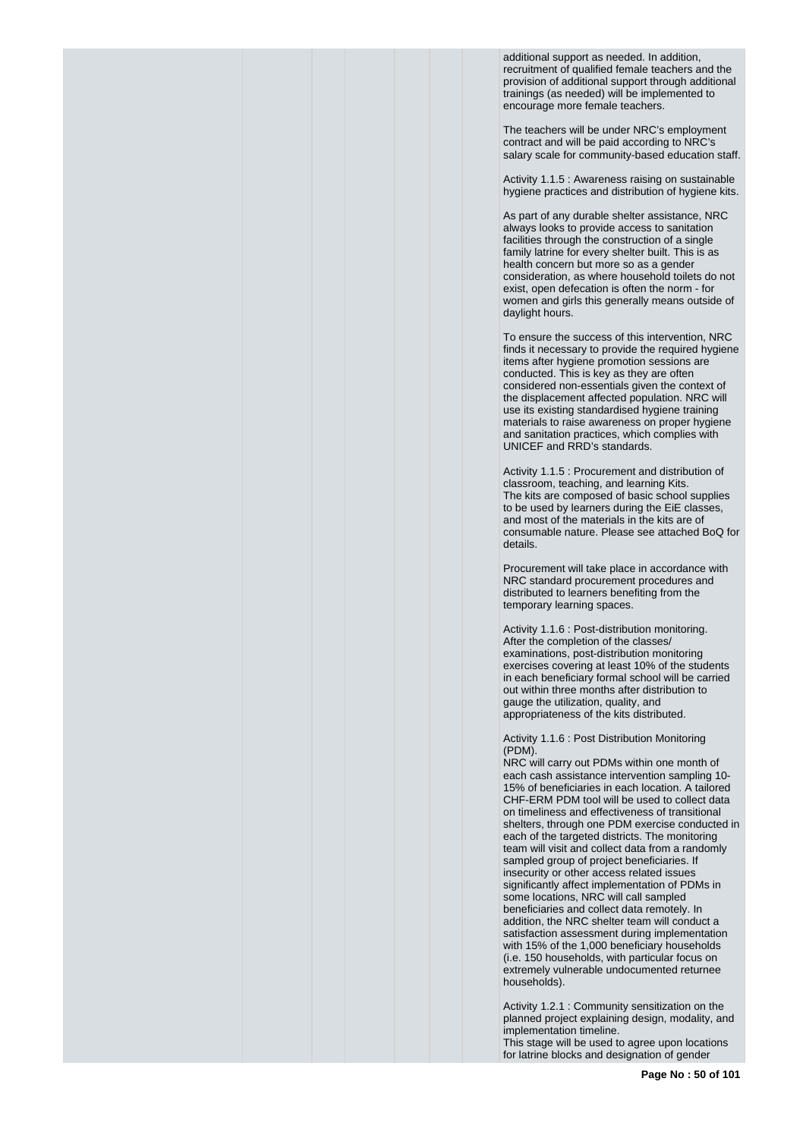additional support as needed. In addition, recruitment of qualified female teachers and the provision of additional support through additional trainings (as needed) will be implemented to encourage more female teachers.

The teachers will be under NRC's employment contract and will be paid according to NRC's salary scale for community-based education staff.

Activity 1.1.5 : Awareness raising on sustainable hygiene practices and distribution of hygiene kits.

As part of any durable shelter assistance, NRC always looks to provide access to sanitation facilities through the construction of a single family latrine for every shelter built. This is as health concern but more so as a gender consideration, as where household toilets do not exist, open defecation is often the norm - for women and girls this generally means outside of daylight hours.

To ensure the success of this intervention, NRC finds it necessary to provide the required hygiene items after hygiene promotion sessions are conducted. This is key as they are often considered non-essentials given the context of the displacement affected population. NRC will use its existing standardised hygiene training materials to raise awareness on proper hygiene and sanitation practices, which complies with UNICEF and RRD's standards.

Activity 1.1.5 : Procurement and distribution of classroom, teaching, and learning Kits. The kits are composed of basic school supplies to be used by learners during the EiE classes, and most of the materials in the kits are of consumable nature. Please see attached BoQ for details.

Procurement will take place in accordance with NRC standard procurement procedures and distributed to learners benefiting from the temporary learning spaces.

Activity 1.1.6 : Post-distribution monitoring. After the completion of the classes/ examinations, post-distribution monitoring exercises covering at least 10% of the students in each beneficiary formal school will be carried out within three months after distribution to gauge the utilization, quality, and appropriateness of the kits distributed.

Activity 1.1.6 : Post Distribution Monitoring (PDM).

NRC will carry out PDMs within one month of each cash assistance intervention sampling 10- 15% of beneficiaries in each location. A tailored CHF-ERM PDM tool will be used to collect data on timeliness and effectiveness of transitional shelters, through one PDM exercise conducted in each of the targeted districts. The monitoring team will visit and collect data from a randomly sampled group of project beneficiaries. If insecurity or other access related issues significantly affect implementation of PDMs in some locations, NRC will call sampled beneficiaries and collect data remotely. In addition, the NRC shelter team will conduct a satisfaction assessment during implementation with 15% of the 1,000 beneficiary households (i.e. 150 households, with particular focus on extremely vulnerable undocumented returnee households).

Activity 1.2.1 : Community sensitization on the planned project explaining design, modality, and implementation timeline.

This stage will be used to agree upon locations for latrine blocks and designation of gender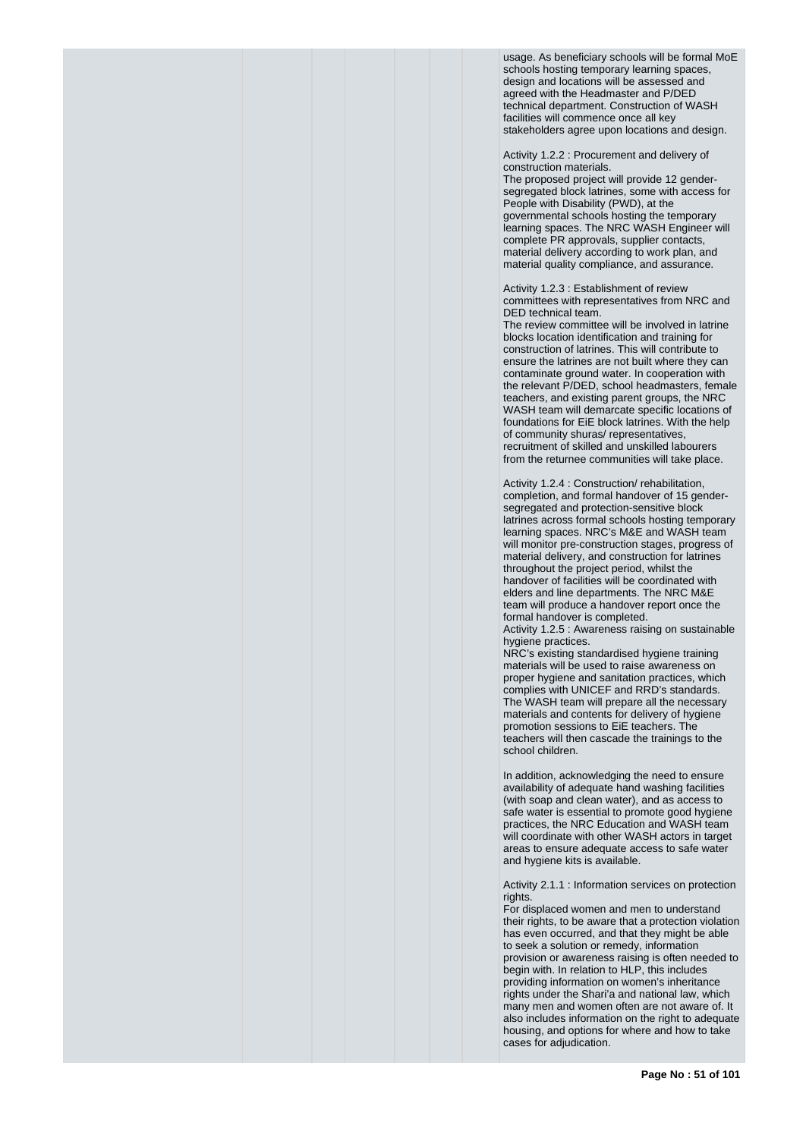usage. As beneficiary schools will be formal MoE schools hosting temporary learning spaces, design and locations will be assessed and agreed with the Headmaster and P/DED technical department. Construction of WASH facilities will commence once all key stakeholders agree upon locations and design.

Activity 1.2.2 : Procurement and delivery of construction materials.

The proposed project will provide 12 gendersegregated block latrines, some with access for People with Disability (PWD), at the governmental schools hosting the temporary learning spaces. The NRC WASH Engineer will complete PR approvals, supplier contacts, material delivery according to work plan, and material quality compliance, and assurance.

Activity 1.2.3 : Establishment of review committees with representatives from NRC and DED technical team.

The review committee will be involved in latrine blocks location identification and training for construction of latrines. This will contribute to ensure the latrines are not built where they can contaminate ground water. In cooperation with the relevant P/DED, school headmasters, female teachers, and existing parent groups, the NRC WASH team will demarcate specific locations of foundations for EiE block latrines. With the help of community shuras/ representatives, recruitment of skilled and unskilled labourers from the returnee communities will take place.

Activity 1.2.4 : Construction/ rehabilitation, completion, and formal handover of 15 gendersegregated and protection-sensitive block latrines across formal schools hosting temporary learning spaces. NRC's M&E and WASH team will monitor pre-construction stages, progress of material delivery, and construction for latrines throughout the project period, whilst the handover of facilities will be coordinated with elders and line departments. The NRC M&E team will produce a handover report once the formal handover is completed.

Activity 1.2.5 : Awareness raising on sustainable hygiene practices.

NRC's existing standardised hygiene training materials will be used to raise awareness on proper hygiene and sanitation practices, which complies with UNICEF and RRD's standards. The WASH team will prepare all the necessary materials and contents for delivery of hygiene promotion sessions to EiE teachers. The teachers will then cascade the trainings to the school children.

In addition, acknowledging the need to ensure availability of adequate hand washing facilities (with soap and clean water), and as access to safe water is essential to promote good hygiene practices, the NRC Education and WASH team will coordinate with other WASH actors in target areas to ensure adequate access to safe water and hygiene kits is available.

Activity 2.1.1 : Information services on protection rights.

For displaced women and men to understand their rights, to be aware that a protection violation has even occurred, and that they might be able to seek a solution or remedy, information provision or awareness raising is often needed to begin with. In relation to HLP, this includes providing information on women's inheritance rights under the Shari'a and national law, which many men and women often are not aware of. It also includes information on the right to adequate housing, and options for where and how to take cases for adjudication.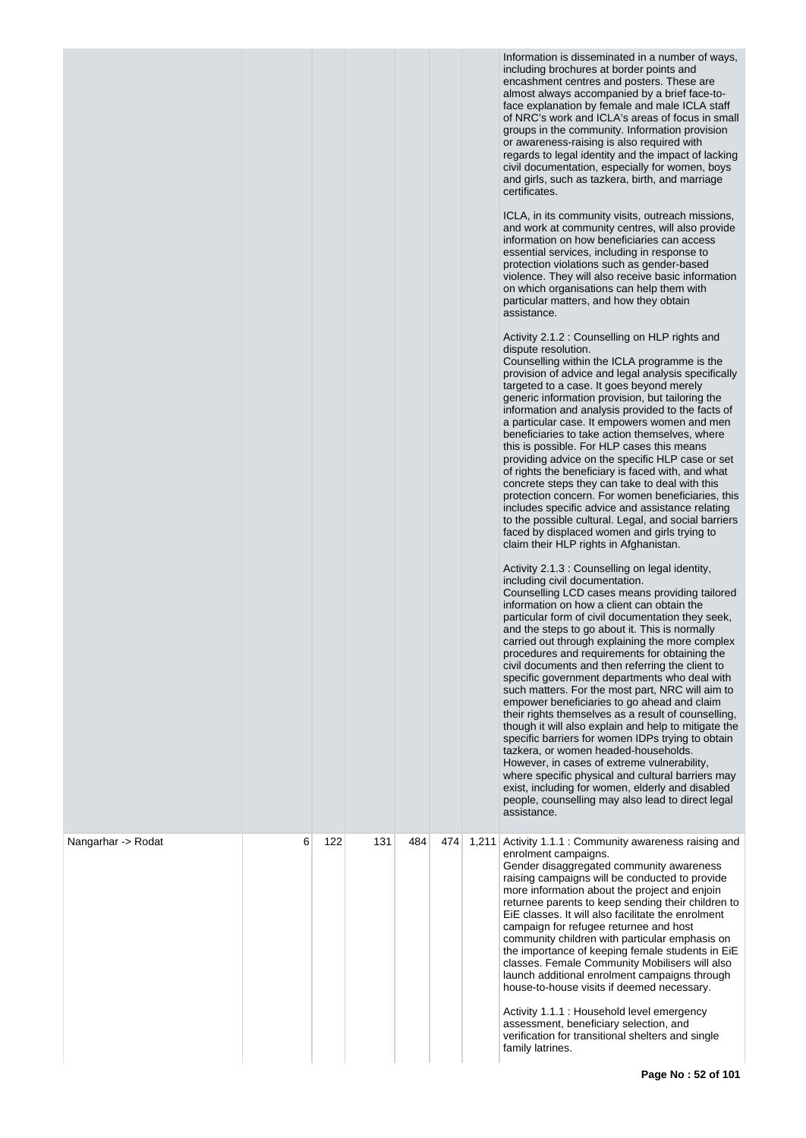|                    |   |     |     |     |     |       | Information is disseminated in a number of ways,<br>including brochures at border points and<br>encashment centres and posters. These are<br>almost always accompanied by a brief face-to-<br>face explanation by female and male ICLA staff<br>of NRC's work and ICLA's areas of focus in small<br>groups in the community. Information provision<br>or awareness-raising is also required with<br>regards to legal identity and the impact of lacking<br>civil documentation, especially for women, boys<br>and girls, such as tazkera, birth, and marriage<br>certificates.<br>ICLA, in its community visits, outreach missions,<br>and work at community centres, will also provide<br>information on how beneficiaries can access<br>essential services, including in response to<br>protection violations such as gender-based<br>violence. They will also receive basic information<br>on which organisations can help them with<br>particular matters, and how they obtain<br>assistance.<br>Activity 2.1.2 : Counselling on HLP rights and<br>dispute resolution.<br>Counselling within the ICLA programme is the<br>provision of advice and legal analysis specifically<br>targeted to a case. It goes beyond merely<br>generic information provision, but tailoring the<br>information and analysis provided to the facts of<br>a particular case. It empowers women and men<br>beneficiaries to take action themselves, where<br>this is possible. For HLP cases this means<br>providing advice on the specific HLP case or set<br>of rights the beneficiary is faced with, and what<br>concrete steps they can take to deal with this<br>protection concern. For women beneficiaries, this<br>includes specific advice and assistance relating<br>to the possible cultural. Legal, and social barriers<br>faced by displaced women and girls trying to<br>claim their HLP rights in Afghanistan.<br>Activity 2.1.3 : Counselling on legal identity,<br>including civil documentation.<br>Counselling LCD cases means providing tailored<br>information on how a client can obtain the<br>particular form of civil documentation they seek,<br>and the steps to go about it. This is normally<br>carried out through explaining the more complex<br>procedures and requirements for obtaining the<br>civil documents and then referring the client to<br>specific government departments who deal with<br>such matters. For the most part, NRC will aim to<br>empower beneficiaries to go ahead and claim<br>their rights themselves as a result of counselling,<br>though it will also explain and help to mitigate the<br>specific barriers for women IDPs trying to obtain<br>tazkera, or women headed-households.<br>However, in cases of extreme vulnerability,<br>where specific physical and cultural barriers may<br>exist, including for women, elderly and disabled<br>people, counselling may also lead to direct legal<br>assistance. |
|--------------------|---|-----|-----|-----|-----|-------|---------------------------------------------------------------------------------------------------------------------------------------------------------------------------------------------------------------------------------------------------------------------------------------------------------------------------------------------------------------------------------------------------------------------------------------------------------------------------------------------------------------------------------------------------------------------------------------------------------------------------------------------------------------------------------------------------------------------------------------------------------------------------------------------------------------------------------------------------------------------------------------------------------------------------------------------------------------------------------------------------------------------------------------------------------------------------------------------------------------------------------------------------------------------------------------------------------------------------------------------------------------------------------------------------------------------------------------------------------------------------------------------------------------------------------------------------------------------------------------------------------------------------------------------------------------------------------------------------------------------------------------------------------------------------------------------------------------------------------------------------------------------------------------------------------------------------------------------------------------------------------------------------------------------------------------------------------------------------------------------------------------------------------------------------------------------------------------------------------------------------------------------------------------------------------------------------------------------------------------------------------------------------------------------------------------------------------------------------------------------------------------------------------------------------------------------------------------------------------------------------------------------------------------------------------------------------------------------------------------------------------------------------------------------------------------------------------------------------------------------------------------------------------------------------------------------------------------------------------------------------------------------------------------------------------------------------------------|
| Nangarhar -> Rodat | 6 | 122 | 131 | 484 | 474 | 1,211 | Activity 1.1.1 : Community awareness raising and<br>enrolment campaigns.<br>Gender disaggregated community awareness<br>raising campaigns will be conducted to provide<br>more information about the project and enjoin<br>returnee parents to keep sending their children to<br>EiE classes. It will also facilitate the enrolment<br>campaign for refugee returnee and host<br>community children with particular emphasis on<br>the importance of keeping female students in EiE<br>classes. Female Community Mobilisers will also<br>launch additional enrolment campaigns through<br>house-to-house visits if deemed necessary.<br>Activity 1.1.1 : Household level emergency<br>assessment, beneficiary selection, and<br>verification for transitional shelters and single<br>family latrines.                                                                                                                                                                                                                                                                                                                                                                                                                                                                                                                                                                                                                                                                                                                                                                                                                                                                                                                                                                                                                                                                                                                                                                                                                                                                                                                                                                                                                                                                                                                                                                                                                                                                                                                                                                                                                                                                                                                                                                                                                                                                                                                                                         |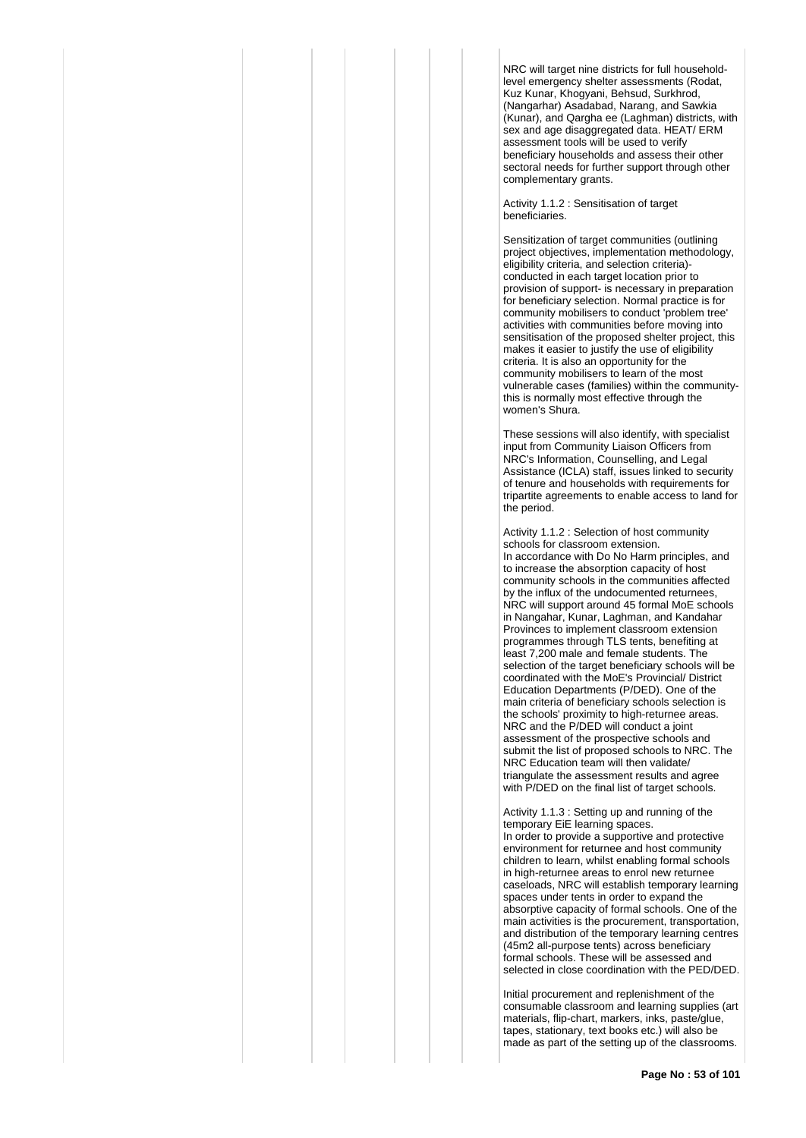NRC will target nine districts for full householdlevel emergency shelter assessments (Rodat, Kuz Kunar, Khogyani, Behsud, Surkhrod, (Nangarhar) Asadabad, Narang, and Sawkia (Kunar), and Qargha ee (Laghman) districts, with sex and age disaggregated data. HEAT/ ERM assessment tools will be used to verify beneficiary households and assess their other sectoral needs for further support through other complementary grants.

Activity 1.1.2 : Sensitisation of target beneficiaries.

Sensitization of target communities (outlining project objectives, implementation methodology, eligibility criteria, and selection criteria) conducted in each target location prior to provision of support- is necessary in preparation for beneficiary selection. Normal practice is for community mobilisers to conduct 'problem tree' activities with communities before moving into sensitisation of the proposed shelter project, this makes it easier to justify the use of eligibility criteria. It is also an opportunity for the community mobilisers to learn of the most vulnerable cases (families) within the communitythis is normally most effective through the women's Shura.

These sessions will also identify, with specialist input from Community Liaison Officers from NRC's Information, Counselling, and Legal Assistance (ICLA) staff, issues linked to security of tenure and households with requirements for tripartite agreements to enable access to land for the period.

Activity 1.1.2 : Selection of host community schools for classroom extension. In accordance with Do No Harm principles, and to increase the absorption capacity of host community schools in the communities affected by the influx of the undocumented returnees NRC will support around 45 formal MoE schools in Nangahar, Kunar, Laghman, and Kandahar Provinces to implement classroom extension programmes through TLS tents, benefiting at least 7,200 male and female students. The selection of the target beneficiary schools will be coordinated with the MoE's Provincial/ District Education Departments (P/DED). One of the main criteria of beneficiary schools selection is the schools' proximity to high-returnee areas. NRC and the P/DED will conduct a joint assessment of the prospective schools and submit the list of proposed schools to NRC. The NRC Education team will then validate/ triangulate the assessment results and agree with P/DED on the final list of target schools.

Activity 1.1.3 : Setting up and running of the temporary EiE learning spaces. In order to provide a supportive and protective environment for returnee and host community children to learn, whilst enabling formal schools in high-returnee areas to enrol new returnee caseloads, NRC will establish temporary learning spaces under tents in order to expand the absorptive capacity of formal schools. One of the main activities is the procurement, transportation, and distribution of the temporary learning centres (45m2 all-purpose tents) across beneficiary formal schools. These will be assessed and selected in close coordination with the PED/DED.

Initial procurement and replenishment of the consumable classroom and learning supplies (art materials, flip-chart, markers, inks, paste/glue, tapes, stationary, text books etc.) will also be made as part of the setting up of the classrooms.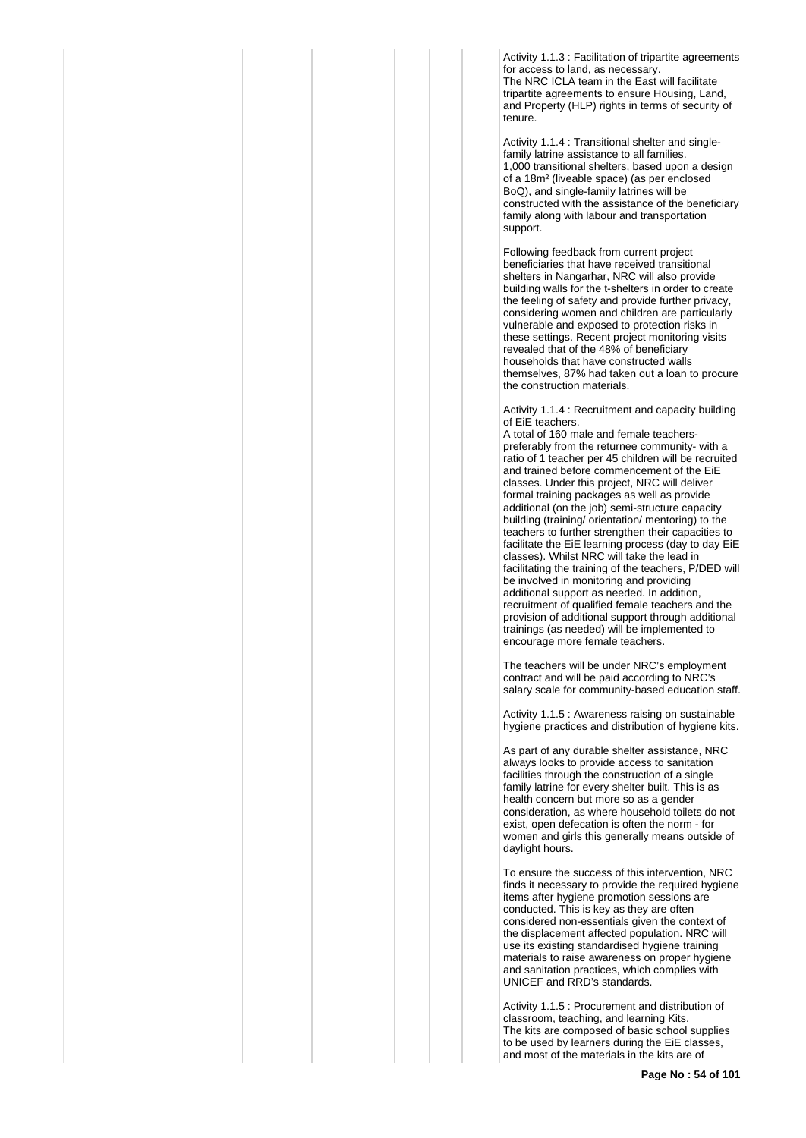Activity 1.1.3 : Facilitation of tripartite agreements for access to land, as necessary. The NRC ICLA team in the East will facilitate tripartite agreements to ensure Housing, Land, and Property (HLP) rights in terms of security of tenure.

Activity 1.1.4 : Transitional shelter and singlefamily latrine assistance to all families. 1,000 transitional shelters, based upon a design of a 18m² (liveable space) (as per enclosed BoQ), and single-family latrines will be constructed with the assistance of the beneficiary family along with labour and transportation support.

Following feedback from current project beneficiaries that have received transitional shelters in Nangarhar, NRC will also provide building walls for the t-shelters in order to create the feeling of safety and provide further privacy, considering women and children are particularly vulnerable and exposed to protection risks in these settings. Recent project monitoring visits revealed that of the 48% of beneficiary households that have constructed walls themselves, 87% had taken out a loan to procure the construction materials.

Activity 1.1.4 : Recruitment and capacity building of EiE teachers.

A total of 160 male and female teacherspreferably from the returnee community- with a ratio of 1 teacher per 45 children will be recruited and trained before commencement of the EiE classes. Under this project, NRC will deliver formal training packages as well as provide additional (on the job) semi-structure capacity building (training/ orientation/ mentoring) to the teachers to further strengthen their capacities to facilitate the EiE learning process (day to day EiE classes). Whilst NRC will take the lead in facilitating the training of the teachers, P/DED will be involved in monitoring and providing additional support as needed. In addition, recruitment of qualified female teachers and the provision of additional support through additional trainings (as needed) will be implemented to encourage more female teachers.

The teachers will be under NRC's employment contract and will be paid according to NRC's salary scale for community-based education staff.

Activity 1.1.5 : Awareness raising on sustainable hygiene practices and distribution of hygiene kits.

As part of any durable shelter assistance, NRC always looks to provide access to sanitation facilities through the construction of a single family latrine for every shelter built. This is as health concern but more so as a gender consideration, as where household toilets do not exist, open defecation is often the norm - for women and girls this generally means outside of daylight hours.

To ensure the success of this intervention, NRC finds it necessary to provide the required hygiene items after hygiene promotion sessions are conducted. This is key as they are often considered non-essentials given the context of the displacement affected population. NRC will use its existing standardised hygiene training materials to raise awareness on proper hygiene and sanitation practices, which complies with UNICEF and RRD's standards.

Activity 1.1.5 : Procurement and distribution of classroom, teaching, and learning Kits. The kits are composed of basic school supplies to be used by learners during the EiE classes, and most of the materials in the kits are of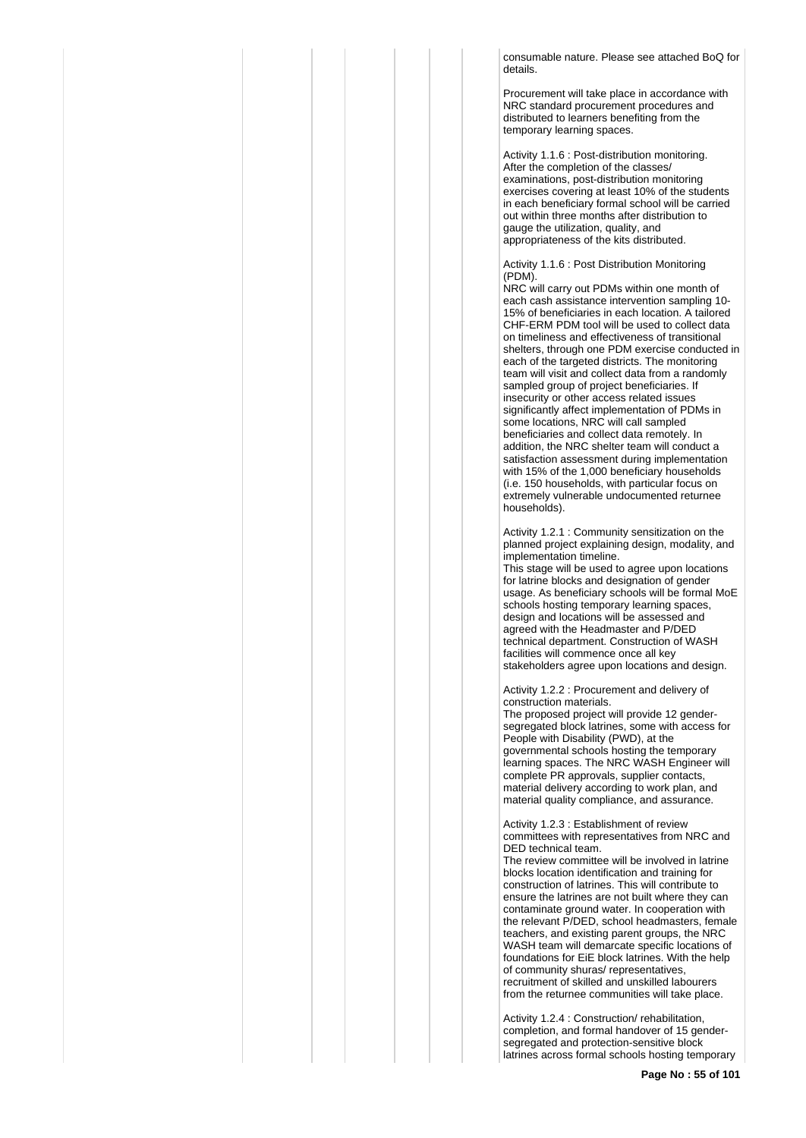consumable nature. Please see attached BoQ for details.

Procurement will take place in accordance with NRC standard procurement procedures and distributed to learners benefiting from the temporary learning spaces.

Activity 1.1.6 : Post-distribution monitoring. After the completion of the classes/ examinations, post-distribution monitoring exercises covering at least 10% of the students in each beneficiary formal school will be carried out within three months after distribution to gauge the utilization, quality, and appropriateness of the kits distributed.

Activity 1.1.6 : Post Distribution Monitoring (PDM).

NRC will carry out PDMs within one month of each cash assistance intervention sampling 10- 15% of beneficiaries in each location. A tailored CHF-ERM PDM tool will be used to collect data on timeliness and effectiveness of transitional shelters, through one PDM exercise conducted in each of the targeted districts. The monitoring team will visit and collect data from a randomly sampled group of project beneficiaries. If insecurity or other access related issues significantly affect implementation of PDMs in some locations, NRC will call sampled beneficiaries and collect data remotely. In addition, the NRC shelter team will conduct a satisfaction assessment during implementation with 15% of the 1,000 beneficiary households (i.e. 150 households, with particular focus on extremely vulnerable undocumented returnee households).

Activity 1.2.1 : Community sensitization on the planned project explaining design, modality, and implementation timeline.

This stage will be used to agree upon locations for latrine blocks and designation of gender usage. As beneficiary schools will be formal MoE schools hosting temporary learning spaces, design and locations will be assessed and agreed with the Headmaster and P/DED technical department. Construction of WASH facilities will commence once all key stakeholders agree upon locations and design.

#### Activity 1.2.2 : Procurement and delivery of construction materials.

The proposed project will provide 12 gendersegregated block latrines, some with access for People with Disability (PWD), at the governmental schools hosting the temporary learning spaces. The NRC WASH Engineer will complete PR approvals, supplier contacts, material delivery according to work plan, and material quality compliance, and assurance.

Activity 1.2.3 : Establishment of review committees with representatives from NRC and DED technical team.

The review committee will be involved in latrine blocks location identification and training for construction of latrines. This will contribute to ensure the latrines are not built where they can contaminate ground water. In cooperation with the relevant P/DED, school headmasters, female teachers, and existing parent groups, the NRC WASH team will demarcate specific locations of foundations for EiE block latrines. With the help of community shuras/ representatives, recruitment of skilled and unskilled labourers from the returnee communities will take place.

Activity 1.2.4 : Construction/ rehabilitation, completion, and formal handover of 15 gendersegregated and protection-sensitive block latrines across formal schools hosting temporary

**Page No : 55 of 101**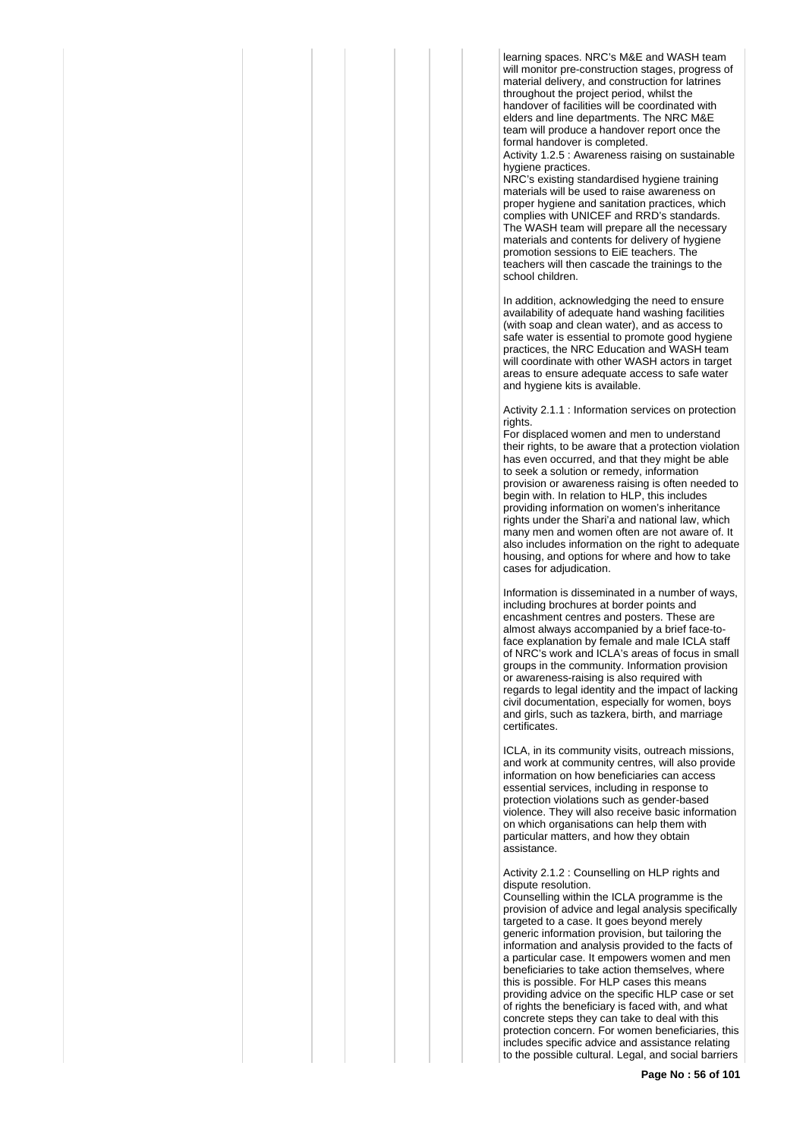learning spaces. NRC's M&E and WASH team will monitor pre-construction stages, progress of material delivery, and construction for latrines throughout the project period, whilst the handover of facilities will be coordinated with elders and line departments. The NRC M&E team will produce a handover report once the formal handover is completed.

Activity 1.2.5 : Awareness raising on sustainable hygiene practices.

NRC's existing standardised hygiene training materials will be used to raise awareness on proper hygiene and sanitation practices, which complies with UNICEF and RRD's standards. The WASH team will prepare all the necessary materials and contents for delivery of hygiene promotion sessions to EiE teachers. The teachers will then cascade the trainings to the school children.

In addition, acknowledging the need to ensure availability of adequate hand washing facilities (with soap and clean water), and as access to safe water is essential to promote good hygiene practices, the NRC Education and WASH team will coordinate with other WASH actors in target areas to ensure adequate access to safe water and hygiene kits is available.

Activity 2.1.1 : Information services on protection rights.

For displaced women and men to understand their rights, to be aware that a protection violation has even occurred, and that they might be able to seek a solution or remedy, information provision or awareness raising is often needed to begin with. In relation to HLP, this includes providing information on women's inheritance rights under the Shari'a and national law, which many men and women often are not aware of. It also includes information on the right to adequate housing, and options for where and how to take cases for adjudication.

Information is disseminated in a number of ways, including brochures at border points and encashment centres and posters. These are almost always accompanied by a brief face-toface explanation by female and male ICLA staff of NRC's work and ICLA's areas of focus in small groups in the community. Information provision or awareness-raising is also required with regards to legal identity and the impact of lacking civil documentation, especially for women, boys and girls, such as tazkera, birth, and marriage certificates.

ICLA, in its community visits, outreach missions, and work at community centres, will also provide information on how beneficiaries can access essential services, including in response to protection violations such as gender-based violence. They will also receive basic information on which organisations can help them with particular matters, and how they obtain assistance.

Activity 2.1.2 : Counselling on HLP rights and dispute resolution.

Counselling within the ICLA programme is the provision of advice and legal analysis specifically targeted to a case. It goes beyond merely generic information provision, but tailoring the information and analysis provided to the facts of a particular case. It empowers women and men beneficiaries to take action themselves, where this is possible. For HLP cases this means providing advice on the specific HLP case or set of rights the beneficiary is faced with, and what concrete steps they can take to deal with this protection concern. For women beneficiaries, this includes specific advice and assistance relating to the possible cultural. Legal, and social barriers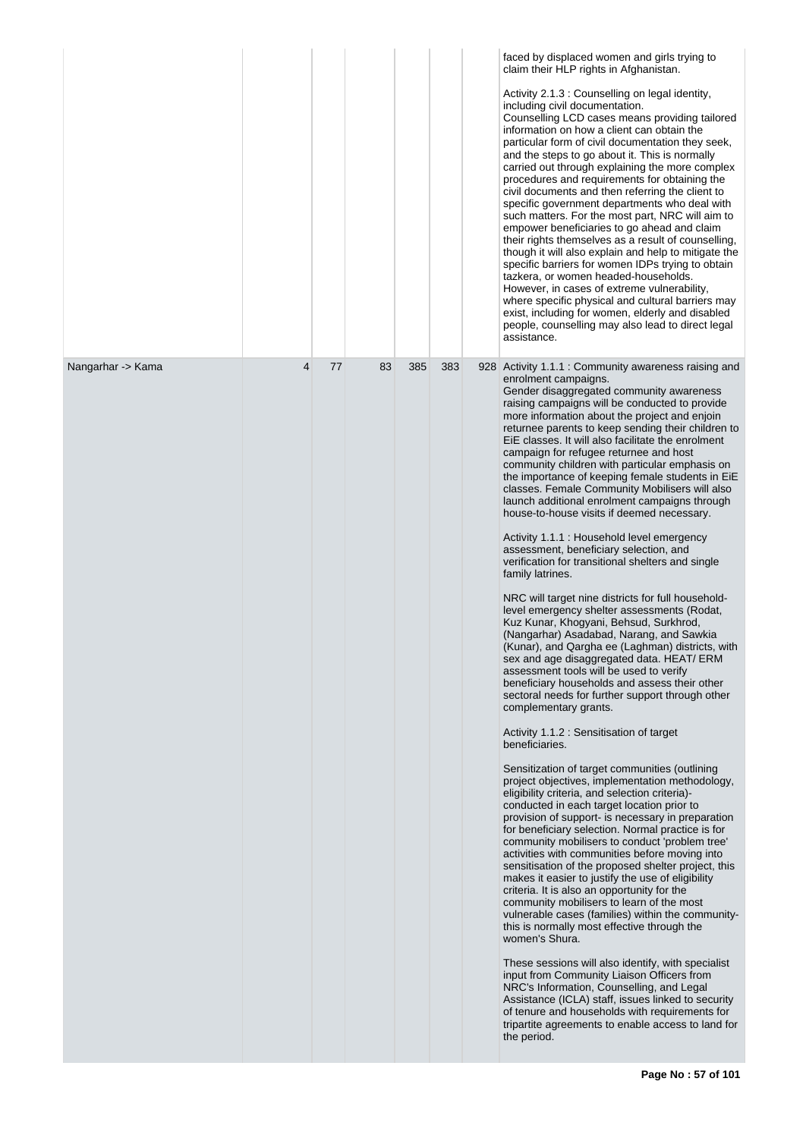|                   |   |    |    |     |     | faced by displaced women and girls trying to<br>claim their HLP rights in Afghanistan.<br>Activity 2.1.3 : Counselling on legal identity,<br>including civil documentation.<br>Counselling LCD cases means providing tailored<br>information on how a client can obtain the<br>particular form of civil documentation they seek,<br>and the steps to go about it. This is normally<br>carried out through explaining the more complex<br>procedures and requirements for obtaining the<br>civil documents and then referring the client to<br>specific government departments who deal with<br>such matters. For the most part, NRC will aim to<br>empower beneficiaries to go ahead and claim<br>their rights themselves as a result of counselling,<br>though it will also explain and help to mitigate the<br>specific barriers for women IDPs trying to obtain<br>tazkera, or women headed-households.<br>However, in cases of extreme vulnerability,<br>where specific physical and cultural barriers may<br>exist, including for women, elderly and disabled<br>people, counselling may also lead to direct legal<br>assistance.                                                                                                                                                                                                                                                                                                                                                                                                                                                                                                                                                                                                                                                                                                                                                                                                                                                                                                                                                                                                                                                                                                                                                                                                                                                                                     |
|-------------------|---|----|----|-----|-----|----------------------------------------------------------------------------------------------------------------------------------------------------------------------------------------------------------------------------------------------------------------------------------------------------------------------------------------------------------------------------------------------------------------------------------------------------------------------------------------------------------------------------------------------------------------------------------------------------------------------------------------------------------------------------------------------------------------------------------------------------------------------------------------------------------------------------------------------------------------------------------------------------------------------------------------------------------------------------------------------------------------------------------------------------------------------------------------------------------------------------------------------------------------------------------------------------------------------------------------------------------------------------------------------------------------------------------------------------------------------------------------------------------------------------------------------------------------------------------------------------------------------------------------------------------------------------------------------------------------------------------------------------------------------------------------------------------------------------------------------------------------------------------------------------------------------------------------------------------------------------------------------------------------------------------------------------------------------------------------------------------------------------------------------------------------------------------------------------------------------------------------------------------------------------------------------------------------------------------------------------------------------------------------------------------------------------------------------------------------------------------------------------------------------------|
| Nangarhar -> Kama | 4 | 77 | 83 | 385 | 383 | 928 Activity 1.1.1 : Community awareness raising and<br>enrolment campaigns.<br>Gender disaggregated community awareness<br>raising campaigns will be conducted to provide<br>more information about the project and enjoin<br>returnee parents to keep sending their children to<br>EiE classes. It will also facilitate the enrolment<br>campaign for refugee returnee and host<br>community children with particular emphasis on<br>the importance of keeping female students in EiE<br>classes. Female Community Mobilisers will also<br>launch additional enrolment campaigns through<br>house-to-house visits if deemed necessary.<br>Activity 1.1.1 : Household level emergency<br>assessment, beneficiary selection, and<br>verification for transitional shelters and single<br>family latrines.<br>NRC will target nine districts for full household-<br>level emergency shelter assessments (Rodat,<br>Kuz Kunar, Khogyani, Behsud, Surkhrod,<br>(Nangarhar) Asadabad, Narang, and Sawkia<br>(Kunar), and Qargha ee (Laghman) districts, with<br>sex and age disaggregated data. HEAT/ERM<br>assessment tools will be used to verify<br>beneficiary households and assess their other<br>sectoral needs for further support through other<br>complementary grants.<br>Activity 1.1.2 : Sensitisation of target<br>beneficiaries.<br>Sensitization of target communities (outlining<br>project objectives, implementation methodology,<br>eligibility criteria, and selection criteria)-<br>conducted in each target location prior to<br>provision of support- is necessary in preparation<br>for beneficiary selection. Normal practice is for<br>community mobilisers to conduct 'problem tree'<br>activities with communities before moving into<br>sensitisation of the proposed shelter project, this<br>makes it easier to justify the use of eligibility<br>criteria. It is also an opportunity for the<br>community mobilisers to learn of the most<br>vulnerable cases (families) within the community-<br>this is normally most effective through the<br>women's Shura.<br>These sessions will also identify, with specialist<br>input from Community Liaison Officers from<br>NRC's Information, Counselling, and Legal<br>Assistance (ICLA) staff, issues linked to security<br>of tenure and households with requirements for<br>tripartite agreements to enable access to land for<br>the period. |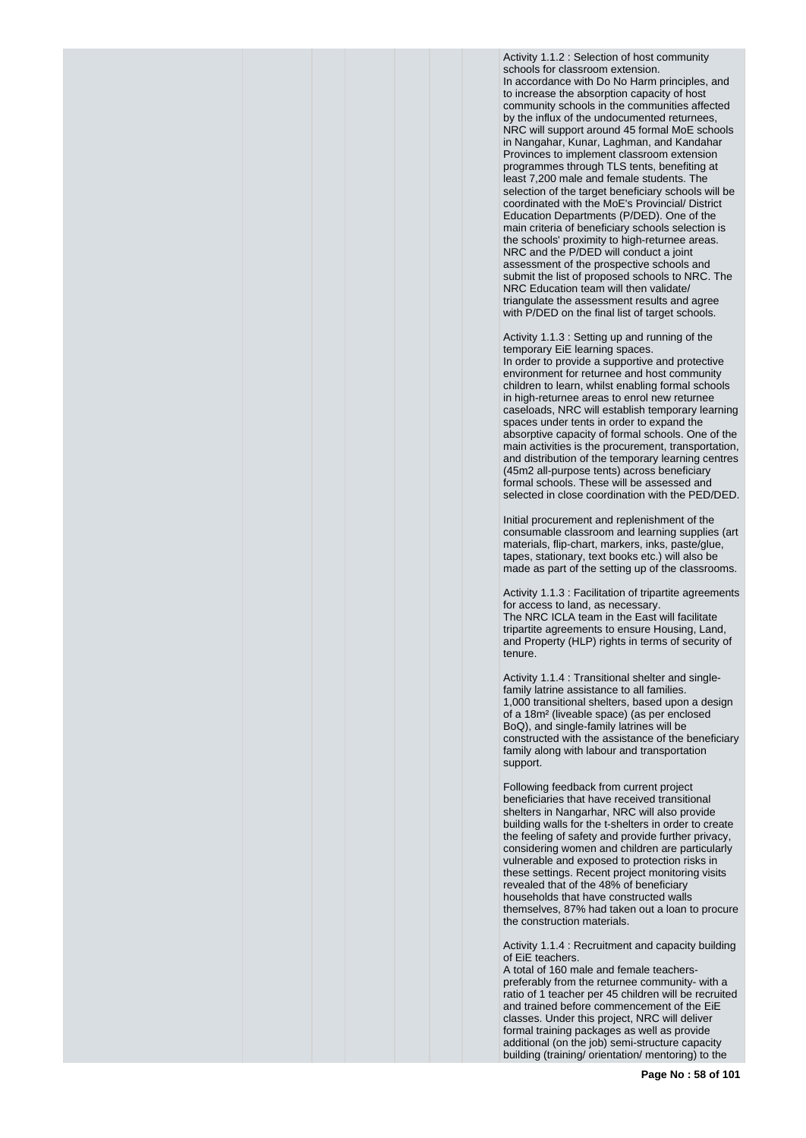Activity 1.1.2 : Selection of host community schools for classroom extension. In accordance with Do No Harm principles, and to increase the absorption capacity of host community schools in the communities affected by the influx of the undocumented returnees. NRC will support around 45 formal MoE schools in Nangahar, Kunar, Laghman, and Kandahar Provinces to implement classroom extension programmes through TLS tents, benefiting at least 7,200 male and female students. The selection of the target beneficiary schools will be coordinated with the MoE's Provincial/ District Education Departments (P/DED). One of the main criteria of beneficiary schools selection is the schools' proximity to high-returnee areas. NRC and the P/DED will conduct a joint assessment of the prospective schools and submit the list of proposed schools to NRC. The NRC Education team will then validate/ triangulate the assessment results and agree with P/DED on the final list of target schools.

Activity 1.1.3 : Setting up and running of the temporary EiE learning spaces. In order to provide a supportive and protective environment for returnee and host community children to learn, whilst enabling formal schools in high-returnee areas to enrol new returnee caseloads, NRC will establish temporary learning spaces under tents in order to expand the absorptive capacity of formal schools. One of the main activities is the procurement, transportation, and distribution of the temporary learning centres (45m2 all-purpose tents) across beneficiary formal schools. These will be assessed and selected in close coordination with the PED/DED.

Initial procurement and replenishment of the consumable classroom and learning supplies (art materials, flip-chart, markers, inks, paste/glue, tapes, stationary, text books etc.) will also be made as part of the setting up of the classrooms.

Activity 1.1.3 : Facilitation of tripartite agreements for access to land, as necessary. The NRC ICLA team in the East will facilitate tripartite agreements to ensure Housing, Land, and Property (HLP) rights in terms of security of tenure.

Activity 1.1.4 : Transitional shelter and singlefamily latrine assistance to all families. 1,000 transitional shelters, based upon a design of a 18m² (liveable space) (as per enclosed BoQ), and single-family latrines will be constructed with the assistance of the beneficiary family along with labour and transportation support.

Following feedback from current project beneficiaries that have received transitional shelters in Nangarhar, NRC will also provide building walls for the t-shelters in order to create the feeling of safety and provide further privacy, considering women and children are particularly vulnerable and exposed to protection risks in these settings. Recent project monitoring visits revealed that of the 48% of beneficiary households that have constructed walls themselves, 87% had taken out a loan to procure the construction materials.

Activity 1.1.4 : Recruitment and capacity building of EiE teachers.

A total of 160 male and female teacherspreferably from the returnee community- with a ratio of 1 teacher per 45 children will be recruited and trained before commencement of the EiE classes. Under this project, NRC will deliver formal training packages as well as provide additional (on the job) semi-structure capacity building (training/ orientation/ mentoring) to the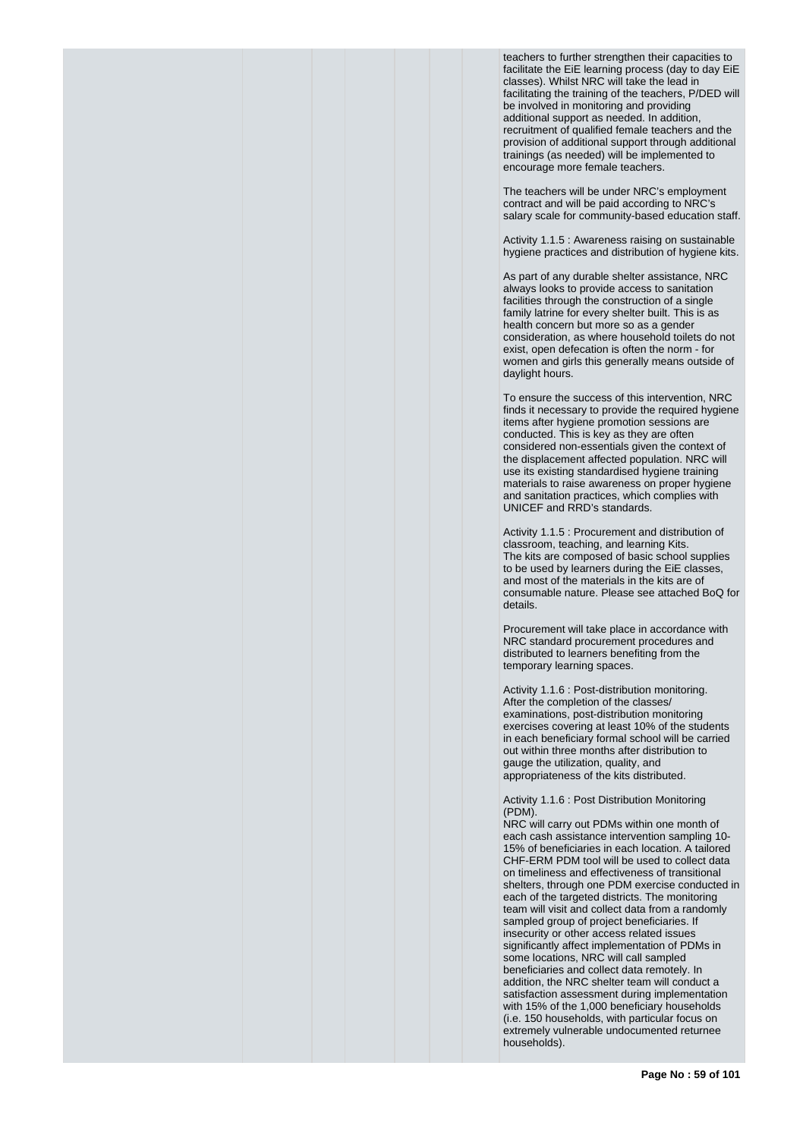teachers to further strengthen their capacities to facilitate the EiE learning process (day to day EiE classes). Whilst NRC will take the lead in facilitating the training of the teachers, P/DED will be involved in monitoring and providing additional support as needed. In addition, recruitment of qualified female teachers and the provision of additional support through additional trainings (as needed) will be implemented to encourage more female teachers.

The teachers will be under NRC's employment contract and will be paid according to NRC's salary scale for community-based education staff.

Activity 1.1.5 : Awareness raising on sustainable hygiene practices and distribution of hygiene kits.

As part of any durable shelter assistance, NRC always looks to provide access to sanitation facilities through the construction of a single family latrine for every shelter built. This is as health concern but more so as a gender consideration, as where household toilets do not exist, open defecation is often the norm - for women and girls this generally means outside of daylight hours.

To ensure the success of this intervention, NRC finds it necessary to provide the required hygiene items after hygiene promotion sessions are conducted. This is key as they are often considered non-essentials given the context of the displacement affected population. NRC will use its existing standardised hygiene training materials to raise awareness on proper hygiene and sanitation practices, which complies with UNICEF and RRD's standards.

Activity 1.1.5 : Procurement and distribution of classroom, teaching, and learning Kits. The kits are composed of basic school supplies to be used by learners during the EiE classes, and most of the materials in the kits are of consumable nature. Please see attached BoQ for details.

Procurement will take place in accordance with NRC standard procurement procedures and distributed to learners benefiting from the temporary learning spaces.

Activity 1.1.6 : Post-distribution monitoring. After the completion of the classes/ examinations, post-distribution monitoring exercises covering at least 10% of the students in each beneficiary formal school will be carried out within three months after distribution to gauge the utilization, quality, and appropriateness of the kits distributed.

Activity 1.1.6 : Post Distribution Monitoring (PDM).

NRC will carry out PDMs within one month of each cash assistance intervention sampling 10- 15% of beneficiaries in each location. A tailored CHF-ERM PDM tool will be used to collect data on timeliness and effectiveness of transitional shelters, through one PDM exercise conducted in each of the targeted districts. The monitoring team will visit and collect data from a randomly sampled group of project beneficiaries. If insecurity or other access related issues significantly affect implementation of PDMs in some locations, NRC will call sampled beneficiaries and collect data remotely. In addition, the NRC shelter team will conduct a satisfaction assessment during implementation with 15% of the 1,000 beneficiary households (i.e. 150 households, with particular focus on extremely vulnerable undocumented returnee households).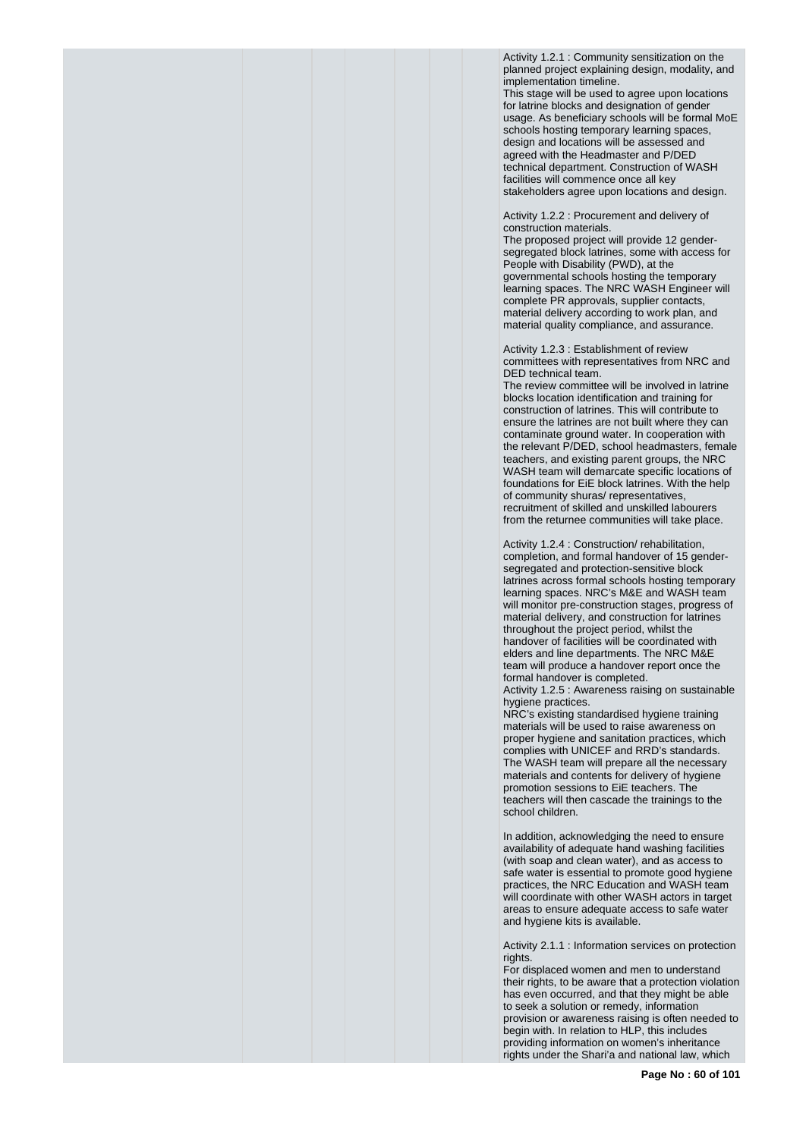Activity 1.2.1 : Community sensitization on the planned project explaining design, modality, and implementation timeline.

This stage will be used to agree upon locations for latrine blocks and designation of gender usage. As beneficiary schools will be formal MoE schools hosting temporary learning spaces, design and locations will be assessed and agreed with the Headmaster and P/DED technical department. Construction of WASH facilities will commence once all key stakeholders agree upon locations and design.

Activity 1.2.2 : Procurement and delivery of construction materials.

The proposed project will provide 12 gendersegregated block latrines, some with access for People with Disability (PWD), at the governmental schools hosting the temporary learning spaces. The NRC WASH Engineer will complete PR approvals, supplier contacts, material delivery according to work plan, and material quality compliance, and assurance.

Activity 1.2.3 : Establishment of review committees with representatives from NRC and DED technical team.

The review committee will be involved in latrine blocks location identification and training for construction of latrines. This will contribute to ensure the latrines are not built where they can contaminate ground water. In cooperation with the relevant P/DED, school headmasters, female teachers, and existing parent groups, the NRC WASH team will demarcate specific locations of foundations for EiE block latrines. With the help of community shuras/ representatives, recruitment of skilled and unskilled labourers from the returnee communities will take place.

Activity 1.2.4 : Construction/ rehabilitation, completion, and formal handover of 15 gendersegregated and protection-sensitive block latrines across formal schools hosting temporary learning spaces. NRC's M&E and WASH team will monitor pre-construction stages, progress of material delivery, and construction for latrines throughout the project period, whilst the handover of facilities will be coordinated with elders and line departments. The NRC M&E team will produce a handover report once the formal handover is completed.

Activity 1.2.5 : Awareness raising on sustainable hygiene practices.

NRC's existing standardised hygiene training materials will be used to raise awareness on proper hygiene and sanitation practices, which complies with UNICEF and RRD's standards. The WASH team will prepare all the necessary materials and contents for delivery of hygiene promotion sessions to EiE teachers. The teachers will then cascade the trainings to the school children.

In addition, acknowledging the need to ensure availability of adequate hand washing facilities (with soap and clean water), and as access to safe water is essential to promote good hygiene practices, the NRC Education and WASH team will coordinate with other WASH actors in target areas to ensure adequate access to safe water and hygiene kits is available.

Activity 2.1.1 : Information services on protection rights.

For displaced women and men to understand their rights, to be aware that a protection violation has even occurred, and that they might be able to seek a solution or remedy, information provision or awareness raising is often needed to begin with. In relation to HLP, this includes providing information on women's inheritance rights under the Shari'a and national law, which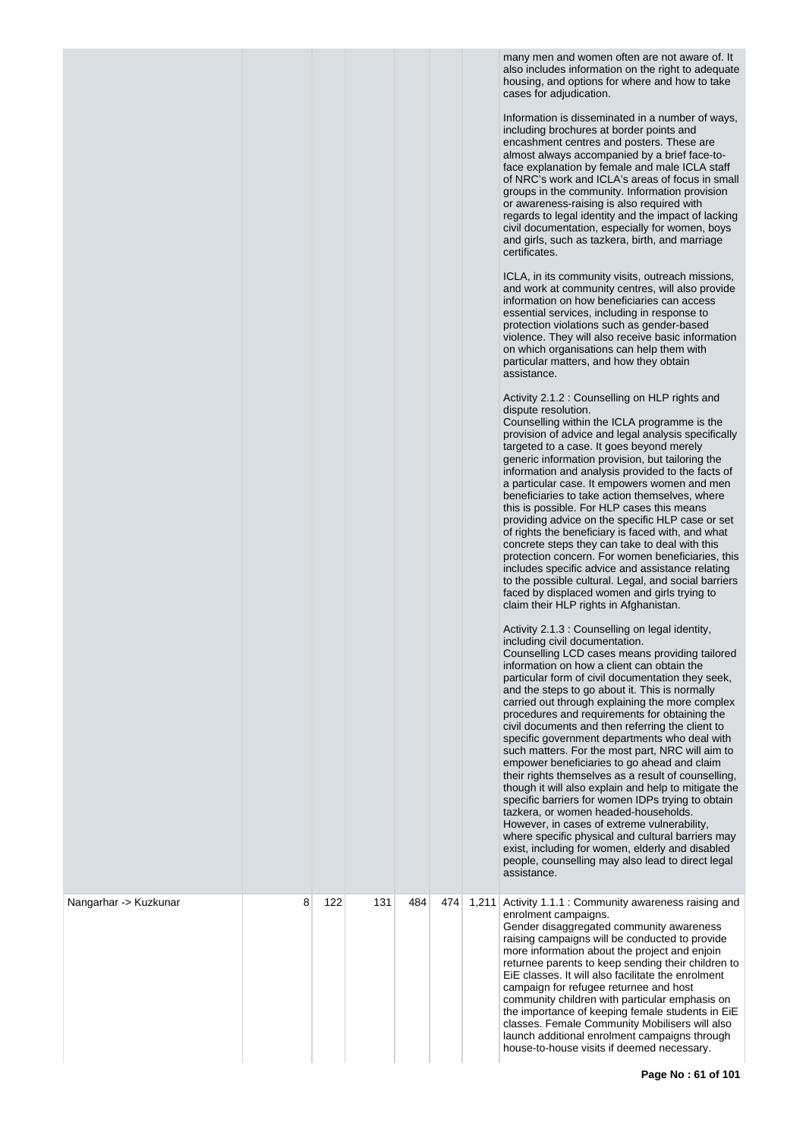many men and women often are not aware of. It also includes information on the right to adequate housing, and options for where and how to take cases for adjudication.

Information is disseminated in a number of ways, including brochures at border points and encashment centres and posters. These are almost always accompanied by a brief face-toface explanation by female and male ICLA staff of NRC's work and ICLA's areas of focus in small groups in the community. Information provision or awareness-raising is also required with regards to legal identity and the impact of lacking civil documentation, especially for women, boys and girls, such as tazkera, birth, and marriage certificates.

ICLA, in its community visits, outreach missions, and work at community centres, will also provide information on how beneficiaries can access essential services, including in response to protection violations such as gender-based violence. They will also receive basic information on which organisations can help them with particular matters, and how they obtain assistance.

#### Activity 2.1.2 : Counselling on HLP rights and dispute resolution.

Counselling within the ICLA programme is the provision of advice and legal analysis specifically targeted to a case. It goes beyond merely generic information provision, but tailoring the information and analysis provided to the facts of a particular case. It empowers women and men beneficiaries to take action themselves, where this is possible. For HLP cases this means providing advice on the specific HLP case or set of rights the beneficiary is faced with, and what concrete steps they can take to deal with this protection concern. For women beneficiaries, this includes specific advice and assistance relating to the possible cultural. Legal, and social barriers faced by displaced women and girls trying to claim their HLP rights in Afghanistan.

### Activity 2.1.3 : Counselling on legal identity, including civil documentation.

Counselling LCD cases means providing tailored information on how a client can obtain the particular form of civil documentation they seek, and the steps to go about it. This is normally carried out through explaining the more complex procedures and requirements for obtaining the civil documents and then referring the client to specific government departments who deal with such matters. For the most part, NRC will aim to empower beneficiaries to go ahead and claim their rights themselves as a result of counselling, though it will also explain and help to mitigate the specific barriers for women IDPs trying to obtain tazkera, or women headed-households. However, in cases of extreme vulnerability, where specific physical and cultural barriers may exist, including for women, elderly and disabled people, counselling may also lead to direct legal assistance.

| Nangarhar -> Kuzkunar | 8 | 122 | 131 | 484 | 474 | 1,211 | Activity 1.1.1 : Community awareness raising and<br>enrolment campaigns.<br>Gender disaggregated community awareness<br>raising campaigns will be conducted to provide<br>more information about the project and enjoin<br>returnee parents to keep sending their children to<br>EiE classes. It will also facilitate the enrolment<br>campaign for refugee returnee and host<br>community children with particular emphasis on<br>the importance of keeping female students in EiE<br>classes. Female Community Mobilisers will also<br>launch additional enrolment campaigns through<br>house-to-house visits if deemed necessary. |
|-----------------------|---|-----|-----|-----|-----|-------|--------------------------------------------------------------------------------------------------------------------------------------------------------------------------------------------------------------------------------------------------------------------------------------------------------------------------------------------------------------------------------------------------------------------------------------------------------------------------------------------------------------------------------------------------------------------------------------------------------------------------------------|
|                       |   |     |     |     |     |       |                                                                                                                                                                                                                                                                                                                                                                                                                                                                                                                                                                                                                                      |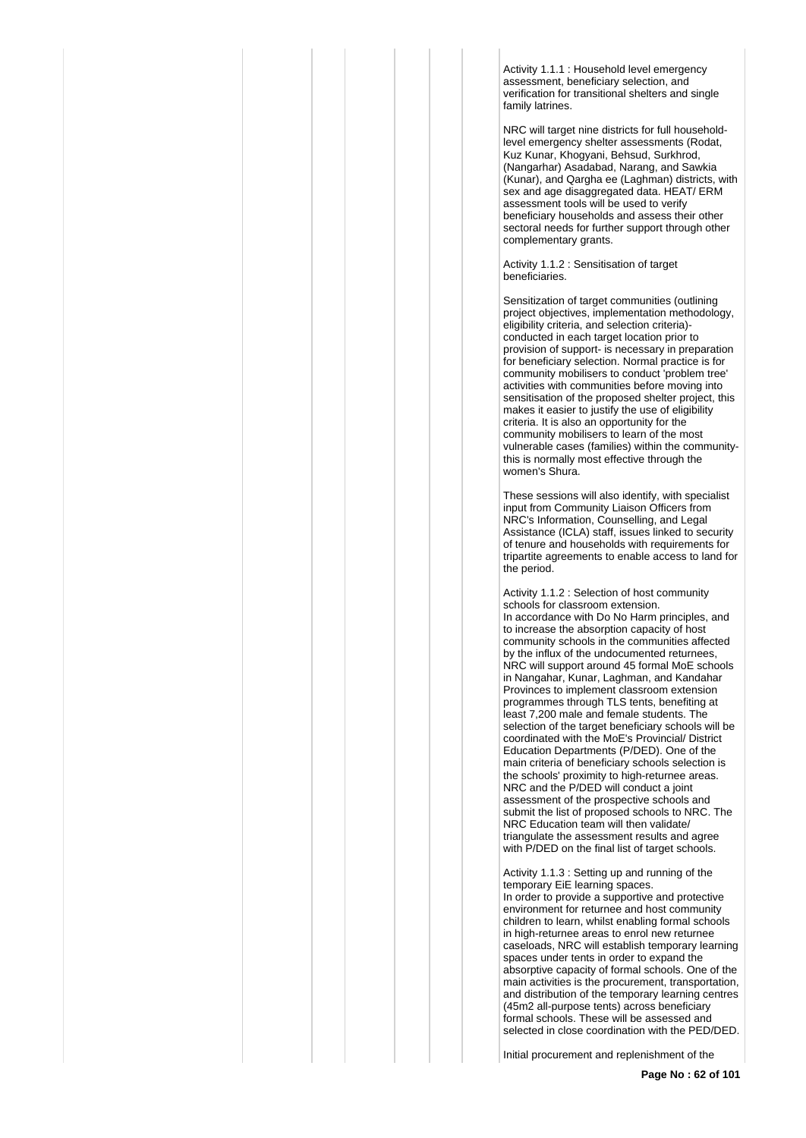Activity 1.1.1 : Household level emergency assessment, beneficiary selection, and verification for transitional shelters and single family latrines.

NRC will target nine districts for full householdlevel emergency shelter assessments (Rodat, Kuz Kunar, Khogyani, Behsud, Surkhrod, (Nangarhar) Asadabad, Narang, and Sawkia (Kunar), and Qargha ee (Laghman) districts, with sex and age disaggregated data. HEAT/ ERM assessment tools will be used to verify beneficiary households and assess their other sectoral needs for further support through other complementary grants.

Activity 1.1.2 : Sensitisation of target beneficiaries.

Sensitization of target communities (outlining project objectives, implementation methodology, eligibility criteria, and selection criteria) conducted in each target location prior to provision of support- is necessary in preparation for beneficiary selection. Normal practice is for community mobilisers to conduct 'problem tree' activities with communities before moving into sensitisation of the proposed shelter project, this makes it easier to justify the use of eligibility criteria. It is also an opportunity for the community mobilisers to learn of the most vulnerable cases (families) within the communitythis is normally most effective through the women's Shura.

These sessions will also identify, with specialist input from Community Liaison Officers from NRC's Information, Counselling, and Legal Assistance (ICLA) staff, issues linked to security of tenure and households with requirements for tripartite agreements to enable access to land for the period.

Activity 1.1.2 : Selection of host community schools for classroom extension. In accordance with Do No Harm principles, and to increase the absorption capacity of host community schools in the communities affected by the influx of the undocumented returnees, NRC will support around 45 formal MoE schools in Nangahar, Kunar, Laghman, and Kandahar Provinces to implement classroom extension programmes through TLS tents, benefiting at least 7,200 male and female students. The selection of the target beneficiary schools will be coordinated with the MoE's Provincial/ District Education Departments (P/DED). One of the main criteria of beneficiary schools selection is the schools' proximity to high-returnee areas. NRC and the P/DED will conduct a joint assessment of the prospective schools and submit the list of proposed schools to NRC. The NRC Education team will then validate/ triangulate the assessment results and agree with P/DED on the final list of target schools.

Activity 1.1.3 : Setting up and running of the temporary EiE learning spaces.

In order to provide a supportive and protective environment for returnee and host community children to learn, whilst enabling formal schools in high-returnee areas to enrol new returnee caseloads, NRC will establish temporary learning spaces under tents in order to expand the absorptive capacity of formal schools. One of the main activities is the procurement, transportation, and distribution of the temporary learning centres (45m2 all-purpose tents) across beneficiary formal schools. These will be assessed and selected in close coordination with the PED/DED.

Initial procurement and replenishment of the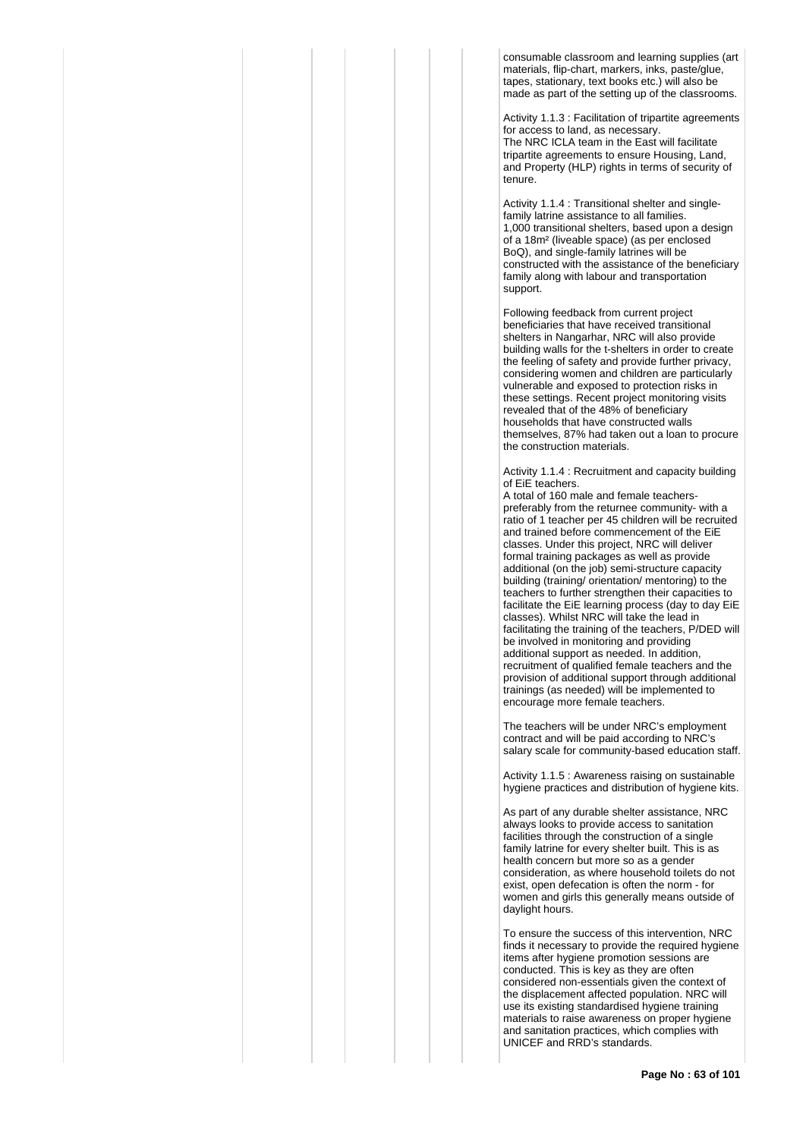consumable classroom and learning supplies (art materials, flip-chart, markers, inks, paste/glue, tapes, stationary, text books etc.) will also be made as part of the setting up of the classrooms.

Activity 1.1.3 : Facilitation of tripartite agreements for access to land, as necessary. The NRC ICLA team in the East will facilitate tripartite agreements to ensure Housing, Land, and Property (HLP) rights in terms of security of tenure.

Activity 1.1.4 : Transitional shelter and singlefamily latrine assistance to all families. 1,000 transitional shelters, based upon a design of a 18m² (liveable space) (as per enclosed BoQ), and single-family latrines will be constructed with the assistance of the beneficiary family along with labour and transportation support.

Following feedback from current project beneficiaries that have received transitional shelters in Nangarhar, NRC will also provide building walls for the t-shelters in order to create the feeling of safety and provide further privacy, considering women and children are particularly vulnerable and exposed to protection risks in these settings. Recent project monitoring visits revealed that of the 48% of beneficiary households that have constructed walls themselves, 87% had taken out a loan to procure the construction materials.

Activity 1.1.4 : Recruitment and capacity building of EiE teachers.

A total of 160 male and female teacherspreferably from the returnee community- with a ratio of 1 teacher per 45 children will be recruited and trained before commencement of the EiE classes. Under this project, NRC will deliver formal training packages as well as provide additional (on the job) semi-structure capacity building (training/ orientation/ mentoring) to the teachers to further strengthen their capacities to facilitate the EiE learning process (day to day EiE classes). Whilst NRC will take the lead in facilitating the training of the teachers, P/DED will be involved in monitoring and providing additional support as needed. In addition, recruitment of qualified female teachers and the provision of additional support through additional trainings (as needed) will be implemented to encourage more female teachers.

The teachers will be under NRC's employment contract and will be paid according to NRC's salary scale for community-based education staff.

Activity 1.1.5 : Awareness raising on sustainable hygiene practices and distribution of hygiene kits.

As part of any durable shelter assistance, NRC always looks to provide access to sanitation facilities through the construction of a single family latrine for every shelter built. This is as health concern but more so as a gender consideration, as where household toilets do not exist, open defecation is often the norm - for women and girls this generally means outside of daylight hours.

To ensure the success of this intervention, NRC finds it necessary to provide the required hygiene items after hygiene promotion sessions are conducted. This is key as they are often considered non-essentials given the context of the displacement affected population. NRC will use its existing standardised hygiene training materials to raise awareness on proper hygiene and sanitation practices, which complies with UNICEF and RRD's standards.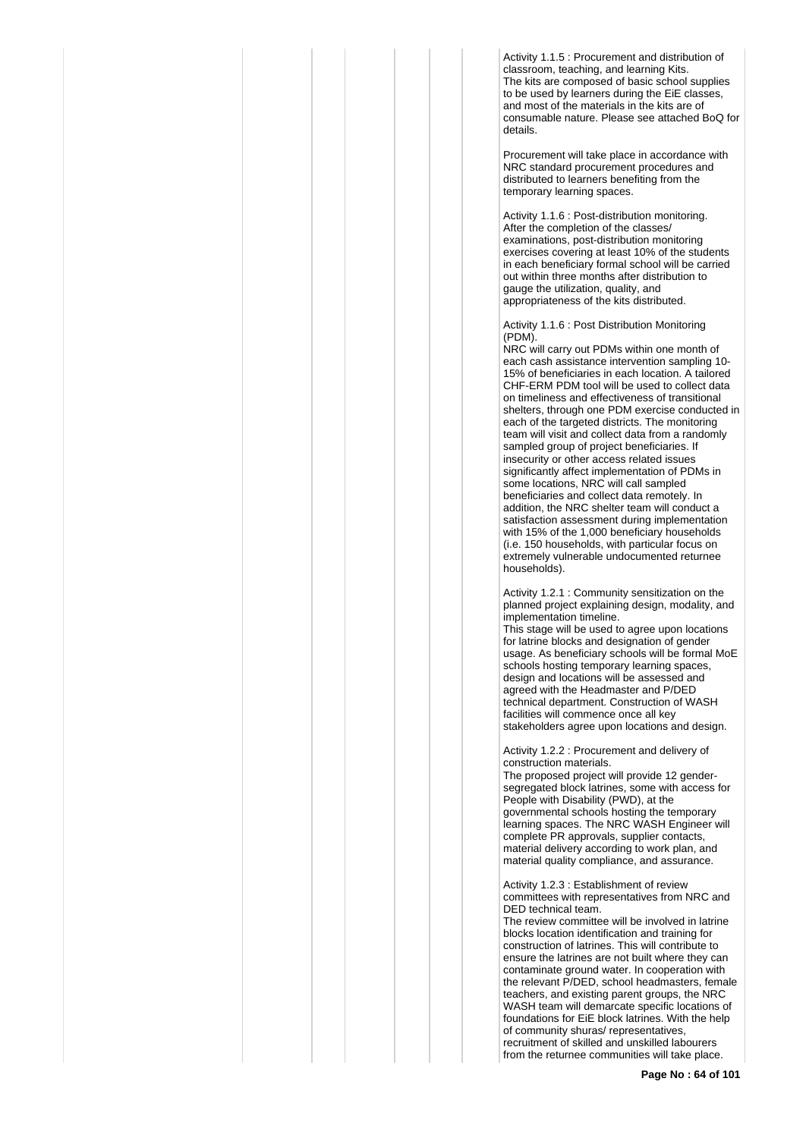Activity 1.1.5 : Procurement and distribution of classroom, teaching, and learning Kits. The kits are composed of basic school supplies to be used by learners during the EiE classes, and most of the materials in the kits are of consumable nature. Please see attached BoQ for details.

Procurement will take place in accordance with NRC standard procurement procedures and distributed to learners benefiting from the temporary learning spaces.

Activity 1.1.6 : Post-distribution monitoring. After the completion of the classes/ examinations, post-distribution monitoring exercises covering at least 10% of the students in each beneficiary formal school will be carried out within three months after distribution to gauge the utilization, quality, and appropriateness of the kits distributed.

Activity 1.1.6 : Post Distribution Monitoring (PDM).

NRC will carry out PDMs within one month of each cash assistance intervention sampling 10- 15% of beneficiaries in each location. A tailored CHF-ERM PDM tool will be used to collect data on timeliness and effectiveness of transitional shelters, through one PDM exercise conducted in each of the targeted districts. The monitoring team will visit and collect data from a randomly sampled group of project beneficiaries. If insecurity or other access related issues significantly affect implementation of PDMs in some locations, NRC will call sampled beneficiaries and collect data remotely. In addition, the NRC shelter team will conduct a satisfaction assessment during implementation with 15% of the 1,000 beneficiary households (i.e. 150 households, with particular focus on extremely vulnerable undocumented returnee households).

Activity 1.2.1 : Community sensitization on the planned project explaining design, modality, and implementation timeline.

This stage will be used to agree upon locations for latrine blocks and designation of gender usage. As beneficiary schools will be formal MoE schools hosting temporary learning spaces, design and locations will be assessed and agreed with the Headmaster and P/DED technical department. Construction of WASH facilities will commence once all key stakeholders agree upon locations and design.

Activity 1.2.2 : Procurement and delivery of construction materials.

The proposed project will provide 12 gendersegregated block latrines, some with access for People with Disability (PWD), at the governmental schools hosting the temporary learning spaces. The NRC WASH Engineer will complete PR approvals, supplier contacts, material delivery according to work plan, and material quality compliance, and assurance.

Activity 1.2.3 : Establishment of review committees with representatives from NRC and DED technical team.

The review committee will be involved in latrine blocks location identification and training for construction of latrines. This will contribute to ensure the latrines are not built where they can contaminate ground water. In cooperation with the relevant P/DED, school headmasters, female teachers, and existing parent groups, the NRC WASH team will demarcate specific locations of foundations for EiE block latrines. With the help of community shuras/ representatives, recruitment of skilled and unskilled labourers from the returnee communities will take place.

**Page No : 64 of 101**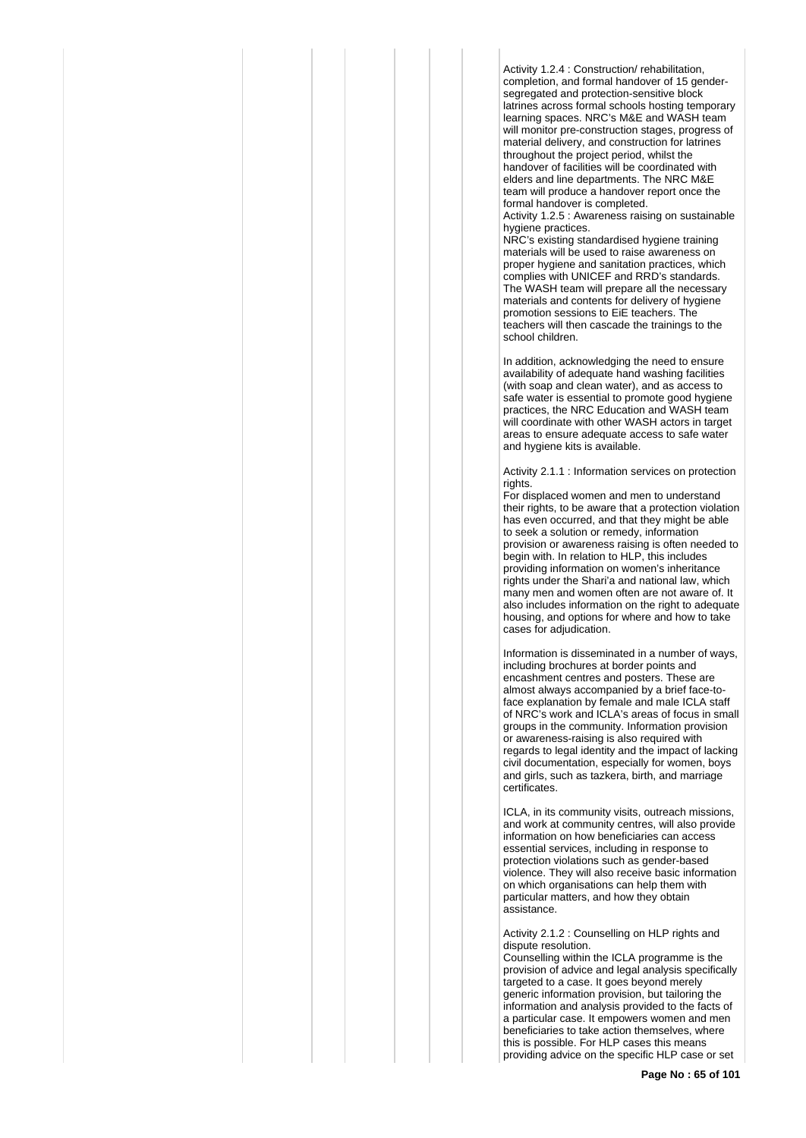Activity 1.2.4 : Construction/ rehabilitation, completion, and formal handover of 15 gendersegregated and protection-sensitive block latrines across formal schools hosting temporary learning spaces. NRC's M&E and WASH team will monitor pre-construction stages, progress of material delivery, and construction for latrines throughout the project period, whilst the handover of facilities will be coordinated with elders and line departments. The NRC M&E team will produce a handover report once the formal handover is completed.

Activity 1.2.5 : Awareness raising on sustainable hygiene practices.

NRC's existing standardised hygiene training materials will be used to raise awareness on proper hygiene and sanitation practices, which complies with UNICEF and RRD's standards. The WASH team will prepare all the necessary materials and contents for delivery of hygiene promotion sessions to EiE teachers. The teachers will then cascade the trainings to the school children.

In addition, acknowledging the need to ensure availability of adequate hand washing facilities (with soap and clean water), and as access to safe water is essential to promote good hygiene practices, the NRC Education and WASH team will coordinate with other WASH actors in target areas to ensure adequate access to safe water and hygiene kits is available.

Activity 2.1.1 : Information services on protection rights.

For displaced women and men to understand their rights, to be aware that a protection violation has even occurred, and that they might be able to seek a solution or remedy, information provision or awareness raising is often needed to begin with. In relation to HLP, this includes providing information on women's inheritance rights under the Shari'a and national law, which many men and women often are not aware of. It also includes information on the right to adequate housing, and options for where and how to take cases for adjudication.

Information is disseminated in a number of ways, including brochures at border points and encashment centres and posters. These are almost always accompanied by a brief face-toface explanation by female and male ICLA staff of NRC's work and ICLA's areas of focus in small groups in the community. Information provision or awareness-raising is also required with regards to legal identity and the impact of lacking civil documentation, especially for women, boys and girls, such as tazkera, birth, and marriage certificates.

ICLA, in its community visits, outreach missions, and work at community centres, will also provide information on how beneficiaries can access essential services, including in response to protection violations such as gender-based violence. They will also receive basic information on which organisations can help them with particular matters, and how they obtain **assistance** 

Activity 2.1.2 : Counselling on HLP rights and dispute resolution.

Counselling within the ICLA programme is the provision of advice and legal analysis specifically targeted to a case. It goes beyond merely generic information provision, but tailoring the information and analysis provided to the facts of a particular case. It empowers women and men beneficiaries to take action themselves, where this is possible. For HLP cases this means providing advice on the specific HLP case or set

**Page No : 65 of 101**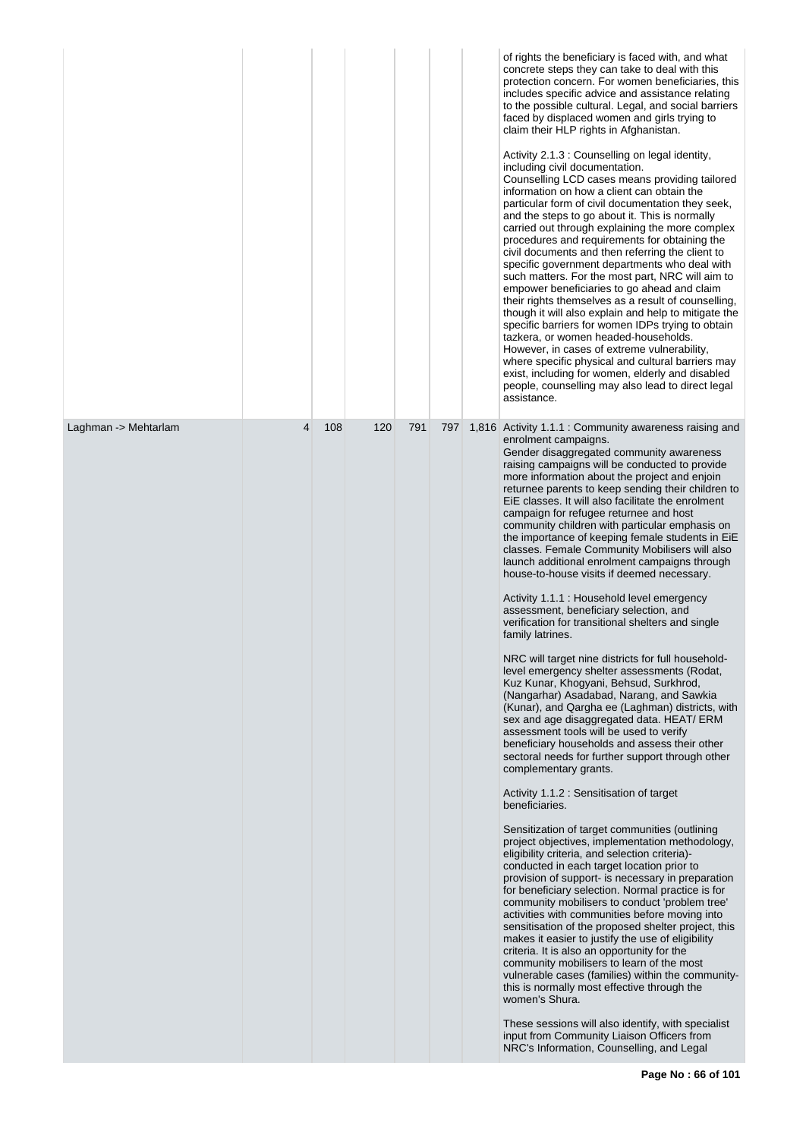|                      |   |     |     |     |     | of rights the beneficiary is faced with, and what<br>concrete steps they can take to deal with this<br>protection concern. For women beneficiaries, this<br>includes specific advice and assistance relating<br>to the possible cultural. Legal, and social barriers<br>faced by displaced women and girls trying to<br>claim their HLP rights in Afghanistan.<br>Activity 2.1.3 : Counselling on legal identity,<br>including civil documentation.<br>Counselling LCD cases means providing tailored<br>information on how a client can obtain the<br>particular form of civil documentation they seek,<br>and the steps to go about it. This is normally<br>carried out through explaining the more complex<br>procedures and requirements for obtaining the<br>civil documents and then referring the client to<br>specific government departments who deal with<br>such matters. For the most part, NRC will aim to<br>empower beneficiaries to go ahead and claim<br>their rights themselves as a result of counselling,<br>though it will also explain and help to mitigate the<br>specific barriers for women IDPs trying to obtain<br>tazkera, or women headed-households.<br>However, in cases of extreme vulnerability,<br>where specific physical and cultural barriers may<br>exist, including for women, elderly and disabled<br>people, counselling may also lead to direct legal<br>assistance.                                                                                                                                                                                                                                                                                                                                                                                                                                                                                                                                                                                                                                                                                                                                                                                                                                   |
|----------------------|---|-----|-----|-----|-----|--------------------------------------------------------------------------------------------------------------------------------------------------------------------------------------------------------------------------------------------------------------------------------------------------------------------------------------------------------------------------------------------------------------------------------------------------------------------------------------------------------------------------------------------------------------------------------------------------------------------------------------------------------------------------------------------------------------------------------------------------------------------------------------------------------------------------------------------------------------------------------------------------------------------------------------------------------------------------------------------------------------------------------------------------------------------------------------------------------------------------------------------------------------------------------------------------------------------------------------------------------------------------------------------------------------------------------------------------------------------------------------------------------------------------------------------------------------------------------------------------------------------------------------------------------------------------------------------------------------------------------------------------------------------------------------------------------------------------------------------------------------------------------------------------------------------------------------------------------------------------------------------------------------------------------------------------------------------------------------------------------------------------------------------------------------------------------------------------------------------------------------------------------------------------------------------------------------------------------------------------|
| Laghman -> Mehtarlam | 4 | 108 | 120 | 791 | 797 | 1,816 Activity 1.1.1 : Community awareness raising and<br>enrolment campaigns.<br>Gender disaggregated community awareness<br>raising campaigns will be conducted to provide<br>more information about the project and enjoin<br>returnee parents to keep sending their children to<br>EiE classes. It will also facilitate the enrolment<br>campaign for refugee returnee and host<br>community children with particular emphasis on<br>the importance of keeping female students in EiE<br>classes. Female Community Mobilisers will also<br>launch additional enrolment campaigns through<br>house-to-house visits if deemed necessary.<br>Activity 1.1.1 : Household level emergency<br>assessment, beneficiary selection, and<br>verification for transitional shelters and single<br>family latrines.<br>NRC will target nine districts for full household-<br>level emergency shelter assessments (Rodat,<br>Kuz Kunar, Khogyani, Behsud, Surkhrod,<br>(Nangarhar) Asadabad, Narang, and Sawkia<br>(Kunar), and Qargha ee (Laghman) districts, with<br>sex and age disaggregated data. HEAT/ ERM<br>assessment tools will be used to verify<br>beneficiary households and assess their other<br>sectoral needs for further support through other<br>complementary grants.<br>Activity 1.1.2 : Sensitisation of target<br>beneficiaries.<br>Sensitization of target communities (outlining<br>project objectives, implementation methodology,<br>eligibility criteria, and selection criteria)-<br>conducted in each target location prior to<br>provision of support- is necessary in preparation<br>for beneficiary selection. Normal practice is for<br>community mobilisers to conduct 'problem tree'<br>activities with communities before moving into<br>sensitisation of the proposed shelter project, this<br>makes it easier to justify the use of eligibility<br>criteria. It is also an opportunity for the<br>community mobilisers to learn of the most<br>vulnerable cases (families) within the community-<br>this is normally most effective through the<br>women's Shura.<br>These sessions will also identify, with specialist<br>input from Community Liaison Officers from<br>NRC's Information, Counselling, and Legal |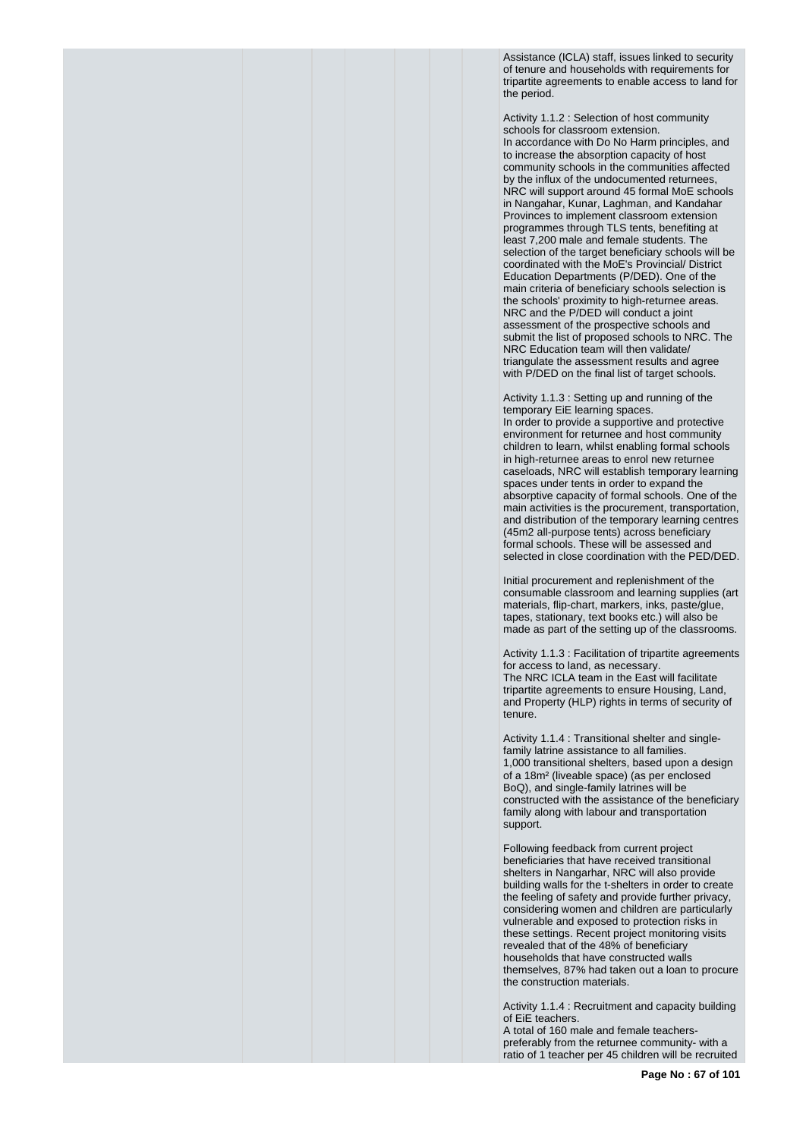Assistance (ICLA) staff, issues linked to security of tenure and households with requirements for tripartite agreements to enable access to land for the period.

Activity 1.1.2 : Selection of host community schools for classroom extension. In accordance with Do No Harm principles, and to increase the absorption capacity of host community schools in the communities affected by the influx of the undocumented returnees, NRC will support around 45 formal MoE schools in Nangahar, Kunar, Laghman, and Kandahar Provinces to implement classroom extension programmes through TLS tents, benefiting at least 7,200 male and female students. The selection of the target beneficiary schools will be coordinated with the MoE's Provincial/ District Education Departments (P/DED). One of the main criteria of beneficiary schools selection is the schools' proximity to high-returnee areas. NRC and the P/DED will conduct a joint assessment of the prospective schools and submit the list of proposed schools to NRC. The NRC Education team will then validate/ triangulate the assessment results and agree with P/DED on the final list of target schools.

Activity 1.1.3 : Setting up and running of the temporary EiE learning spaces. In order to provide a supportive and protective environment for returnee and host community children to learn, whilst enabling formal schools in high-returnee areas to enrol new returnee caseloads, NRC will establish temporary learning spaces under tents in order to expand the absorptive capacity of formal schools. One of the main activities is the procurement, transportation, and distribution of the temporary learning centres (45m2 all-purpose tents) across beneficiary formal schools. These will be assessed and selected in close coordination with the PED/DED.

Initial procurement and replenishment of the consumable classroom and learning supplies (art materials, flip-chart, markers, inks, paste/glue, tapes, stationary, text books etc.) will also be made as part of the setting up of the classrooms.

Activity 1.1.3 : Facilitation of tripartite agreements for access to land, as necessary. The NRC ICLA team in the East will facilitate tripartite agreements to ensure Housing, Land, and Property (HLP) rights in terms of security of tenure.

Activity 1.1.4 : Transitional shelter and singlefamily latrine assistance to all families. 1,000 transitional shelters, based upon a design of a 18m² (liveable space) (as per enclosed BoQ), and single-family latrines will be constructed with the assistance of the beneficiary family along with labour and transportation support.

Following feedback from current project beneficiaries that have received transitional shelters in Nangarhar, NRC will also provide building walls for the t-shelters in order to create the feeling of safety and provide further privacy, considering women and children are particularly vulnerable and exposed to protection risks in these settings. Recent project monitoring visits revealed that of the 48% of beneficiary households that have constructed walls themselves, 87% had taken out a loan to procure the construction materials.

Activity 1.1.4 : Recruitment and capacity building of EiE teachers.

A total of 160 male and female teacherspreferably from the returnee community- with a ratio of 1 teacher per 45 children will be recruited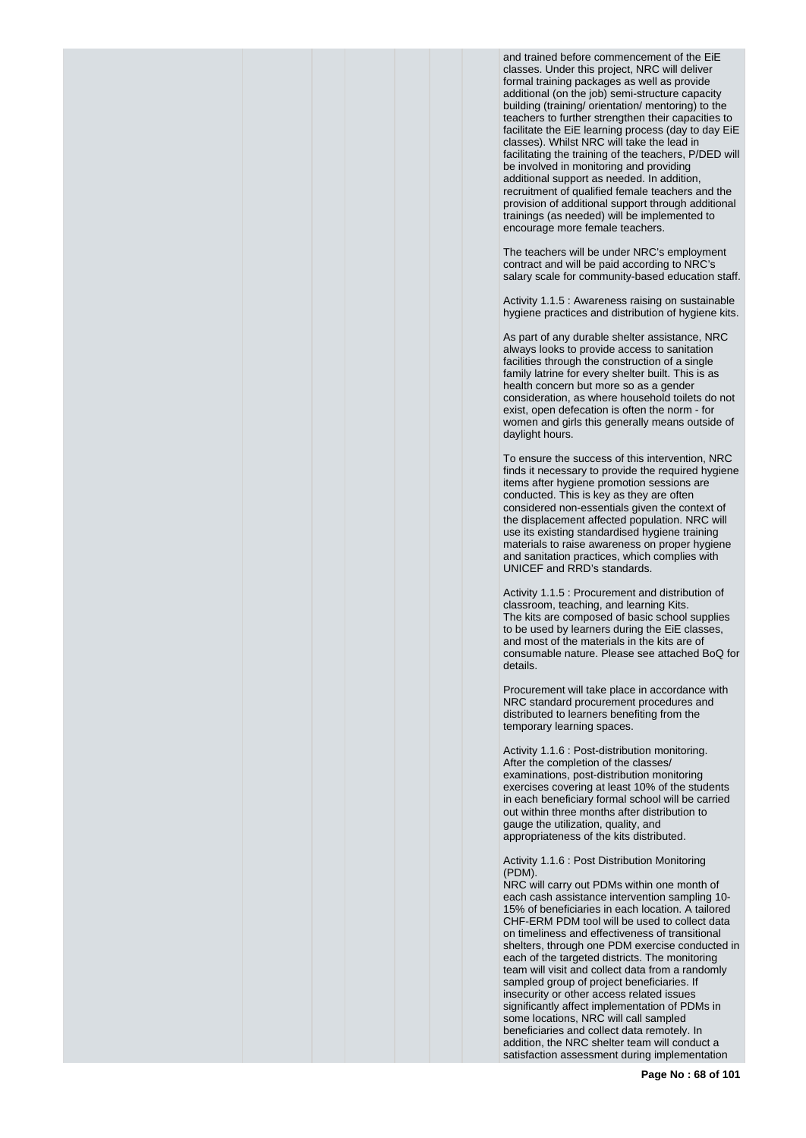and trained before commencement of the EiE classes. Under this project, NRC will deliver formal training packages as well as provide additional (on the job) semi-structure capacity building (training/ orientation/ mentoring) to the teachers to further strengthen their capacities to facilitate the EiE learning process (day to day EiE classes). Whilst NRC will take the lead in facilitating the training of the teachers, P/DED will be involved in monitoring and providing additional support as needed. In addition, recruitment of qualified female teachers and the provision of additional support through additional trainings (as needed) will be implemented to encourage more female teachers.

The teachers will be under NRC's employment contract and will be paid according to NRC's salary scale for community-based education staff.

Activity 1.1.5 : Awareness raising on sustainable hygiene practices and distribution of hygiene kits.

As part of any durable shelter assistance, NRC always looks to provide access to sanitation facilities through the construction of a single family latrine for every shelter built. This is as health concern but more so as a gender consideration, as where household toilets do not exist, open defecation is often the norm - for women and girls this generally means outside of daylight hours.

To ensure the success of this intervention, NRC finds it necessary to provide the required hygiene items after hygiene promotion sessions are conducted. This is key as they are often considered non-essentials given the context of the displacement affected population. NRC will use its existing standardised hygiene training materials to raise awareness on proper hygiene and sanitation practices, which complies with UNICEF and RRD's standards.

Activity 1.1.5 : Procurement and distribution of classroom, teaching, and learning Kits. The kits are composed of basic school supplies to be used by learners during the EiE classes, and most of the materials in the kits are of consumable nature. Please see attached BoQ for details.

Procurement will take place in accordance with NRC standard procurement procedures and distributed to learners benefiting from the temporary learning spaces.

Activity 1.1.6 : Post-distribution monitoring. After the completion of the classes/ examinations, post-distribution monitoring exercises covering at least 10% of the students in each beneficiary formal school will be carried out within three months after distribution to gauge the utilization, quality, and appropriateness of the kits distributed.

Activity 1.1.6 : Post Distribution Monitoring (PDM).

NRC will carry out PDMs within one month of each cash assistance intervention sampling 10- 15% of beneficiaries in each location. A tailored CHF-ERM PDM tool will be used to collect data on timeliness and effectiveness of transitional shelters, through one PDM exercise conducted in each of the targeted districts. The monitoring team will visit and collect data from a randomly sampled group of project beneficiaries. If insecurity or other access related issues significantly affect implementation of PDMs in some locations, NRC will call sampled beneficiaries and collect data remotely. In addition, the NRC shelter team will conduct a satisfaction assessment during implementation

**Page No : 68 of 101**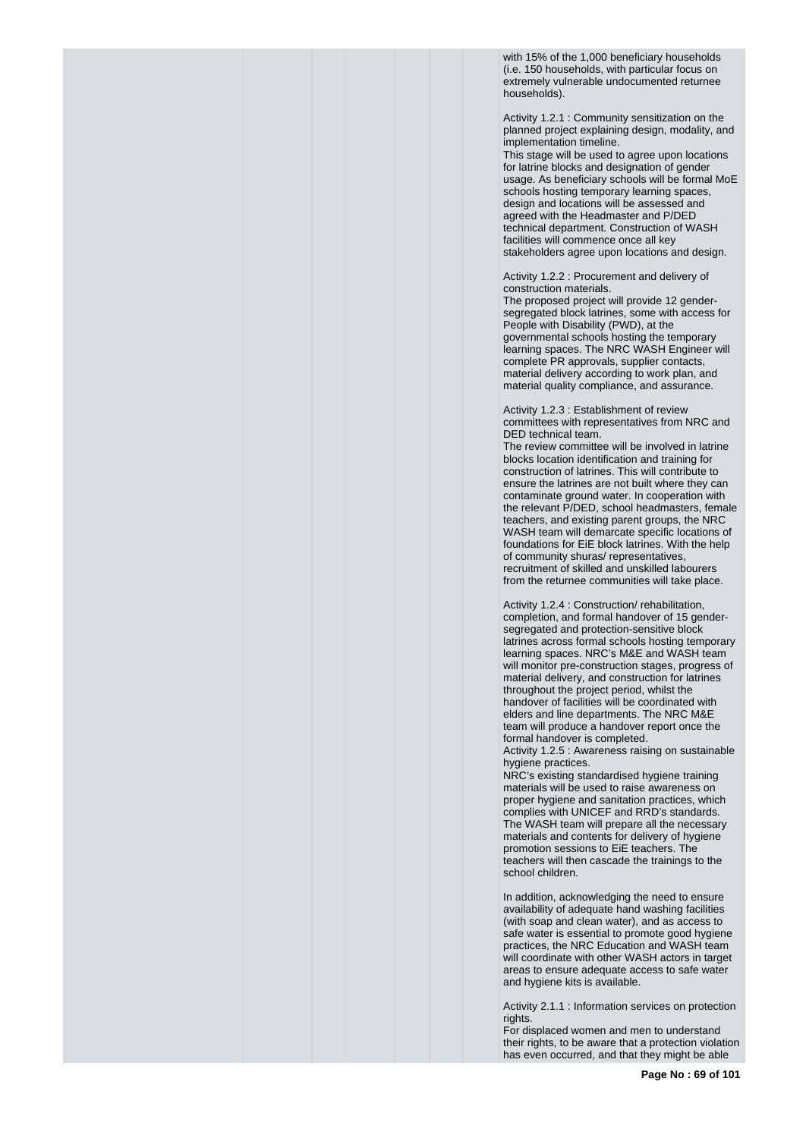with 15% of the 1,000 beneficiary households (i.e. 150 households, with particular focus on extremely vulnerable undocumented returnee households).

Activity 1.2.1 : Community sensitization on the planned project explaining design, modality, and implementation timeline.

This stage will be used to agree upon locations for latrine blocks and designation of gender usage. As beneficiary schools will be formal MoE schools hosting temporary learning spaces, design and locations will be assessed and agreed with the Headmaster and P/DED technical department. Construction of WASH facilities will commence once all key stakeholders agree upon locations and design.

Activity 1.2.2 : Procurement and delivery of construction materials.

The proposed project will provide 12 gendersegregated block latrines, some with access for People with Disability (PWD), at the governmental schools hosting the temporary learning spaces. The NRC WASH Engineer will complete PR approvals, supplier contacts, material delivery according to work plan, and material quality compliance, and assurance.

Activity 1.2.3 : Establishment of review committees with representatives from NRC and DED technical team.

The review committee will be involved in latrine blocks location identification and training for construction of latrines. This will contribute to ensure the latrines are not built where they can contaminate ground water. In cooperation with the relevant P/DED, school headmasters, female teachers, and existing parent groups, the NRC WASH team will demarcate specific locations of foundations for EiE block latrines. With the help of community shuras/ representatives, recruitment of skilled and unskilled labourers from the returnee communities will take place.

Activity 1.2.4 : Construction/ rehabilitation, completion, and formal handover of 15 gendersegregated and protection-sensitive block latrines across formal schools hosting temporary learning spaces. NRC's M&E and WASH team will monitor pre-construction stages, progress of material delivery, and construction for latrines throughout the project period, whilst the handover of facilities will be coordinated with elders and line departments. The NRC M&E team will produce a handover report once the formal handover is completed.

Activity 1.2.5 : Awareness raising on sustainable hygiene practices.

NRC's existing standardised hygiene training materials will be used to raise awareness on proper hygiene and sanitation practices, which complies with UNICEF and RRD's standards. The WASH team will prepare all the necessary materials and contents for delivery of hygiene promotion sessions to EiE teachers. The teachers will then cascade the trainings to the school children.

In addition, acknowledging the need to ensure availability of adequate hand washing facilities (with soap and clean water), and as access to safe water is essential to promote good hygiene practices, the NRC Education and WASH team will coordinate with other WASH actors in target areas to ensure adequate access to safe water and hygiene kits is available.

Activity 2.1.1 : Information services on protection rights.

For displaced women and men to understand their rights, to be aware that a protection violation has even occurred, and that they might be able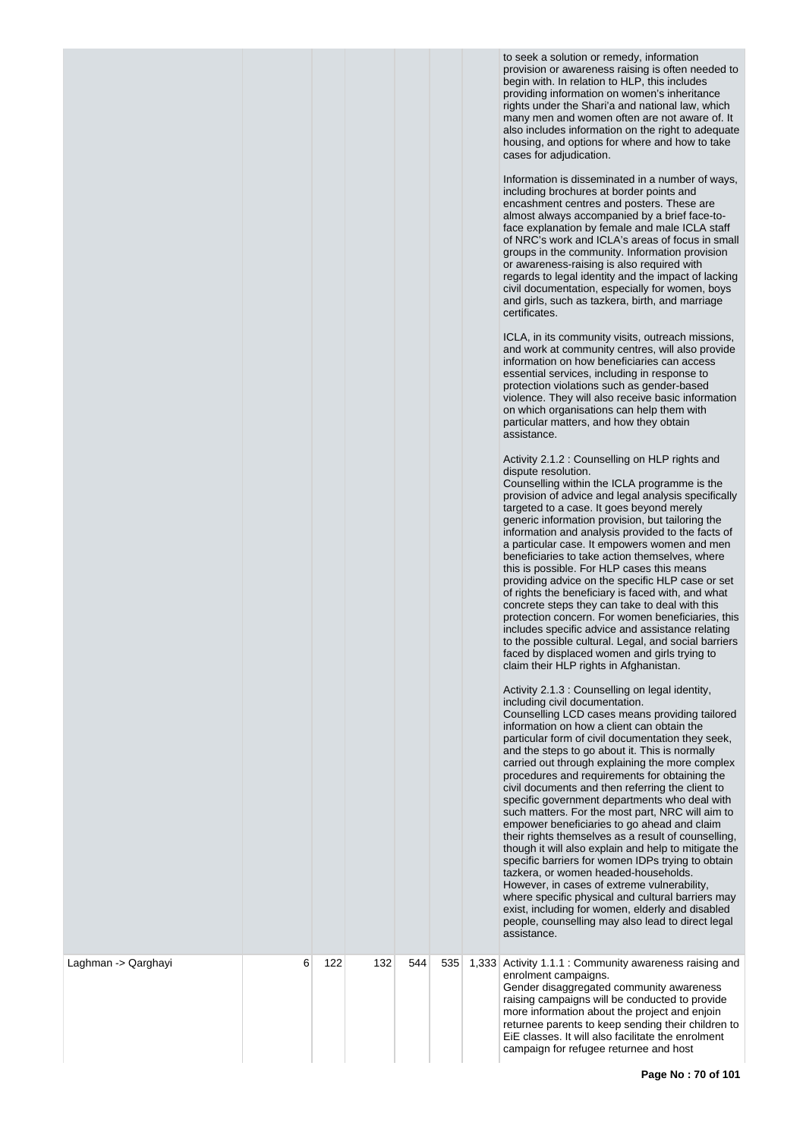to seek a solution or remedy, information provision or awareness raising is often needed to begin with. In relation to HLP, this includes providing information on women's inheritance rights under the Shari'a and national law, which many men and women often are not aware of. It also includes information on the right to adequate housing, and options for where and how to take cases for adjudication.

Information is disseminated in a number of ways, including brochures at border points and encashment centres and posters. These are almost always accompanied by a brief face-toface explanation by female and male ICLA staff of NRC's work and ICLA's areas of focus in small groups in the community. Information provision or awareness-raising is also required with regards to legal identity and the impact of lacking civil documentation, especially for women, boys and girls, such as tazkera, birth, and marriage certificates.

ICLA, in its community visits, outreach missions, and work at community centres, will also provide information on how beneficiaries can access essential services, including in response to protection violations such as gender-based on which organisations can help them with particular matters, and how they obtain

|                     |   |     |     |     |     | protection violations such as gender-based<br>violence. They will also receive basic information<br>on which organisations can help them with<br>particular matters, and how they obtain<br>assistance.<br>Activity 2.1.2 : Counselling on HLP rights and<br>dispute resolution.<br>Counselling within the ICLA programme is the<br>provision of advice and legal analysis specifically<br>targeted to a case. It goes beyond merely<br>generic information provision, but tailoring the<br>information and analysis provided to the facts of<br>a particular case. It empowers women and men<br>beneficiaries to take action themselves, where<br>this is possible. For HLP cases this means<br>providing advice on the specific HLP case or set<br>of rights the beneficiary is faced with, and what<br>concrete steps they can take to deal with this<br>protection concern. For women beneficiaries, this<br>includes specific advice and assistance relating<br>to the possible cultural. Legal, and social barriers<br>faced by displaced women and girls trying to<br>claim their HLP rights in Afghanistan.<br>Activity 2.1.3 : Counselling on legal identity,<br>including civil documentation.<br>Counselling LCD cases means providing tailored<br>information on how a client can obtain the<br>particular form of civil documentation they seek,<br>and the steps to go about it. This is normally<br>carried out through explaining the more complex<br>procedures and requirements for obtaining the<br>civil documents and then referring the client to<br>specific government departments who deal with<br>such matters. For the most part, NRC will aim to<br>empower beneficiaries to go ahead and claim<br>their rights themselves as a result of counselling,<br>though it will also explain and help to mitigate the<br>specific barriers for women IDPs trying to obtain<br>tazkera, or women headed-households.<br>However, in cases of extreme vulnerability,<br>where specific physical and cultural barriers may<br>exist, including for women, elderly and disabled<br>people, counselling may also lead to direct legal<br>assistance. |
|---------------------|---|-----|-----|-----|-----|---------------------------------------------------------------------------------------------------------------------------------------------------------------------------------------------------------------------------------------------------------------------------------------------------------------------------------------------------------------------------------------------------------------------------------------------------------------------------------------------------------------------------------------------------------------------------------------------------------------------------------------------------------------------------------------------------------------------------------------------------------------------------------------------------------------------------------------------------------------------------------------------------------------------------------------------------------------------------------------------------------------------------------------------------------------------------------------------------------------------------------------------------------------------------------------------------------------------------------------------------------------------------------------------------------------------------------------------------------------------------------------------------------------------------------------------------------------------------------------------------------------------------------------------------------------------------------------------------------------------------------------------------------------------------------------------------------------------------------------------------------------------------------------------------------------------------------------------------------------------------------------------------------------------------------------------------------------------------------------------------------------------------------------------------------------------------------------------------------------------------------------------------------------------|
| Laghman -> Qarghayi | 6 | 122 | 132 | 544 | 535 | 1,333 Activity 1.1.1 : Community awareness raising and<br>enrolment campaigns.<br>Gender disaggregated community awareness<br>raising campaigns will be conducted to provide<br>more information about the project and enjoin<br>returnee parents to keep sending their children to<br>EiE classes. It will also facilitate the enrolment<br>campaign for refugee returnee and host                                                                                                                                                                                                                                                                                                                                                                                                                                                                                                                                                                                                                                                                                                                                                                                                                                                                                                                                                                                                                                                                                                                                                                                                                                                                                                                                                                                                                                                                                                                                                                                                                                                                                                                                                                                 |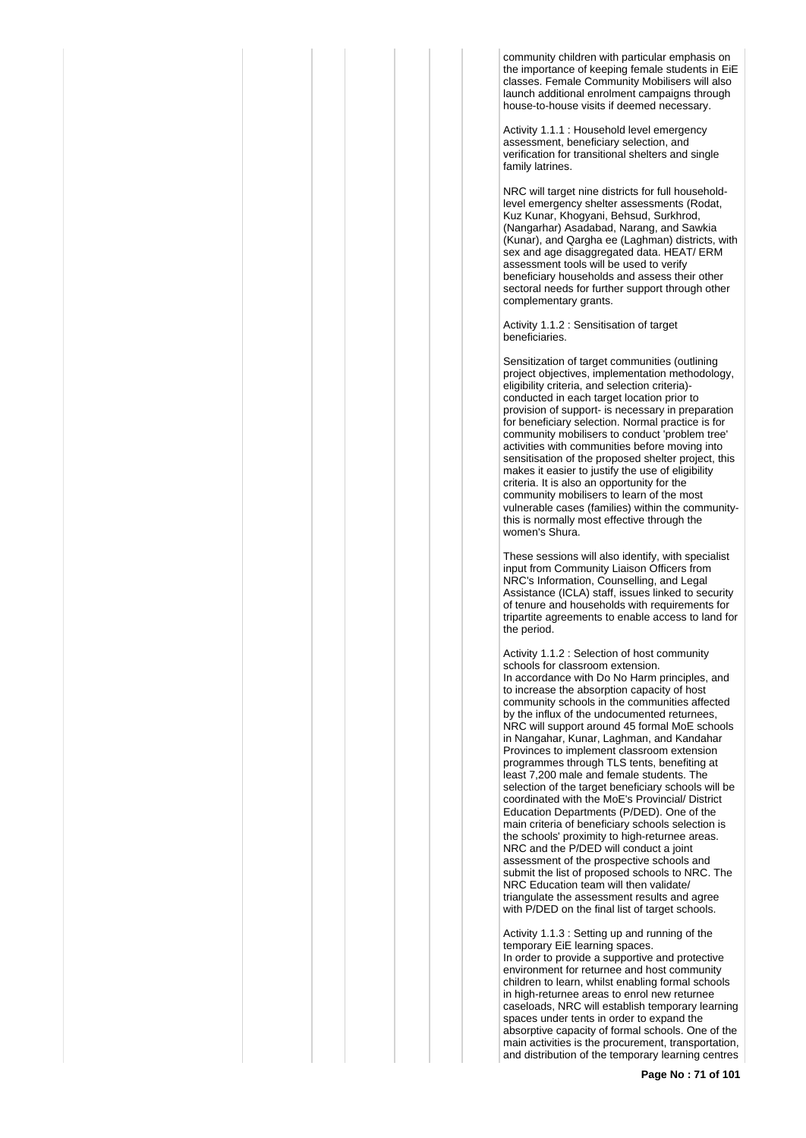community children with particular emphasis on the importance of keeping female students in EiE classes. Female Community Mobilisers will also launch additional enrolment campaigns through house-to-house visits if deemed necessary.

Activity 1.1.1 : Household level emergency assessment, beneficiary selection, and verification for transitional shelters and single family latrines.

NRC will target nine districts for full householdlevel emergency shelter assessments (Rodat, Kuz Kunar, Khogyani, Behsud, Surkhrod, (Nangarhar) Asadabad, Narang, and Sawkia (Kunar), and Qargha ee (Laghman) districts, with sex and age disaggregated data. HEAT/ ERM assessment tools will be used to verify beneficiary households and assess their other sectoral needs for further support through other complementary grants.

Activity 1.1.2 : Sensitisation of target beneficiaries.

Sensitization of target communities (outlining project objectives, implementation methodology, eligibility criteria, and selection criteria) conducted in each target location prior to provision of support- is necessary in preparation for beneficiary selection. Normal practice is for community mobilisers to conduct 'problem tree' activities with communities before moving into sensitisation of the proposed shelter project, this makes it easier to justify the use of eligibility criteria. It is also an opportunity for the community mobilisers to learn of the most vulnerable cases (families) within the communitythis is normally most effective through the women's Shura.

These sessions will also identify, with specialist input from Community Liaison Officers from NRC's Information, Counselling, and Legal Assistance (ICLA) staff, issues linked to security of tenure and households with requirements for tripartite agreements to enable access to land for the period.

Activity 1.1.2 : Selection of host community schools for classroom extension. In accordance with Do No Harm principles, and to increase the absorption capacity of host community schools in the communities affected by the influx of the undocumented returnees, NRC will support around 45 formal MoE schools in Nangahar, Kunar, Laghman, and Kandahar Provinces to implement classroom extension programmes through TLS tents, benefiting at least 7,200 male and female students. The selection of the target beneficiary schools will be coordinated with the MoE's Provincial/ District Education Departments (P/DED). One of the main criteria of beneficiary schools selection is the schools' proximity to high-returnee areas. NRC and the P/DED will conduct a joint assessment of the prospective schools and submit the list of proposed schools to NRC. The NRC Education team will then validate/ triangulate the assessment results and agree with P/DED on the final list of target schools.

Activity 1.1.3 : Setting up and running of the temporary EiE learning spaces. In order to provide a supportive and protective environment for returnee and host community children to learn, whilst enabling formal schools in high-returnee areas to enrol new returnee caseloads, NRC will establish temporary learning spaces under tents in order to expand the absorptive capacity of formal schools. One of the main activities is the procurement, transportation, and distribution of the temporary learning centres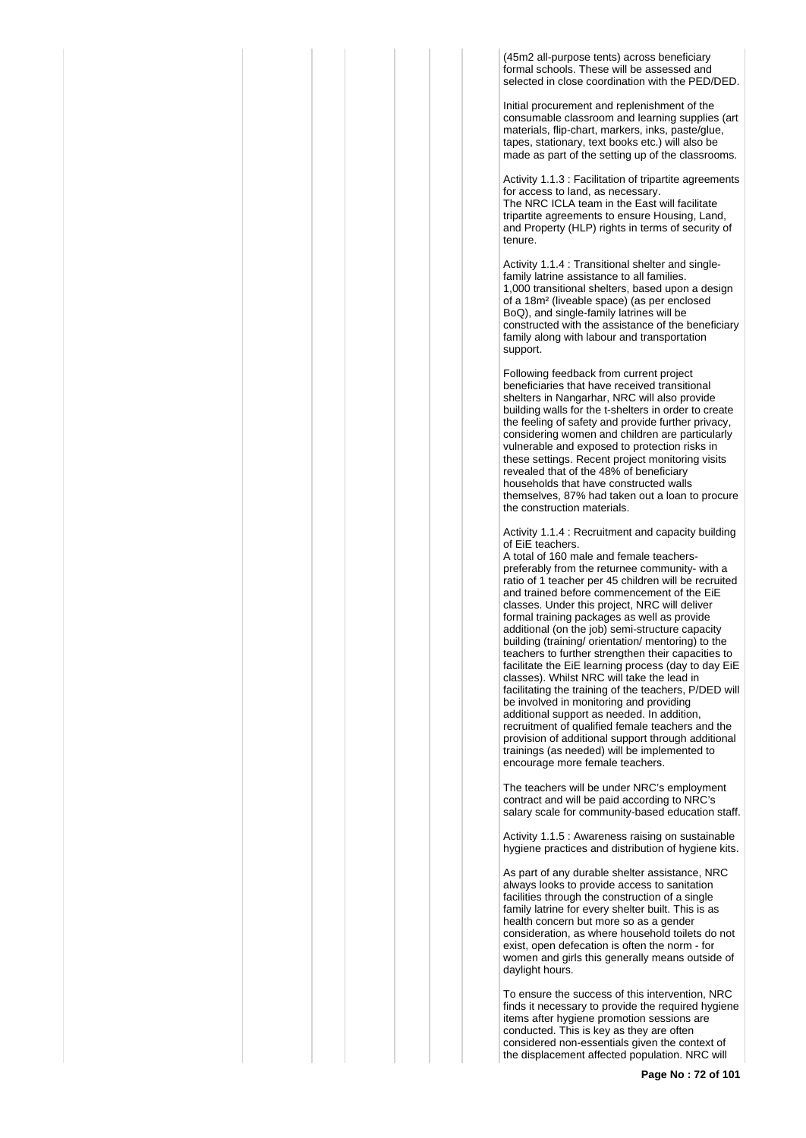(45m2 all-purpose tents) across beneficiary formal schools. These will be assessed and selected in close coordination with the PED/DED.

Initial procurement and replenishment of the consumable classroom and learning supplies (art materials, flip-chart, markers, inks, paste/glue, tapes, stationary, text books etc.) will also be made as part of the setting up of the classrooms.

Activity 1.1.3 : Facilitation of tripartite agreements for access to land, as necessary. The NRC ICLA team in the East will facilitate tripartite agreements to ensure Housing, Land, and Property (HLP) rights in terms of security of tenure.

Activity 1.1.4 : Transitional shelter and singlefamily latrine assistance to all families. 1,000 transitional shelters, based upon a design of a 18m² (liveable space) (as per enclosed BoQ), and single-family latrines will be constructed with the assistance of the beneficiary family along with labour and transportation support.

Following feedback from current project beneficiaries that have received transitional shelters in Nangarhar, NRC will also provide building walls for the t-shelters in order to create the feeling of safety and provide further privacy, considering women and children are particularly vulnerable and exposed to protection risks in these settings. Recent project monitoring visits revealed that of the 48% of beneficiary households that have constructed walls themselves, 87% had taken out a loan to procure the construction materials.

Activity 1.1.4 : Recruitment and capacity building of EiE teachers.

A total of 160 male and female teacherspreferably from the returnee community- with a ratio of 1 teacher per 45 children will be recruited and trained before commencement of the EiE classes. Under this project, NRC will deliver formal training packages as well as provide additional (on the job) semi-structure capacity building (training/ orientation/ mentoring) to the teachers to further strengthen their capacities to facilitate the EiE learning process (day to day EiE classes). Whilst NRC will take the lead in facilitating the training of the teachers, P/DED will be involved in monitoring and providing additional support as needed. In addition, recruitment of qualified female teachers and the provision of additional support through additional trainings (as needed) will be implemented to encourage more female teachers.

The teachers will be under NRC's employment contract and will be paid according to NRC's salary scale for community-based education staff.

Activity 1.1.5 : Awareness raising on sustainable hygiene practices and distribution of hygiene kits.

As part of any durable shelter assistance, NRC always looks to provide access to sanitation facilities through the construction of a single family latrine for every shelter built. This is as health concern but more so as a gender consideration, as where household toilets do not exist, open defecation is often the norm - for women and girls this generally means outside of daylight hours.

To ensure the success of this intervention, NRC finds it necessary to provide the required hygiene items after hygiene promotion sessions are conducted. This is key as they are often considered non-essentials given the context of the displacement affected population. NRC will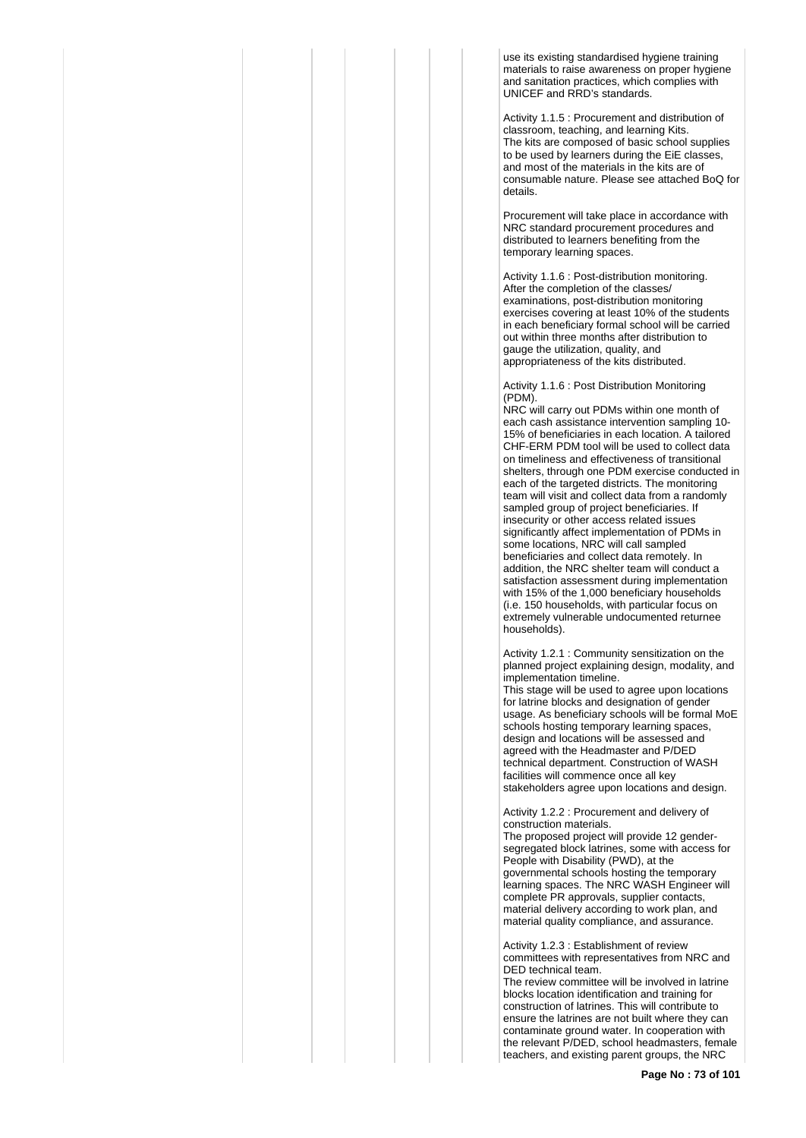use its existing standardised hygiene training materials to raise awareness on proper hygiene and sanitation practices, which complies with UNICEF and RRD's standards.

Activity 1.1.5 : Procurement and distribution of classroom, teaching, and learning Kits. The kits are composed of basic school supplies to be used by learners during the EiE classes, and most of the materials in the kits are of consumable nature. Please see attached BoQ for details.

Procurement will take place in accordance with NRC standard procurement procedures and distributed to learners benefiting from the temporary learning spaces.

Activity 1.1.6 : Post-distribution monitoring. After the completion of the classes/ examinations, post-distribution monitoring exercises covering at least 10% of the students in each beneficiary formal school will be carried out within three months after distribution to gauge the utilization, quality, and appropriateness of the kits distributed.

Activity 1.1.6 : Post Distribution Monitoring (PDM).

NRC will carry out PDMs within one month of each cash assistance intervention sampling 10- 15% of beneficiaries in each location. A tailored CHF-ERM PDM tool will be used to collect data on timeliness and effectiveness of transitional shelters, through one PDM exercise conducted in each of the targeted districts. The monitoring team will visit and collect data from a randomly sampled group of project beneficiaries. If insecurity or other access related issues significantly affect implementation of PDMs in some locations, NRC will call sampled beneficiaries and collect data remotely. In addition, the NRC shelter team will conduct a satisfaction assessment during implementation with 15% of the 1,000 beneficiary households (i.e. 150 households, with particular focus on extremely vulnerable undocumented returnee households).

Activity 1.2.1 : Community sensitization on the planned project explaining design, modality, and implementation timeline.

This stage will be used to agree upon locations for latrine blocks and designation of gender usage. As beneficiary schools will be formal MoE schools hosting temporary learning spaces, design and locations will be assessed and agreed with the Headmaster and P/DED technical department. Construction of WASH facilities will commence once all key stakeholders agree upon locations and design.

Activity 1.2.2 : Procurement and delivery of construction materials.

The proposed project will provide 12 gendersegregated block latrines, some with access for People with Disability (PWD), at the governmental schools hosting the temporary learning spaces. The NRC WASH Engineer will complete PR approvals, supplier contacts, material delivery according to work plan, and material quality compliance, and assurance.

Activity 1.2.3 : Establishment of review committees with representatives from NRC and DED technical team.

The review committee will be involved in latrine blocks location identification and training for construction of latrines. This will contribute to ensure the latrines are not built where they can contaminate ground water. In cooperation with the relevant P/DED, school headmasters, female teachers, and existing parent groups, the NRC

**Page No : 73 of 101**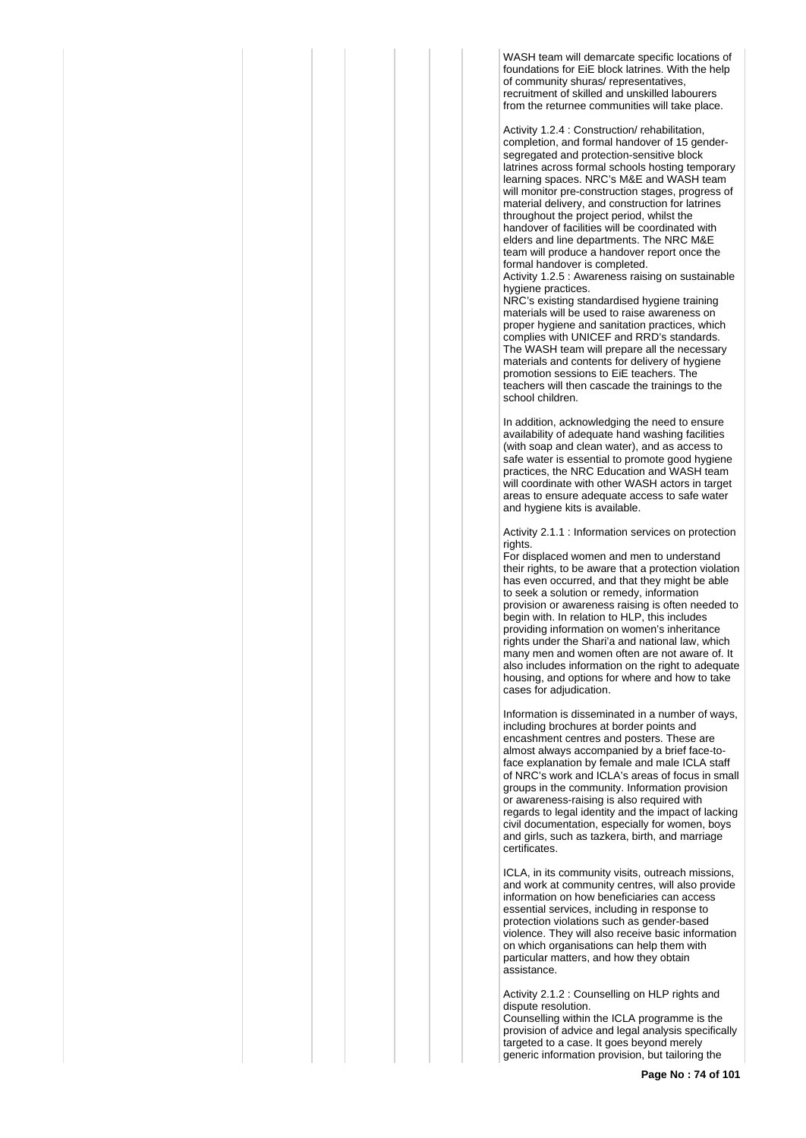WASH team will demarcate specific locations of foundations for EiE block latrines. With the help of community shuras/ representatives, recruitment of skilled and unskilled labourers from the returnee communities will take place.

Activity 1.2.4 : Construction/ rehabilitation, completion, and formal handover of 15 gendersegregated and protection-sensitive block latrines across formal schools hosting temporary learning spaces. NRC's M&E and WASH team will monitor pre-construction stages, progress of material delivery, and construction for latrines throughout the project period, whilst the handover of facilities will be coordinated with elders and line departments. The NRC M&E team will produce a handover report once the formal handover is completed.

Activity 1.2.5 : Awareness raising on sustainable hygiene practices.

NRC's existing standardised hygiene training materials will be used to raise awareness on proper hygiene and sanitation practices, which complies with UNICEF and RRD's standards. The WASH team will prepare all the necessary materials and contents for delivery of hygiene promotion sessions to EiE teachers. The teachers will then cascade the trainings to the school children.

In addition, acknowledging the need to ensure availability of adequate hand washing facilities (with soap and clean water), and as access to safe water is essential to promote good hygiene practices, the NRC Education and WASH team will coordinate with other WASH actors in target areas to ensure adequate access to safe water and hygiene kits is available.

Activity 2.1.1 : Information services on protection rights.

For displaced women and men to understand their rights, to be aware that a protection violation has even occurred, and that they might be able to seek a solution or remedy, information provision or awareness raising is often needed to begin with. In relation to HLP, this includes providing information on women's inheritance rights under the Shari'a and national law, which many men and women often are not aware of. It also includes information on the right to adequate housing, and options for where and how to take cases for adjudication.

Information is disseminated in a number of ways, including brochures at border points and encashment centres and posters. These are almost always accompanied by a brief face-toface explanation by female and male ICLA staff of NRC's work and ICLA's areas of focus in small groups in the community. Information provision or awareness-raising is also required with regards to legal identity and the impact of lacking civil documentation, especially for women, boys and girls, such as tazkera, birth, and marriage certificates.

ICLA, in its community visits, outreach missions, and work at community centres, will also provide information on how beneficiaries can access essential services, including in response to protection violations such as gender-based violence. They will also receive basic information on which organisations can help them with particular matters, and how they obtain **assistance** 

Activity 2.1.2 : Counselling on HLP rights and dispute resolution.

Counselling within the ICLA programme is the provision of advice and legal analysis specifically targeted to a case. It goes beyond merely generic information provision, but tailoring the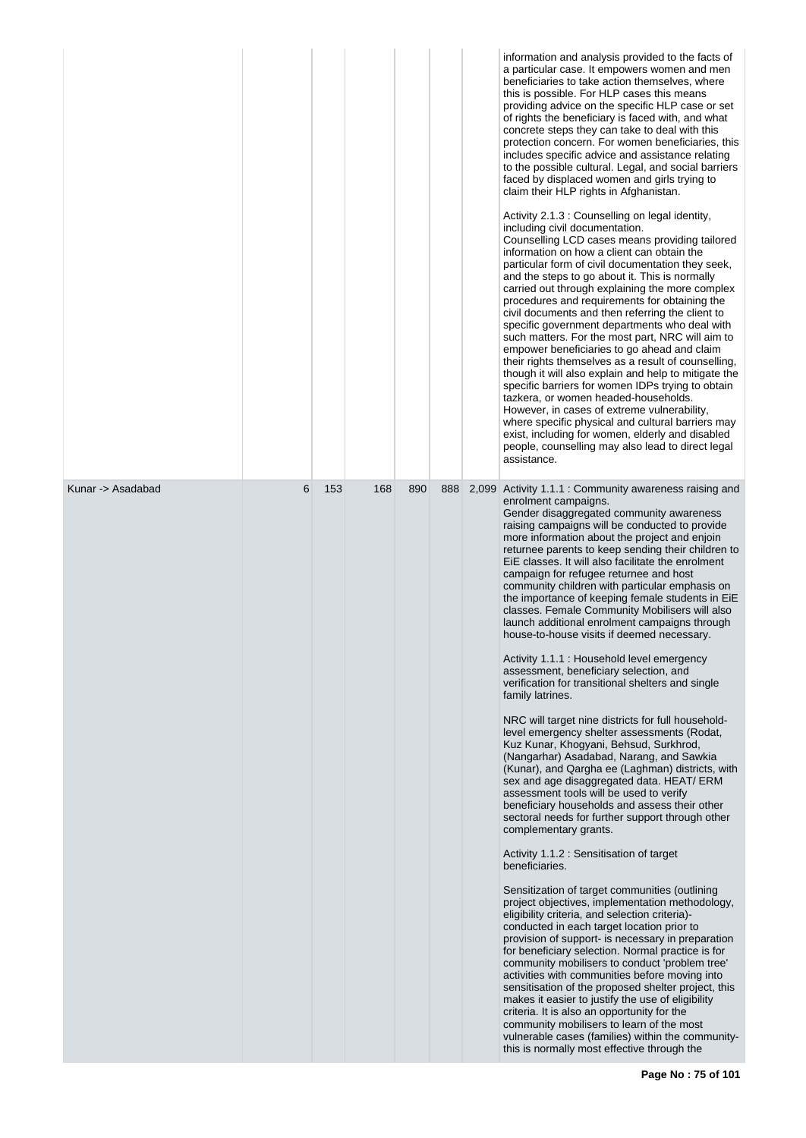| 888<br>2,099 Activity 1.1.1 : Community awareness raising and<br>enrolment campaigns.<br>Gender disaggregated community awareness<br>raising campaigns will be conducted to provide<br>more information about the project and enjoin<br>EiE classes. It will also facilitate the enrolment<br>campaign for refugee returnee and host<br>community children with particular emphasis on<br>the importance of keeping female students in EiE<br>classes. Female Community Mobilisers will also<br>launch additional enrolment campaigns through<br>house-to-house visits if deemed necessary.<br>Activity 1.1.1 : Household level emergency<br>assessment, beneficiary selection, and<br>verification for transitional shelters and single<br>family latrines.<br>NRC will target nine districts for full household-<br>level emergency shelter assessments (Rodat,<br>Kuz Kunar, Khogyani, Behsud, Surkhrod,<br>(Nangarhar) Asadabad, Narang, and Sawkia<br>(Kunar), and Qargha ee (Laghman) districts, with<br>sex and age disaggregated data. HEAT/ ERM<br>assessment tools will be used to verify<br>beneficiary households and assess their other<br>sectoral needs for further support through other<br>complementary grants.<br>Activity 1.1.2 : Sensitisation of target<br>beneficiaries.<br>Sensitization of target communities (outlining<br>project objectives, implementation methodology,<br>eligibility criteria, and selection criteria)-<br>conducted in each target location prior to<br>provision of support- is necessary in preparation<br>for beneficiary selection. Normal practice is for |                   |   |     |     |     |  | information and analysis provided to the facts of<br>a particular case. It empowers women and men<br>beneficiaries to take action themselves, where<br>this is possible. For HLP cases this means<br>providing advice on the specific HLP case or set<br>of rights the beneficiary is faced with, and what<br>concrete steps they can take to deal with this<br>protection concern. For women beneficiaries, this<br>includes specific advice and assistance relating<br>to the possible cultural. Legal, and social barriers<br>faced by displaced women and girls trying to<br>claim their HLP rights in Afghanistan.<br>Activity 2.1.3 : Counselling on legal identity,<br>including civil documentation.<br>Counselling LCD cases means providing tailored<br>information on how a client can obtain the<br>particular form of civil documentation they seek,<br>and the steps to go about it. This is normally<br>carried out through explaining the more complex<br>procedures and requirements for obtaining the<br>civil documents and then referring the client to<br>specific government departments who deal with<br>such matters. For the most part, NRC will aim to<br>empower beneficiaries to go ahead and claim<br>their rights themselves as a result of counselling,<br>though it will also explain and help to mitigate the<br>specific barriers for women IDPs trying to obtain<br>tazkera, or women headed-households.<br>However, in cases of extreme vulnerability,<br>where specific physical and cultural barriers may<br>exist, including for women, elderly and disabled<br>people, counselling may also lead to direct legal<br>assistance. |
|----------------------------------------------------------------------------------------------------------------------------------------------------------------------------------------------------------------------------------------------------------------------------------------------------------------------------------------------------------------------------------------------------------------------------------------------------------------------------------------------------------------------------------------------------------------------------------------------------------------------------------------------------------------------------------------------------------------------------------------------------------------------------------------------------------------------------------------------------------------------------------------------------------------------------------------------------------------------------------------------------------------------------------------------------------------------------------------------------------------------------------------------------------------------------------------------------------------------------------------------------------------------------------------------------------------------------------------------------------------------------------------------------------------------------------------------------------------------------------------------------------------------------------------------------------------------------------------------------------------|-------------------|---|-----|-----|-----|--|-------------------------------------------------------------------------------------------------------------------------------------------------------------------------------------------------------------------------------------------------------------------------------------------------------------------------------------------------------------------------------------------------------------------------------------------------------------------------------------------------------------------------------------------------------------------------------------------------------------------------------------------------------------------------------------------------------------------------------------------------------------------------------------------------------------------------------------------------------------------------------------------------------------------------------------------------------------------------------------------------------------------------------------------------------------------------------------------------------------------------------------------------------------------------------------------------------------------------------------------------------------------------------------------------------------------------------------------------------------------------------------------------------------------------------------------------------------------------------------------------------------------------------------------------------------------------------------------------------------------------------------------------------------------------|
|                                                                                                                                                                                                                                                                                                                                                                                                                                                                                                                                                                                                                                                                                                                                                                                                                                                                                                                                                                                                                                                                                                                                                                                                                                                                                                                                                                                                                                                                                                                                                                                                                | Kunar -> Asadabad | 6 | 153 | 168 | 890 |  | returnee parents to keep sending their children to<br>community mobilisers to conduct 'problem tree'                                                                                                                                                                                                                                                                                                                                                                                                                                                                                                                                                                                                                                                                                                                                                                                                                                                                                                                                                                                                                                                                                                                                                                                                                                                                                                                                                                                                                                                                                                                                                                    |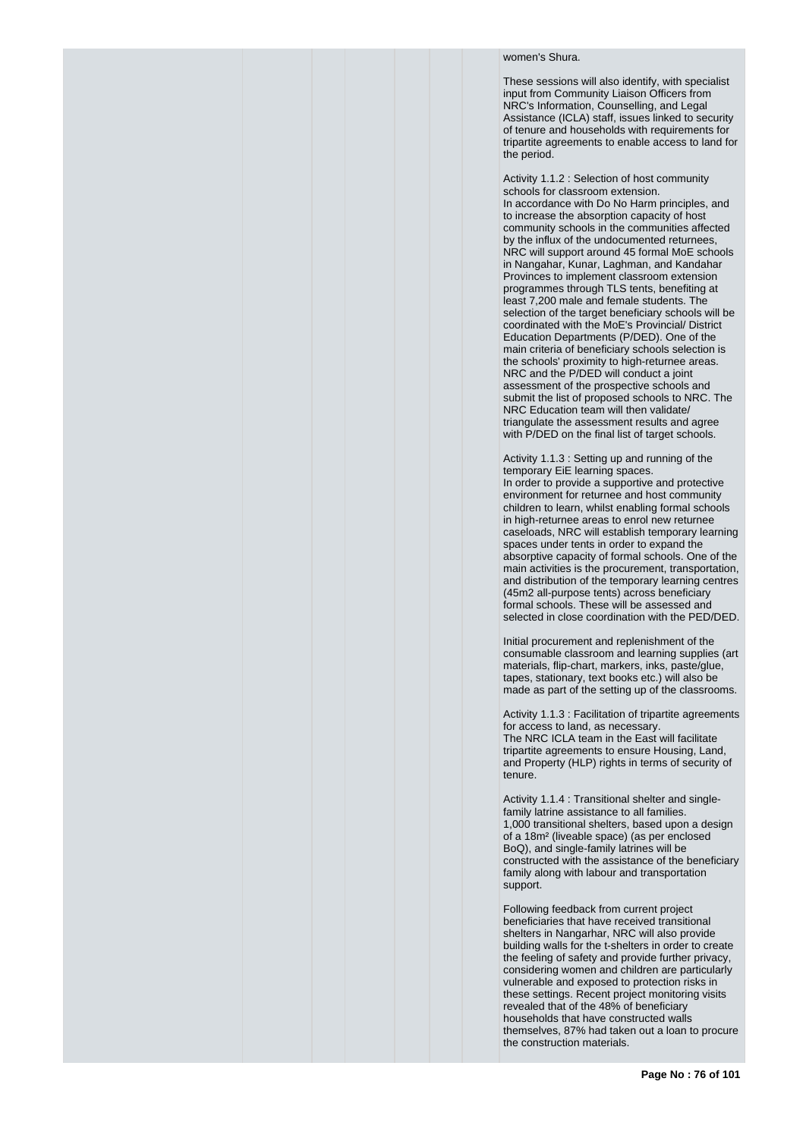## women's Shura.

These sessions will also identify, with specialist input from Community Liaison Officers from NRC's Information, Counselling, and Legal Assistance (ICLA) staff, issues linked to security of tenure and households with requirements for tripartite agreements to enable access to land for the period.

Activity 1.1.2 : Selection of host community schools for classroom extension. In accordance with Do No Harm principles, and to increase the absorption capacity of host community schools in the communities affected by the influx of the undocumented returnees. NRC will support around 45 formal MoE schools in Nangahar, Kunar, Laghman, and Kandahar Provinces to implement classroom extension programmes through TLS tents, benefiting at least 7,200 male and female students. The selection of the target beneficiary schools will be coordinated with the MoE's Provincial/ District Education Departments (P/DED). One of the main criteria of beneficiary schools selection is the schools' proximity to high-returnee areas. NRC and the P/DED will conduct a joint assessment of the prospective schools and submit the list of proposed schools to NRC. The NRC Education team will then validate/ triangulate the assessment results and agree with P/DED on the final list of target schools.

Activity 1.1.3 : Setting up and running of the temporary EiE learning spaces. In order to provide a supportive and protective environment for returnee and host community children to learn, whilst enabling formal schools in high-returnee areas to enrol new returnee caseloads, NRC will establish temporary learning spaces under tents in order to expand the absorptive capacity of formal schools. One of the main activities is the procurement, transportation, and distribution of the temporary learning centres (45m2 all-purpose tents) across beneficiary formal schools. These will be assessed and selected in close coordination with the PED/DED.

Initial procurement and replenishment of the consumable classroom and learning supplies (art materials, flip-chart, markers, inks, paste/glue, tapes, stationary, text books etc.) will also be made as part of the setting up of the classrooms.

Activity 1.1.3 : Facilitation of tripartite agreements for access to land, as necessary. The NRC ICLA team in the East will facilitate tripartite agreements to ensure Housing, Land, and Property (HLP) rights in terms of security of tenure.

Activity 1.1.4 : Transitional shelter and singlefamily latrine assistance to all families. 1,000 transitional shelters, based upon a design of a 18m² (liveable space) (as per enclosed BoQ), and single-family latrines will be constructed with the assistance of the beneficiary family along with labour and transportation support.

Following feedback from current project beneficiaries that have received transitional shelters in Nangarhar, NRC will also provide building walls for the t-shelters in order to create the feeling of safety and provide further privacy, considering women and children are particularly vulnerable and exposed to protection risks in these settings. Recent project monitoring visits revealed that of the 48% of beneficiary households that have constructed walls themselves, 87% had taken out a loan to procure the construction materials.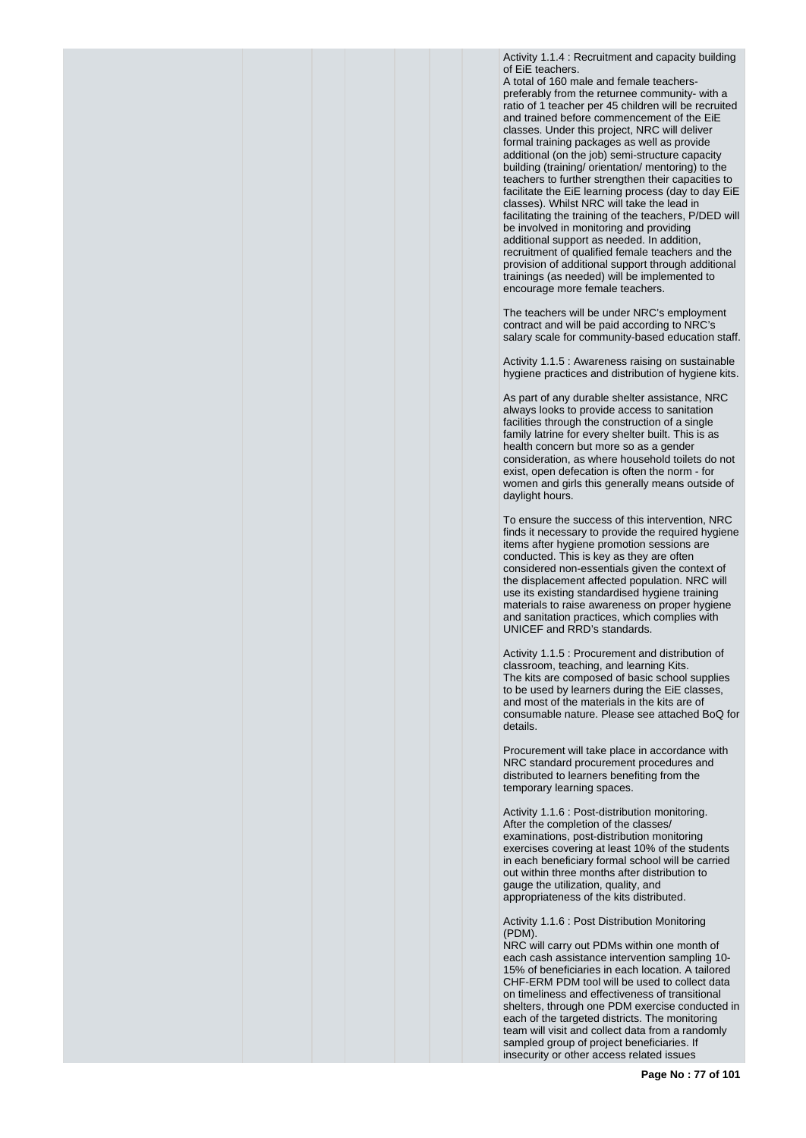Activity 1.1.4 : Recruitment and capacity building of EiE teachers.

A total of 160 male and female teacherspreferably from the returnee community- with a ratio of 1 teacher per 45 children will be recruited and trained before commencement of the EiE classes. Under this project, NRC will deliver formal training packages as well as provide additional (on the job) semi-structure capacity building (training/ orientation/ mentoring) to the teachers to further strengthen their capacities to facilitate the EiE learning process (day to day EiE classes). Whilst NRC will take the lead in facilitating the training of the teachers, P/DED will be involved in monitoring and providing additional support as needed. In addition, recruitment of qualified female teachers and the provision of additional support through additional trainings (as needed) will be implemented to encourage more female teachers.

The teachers will be under NRC's employment contract and will be paid according to NRC's salary scale for community-based education staff.

Activity 1.1.5 : Awareness raising on sustainable hygiene practices and distribution of hygiene kits.

As part of any durable shelter assistance, NRC always looks to provide access to sanitation facilities through the construction of a single family latrine for every shelter built. This is as health concern but more so as a gender consideration, as where household toilets do not exist, open defecation is often the norm - for women and girls this generally means outside of daylight hours.

To ensure the success of this intervention, NRC finds it necessary to provide the required hygiene items after hygiene promotion sessions are conducted. This is key as they are often considered non-essentials given the context of the displacement affected population. NRC will use its existing standardised hygiene training materials to raise awareness on proper hygiene and sanitation practices, which complies with UNICEF and RRD's standards.

Activity 1.1.5 : Procurement and distribution of classroom, teaching, and learning Kits. The kits are composed of basic school supplies to be used by learners during the EiE classes, and most of the materials in the kits are of consumable nature. Please see attached BoQ for details.

Procurement will take place in accordance with NRC standard procurement procedures and distributed to learners benefiting from the temporary learning spaces.

Activity 1.1.6 : Post-distribution monitoring. After the completion of the classes/ examinations, post-distribution monitoring exercises covering at least 10% of the students in each beneficiary formal school will be carried out within three months after distribution to gauge the utilization, quality, and appropriateness of the kits distributed.

Activity 1.1.6 : Post Distribution Monitoring (PDM).

NRC will carry out PDMs within one month of each cash assistance intervention sampling 10- 15% of beneficiaries in each location. A tailored CHF-ERM PDM tool will be used to collect data on timeliness and effectiveness of transitional shelters, through one PDM exercise conducted in each of the targeted districts. The monitoring team will visit and collect data from a randomly sampled group of project beneficiaries. If insecurity or other access related issues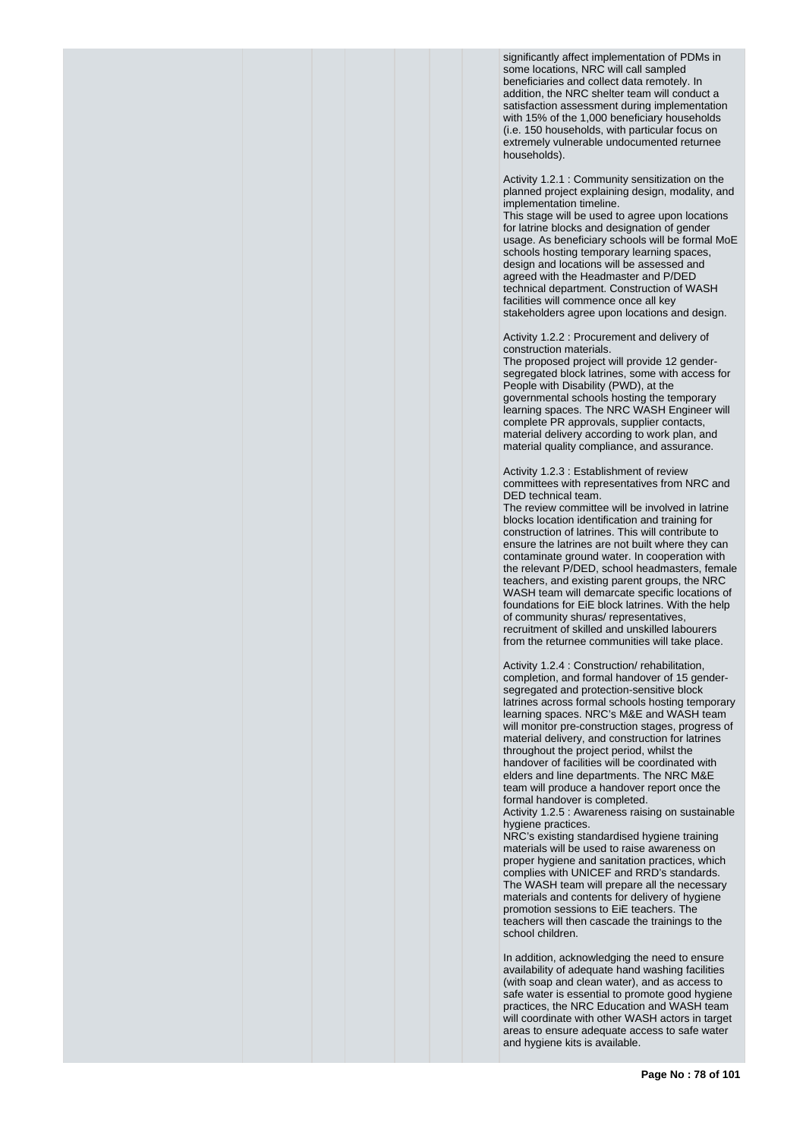significantly affect implementation of PDMs in some locations, NRC will call sampled beneficiaries and collect data remotely. In addition, the NRC shelter team will conduct a satisfaction assessment during implementation with 15% of the 1,000 beneficiary households (i.e. 150 households, with particular focus on extremely vulnerable undocumented returnee households).

Activity 1.2.1 : Community sensitization on the planned project explaining design, modality, and implementation timeline.

This stage will be used to agree upon locations for latrine blocks and designation of gender usage. As beneficiary schools will be formal MoE schools hosting temporary learning spaces, design and locations will be assessed and agreed with the Headmaster and P/DED technical department. Construction of WASH facilities will commence once all key stakeholders agree upon locations and design.

Activity 1.2.2 : Procurement and delivery of construction materials.

The proposed project will provide 12 gendersegregated block latrines, some with access for People with Disability (PWD), at the governmental schools hosting the temporary learning spaces. The NRC WASH Engineer will complete PR approvals, supplier contacts, material delivery according to work plan, and material quality compliance, and assurance.

Activity 1.2.3 : Establishment of review committees with representatives from NRC and DED technical team.

The review committee will be involved in latrine blocks location identification and training for construction of latrines. This will contribute to ensure the latrines are not built where they can contaminate ground water. In cooperation with the relevant P/DED, school headmasters, female teachers, and existing parent groups, the NRC WASH team will demarcate specific locations of foundations for EiE block latrines. With the help of community shuras/ representatives, recruitment of skilled and unskilled labourers from the returnee communities will take place.

Activity 1.2.4 : Construction/ rehabilitation, completion, and formal handover of 15 gendersegregated and protection-sensitive block latrines across formal schools hosting temporary learning spaces. NRC's M&E and WASH team will monitor pre-construction stages, progress of material delivery, and construction for latrines throughout the project period, whilst the handover of facilities will be coordinated with elders and line departments. The NRC M&E team will produce a handover report once the formal handover is completed.

Activity 1.2.5 : Awareness raising on sustainable hygiene practices.

NRC's existing standardised hygiene training materials will be used to raise awareness on proper hygiene and sanitation practices, which complies with UNICEF and RRD's standards. The WASH team will prepare all the necessary materials and contents for delivery of hygiene promotion sessions to EiE teachers. The teachers will then cascade the trainings to the school children.

In addition, acknowledging the need to ensure availability of adequate hand washing facilities (with soap and clean water), and as access to safe water is essential to promote good hygiene practices, the NRC Education and WASH team will coordinate with other WASH actors in target areas to ensure adequate access to safe water and hygiene kits is available.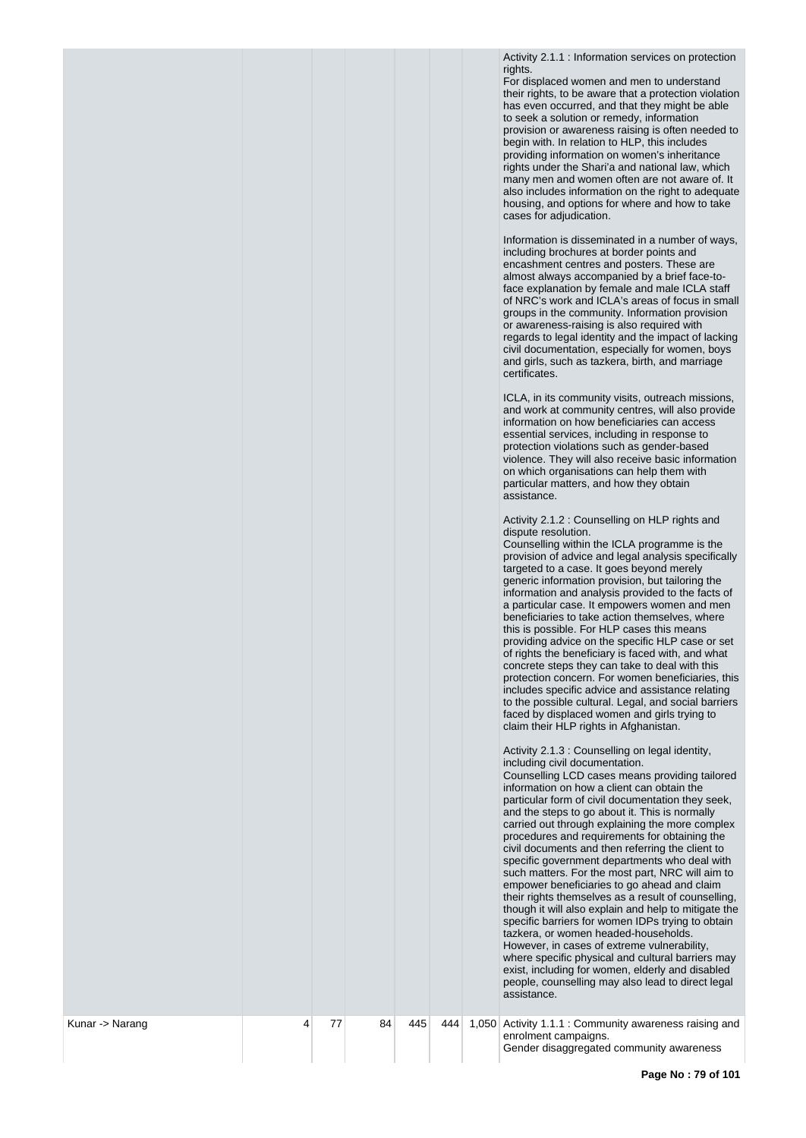Activity 2.1.1 : Information services on protection rights.

For displaced women and men to understand their rights, to be aware that a protection violation has even occurred, and that they might be able to seek a solution or remedy, information provision or awareness raising is often needed to begin with. In relation to HLP, this includes providing information on women's inheritance rights under the Shari'a and national law, which many men and women often are not aware of. It also includes information on the right to adequate housing, and options for where and how to take cases for adjudication.

Information is disseminated in a number of ways, including brochures at border points and encashment centres and posters. These are almost always accompanied by a brief face-toface explanation by female and male ICLA staff of NRC's work and ICLA's areas of focus in small groups in the community. Information provision or awareness-raising is also required with regards to legal identity and the impact of lacking civil documentation, especially for women, boys and girls, such as tazkera, birth, and marriage certificates.

ICLA, in its community visits, outreach missions, and work at community centres, will also provide information on how beneficiaries can access essential services, including in response to protection violations such as gender-based violence. They will also receive basic information on which organisations can help them with particular matters, and how they obtain assistance.

Activity 2.1.2 : Counselling on HLP rights and dispute resolution.

Counselling within the ICLA programme is the provision of advice and legal analysis specifically targeted to a case. It goes beyond merely generic information provision, but tailoring the information and analysis provided to the facts of a particular case. It empowers women and men beneficiaries to take action themselves, where this is possible. For HLP cases this means providing advice on the specific HLP case or set of rights the beneficiary is faced with, and what concrete steps they can take to deal with this protection concern. For women beneficiaries, this includes specific advice and assistance relating to the possible cultural. Legal, and social barriers faced by displaced women and girls trying to claim their HLP rights in Afghanistan.

Activity 2.1.3 : Counselling on legal identity, including civil documentation.

Counselling LCD cases means providing tailored information on how a client can obtain the particular form of civil documentation they seek, and the steps to go about it. This is normally carried out through explaining the more complex procedures and requirements for obtaining the civil documents and then referring the client to specific government departments who deal with such matters. For the most part, NRC will aim to empower beneficiaries to go ahead and claim their rights themselves as a result of counselling, though it will also explain and help to mitigate the specific barriers for women IDPs trying to obtain tazkera, or women headed-households. However, in cases of extreme vulnerability, where specific physical and cultural barriers may exist, including for women, elderly and disabled people, counselling may also lead to direct legal assistance.

4 77 84 445 444 1,050 Activity 1.1.1 : Community awareness raising and enrolment campaigns. Gender disaggregated community awareness

Kunar -> Narang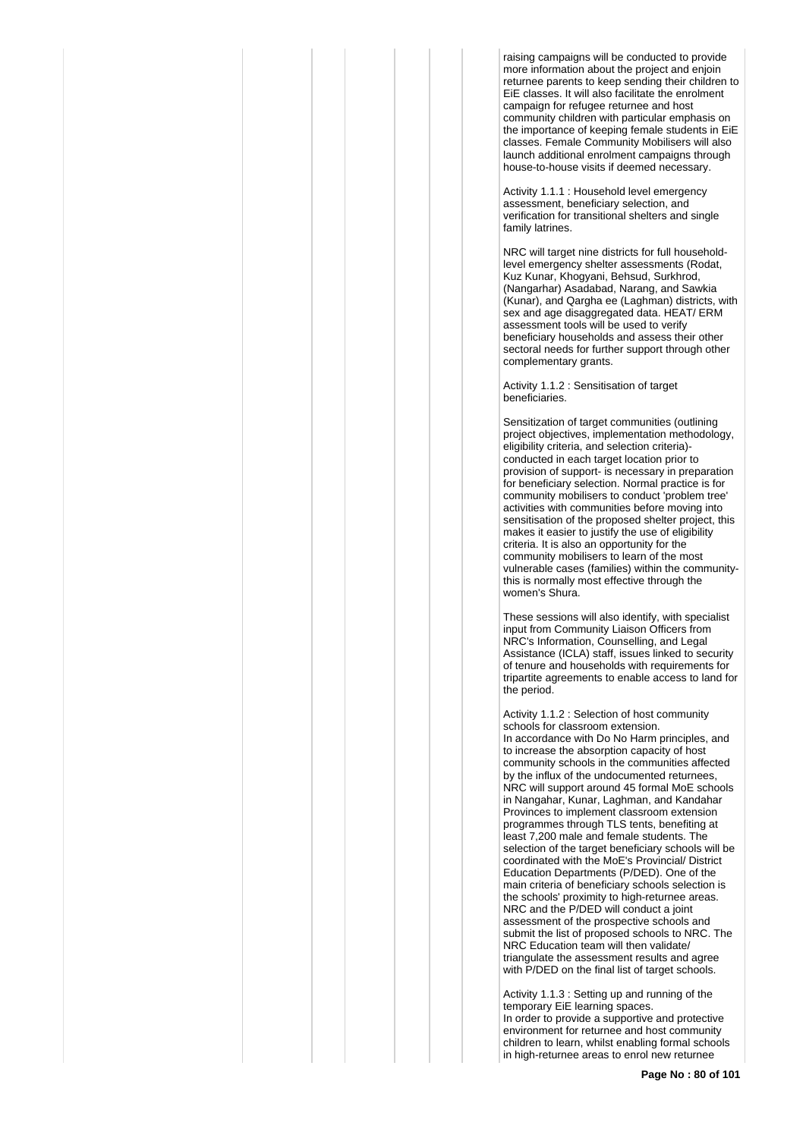raising campaigns will be conducted to provide more information about the project and enjoin returnee parents to keep sending their children to EiE classes. It will also facilitate the enrolment campaign for refugee returnee and host community children with particular emphasis on the importance of keeping female students in EiE classes. Female Community Mobilisers will also launch additional enrolment campaigns through house-to-house visits if deemed necessary.

Activity 1.1.1 : Household level emergency assessment, beneficiary selection, and verification for transitional shelters and single family latrines.

NRC will target nine districts for full householdlevel emergency shelter assessments (Rodat, Kuz Kunar, Khogyani, Behsud, Surkhrod, (Nangarhar) Asadabad, Narang, and Sawkia (Kunar), and Qargha ee (Laghman) districts, with sex and age disaggregated data. HEAT/ ERM assessment tools will be used to verify beneficiary households and assess their other sectoral needs for further support through other complementary grants.

Activity 1.1.2 : Sensitisation of target beneficiaries.

Sensitization of target communities (outlining project objectives, implementation methodology, eligibility criteria, and selection criteria) conducted in each target location prior to provision of support- is necessary in preparation for beneficiary selection. Normal practice is for community mobilisers to conduct 'problem tree' activities with communities before moving into sensitisation of the proposed shelter project, this makes it easier to justify the use of eligibility criteria. It is also an opportunity for the community mobilisers to learn of the most vulnerable cases (families) within the communitythis is normally most effective through the women's Shura.

These sessions will also identify, with specialist input from Community Liaison Officers from NRC's Information, Counselling, and Legal Assistance (ICLA) staff, issues linked to security of tenure and households with requirements for tripartite agreements to enable access to land for the period.

Activity 1.1.2 : Selection of host community schools for classroom extension. In accordance with Do No Harm principles, and to increase the absorption capacity of host community schools in the communities affected by the influx of the undocumented returnees, NRC will support around 45 formal MoE schools in Nangahar, Kunar, Laghman, and Kandahar Provinces to implement classroom extension programmes through TLS tents, benefiting at least 7,200 male and female students. The selection of the target beneficiary schools will be coordinated with the MoE's Provincial/ District Education Departments (P/DED). One of the main criteria of beneficiary schools selection is the schools' proximity to high-returnee areas. NRC and the P/DED will conduct a joint assessment of the prospective schools and submit the list of proposed schools to NRC. The NRC Education team will then validate/ triangulate the assessment results and agree with P/DED on the final list of target schools.

Activity 1.1.3 : Setting up and running of the temporary EiE learning spaces. In order to provide a supportive and protective environment for returnee and host community children to learn, whilst enabling formal schools in high-returnee areas to enrol new returnee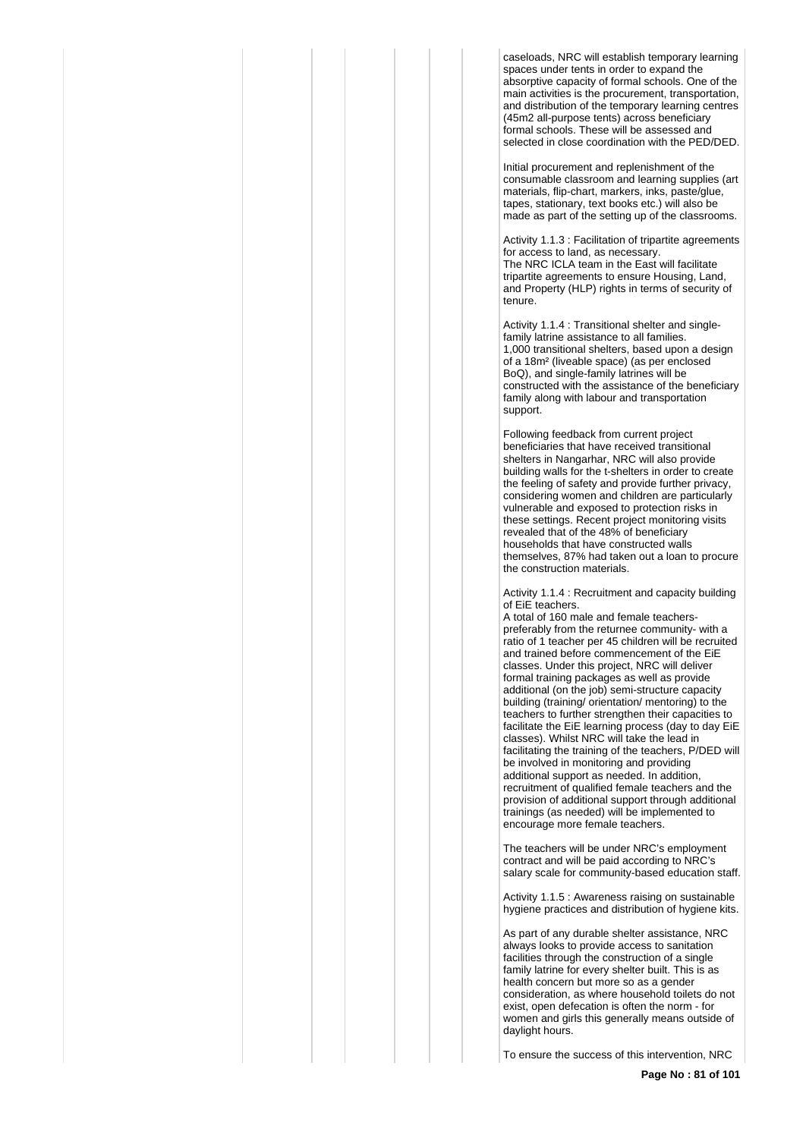caseloads, NRC will establish temporary learning spaces under tents in order to expand the absorptive capacity of formal schools. One of the main activities is the procurement, transportation, and distribution of the temporary learning centres (45m2 all-purpose tents) across beneficiary formal schools. These will be assessed and selected in close coordination with the PED/DED.

Initial procurement and replenishment of the consumable classroom and learning supplies (art materials, flip-chart, markers, inks, paste/glue, tapes, stationary, text books etc.) will also be made as part of the setting up of the classrooms.

Activity 1.1.3 : Facilitation of tripartite agreements for access to land, as necessary. The NRC ICLA team in the East will facilitate tripartite agreements to ensure Housing, Land, and Property (HLP) rights in terms of security of tenure.

Activity 1.1.4 : Transitional shelter and singlefamily latrine assistance to all families. 1,000 transitional shelters, based upon a design of a 18m² (liveable space) (as per enclosed BoQ), and single-family latrines will be constructed with the assistance of the beneficiary family along with labour and transportation support.

Following feedback from current project beneficiaries that have received transitional shelters in Nangarhar, NRC will also provide building walls for the t-shelters in order to create the feeling of safety and provide further privacy, considering women and children are particularly vulnerable and exposed to protection risks in these settings. Recent project monitoring visits revealed that of the 48% of beneficiary households that have constructed walls themselves, 87% had taken out a loan to procure the construction materials.

Activity 1.1.4 : Recruitment and capacity building of EiE teachers.

A total of 160 male and female teacherspreferably from the returnee community- with a ratio of 1 teacher per 45 children will be recruited and trained before commencement of the EiE classes. Under this project, NRC will deliver formal training packages as well as provide additional (on the job) semi-structure capacity building (training/ orientation/ mentoring) to the teachers to further strengthen their capacities to facilitate the EiE learning process (day to day EiE classes). Whilst NRC will take the lead in facilitating the training of the teachers, P/DED will be involved in monitoring and providing additional support as needed. In addition, recruitment of qualified female teachers and the provision of additional support through additional trainings (as needed) will be implemented to encourage more female teachers.

The teachers will be under NRC's employment contract and will be paid according to NRC's salary scale for community-based education staff.

Activity 1.1.5 : Awareness raising on sustainable hygiene practices and distribution of hygiene kits.

As part of any durable shelter assistance, NRC always looks to provide access to sanitation facilities through the construction of a single family latrine for every shelter built. This is as health concern but more so as a gender consideration, as where household toilets do not exist, open defecation is often the norm - for women and girls this generally means outside of daylight hours.

To ensure the success of this intervention, NRC

**Page No : 81 of 101**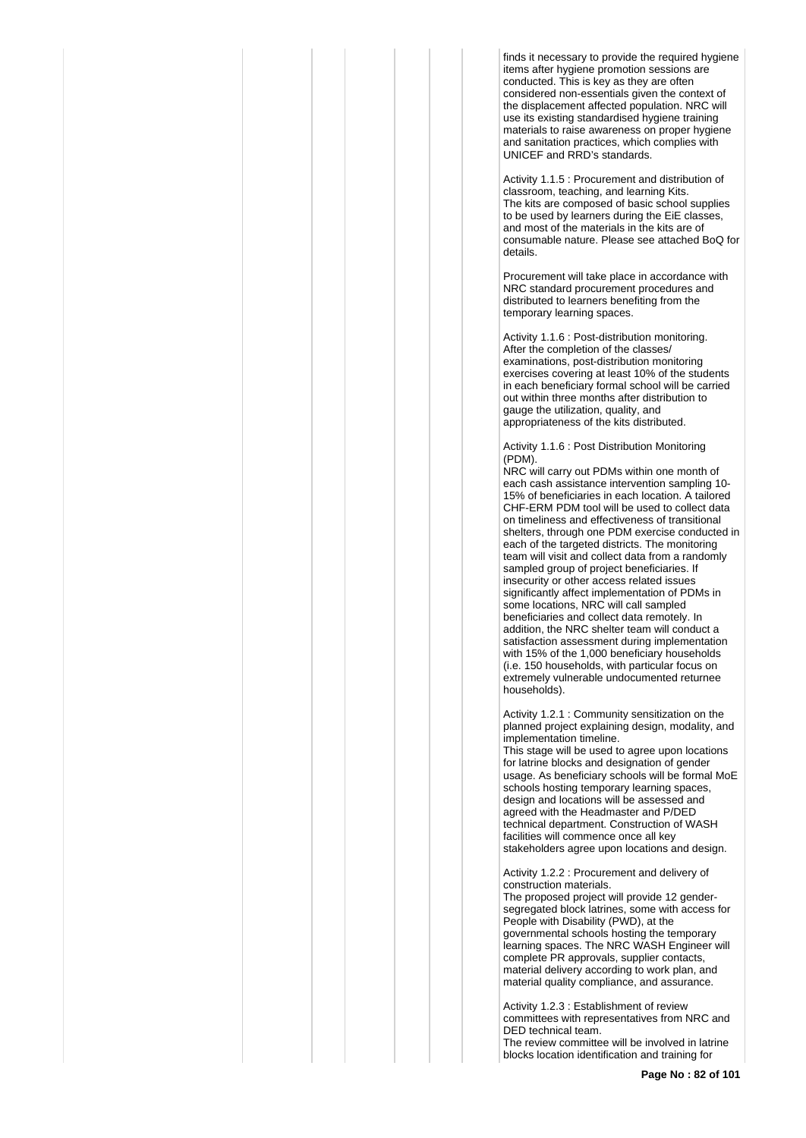finds it necessary to provide the required hygiene items after hygiene promotion sessions are conducted. This is key as they are often considered non-essentials given the context of the displacement affected population. NRC will use its existing standardised hygiene training materials to raise awareness on proper hygiene and sanitation practices, which complies with UNICEF and RRD's standards.

Activity 1.1.5 : Procurement and distribution of classroom, teaching, and learning Kits. The kits are composed of basic school supplies to be used by learners during the EiE classes, and most of the materials in the kits are of consumable nature. Please see attached BoQ for details.

Procurement will take place in accordance with NRC standard procurement procedures and distributed to learners benefiting from the temporary learning spaces.

Activity 1.1.6 : Post-distribution monitoring. After the completion of the classes/ examinations, post-distribution monitoring exercises covering at least 10% of the students in each beneficiary formal school will be carried out within three months after distribution to gauge the utilization, quality, and appropriateness of the kits distributed.

Activity 1.1.6 : Post Distribution Monitoring (PDM).

NRC will carry out PDMs within one month of each cash assistance intervention sampling 10- 15% of beneficiaries in each location. A tailored CHF-ERM PDM tool will be used to collect data on timeliness and effectiveness of transitional shelters, through one PDM exercise conducted in each of the targeted districts. The monitoring team will visit and collect data from a randomly sampled group of project beneficiaries. If insecurity or other access related issues significantly affect implementation of PDMs in some locations, NRC will call sampled beneficiaries and collect data remotely. In addition, the NRC shelter team will conduct a satisfaction assessment during implementation with 15% of the 1,000 beneficiary households (i.e. 150 households, with particular focus on extremely vulnerable undocumented returnee households).

Activity 1.2.1 : Community sensitization on the planned project explaining design, modality, and implementation timeline.

This stage will be used to agree upon locations for latrine blocks and designation of gender usage. As beneficiary schools will be formal MoE schools hosting temporary learning spaces, design and locations will be assessed and agreed with the Headmaster and P/DED technical department. Construction of WASH facilities will commence once all key stakeholders agree upon locations and design.

Activity 1.2.2 : Procurement and delivery of construction materials.

The proposed project will provide 12 gendersegregated block latrines, some with access for People with Disability (PWD), at the governmental schools hosting the temporary learning spaces. The NRC WASH Engineer will complete PR approvals, supplier contacts, material delivery according to work plan, and material quality compliance, and assurance.

Activity 1.2.3 : Establishment of review committees with representatives from NRC and DED technical team. The review committee will be involved in latrine

blocks location identification and training for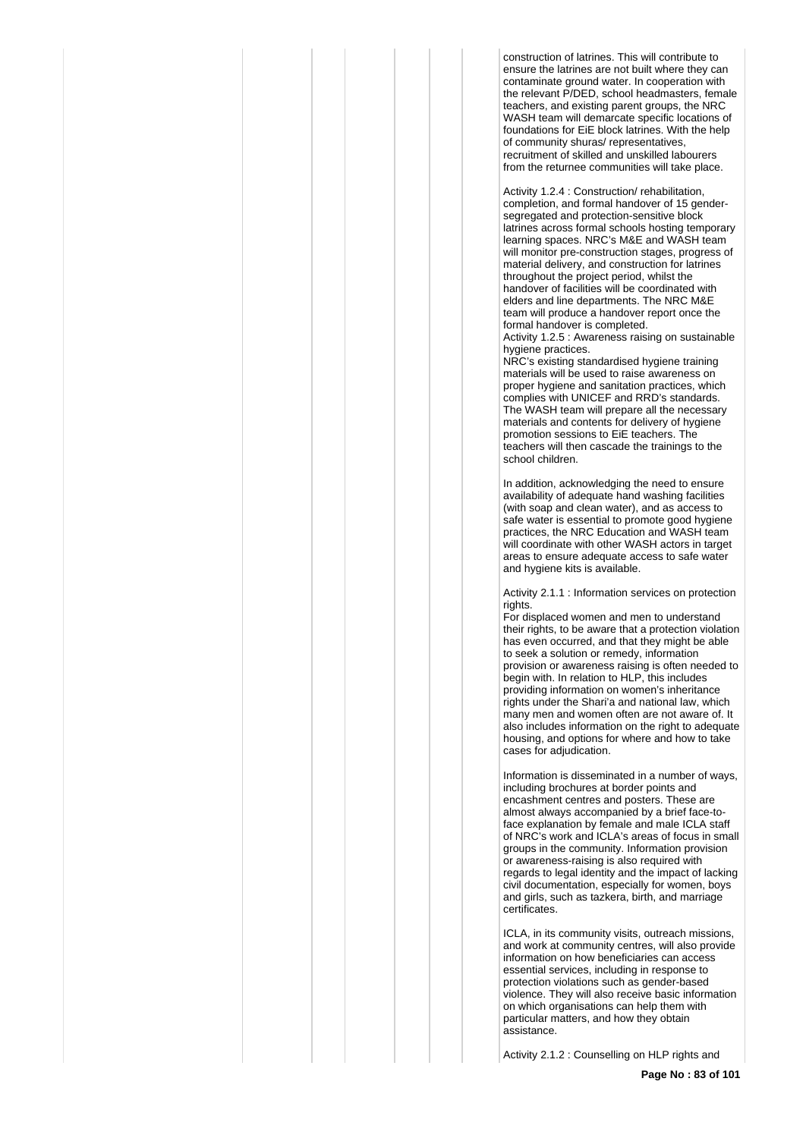construction of latrines. This will contribute to ensure the latrines are not built where they can contaminate ground water. In cooperation with the relevant P/DED, school headmasters, female teachers, and existing parent groups, the NRC WASH team will demarcate specific locations of foundations for FiF block latrines. With the help of community shuras/ representatives, recruitment of skilled and unskilled labourers from the returnee communities will take place.

Activity 1.2.4 : Construction/ rehabilitation, completion, and formal handover of 15 gendersegregated and protection-sensitive block latrines across formal schools hosting temporary learning spaces. NRC's M&E and WASH team will monitor pre-construction stages, progress of material delivery, and construction for latrines throughout the project period, whilst the handover of facilities will be coordinated with elders and line departments. The NRC M&E team will produce a handover report once the formal handover is completed.

Activity 1.2.5 : Awareness raising on sustainable hygiene practices.

NRC's existing standardised hygiene training materials will be used to raise awareness on proper hygiene and sanitation practices, which complies with UNICEF and RRD's standards. The WASH team will prepare all the necessary materials and contents for delivery of hygiene promotion sessions to EiE teachers. The teachers will then cascade the trainings to the school children.

In addition, acknowledging the need to ensure availability of adequate hand washing facilities (with soap and clean water), and as access to safe water is essential to promote good hygiene practices, the NRC Education and WASH team will coordinate with other WASH actors in target areas to ensure adequate access to safe water and hygiene kits is available.

Activity 2.1.1 : Information services on protection rights.

For displaced women and men to understand their rights, to be aware that a protection violation has even occurred, and that they might be able to seek a solution or remedy, information provision or awareness raising is often needed to begin with. In relation to HLP, this includes providing information on women's inheritance rights under the Shari'a and national law, which many men and women often are not aware of. It also includes information on the right to adequate housing, and options for where and how to take cases for adjudication.

Information is disseminated in a number of ways, including brochures at border points and encashment centres and posters. These are almost always accompanied by a brief face-toface explanation by female and male ICLA staff of NRC's work and ICLA's areas of focus in small groups in the community. Information provision or awareness-raising is also required with regards to legal identity and the impact of lacking civil documentation, especially for women, boys and girls, such as tazkera, birth, and marriage certificates.

ICLA, in its community visits, outreach missions, and work at community centres, will also provide information on how beneficiaries can access essential services, including in response to protection violations such as gender-based violence. They will also receive basic information on which organisations can help them with particular matters, and how they obtain assistance.

Activity 2.1.2 : Counselling on HLP rights and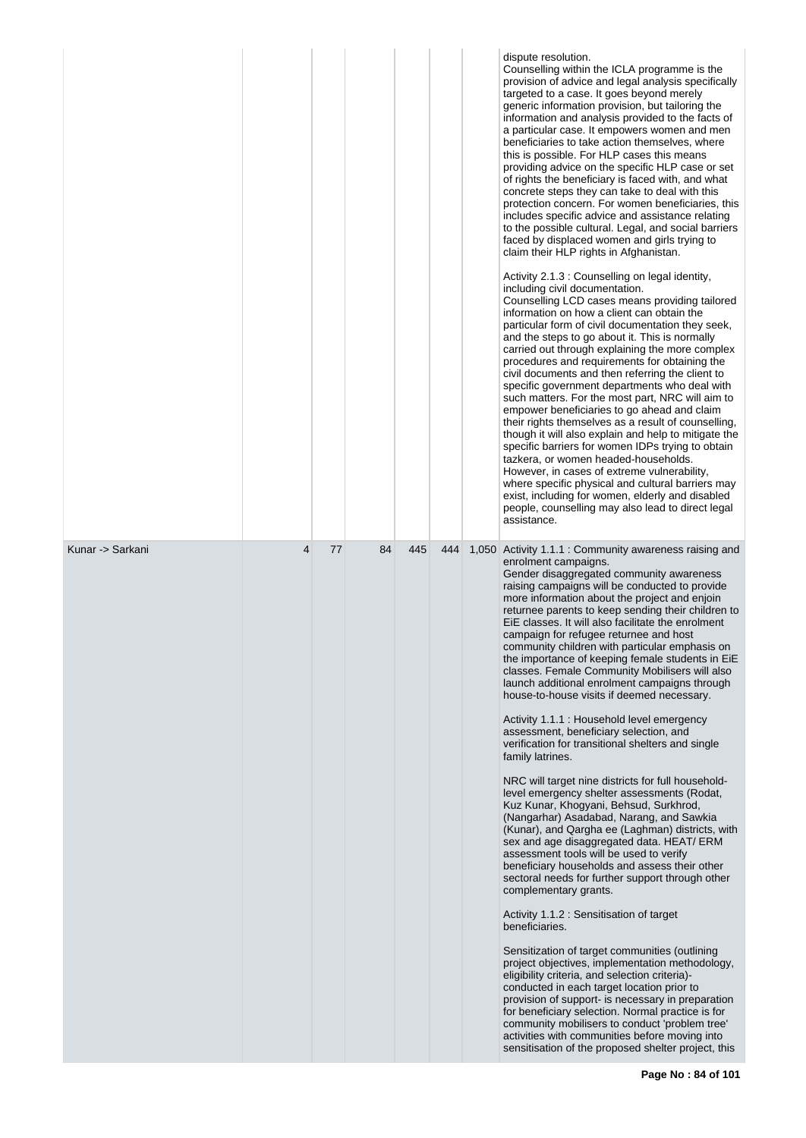|                  |                |    |    |     |     | dispute resolution.<br>Counselling within the ICLA programme is the<br>provision of advice and legal analysis specifically<br>targeted to a case. It goes beyond merely<br>generic information provision, but tailoring the<br>information and analysis provided to the facts of<br>a particular case. It empowers women and men<br>beneficiaries to take action themselves, where<br>this is possible. For HLP cases this means<br>providing advice on the specific HLP case or set<br>of rights the beneficiary is faced with, and what<br>concrete steps they can take to deal with this<br>protection concern. For women beneficiaries, this<br>includes specific advice and assistance relating<br>to the possible cultural. Legal, and social barriers<br>faced by displaced women and girls trying to<br>claim their HLP rights in Afghanistan.<br>Activity 2.1.3 : Counselling on legal identity,<br>including civil documentation.<br>Counselling LCD cases means providing tailored<br>information on how a client can obtain the<br>particular form of civil documentation they seek,<br>and the steps to go about it. This is normally<br>carried out through explaining the more complex<br>procedures and requirements for obtaining the<br>civil documents and then referring the client to<br>specific government departments who deal with<br>such matters. For the most part, NRC will aim to<br>empower beneficiaries to go ahead and claim<br>their rights themselves as a result of counselling,<br>though it will also explain and help to mitigate the<br>specific barriers for women IDPs trying to obtain<br>tazkera, or women headed-households.<br>However, in cases of extreme vulnerability,<br>where specific physical and cultural barriers may<br>exist, including for women, elderly and disabled<br>people, counselling may also lead to direct legal<br>assistance. |
|------------------|----------------|----|----|-----|-----|--------------------------------------------------------------------------------------------------------------------------------------------------------------------------------------------------------------------------------------------------------------------------------------------------------------------------------------------------------------------------------------------------------------------------------------------------------------------------------------------------------------------------------------------------------------------------------------------------------------------------------------------------------------------------------------------------------------------------------------------------------------------------------------------------------------------------------------------------------------------------------------------------------------------------------------------------------------------------------------------------------------------------------------------------------------------------------------------------------------------------------------------------------------------------------------------------------------------------------------------------------------------------------------------------------------------------------------------------------------------------------------------------------------------------------------------------------------------------------------------------------------------------------------------------------------------------------------------------------------------------------------------------------------------------------------------------------------------------------------------------------------------------------------------------------------------------------------------------------------------------------------------------------|
| Kunar -> Sarkani | $\overline{4}$ | 77 | 84 | 445 | 444 | 1,050 Activity 1.1.1 : Community awareness raising and<br>enrolment campaigns.<br>Gender disaggregated community awareness<br>raising campaigns will be conducted to provide<br>more information about the project and enjoin<br>returnee parents to keep sending their children to<br>EiE classes. It will also facilitate the enrolment<br>campaign for refugee returnee and host<br>community children with particular emphasis on<br>the importance of keeping female students in EiE<br>classes. Female Community Mobilisers will also<br>launch additional enrolment campaigns through<br>house-to-house visits if deemed necessary.<br>Activity 1.1.1 : Household level emergency<br>assessment, beneficiary selection, and<br>verification for transitional shelters and single<br>family latrines.<br>NRC will target nine districts for full household-<br>level emergency shelter assessments (Rodat,<br>Kuz Kunar, Khogyani, Behsud, Surkhrod,<br>(Nangarhar) Asadabad, Narang, and Sawkia<br>(Kunar), and Qargha ee (Laghman) districts, with<br>sex and age disaggregated data. HEAT/ ERM<br>assessment tools will be used to verify<br>beneficiary households and assess their other<br>sectoral needs for further support through other<br>complementary grants.<br>Activity 1.1.2 : Sensitisation of target<br>beneficiaries.<br>Sensitization of target communities (outlining<br>project objectives, implementation methodology,<br>eligibility criteria, and selection criteria)-<br>conducted in each target location prior to<br>provision of support- is necessary in preparation<br>for beneficiary selection. Normal practice is for<br>community mobilisers to conduct 'problem tree'<br>activities with communities before moving into<br>sensitisation of the proposed shelter project, this                                                                               |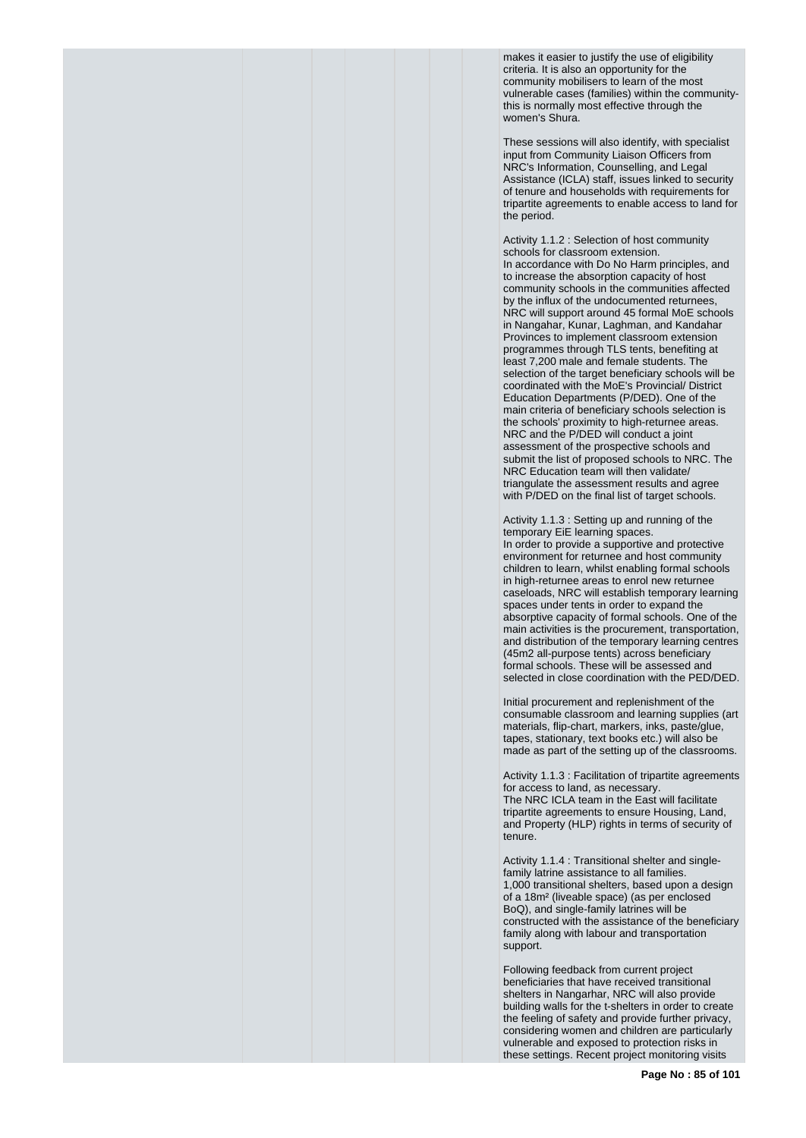makes it easier to justify the use of eligibility criteria. It is also an opportunity for the community mobilisers to learn of the most vulnerable cases (families) within the communitythis is normally most effective through the women's Shura.

These sessions will also identify, with specialist input from Community Liaison Officers from NRC's Information, Counselling, and Legal Assistance (ICLA) staff, issues linked to security of tenure and households with requirements for tripartite agreements to enable access to land for the period.

Activity 1.1.2 : Selection of host community schools for classroom extension. In accordance with Do No Harm principles, and to increase the absorption capacity of host community schools in the communities affected by the influx of the undocumented returnees, NRC will support around 45 formal MoE schools in Nangahar, Kunar, Laghman, and Kandahar Provinces to implement classroom extension programmes through TLS tents, benefiting at least 7,200 male and female students. The selection of the target beneficiary schools will be coordinated with the MoE's Provincial/ District Education Departments (P/DED). One of the main criteria of beneficiary schools selection is the schools' proximity to high-returnee areas. NRC and the P/DED will conduct a joint assessment of the prospective schools and submit the list of proposed schools to NRC. The NRC Education team will then validate/ triangulate the assessment results and agree with P/DED on the final list of target schools.

Activity 1.1.3 : Setting up and running of the temporary EiE learning spaces. In order to provide a supportive and protective environment for returnee and host community children to learn, whilst enabling formal schools in high-returnee areas to enrol new returnee caseloads, NRC will establish temporary learning spaces under tents in order to expand the absorptive capacity of formal schools. One of the main activities is the procurement, transportation, and distribution of the temporary learning centres (45m2 all-purpose tents) across beneficiary formal schools. These will be assessed and selected in close coordination with the PED/DED.

Initial procurement and replenishment of the consumable classroom and learning supplies (art materials, flip-chart, markers, inks, paste/glue, tapes, stationary, text books etc.) will also be made as part of the setting up of the classrooms.

Activity 1.1.3 : Facilitation of tripartite agreements for access to land, as necessary. The NRC ICLA team in the East will facilitate tripartite agreements to ensure Housing, Land, and Property (HLP) rights in terms of security of tenure.

Activity 1.1.4 : Transitional shelter and singlefamily latrine assistance to all families. 1,000 transitional shelters, based upon a design of a 18m² (liveable space) (as per enclosed BoQ), and single-family latrines will be constructed with the assistance of the beneficiary family along with labour and transportation support.

Following feedback from current project beneficiaries that have received transitional shelters in Nangarhar, NRC will also provide building walls for the t-shelters in order to create the feeling of safety and provide further privacy, considering women and children are particularly vulnerable and exposed to protection risks in these settings. Recent project monitoring visits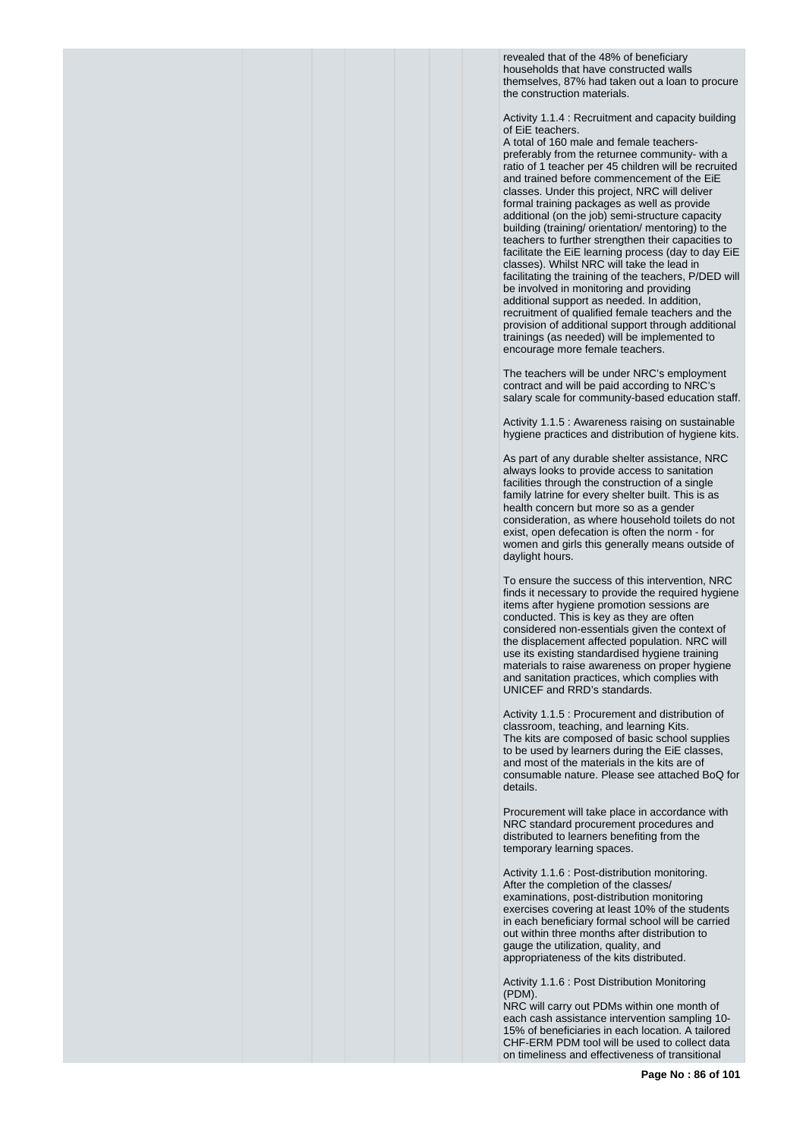revealed that of the 48% of beneficiary households that have constructed walls themselves, 87% had taken out a loan to procure the construction materials.

Activity 1.1.4 : Recruitment and capacity building of EiE teachers.

A total of 160 male and female teacherspreferably from the returnee community- with a ratio of 1 teacher per 45 children will be recruited and trained before commencement of the EiE classes. Under this project, NRC will deliver formal training packages as well as provide additional (on the job) semi-structure capacity building (training/ orientation/ mentoring) to the teachers to further strengthen their capacities to facilitate the EiE learning process (day to day EiE classes). Whilst NRC will take the lead in facilitating the training of the teachers, P/DED will be involved in monitoring and providing additional support as needed. In addition, recruitment of qualified female teachers and the provision of additional support through additional trainings (as needed) will be implemented to encourage more female teachers.

The teachers will be under NRC's employment contract and will be paid according to NRC's salary scale for community-based education staff.

Activity 1.1.5 : Awareness raising on sustainable hygiene practices and distribution of hygiene kits.

As part of any durable shelter assistance, NRC always looks to provide access to sanitation facilities through the construction of a single family latrine for every shelter built. This is as health concern but more so as a gender consideration, as where household toilets do not exist, open defecation is often the norm - for women and girls this generally means outside of daylight hours.

To ensure the success of this intervention, NRC finds it necessary to provide the required hygiene items after hygiene promotion sessions are conducted. This is key as they are often considered non-essentials given the context of the displacement affected population. NRC will use its existing standardised hygiene training materials to raise awareness on proper hygiene and sanitation practices, which complies with UNICEF and RRD's standards.

Activity 1.1.5 : Procurement and distribution of classroom, teaching, and learning Kits. The kits are composed of basic school supplies to be used by learners during the EiE classes, and most of the materials in the kits are of consumable nature. Please see attached BoQ for details.

Procurement will take place in accordance with NRC standard procurement procedures and distributed to learners benefiting from the temporary learning spaces.

Activity 1.1.6 : Post-distribution monitoring. After the completion of the classes/ examinations, post-distribution monitoring exercises covering at least 10% of the students in each beneficiary formal school will be carried out within three months after distribution to gauge the utilization, quality, and appropriateness of the kits distributed.

Activity 1.1.6 : Post Distribution Monitoring (PDM).

NRC will carry out PDMs within one month of each cash assistance intervention sampling 10- 15% of beneficiaries in each location. A tailored CHF-ERM PDM tool will be used to collect data on timeliness and effectiveness of transitional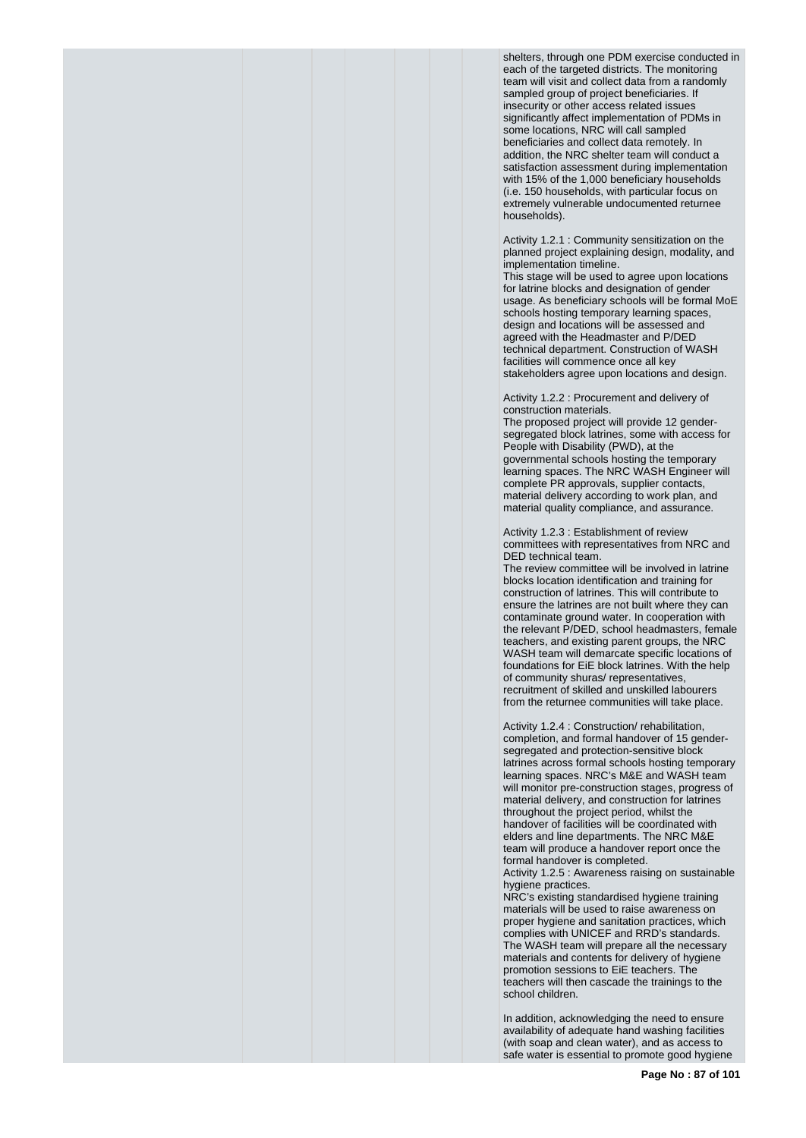shelters, through one PDM exercise conducted in each of the targeted districts. The monitoring team will visit and collect data from a randomly sampled group of project beneficiaries. If insecurity or other access related issues significantly affect implementation of PDMs in some locations, NRC will call sampled beneficiaries and collect data remotely. In addition, the NRC shelter team will conduct a satisfaction assessment during implementation with 15% of the 1,000 beneficiary households (i.e. 150 households, with particular focus on extremely vulnerable undocumented returnee households).

Activity 1.2.1 : Community sensitization on the planned project explaining design, modality, and implementation timeline.

This stage will be used to agree upon locations for latrine blocks and designation of gender usage. As beneficiary schools will be formal MoE schools hosting temporary learning spaces, design and locations will be assessed and agreed with the Headmaster and P/DED technical department. Construction of WASH facilities will commence once all key stakeholders agree upon locations and design.

Activity 1.2.2 : Procurement and delivery of construction materials.

The proposed project will provide 12 gendersegregated block latrines, some with access for People with Disability (PWD), at the governmental schools hosting the temporary learning spaces. The NRC WASH Engineer will complete PR approvals, supplier contacts, material delivery according to work plan, and material quality compliance, and assurance.

Activity 1.2.3 : Establishment of review committees with representatives from NRC and DED technical team.

The review committee will be involved in latrine blocks location identification and training for construction of latrines. This will contribute to ensure the latrines are not built where they can contaminate ground water. In cooperation with the relevant P/DED, school headmasters, female teachers, and existing parent groups, the NRC WASH team will demarcate specific locations of foundations for EiE block latrines. With the help of community shuras/ representatives, recruitment of skilled and unskilled labourers from the returnee communities will take place.

Activity 1.2.4 : Construction/ rehabilitation, completion, and formal handover of 15 gendersegregated and protection-sensitive block latrines across formal schools hosting temporary learning spaces. NRC's M&E and WASH team will monitor pre-construction stages, progress of material delivery, and construction for latrines throughout the project period, whilst the handover of facilities will be coordinated with elders and line departments. The NRC M&E team will produce a handover report once the formal handover is completed.

Activity 1.2.5 : Awareness raising on sustainable hygiene practices.

NRC's existing standardised hygiene training materials will be used to raise awareness on proper hygiene and sanitation practices, which complies with UNICEF and RRD's standards. The WASH team will prepare all the necessary materials and contents for delivery of hygiene promotion sessions to EiE teachers. The teachers will then cascade the trainings to the school children.

In addition, acknowledging the need to ensure availability of adequate hand washing facilities (with soap and clean water), and as access to safe water is essential to promote good hygiene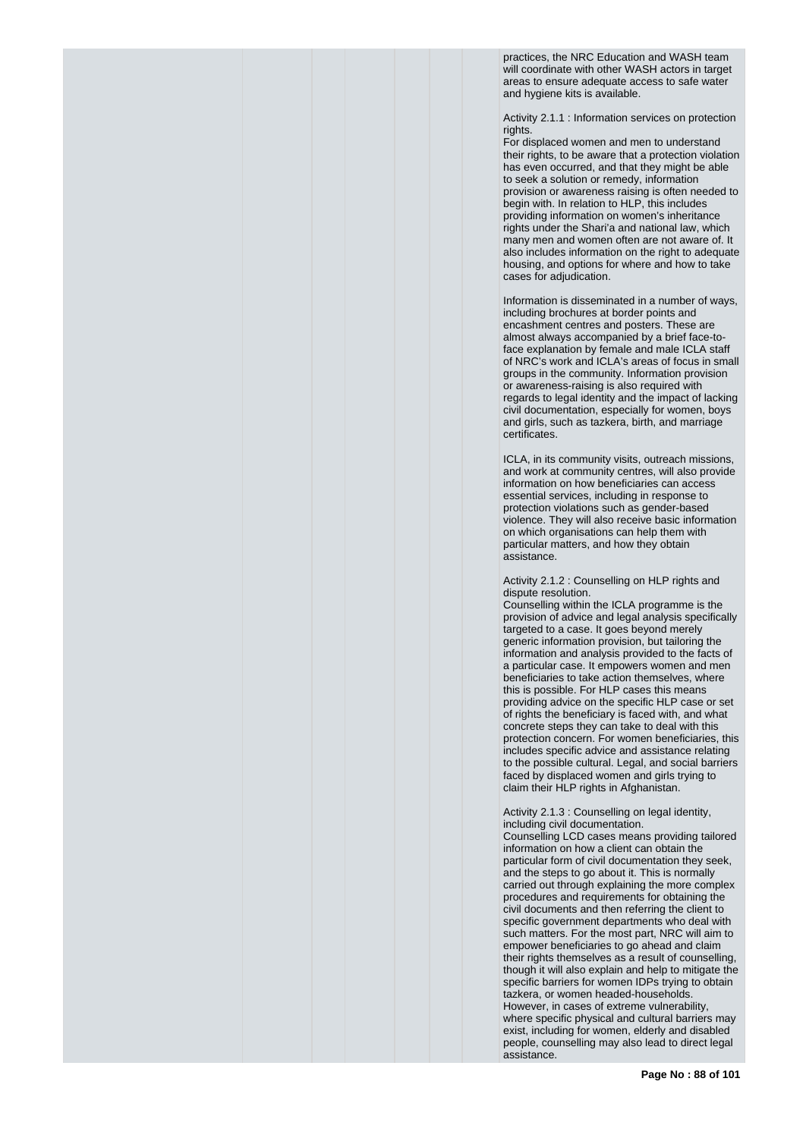practices, the NRC Education and WASH team will coordinate with other WASH actors in target areas to ensure adequate access to safe water and hygiene kits is available.

Activity 2.1.1 : Information services on protection rights

For displaced women and men to understand their rights, to be aware that a protection violation has even occurred, and that they might be able to seek a solution or remedy, information provision or awareness raising is often needed to begin with. In relation to HLP, this includes providing information on women's inheritance rights under the Shari'a and national law, which many men and women often are not aware of. It also includes information on the right to adequate housing, and options for where and how to take cases for adjudication.

Information is disseminated in a number of ways, including brochures at border points and encashment centres and posters. These are almost always accompanied by a brief face-toface explanation by female and male ICLA staff of NRC's work and ICLA's areas of focus in small groups in the community. Information provision or awareness-raising is also required with regards to legal identity and the impact of lacking civil documentation, especially for women, boys and girls, such as tazkera, birth, and marriage certificates.

ICLA, in its community visits, outreach missions, and work at community centres, will also provide information on how beneficiaries can access essential services, including in response to protection violations such as gender-based violence. They will also receive basic information on which organisations can help them with particular matters, and how they obtain assistance.

Activity 2.1.2 : Counselling on HLP rights and dispute resolution.

Counselling within the ICLA programme is the provision of advice and legal analysis specifically targeted to a case. It goes beyond merely generic information provision, but tailoring the information and analysis provided to the facts of a particular case. It empowers women and men beneficiaries to take action themselves, where this is possible. For HLP cases this means providing advice on the specific HLP case or set of rights the beneficiary is faced with, and what concrete steps they can take to deal with this protection concern. For women beneficiaries, this includes specific advice and assistance relating to the possible cultural. Legal, and social barriers faced by displaced women and girls trying to claim their HLP rights in Afghanistan.

Activity 2.1.3 : Counselling on legal identity, including civil documentation.

Counselling LCD cases means providing tailored information on how a client can obtain the particular form of civil documentation they seek, and the steps to go about it. This is normally carried out through explaining the more complex procedures and requirements for obtaining the civil documents and then referring the client to specific government departments who deal with such matters. For the most part, NRC will aim to empower beneficiaries to go ahead and claim their rights themselves as a result of counselling, though it will also explain and help to mitigate the specific barriers for women IDPs trying to obtain tazkera, or women headed-households. However, in cases of extreme vulnerability, where specific physical and cultural barriers may exist, including for women, elderly and disabled people, counselling may also lead to direct legal assistance.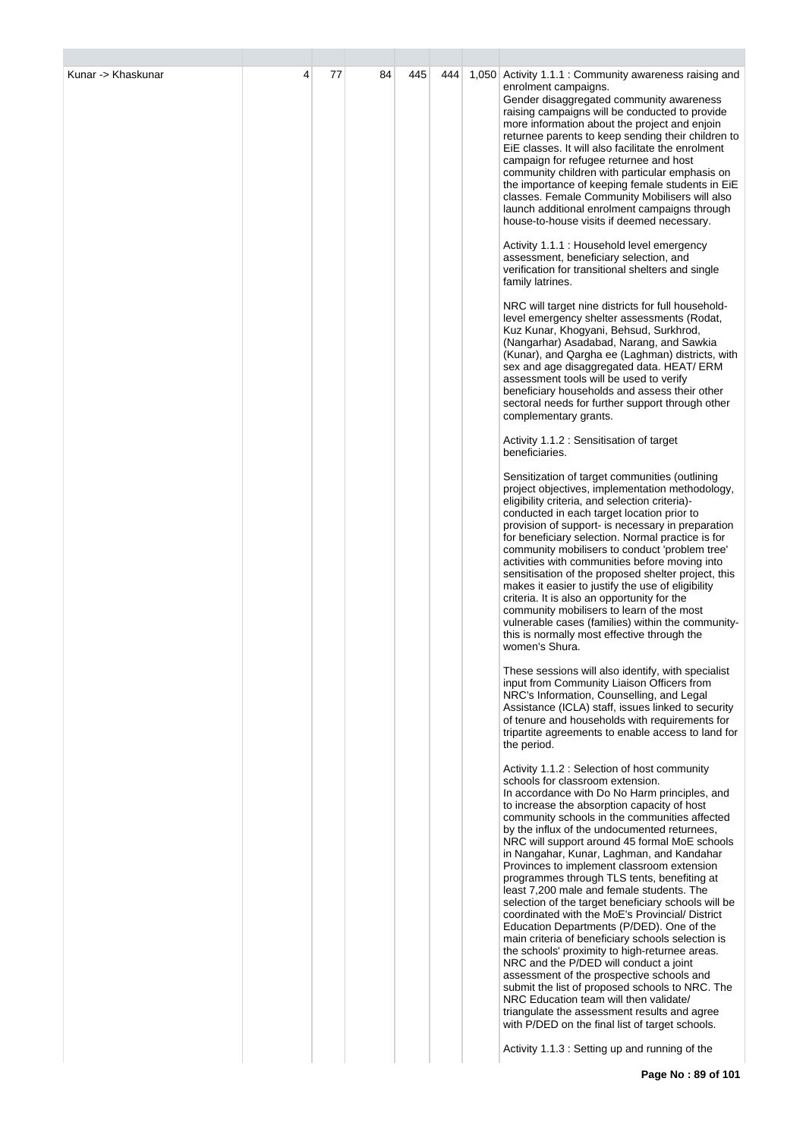| Kunar -> Khaskunar | 77 | 84 | 445 | 444 |                                                                                                                                                                                                                                                                                                                                                                                                                                                                                                                                                                                                                                                                                                                                                                                                                                                                                                                                                                                                                                                                                |
|--------------------|----|----|-----|-----|--------------------------------------------------------------------------------------------------------------------------------------------------------------------------------------------------------------------------------------------------------------------------------------------------------------------------------------------------------------------------------------------------------------------------------------------------------------------------------------------------------------------------------------------------------------------------------------------------------------------------------------------------------------------------------------------------------------------------------------------------------------------------------------------------------------------------------------------------------------------------------------------------------------------------------------------------------------------------------------------------------------------------------------------------------------------------------|
|                    |    |    |     |     | 1,050 Activity 1.1.1 : Community awareness raising and<br>enrolment campaigns.<br>Gender disaggregated community awareness<br>raising campaigns will be conducted to provide<br>more information about the project and enjoin<br>returnee parents to keep sending their children to<br>EiE classes. It will also facilitate the enrolment<br>campaign for refugee returnee and host<br>community children with particular emphasis on<br>the importance of keeping female students in EiE<br>classes. Female Community Mobilisers will also<br>launch additional enrolment campaigns through<br>house-to-house visits if deemed necessary.                                                                                                                                                                                                                                                                                                                                                                                                                                     |
|                    |    |    |     |     | Activity 1.1.1 : Household level emergency<br>assessment, beneficiary selection, and<br>verification for transitional shelters and single<br>family latrines.                                                                                                                                                                                                                                                                                                                                                                                                                                                                                                                                                                                                                                                                                                                                                                                                                                                                                                                  |
|                    |    |    |     |     | NRC will target nine districts for full household-<br>level emergency shelter assessments (Rodat,<br>Kuz Kunar, Khogyani, Behsud, Surkhrod,<br>(Nangarhar) Asadabad, Narang, and Sawkia<br>(Kunar), and Qargha ee (Laghman) districts, with<br>sex and age disaggregated data. HEAT/ERM<br>assessment tools will be used to verify<br>beneficiary households and assess their other<br>sectoral needs for further support through other<br>complementary grants.                                                                                                                                                                                                                                                                                                                                                                                                                                                                                                                                                                                                               |
|                    |    |    |     |     | Activity 1.1.2 : Sensitisation of target<br>beneficiaries.                                                                                                                                                                                                                                                                                                                                                                                                                                                                                                                                                                                                                                                                                                                                                                                                                                                                                                                                                                                                                     |
|                    |    |    |     |     | Sensitization of target communities (outlining<br>project objectives, implementation methodology,<br>eligibility criteria, and selection criteria)-<br>conducted in each target location prior to<br>provision of support- is necessary in preparation<br>for beneficiary selection. Normal practice is for<br>community mobilisers to conduct 'problem tree'<br>activities with communities before moving into<br>sensitisation of the proposed shelter project, this<br>makes it easier to justify the use of eligibility<br>criteria. It is also an opportunity for the<br>community mobilisers to learn of the most<br>vulnerable cases (families) within the community-<br>this is normally most effective through the<br>women's Shura.                                                                                                                                                                                                                                                                                                                                  |
|                    |    |    |     |     | These sessions will also identify, with specialist<br>input from Community Liaison Officers from<br>NRC's Information, Counselling, and Legal<br>Assistance (ICLA) staff, issues linked to security<br>of tenure and households with requirements for<br>tripartite agreements to enable access to land for<br>the period.                                                                                                                                                                                                                                                                                                                                                                                                                                                                                                                                                                                                                                                                                                                                                     |
|                    |    |    |     |     | Activity 1.1.2 : Selection of host community<br>schools for classroom extension.<br>In accordance with Do No Harm principles, and<br>to increase the absorption capacity of host<br>community schools in the communities affected<br>by the influx of the undocumented returnees,<br>NRC will support around 45 formal MoE schools<br>in Nangahar, Kunar, Laghman, and Kandahar<br>Provinces to implement classroom extension<br>programmes through TLS tents, benefiting at<br>least 7,200 male and female students. The<br>selection of the target beneficiary schools will be<br>coordinated with the MoE's Provincial/ District<br>Education Departments (P/DED). One of the<br>main criteria of beneficiary schools selection is<br>the schools' proximity to high-returnee areas.<br>NRC and the P/DED will conduct a joint<br>assessment of the prospective schools and<br>submit the list of proposed schools to NRC. The<br>NRC Education team will then validate/<br>triangulate the assessment results and agree<br>with P/DED on the final list of target schools. |
|                    |    |    |     |     | Activity 1.1.3 : Setting up and running of the                                                                                                                                                                                                                                                                                                                                                                                                                                                                                                                                                                                                                                                                                                                                                                                                                                                                                                                                                                                                                                 |

r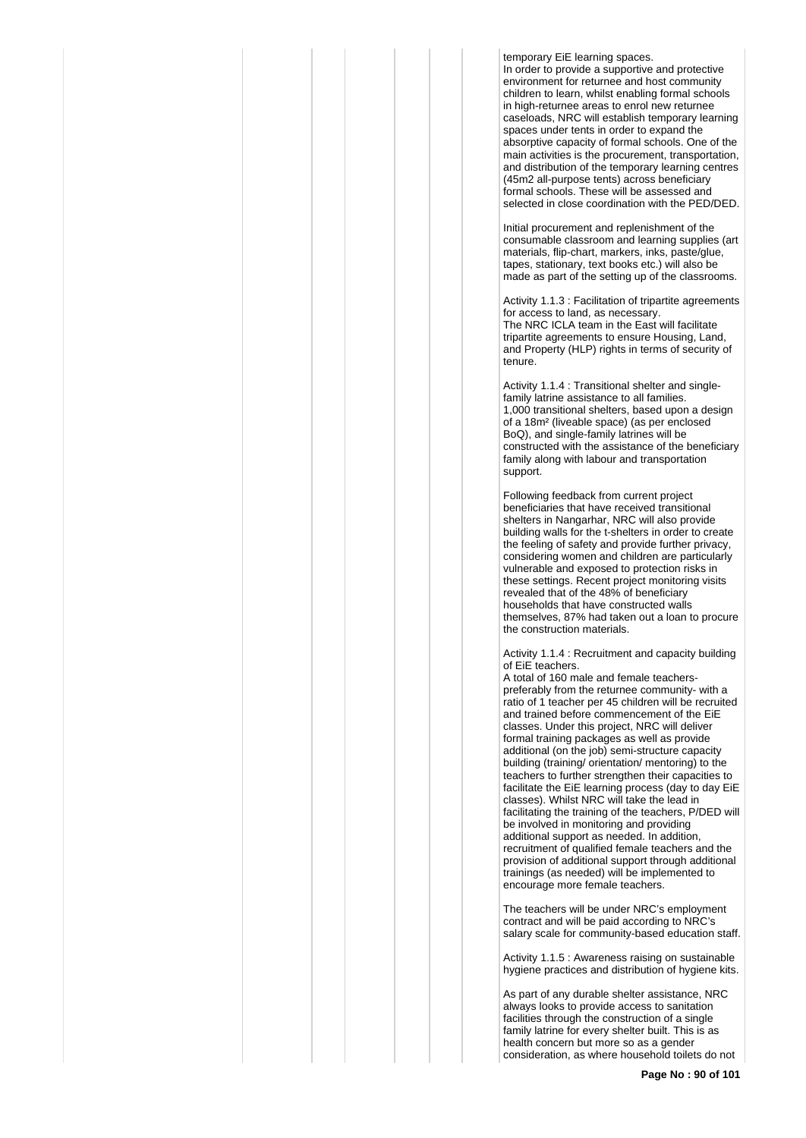temporary EiE learning spaces. In order to provide a supportive and protective environment for returnee and host community children to learn, whilst enabling formal schools in high-returnee areas to enrol new returnee caseloads, NRC will establish temporary learning spaces under tents in order to expand the absorptive capacity of formal schools. One of the main activities is the procurement, transportation, and distribution of the temporary learning centres (45m2 all-purpose tents) across beneficiary formal schools. These will be assessed and selected in close coordination with the PED/DED.

Initial procurement and replenishment of the consumable classroom and learning supplies (art materials, flip-chart, markers, inks, paste/glue, tapes, stationary, text books etc.) will also be made as part of the setting up of the classrooms.

Activity 1.1.3 : Facilitation of tripartite agreements for access to land, as necessary. The NRC ICLA team in the East will facilitate tripartite agreements to ensure Housing, Land, and Property (HLP) rights in terms of security of tenure.

Activity 1.1.4 : Transitional shelter and singlefamily latrine assistance to all families. 1,000 transitional shelters, based upon a design of a 18m² (liveable space) (as per enclosed BoQ), and single-family latrines will be constructed with the assistance of the beneficiary family along with labour and transportation support.

Following feedback from current project beneficiaries that have received transitional shelters in Nangarhar, NRC will also provide building walls for the t-shelters in order to create the feeling of safety and provide further privacy, considering women and children are particularly vulnerable and exposed to protection risks in these settings. Recent project monitoring visits revealed that of the 48% of beneficiary households that have constructed walls themselves, 87% had taken out a loan to procure the construction materials.

Activity 1.1.4 : Recruitment and capacity building of EiE teachers.

A total of 160 male and female teacherspreferably from the returnee community- with a ratio of 1 teacher per 45 children will be recruited and trained before commencement of the EiE classes. Under this project, NRC will deliver formal training packages as well as provide additional (on the job) semi-structure capacity building (training/ orientation/ mentoring) to the teachers to further strengthen their capacities to facilitate the EiE learning process (day to day EiE classes). Whilst NRC will take the lead in facilitating the training of the teachers, P/DED will be involved in monitoring and providing additional support as needed. In addition, recruitment of qualified female teachers and the provision of additional support through additional trainings (as needed) will be implemented to encourage more female teachers.

The teachers will be under NRC's employment contract and will be paid according to NRC's salary scale for community-based education staff.

Activity 1.1.5 : Awareness raising on sustainable hygiene practices and distribution of hygiene kits.

As part of any durable shelter assistance, NRC always looks to provide access to sanitation facilities through the construction of a single family latrine for every shelter built. This is as health concern but more so as a gender consideration, as where household toilets do not

**Page No : 90 of 101**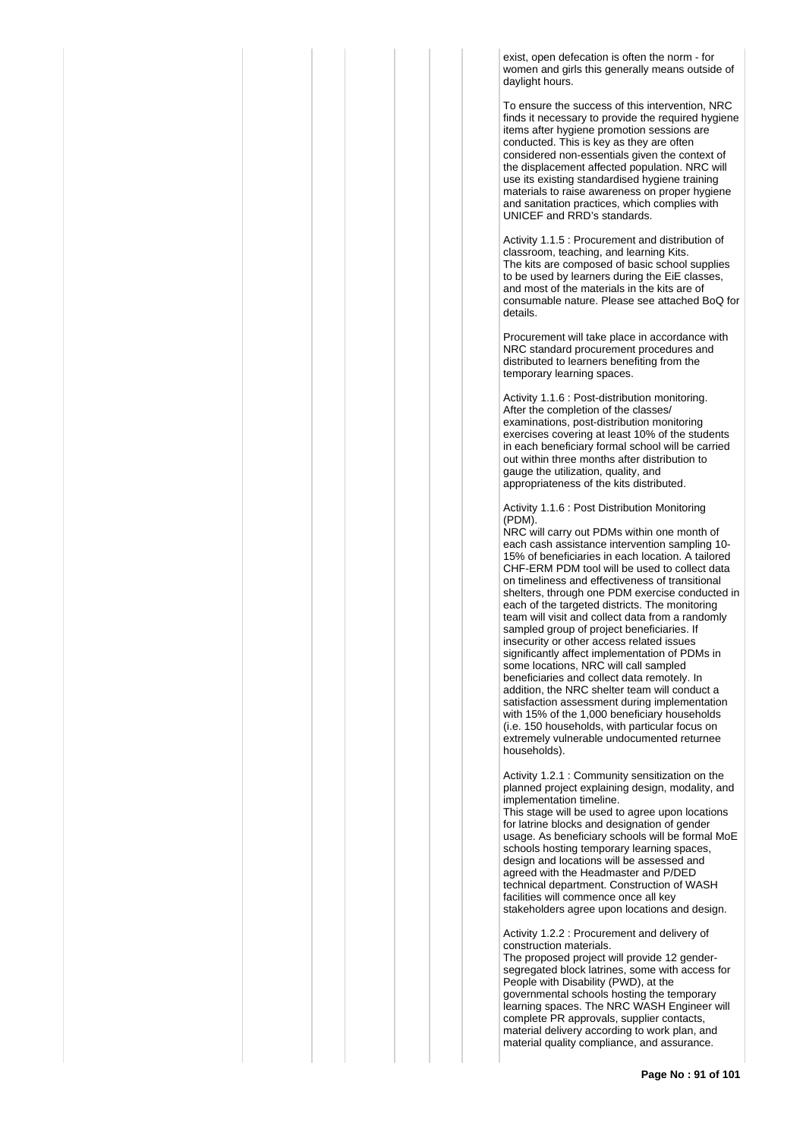exist, open defecation is often the norm - for women and girls this generally means outside of daylight hours.

To ensure the success of this intervention, NRC finds it necessary to provide the required hygiene items after hygiene promotion sessions are conducted. This is key as they are often considered non-essentials given the context of the displacement affected population. NRC will use its existing standardised hygiene training materials to raise awareness on proper hygiene and sanitation practices, which complies with UNICEF and RRD's standards.

Activity 1.1.5 : Procurement and distribution of classroom, teaching, and learning Kits. The kits are composed of basic school supplies to be used by learners during the EiE classes, and most of the materials in the kits are of consumable nature. Please see attached BoQ for details.

Procurement will take place in accordance with NRC standard procurement procedures and distributed to learners benefiting from the temporary learning spaces.

Activity 1.1.6 : Post-distribution monitoring. After the completion of the classes/ examinations, post-distribution monitoring exercises covering at least 10% of the students in each beneficiary formal school will be carried out within three months after distribution to gauge the utilization, quality, and appropriateness of the kits distributed.

Activity 1.1.6 : Post Distribution Monitoring (PDM).

NRC will carry out PDMs within one month of each cash assistance intervention sampling 10- 15% of beneficiaries in each location. A tailored CHF-ERM PDM tool will be used to collect data on timeliness and effectiveness of transitional shelters, through one PDM exercise conducted in each of the targeted districts. The monitoring team will visit and collect data from a randomly sampled group of project beneficiaries. If insecurity or other access related issues significantly affect implementation of PDMs in some locations, NRC will call sampled beneficiaries and collect data remotely. In addition, the NRC shelter team will conduct a satisfaction assessment during implementation with 15% of the 1,000 beneficiary households (i.e. 150 households, with particular focus on extremely vulnerable undocumented returnee households).

Activity 1.2.1 : Community sensitization on the planned project explaining design, modality, and implementation timeline.

This stage will be used to agree upon locations for latrine blocks and designation of gender usage. As beneficiary schools will be formal MoE schools hosting temporary learning spaces, design and locations will be assessed and agreed with the Headmaster and P/DED technical department. Construction of WASH facilities will commence once all key stakeholders agree upon locations and design.

Activity 1.2.2 : Procurement and delivery of construction materials.

The proposed project will provide 12 gendersegregated block latrines, some with access for People with Disability (PWD), at the governmental schools hosting the temporary learning spaces. The NRC WASH Engineer will complete PR approvals, supplier contacts, material delivery according to work plan, and material quality compliance, and assurance.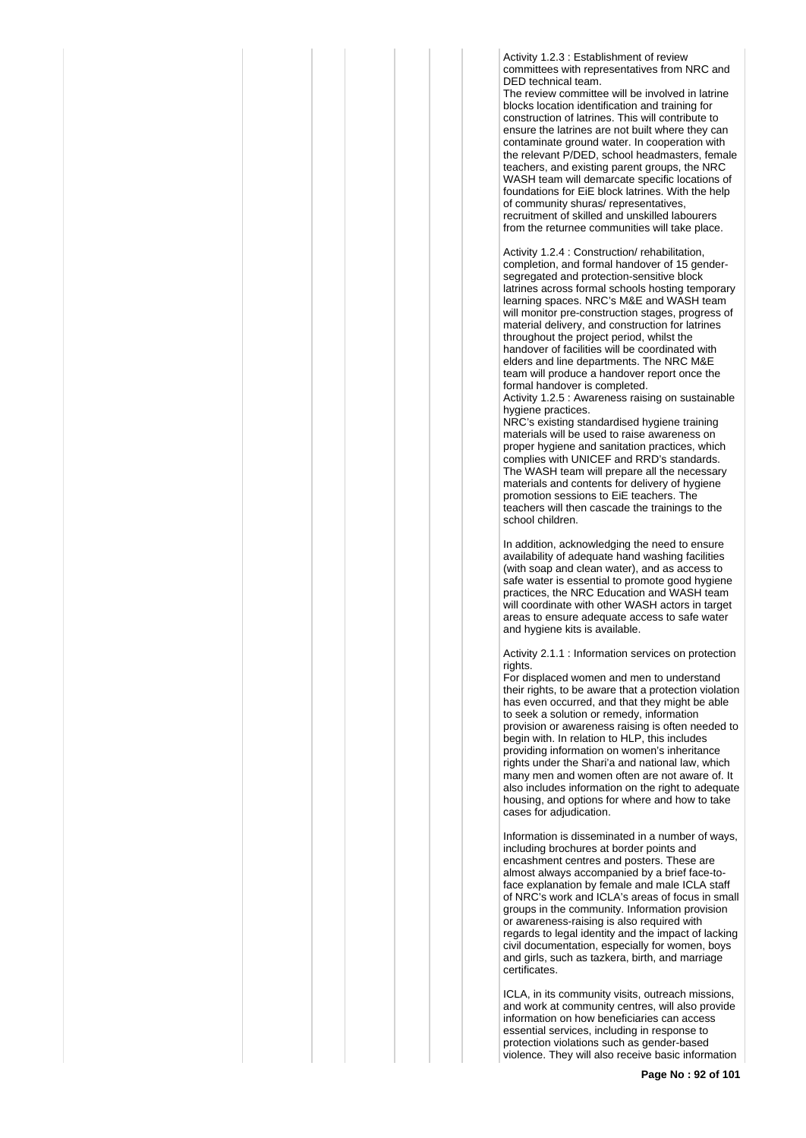Activity 1.2.3 : Establishment of review committees with representatives from NRC and DED technical team.

The review committee will be involved in latrine blocks location identification and training for construction of latrines. This will contribute to ensure the latrines are not built where they can contaminate ground water. In cooperation with the relevant P/DED, school headmasters, female teachers, and existing parent groups, the NRC WASH team will demarcate specific locations of foundations for EiE block latrines. With the help of community shuras/ representatives, recruitment of skilled and unskilled labourers from the returnee communities will take place.

Activity 1.2.4 : Construction/ rehabilitation, completion, and formal handover of 15 gendersegregated and protection-sensitive block latrines across formal schools hosting temporary learning spaces. NRC's M&E and WASH team will monitor pre-construction stages, progress of material delivery, and construction for latrines throughout the project period, whilst the handover of facilities will be coordinated with elders and line departments. The NRC M&E team will produce a handover report once the formal handover is completed.

Activity 1.2.5 : Awareness raising on sustainable hygiene practices.

NRC's existing standardised hygiene training materials will be used to raise awareness on proper hygiene and sanitation practices, which complies with UNICEF and RRD's standards. The WASH team will prepare all the necessary materials and contents for delivery of hygiene promotion sessions to EiE teachers. The teachers will then cascade the trainings to the school children.

In addition, acknowledging the need to ensure availability of adequate hand washing facilities (with soap and clean water), and as access to safe water is essential to promote good hygiene practices, the NRC Education and WASH team will coordinate with other WASH actors in target areas to ensure adequate access to safe water and hygiene kits is available.

Activity 2.1.1 : Information services on protection rights.

For displaced women and men to understand their rights, to be aware that a protection violation has even occurred, and that they might be able to seek a solution or remedy, information provision or awareness raising is often needed to begin with. In relation to HLP, this includes providing information on women's inheritance rights under the Shari'a and national law, which many men and women often are not aware of. It also includes information on the right to adequate housing, and options for where and how to take cases for adjudication.

Information is disseminated in a number of ways, including brochures at border points and encashment centres and posters. These are almost always accompanied by a brief face-toface explanation by female and male ICLA staff of NRC's work and ICLA's areas of focus in small groups in the community. Information provision or awareness-raising is also required with regards to legal identity and the impact of lacking civil documentation, especially for women, boys and girls, such as tazkera, birth, and marriage certificates.

ICLA, in its community visits, outreach missions, and work at community centres, will also provide information on how beneficiaries can access essential services, including in response to protection violations such as gender-based violence. They will also receive basic information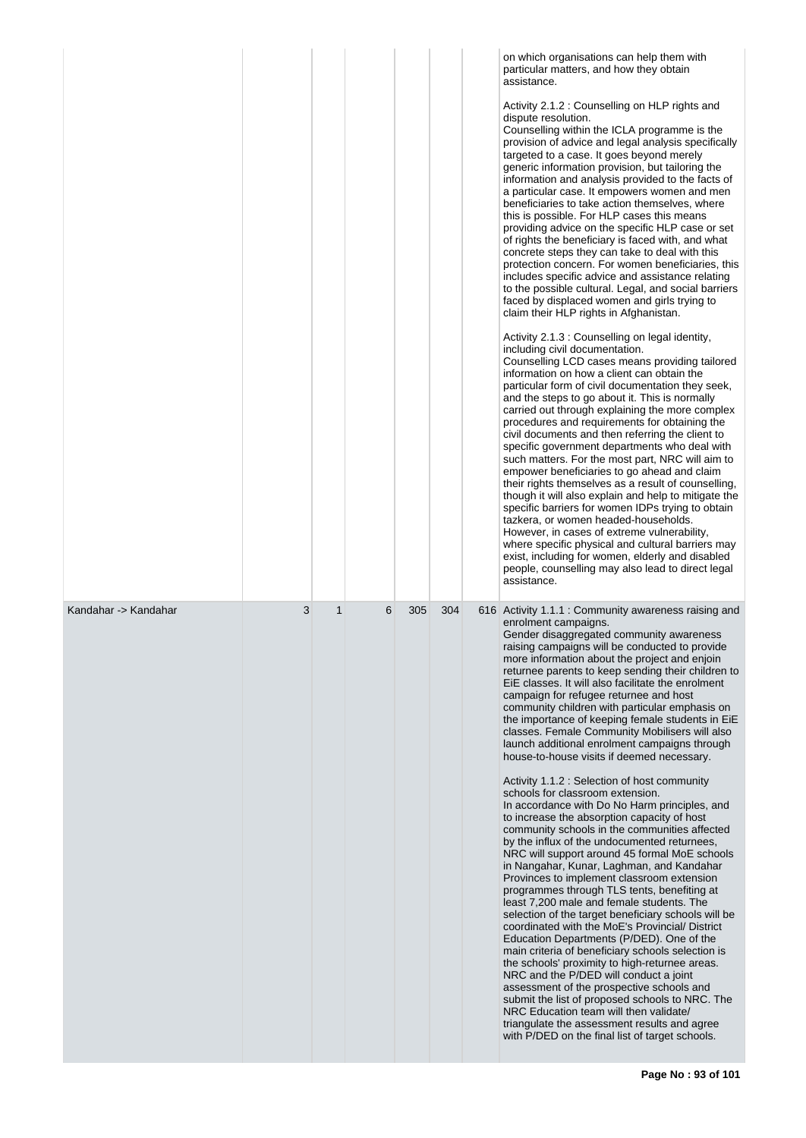|                      |   |             |   |     |     | on which organisations can help them with<br>particular matters, and how they obtain<br>assistance.<br>Activity 2.1.2 : Counselling on HLP rights and<br>dispute resolution.<br>Counselling within the ICLA programme is the<br>provision of advice and legal analysis specifically<br>targeted to a case. It goes beyond merely<br>generic information provision, but tailoring the<br>information and analysis provided to the facts of<br>a particular case. It empowers women and men<br>beneficiaries to take action themselves, where<br>this is possible. For HLP cases this means<br>providing advice on the specific HLP case or set<br>of rights the beneficiary is faced with, and what<br>concrete steps they can take to deal with this<br>protection concern. For women beneficiaries, this<br>includes specific advice and assistance relating<br>to the possible cultural. Legal, and social barriers<br>faced by displaced women and girls trying to<br>claim their HLP rights in Afghanistan.<br>Activity 2.1.3 : Counselling on legal identity,<br>including civil documentation.<br>Counselling LCD cases means providing tailored<br>information on how a client can obtain the<br>particular form of civil documentation they seek,<br>and the steps to go about it. This is normally<br>carried out through explaining the more complex<br>procedures and requirements for obtaining the<br>civil documents and then referring the client to<br>specific government departments who deal with<br>such matters. For the most part, NRC will aim to<br>empower beneficiaries to go ahead and claim<br>their rights themselves as a result of counselling,<br>though it will also explain and help to mitigate the<br>specific barriers for women IDPs trying to obtain<br>tazkera, or women headed-households.<br>However, in cases of extreme vulnerability,<br>where specific physical and cultural barriers may<br>exist, including for women, elderly and disabled<br>people, counselling may also lead to direct legal<br>assistance. |
|----------------------|---|-------------|---|-----|-----|-----------------------------------------------------------------------------------------------------------------------------------------------------------------------------------------------------------------------------------------------------------------------------------------------------------------------------------------------------------------------------------------------------------------------------------------------------------------------------------------------------------------------------------------------------------------------------------------------------------------------------------------------------------------------------------------------------------------------------------------------------------------------------------------------------------------------------------------------------------------------------------------------------------------------------------------------------------------------------------------------------------------------------------------------------------------------------------------------------------------------------------------------------------------------------------------------------------------------------------------------------------------------------------------------------------------------------------------------------------------------------------------------------------------------------------------------------------------------------------------------------------------------------------------------------------------------------------------------------------------------------------------------------------------------------------------------------------------------------------------------------------------------------------------------------------------------------------------------------------------------------------------------------------------------------------------------------------------------------------------------------------------------------------------------------------------|
| Kandahar -> Kandahar | 3 | $\mathbf 1$ | 6 | 305 | 304 | 616 Activity 1.1.1 : Community awareness raising and<br>enrolment campaigns.<br>Gender disaggregated community awareness<br>raising campaigns will be conducted to provide<br>more information about the project and enjoin<br>returnee parents to keep sending their children to<br>EiE classes. It will also facilitate the enrolment<br>campaign for refugee returnee and host<br>community children with particular emphasis on<br>the importance of keeping female students in EiE<br>classes. Female Community Mobilisers will also<br>launch additional enrolment campaigns through<br>house-to-house visits if deemed necessary.<br>Activity 1.1.2 : Selection of host community<br>schools for classroom extension.<br>In accordance with Do No Harm principles, and<br>to increase the absorption capacity of host<br>community schools in the communities affected<br>by the influx of the undocumented returnees,<br>NRC will support around 45 formal MoE schools<br>in Nangahar, Kunar, Laghman, and Kandahar<br>Provinces to implement classroom extension<br>programmes through TLS tents, benefiting at<br>least 7,200 male and female students. The<br>selection of the target beneficiary schools will be<br>coordinated with the MoE's Provincial/ District<br>Education Departments (P/DED). One of the<br>main criteria of beneficiary schools selection is<br>the schools' proximity to high-returnee areas.<br>NRC and the P/DED will conduct a joint<br>assessment of the prospective schools and<br>submit the list of proposed schools to NRC. The<br>NRC Education team will then validate/<br>triangulate the assessment results and agree<br>with P/DED on the final list of target schools.                                                                                                                                                                                                                                                                                                                                      |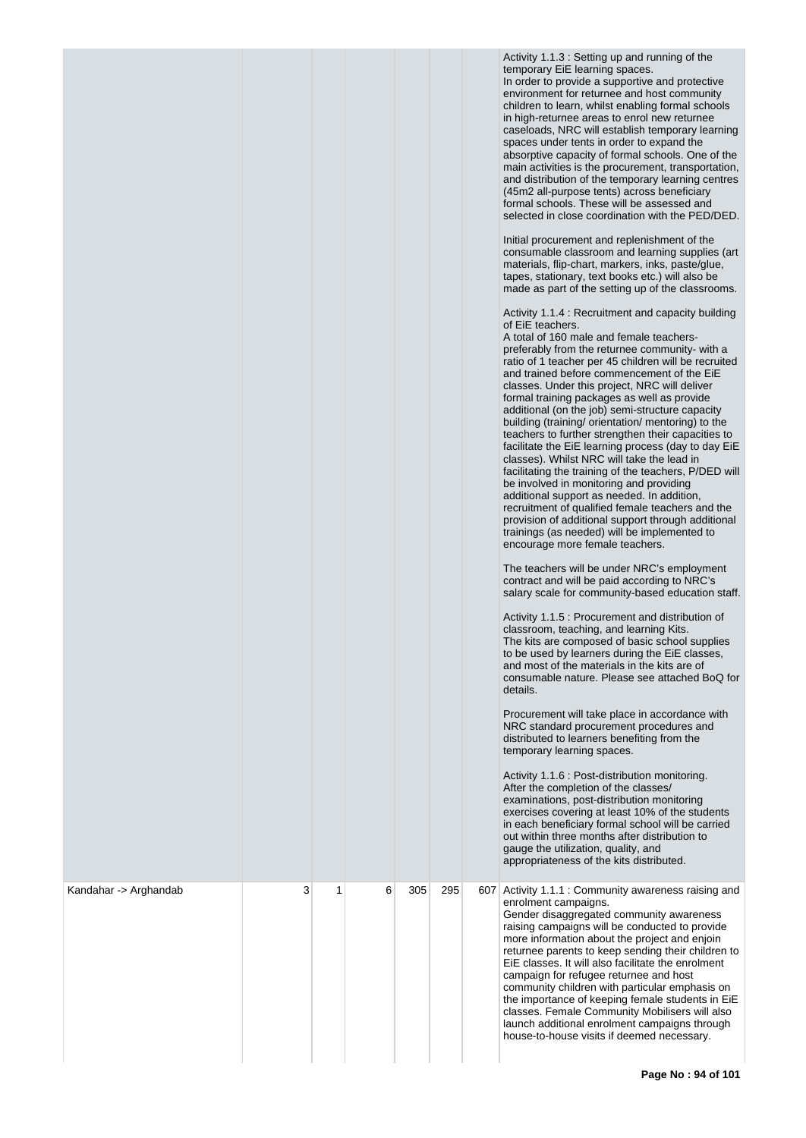|                       |   |   |   |     |     | Activity 1.1.3 : Setting up and running of the<br>temporary EiE learning spaces.<br>In order to provide a supportive and protective<br>environment for returnee and host community<br>children to learn, whilst enabling formal schools<br>in high-returnee areas to enrol new returnee<br>caseloads, NRC will establish temporary learning<br>spaces under tents in order to expand the<br>absorptive capacity of formal schools. One of the<br>main activities is the procurement, transportation,<br>and distribution of the temporary learning centres<br>(45m2 all-purpose tents) across beneficiary<br>formal schools. These will be assessed and<br>selected in close coordination with the PED/DED.<br>Initial procurement and replenishment of the<br>consumable classroom and learning supplies (art<br>materials, flip-chart, markers, inks, paste/glue,<br>tapes, stationary, text books etc.) will also be<br>made as part of the setting up of the classrooms.<br>Activity 1.1.4 : Recruitment and capacity building<br>of EiE teachers.<br>A total of 160 male and female teachers-<br>preferably from the returnee community- with a<br>ratio of 1 teacher per 45 children will be recruited<br>and trained before commencement of the EiE<br>classes. Under this project, NRC will deliver<br>formal training packages as well as provide<br>additional (on the job) semi-structure capacity<br>building (training/ orientation/ mentoring) to the<br>teachers to further strengthen their capacities to<br>facilitate the EiE learning process (day to day EiE<br>classes). Whilst NRC will take the lead in<br>facilitating the training of the teachers, P/DED will<br>be involved in monitoring and providing<br>additional support as needed. In addition,<br>recruitment of qualified female teachers and the<br>provision of additional support through additional<br>trainings (as needed) will be implemented to<br>encourage more female teachers.<br>The teachers will be under NRC's employment<br>contract and will be paid according to NRC's<br>salary scale for community-based education staff.<br>Activity 1.1.5 : Procurement and distribution of<br>classroom, teaching, and learning Kits.<br>The kits are composed of basic school supplies<br>to be used by learners during the EiE classes,<br>and most of the materials in the kits are of<br>consumable nature. Please see attached BoQ for<br>details.<br>Procurement will take place in accordance with<br>NRC standard procurement procedures and<br>distributed to learners benefiting from the<br>temporary learning spaces.<br>Activity 1.1.6 : Post-distribution monitoring.<br>After the completion of the classes/<br>examinations, post-distribution monitoring<br>exercises covering at least 10% of the students<br>in each beneficiary formal school will be carried<br>out within three months after distribution to<br>gauge the utilization, quality, and<br>appropriateness of the kits distributed. |
|-----------------------|---|---|---|-----|-----|------------------------------------------------------------------------------------------------------------------------------------------------------------------------------------------------------------------------------------------------------------------------------------------------------------------------------------------------------------------------------------------------------------------------------------------------------------------------------------------------------------------------------------------------------------------------------------------------------------------------------------------------------------------------------------------------------------------------------------------------------------------------------------------------------------------------------------------------------------------------------------------------------------------------------------------------------------------------------------------------------------------------------------------------------------------------------------------------------------------------------------------------------------------------------------------------------------------------------------------------------------------------------------------------------------------------------------------------------------------------------------------------------------------------------------------------------------------------------------------------------------------------------------------------------------------------------------------------------------------------------------------------------------------------------------------------------------------------------------------------------------------------------------------------------------------------------------------------------------------------------------------------------------------------------------------------------------------------------------------------------------------------------------------------------------------------------------------------------------------------------------------------------------------------------------------------------------------------------------------------------------------------------------------------------------------------------------------------------------------------------------------------------------------------------------------------------------------------------------------------------------------------------------------------------------------------------------------------------------------------------------------------------------------------------------------------------------------------------------------------------------------------------------------------------------------------------------------------------------------------------------------------------------------------------------------------------------------------------------------------------------------|
| Kandahar -> Arghandab | 3 | 1 | 6 | 305 | 295 | 607 Activity 1.1.1 : Community awareness raising and<br>enrolment campaigns.<br>Gender disaggregated community awareness<br>raising campaigns will be conducted to provide<br>more information about the project and enjoin<br>returnee parents to keep sending their children to<br>EiE classes. It will also facilitate the enrolment<br>campaign for refugee returnee and host<br>community children with particular emphasis on<br>the importance of keeping female students in EiE<br>classes. Female Community Mobilisers will also<br>launch additional enrolment campaigns through<br>house-to-house visits if deemed necessary.                                                                                                                                                                                                                                                                                                                                                                                                                                                                                                                                                                                                                                                                                                                                                                                                                                                                                                                                                                                                                                                                                                                                                                                                                                                                                                                                                                                                                                                                                                                                                                                                                                                                                                                                                                                                                                                                                                                                                                                                                                                                                                                                                                                                                                                                                                                                                                         |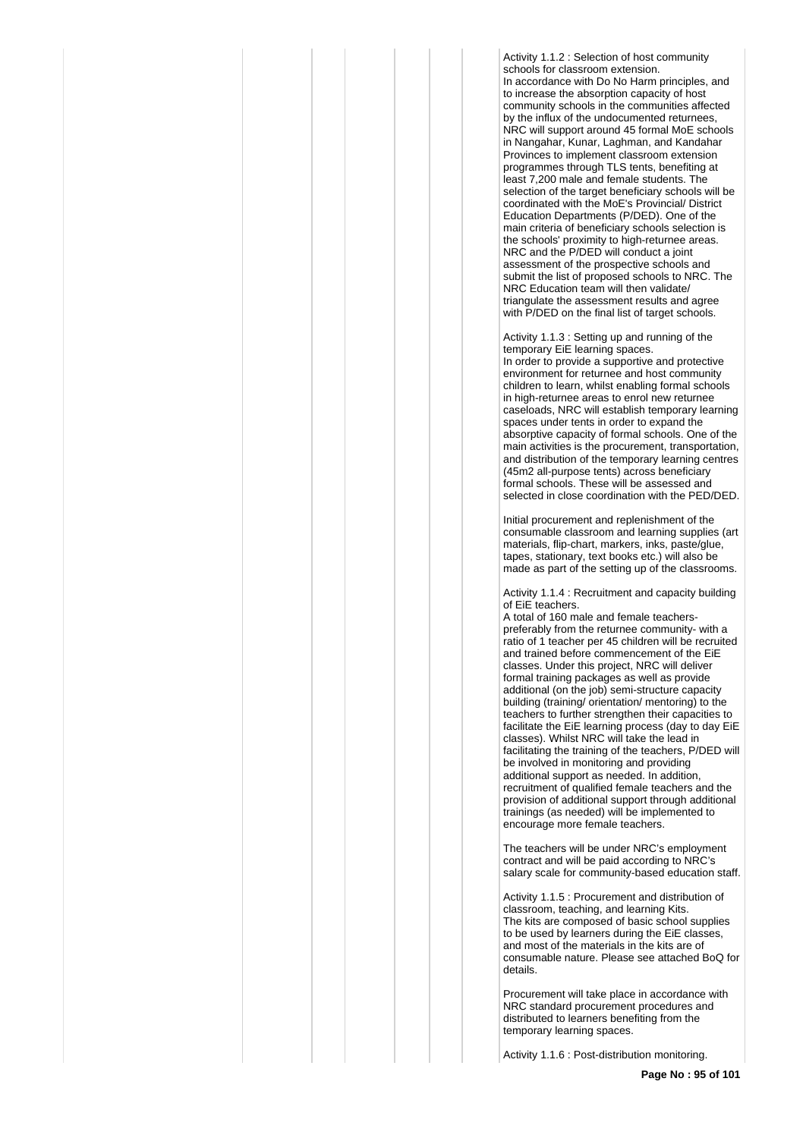Activity 1.1.2 : Selection of host community schools for classroom extension. In accordance with Do No Harm principles, and to increase the absorption capacity of host community schools in the communities affected by the influx of the undocumented returnees. NRC will support around 45 formal MoE schools in Nangahar, Kunar, Laghman, and Kandahar Provinces to implement classroom extension programmes through TLS tents, benefiting at least 7,200 male and female students. The selection of the target beneficiary schools will be coordinated with the MoE's Provincial/ District Education Departments (P/DED). One of the main criteria of beneficiary schools selection is the schools' proximity to high-returnee areas. NRC and the P/DED will conduct a joint assessment of the prospective schools and submit the list of proposed schools to NRC. The NRC Education team will then validate/ triangulate the assessment results and agree with P/DED on the final list of target schools.

Activity 1.1.3 : Setting up and running of the temporary EiE learning spaces. In order to provide a supportive and protective environment for returnee and host community children to learn, whilst enabling formal schools in high-returnee areas to enrol new returnee caseloads, NRC will establish temporary learning spaces under tents in order to expand the absorptive capacity of formal schools. One of the main activities is the procurement, transportation, and distribution of the temporary learning centres (45m2 all-purpose tents) across beneficiary formal schools. These will be assessed and selected in close coordination with the PED/DED.

Initial procurement and replenishment of the consumable classroom and learning supplies (art materials, flip-chart, markers, inks, paste/glue, tapes, stationary, text books etc.) will also be made as part of the setting up of the classrooms.

Activity 1.1.4 : Recruitment and capacity building of EiE teachers.

A total of 160 male and female teacherspreferably from the returnee community- with a ratio of 1 teacher per 45 children will be recruited and trained before commencement of the EiE classes. Under this project, NRC will deliver formal training packages as well as provide additional (on the job) semi-structure capacity building (training/ orientation/ mentoring) to the teachers to further strengthen their capacities to facilitate the EiE learning process (day to day EiE classes). Whilst NRC will take the lead in facilitating the training of the teachers, P/DED will be involved in monitoring and providing additional support as needed. In addition, recruitment of qualified female teachers and the provision of additional support through additional trainings (as needed) will be implemented to encourage more female teachers.

The teachers will be under NRC's employment contract and will be paid according to NRC's salary scale for community-based education staff.

Activity 1.1.5 : Procurement and distribution of classroom, teaching, and learning Kits. The kits are composed of basic school supplies to be used by learners during the EiE classes, and most of the materials in the kits are of consumable nature. Please see attached BoQ for details.

Procurement will take place in accordance with NRC standard procurement procedures and distributed to learners benefiting from the temporary learning spaces.

Activity 1.1.6 : Post-distribution monitoring.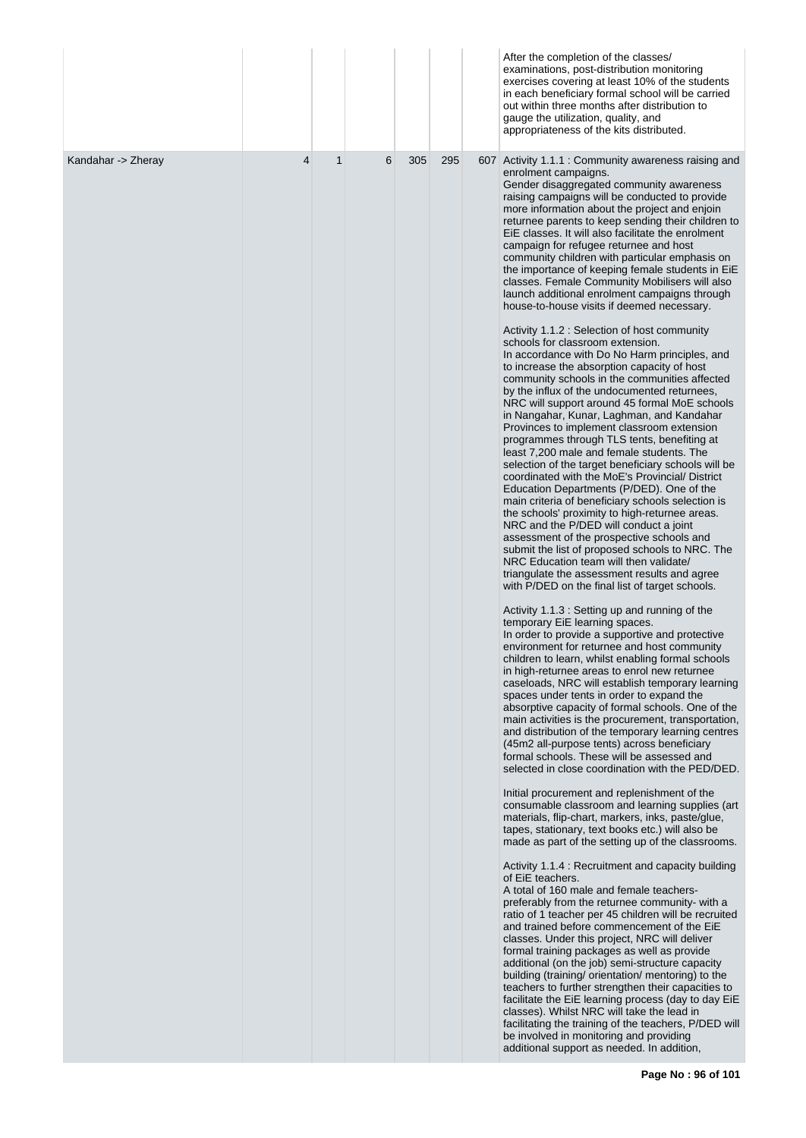|                    |   |              |   |     |     | After the completion of the classes/<br>examinations, post-distribution monitoring<br>exercises covering at least 10% of the students<br>in each beneficiary formal school will be carried<br>out within three months after distribution to<br>gauge the utilization, quality, and<br>appropriateness of the kits distributed.                                                                                                                                                                                                                                                                                                                                                                                                                                                                                                                                                                                                                                                                                                                                                                                                                                                                                                                                                                                                                                                                                                                                                                                                                                                                                                                                                                                                                                                                                                                                                                                                                                                                                                                                                                                                                                                                                                                                                                                                                                                                                                                                                                                                                                                                                                                                                                                                                                                                                                                                                                                                                                                                                                                                                                                                                                                                                                                                                                                                                                                                                                                                                                                |
|--------------------|---|--------------|---|-----|-----|---------------------------------------------------------------------------------------------------------------------------------------------------------------------------------------------------------------------------------------------------------------------------------------------------------------------------------------------------------------------------------------------------------------------------------------------------------------------------------------------------------------------------------------------------------------------------------------------------------------------------------------------------------------------------------------------------------------------------------------------------------------------------------------------------------------------------------------------------------------------------------------------------------------------------------------------------------------------------------------------------------------------------------------------------------------------------------------------------------------------------------------------------------------------------------------------------------------------------------------------------------------------------------------------------------------------------------------------------------------------------------------------------------------------------------------------------------------------------------------------------------------------------------------------------------------------------------------------------------------------------------------------------------------------------------------------------------------------------------------------------------------------------------------------------------------------------------------------------------------------------------------------------------------------------------------------------------------------------------------------------------------------------------------------------------------------------------------------------------------------------------------------------------------------------------------------------------------------------------------------------------------------------------------------------------------------------------------------------------------------------------------------------------------------------------------------------------------------------------------------------------------------------------------------------------------------------------------------------------------------------------------------------------------------------------------------------------------------------------------------------------------------------------------------------------------------------------------------------------------------------------------------------------------------------------------------------------------------------------------------------------------------------------------------------------------------------------------------------------------------------------------------------------------------------------------------------------------------------------------------------------------------------------------------------------------------------------------------------------------------------------------------------------------------------------------------------------------------------------------------------------------|
| Kandahar -> Zheray | 4 | $\mathbf{1}$ | 6 | 305 | 295 | 607 Activity 1.1.1 : Community awareness raising and<br>enrolment campaigns.<br>Gender disaggregated community awareness<br>raising campaigns will be conducted to provide<br>more information about the project and enjoin<br>returnee parents to keep sending their children to<br>EiE classes. It will also facilitate the enrolment<br>campaign for refugee returnee and host<br>community children with particular emphasis on<br>the importance of keeping female students in EiE<br>classes. Female Community Mobilisers will also<br>launch additional enrolment campaigns through<br>house-to-house visits if deemed necessary.<br>Activity 1.1.2 : Selection of host community<br>schools for classroom extension.<br>In accordance with Do No Harm principles, and<br>to increase the absorption capacity of host<br>community schools in the communities affected<br>by the influx of the undocumented returnees,<br>NRC will support around 45 formal MoE schools<br>in Nangahar, Kunar, Laghman, and Kandahar<br>Provinces to implement classroom extension<br>programmes through TLS tents, benefiting at<br>least 7,200 male and female students. The<br>selection of the target beneficiary schools will be<br>coordinated with the MoE's Provincial/District<br>Education Departments (P/DED). One of the<br>main criteria of beneficiary schools selection is<br>the schools' proximity to high-returnee areas.<br>NRC and the P/DED will conduct a joint<br>assessment of the prospective schools and<br>submit the list of proposed schools to NRC. The<br>NRC Education team will then validate/<br>triangulate the assessment results and agree<br>with P/DED on the final list of target schools.<br>Activity 1.1.3 : Setting up and running of the<br>temporary EiE learning spaces.<br>In order to provide a supportive and protective<br>environment for returnee and host community<br>children to learn, whilst enabling formal schools<br>in high-returnee areas to enrol new returnee<br>caseloads, NRC will establish temporary learning<br>spaces under tents in order to expand the<br>absorptive capacity of formal schools. One of the<br>main activities is the procurement, transportation,<br>and distribution of the temporary learning centres<br>(45m2 all-purpose tents) across beneficiary<br>formal schools. These will be assessed and<br>selected in close coordination with the PED/DED.<br>Initial procurement and replenishment of the<br>consumable classroom and learning supplies (art<br>materials, flip-chart, markers, inks, paste/glue,<br>tapes, stationary, text books etc.) will also be<br>made as part of the setting up of the classrooms.<br>Activity 1.1.4 : Recruitment and capacity building<br>of EiE teachers.<br>A total of 160 male and female teachers-<br>preferably from the returnee community- with a<br>ratio of 1 teacher per 45 children will be recruited<br>and trained before commencement of the EiE<br>classes. Under this project, NRC will deliver<br>formal training packages as well as provide<br>additional (on the job) semi-structure capacity<br>building (training/ orientation/ mentoring) to the<br>teachers to further strengthen their capacities to<br>facilitate the EiE learning process (day to day EiE<br>classes). Whilst NRC will take the lead in<br>facilitating the training of the teachers, P/DED will<br>be involved in monitoring and providing<br>additional support as needed. In addition, |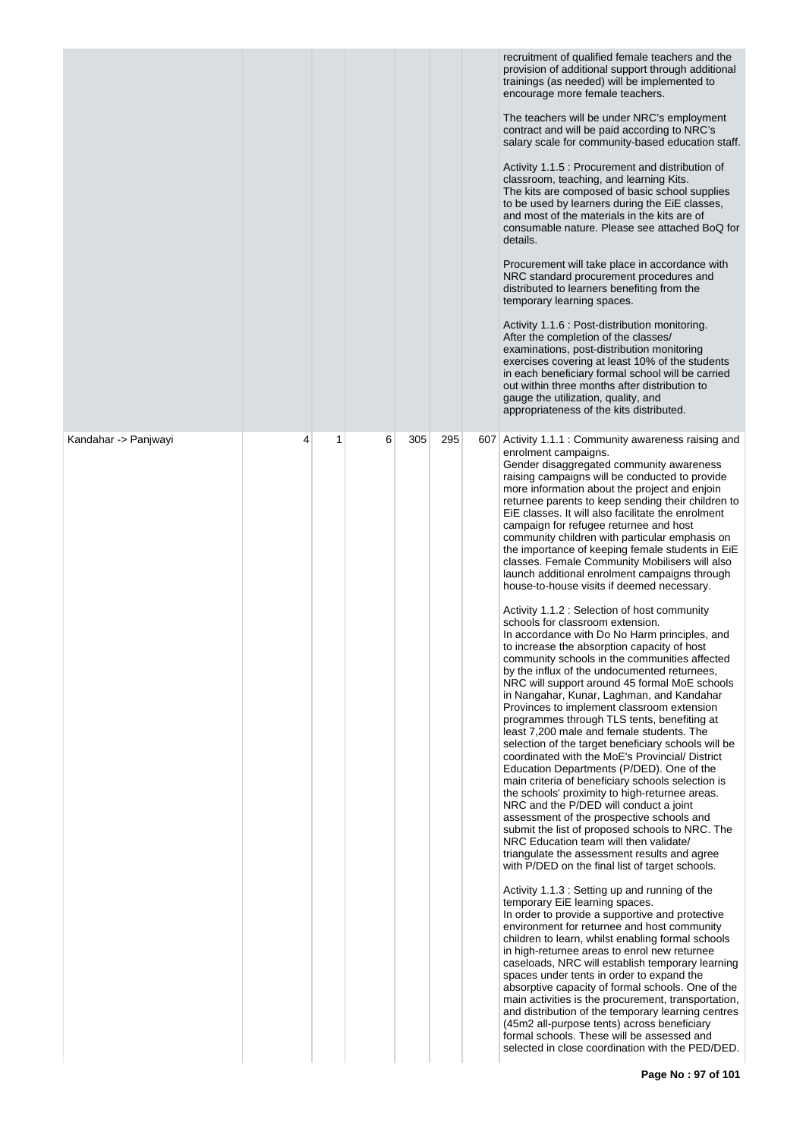|                      |   |   |   |     |     | recruitment of qualified female teachers and the<br>provision of additional support through additional<br>trainings (as needed) will be implemented to<br>encourage more female teachers.<br>The teachers will be under NRC's employment<br>contract and will be paid according to NRC's<br>salary scale for community-based education staff.<br>Activity 1.1.5 : Procurement and distribution of<br>classroom, teaching, and learning Kits.<br>The kits are composed of basic school supplies<br>to be used by learners during the EiE classes,<br>and most of the materials in the kits are of<br>consumable nature. Please see attached BoQ for<br>details.<br>Procurement will take place in accordance with<br>NRC standard procurement procedures and<br>distributed to learners benefiting from the<br>temporary learning spaces.<br>Activity 1.1.6 : Post-distribution monitoring.<br>After the completion of the classes/<br>examinations, post-distribution monitoring<br>exercises covering at least 10% of the students<br>in each beneficiary formal school will be carried<br>out within three months after distribution to<br>gauge the utilization, quality, and<br>appropriateness of the kits distributed.                                                                                                                                                                                                                                                                                                                                                                                                                                                                                                                                                                                                                                                                                                                                                                                                                                                                                                                                                                                                                                                                                                                                                                                                              |
|----------------------|---|---|---|-----|-----|-------------------------------------------------------------------------------------------------------------------------------------------------------------------------------------------------------------------------------------------------------------------------------------------------------------------------------------------------------------------------------------------------------------------------------------------------------------------------------------------------------------------------------------------------------------------------------------------------------------------------------------------------------------------------------------------------------------------------------------------------------------------------------------------------------------------------------------------------------------------------------------------------------------------------------------------------------------------------------------------------------------------------------------------------------------------------------------------------------------------------------------------------------------------------------------------------------------------------------------------------------------------------------------------------------------------------------------------------------------------------------------------------------------------------------------------------------------------------------------------------------------------------------------------------------------------------------------------------------------------------------------------------------------------------------------------------------------------------------------------------------------------------------------------------------------------------------------------------------------------------------------------------------------------------------------------------------------------------------------------------------------------------------------------------------------------------------------------------------------------------------------------------------------------------------------------------------------------------------------------------------------------------------------------------------------------------------------------------------------------------------------------------------------------------------------------|
| Kandahar -> Panjwayi | 4 | 1 | 6 | 305 | 295 | 607 Activity 1.1.1 : Community awareness raising and<br>enrolment campaigns.<br>Gender disaggregated community awareness<br>raising campaigns will be conducted to provide<br>more information about the project and enjoin<br>returnee parents to keep sending their children to<br>EiE classes. It will also facilitate the enrolment<br>campaign for refugee returnee and host<br>community children with particular emphasis on<br>the importance of keeping female students in EiE<br>classes. Female Community Mobilisers will also<br>launch additional enrolment campaigns through<br>house-to-house visits if deemed necessary.<br>Activity 1.1.2 : Selection of host community<br>schools for classroom extension.<br>In accordance with Do No Harm principles, and<br>to increase the absorption capacity of host<br>community schools in the communities affected<br>by the influx of the undocumented returnees,<br>NRC will support around 45 formal MoE schools<br>in Nangahar, Kunar, Laghman, and Kandahar<br>Provinces to implement classroom extension<br>programmes through TLS tents, benefiting at<br>least 7,200 male and female students. The<br>selection of the target beneficiary schools will be<br>coordinated with the MoE's Provincial/ District<br>Education Departments (P/DED). One of the<br>main criteria of beneficiary schools selection is<br>the schools' proximity to high-returnee areas.<br>NRC and the P/DED will conduct a joint<br>assessment of the prospective schools and<br>submit the list of proposed schools to NRC. The<br>NRC Education team will then validate/<br>triangulate the assessment results and agree<br>with P/DED on the final list of target schools.<br>Activity 1.1.3 : Setting up and running of the<br>temporary EiE learning spaces.<br>In order to provide a supportive and protective<br>environment for returnee and host community<br>children to learn, whilst enabling formal schools<br>in high-returnee areas to enrol new returnee<br>caseloads, NRC will establish temporary learning<br>spaces under tents in order to expand the<br>absorptive capacity of formal schools. One of the<br>main activities is the procurement, transportation,<br>and distribution of the temporary learning centres<br>(45m2 all-purpose tents) across beneficiary<br>formal schools. These will be assessed and<br>selected in close coordination with the PED/DED. |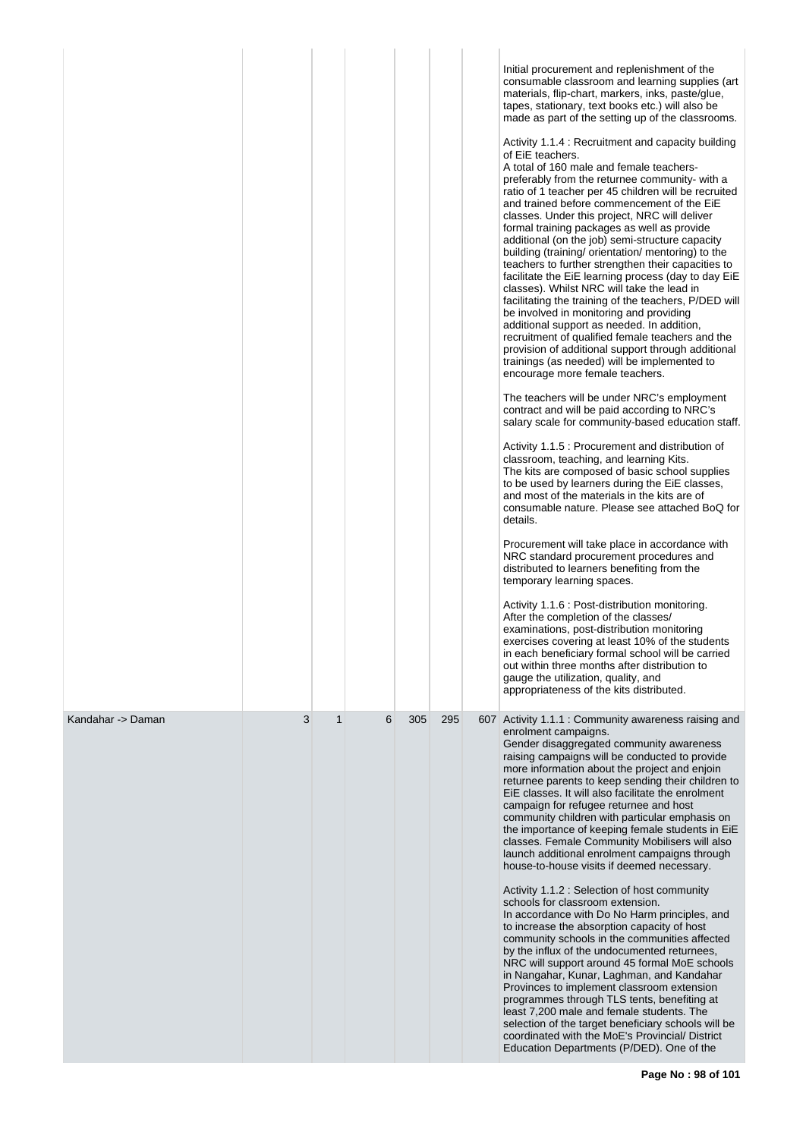|                   |   |              |   |     |     | Initial procurement and replenishment of the<br>consumable classroom and learning supplies (art<br>materials, flip-chart, markers, inks, paste/glue,<br>tapes, stationary, text books etc.) will also be<br>made as part of the setting up of the classrooms.<br>Activity 1.1.4 : Recruitment and capacity building<br>of EiE teachers.<br>A total of 160 male and female teachers-<br>preferably from the returnee community- with a<br>ratio of 1 teacher per 45 children will be recruited<br>and trained before commencement of the EiE<br>classes. Under this project, NRC will deliver<br>formal training packages as well as provide<br>additional (on the job) semi-structure capacity<br>building (training/ orientation/ mentoring) to the<br>teachers to further strengthen their capacities to<br>facilitate the EiE learning process (day to day EiE<br>classes). Whilst NRC will take the lead in<br>facilitating the training of the teachers, P/DED will<br>be involved in monitoring and providing<br>additional support as needed. In addition,<br>recruitment of qualified female teachers and the<br>provision of additional support through additional<br>trainings (as needed) will be implemented to<br>encourage more female teachers.<br>The teachers will be under NRC's employment<br>contract and will be paid according to NRC's<br>salary scale for community-based education staff.<br>Activity 1.1.5 : Procurement and distribution of<br>classroom, teaching, and learning Kits.<br>The kits are composed of basic school supplies<br>to be used by learners during the EiE classes,<br>and most of the materials in the kits are of<br>consumable nature. Please see attached BoQ for<br>details.<br>Procurement will take place in accordance with<br>NRC standard procurement procedures and<br>distributed to learners benefiting from the<br>temporary learning spaces.<br>Activity 1.1.6 : Post-distribution monitoring.<br>After the completion of the classes/<br>examinations, post-distribution monitoring<br>exercises covering at least 10% of the students<br>in each beneficiary formal school will be carried<br>out within three months after distribution to<br>gauge the utilization, quality, and<br>appropriateness of the kits distributed. |
|-------------------|---|--------------|---|-----|-----|---------------------------------------------------------------------------------------------------------------------------------------------------------------------------------------------------------------------------------------------------------------------------------------------------------------------------------------------------------------------------------------------------------------------------------------------------------------------------------------------------------------------------------------------------------------------------------------------------------------------------------------------------------------------------------------------------------------------------------------------------------------------------------------------------------------------------------------------------------------------------------------------------------------------------------------------------------------------------------------------------------------------------------------------------------------------------------------------------------------------------------------------------------------------------------------------------------------------------------------------------------------------------------------------------------------------------------------------------------------------------------------------------------------------------------------------------------------------------------------------------------------------------------------------------------------------------------------------------------------------------------------------------------------------------------------------------------------------------------------------------------------------------------------------------------------------------------------------------------------------------------------------------------------------------------------------------------------------------------------------------------------------------------------------------------------------------------------------------------------------------------------------------------------------------------------------------------------------------------------------------------------------------------------------------|
| Kandahar -> Daman | 3 | $\mathbf{1}$ | 6 | 305 | 295 | 607 Activity 1.1.1 : Community awareness raising and<br>enrolment campaigns.<br>Gender disaggregated community awareness<br>raising campaigns will be conducted to provide<br>more information about the project and enjoin<br>returnee parents to keep sending their children to<br>EiE classes. It will also facilitate the enrolment<br>campaign for refugee returnee and host<br>community children with particular emphasis on<br>the importance of keeping female students in EiE<br>classes. Female Community Mobilisers will also<br>launch additional enrolment campaigns through<br>house-to-house visits if deemed necessary.<br>Activity 1.1.2 : Selection of host community<br>schools for classroom extension.<br>In accordance with Do No Harm principles, and<br>to increase the absorption capacity of host<br>community schools in the communities affected<br>by the influx of the undocumented returnees,<br>NRC will support around 45 formal MoE schools<br>in Nangahar, Kunar, Laghman, and Kandahar<br>Provinces to implement classroom extension<br>programmes through TLS tents, benefiting at<br>least 7,200 male and female students. The<br>selection of the target beneficiary schools will be<br>coordinated with the MoE's Provincial/ District<br>Education Departments (P/DED). One of the                                                                                                                                                                                                                                                                                                                                                                                                                                                                                                                                                                                                                                                                                                                                                                                                                                                                                                                                                                      |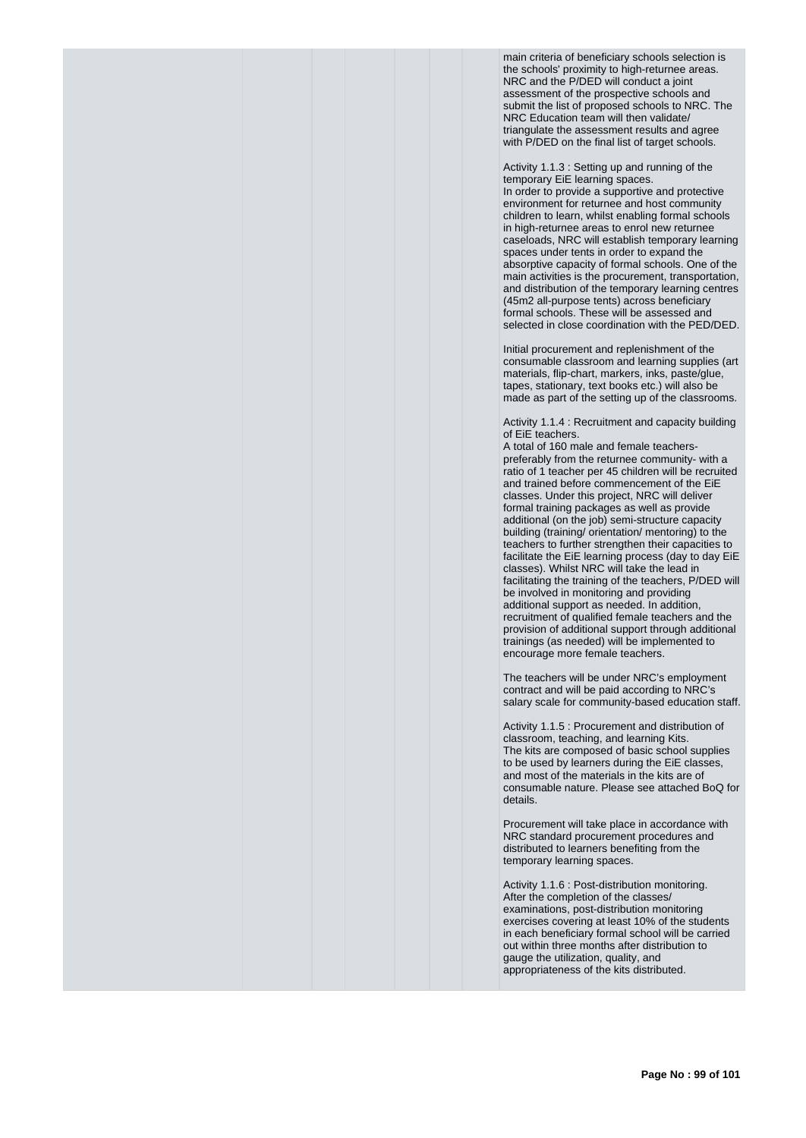main criteria of beneficiary schools selection is the schools' proximity to high-returnee areas. NRC and the P/DED will conduct a joint assessment of the prospective schools and submit the list of proposed schools to NRC. The NRC Education team will then validate/ triangulate the assessment results and agree with P/DED on the final list of target schools.

Activity 1.1.3 : Setting up and running of the temporary EiE learning spaces.

In order to provide a supportive and protective environment for returnee and host community children to learn, whilst enabling formal schools in high-returnee areas to enrol new returnee caseloads, NRC will establish temporary learning spaces under tents in order to expand the absorptive capacity of formal schools. One of the main activities is the procurement, transportation, and distribution of the temporary learning centres (45m2 all-purpose tents) across beneficiary formal schools. These will be assessed and selected in close coordination with the PED/DED.

Initial procurement and replenishment of the consumable classroom and learning supplies (art materials, flip-chart, markers, inks, paste/glue, tapes, stationary, text books etc.) will also be made as part of the setting up of the classrooms.

Activity 1.1.4 : Recruitment and capacity building of EiE teachers.

A total of 160 male and female teacherspreferably from the returnee community- with a ratio of 1 teacher per 45 children will be recruited and trained before commencement of the EiE classes. Under this project, NRC will deliver formal training packages as well as provide additional (on the job) semi-structure capacity building (training/ orientation/ mentoring) to the teachers to further strengthen their capacities to facilitate the EiE learning process (day to day EiE classes). Whilst NRC will take the lead in facilitating the training of the teachers, P/DED will be involved in monitoring and providing additional support as needed. In addition, recruitment of qualified female teachers and the provision of additional support through additional trainings (as needed) will be implemented to encourage more female teachers.

The teachers will be under NRC's employment contract and will be paid according to NRC's salary scale for community-based education staff.

Activity 1.1.5 : Procurement and distribution of classroom, teaching, and learning Kits. The kits are composed of basic school supplies to be used by learners during the EiE classes, and most of the materials in the kits are of consumable nature. Please see attached BoQ for details.

Procurement will take place in accordance with NRC standard procurement procedures and distributed to learners benefiting from the temporary learning spaces.

Activity 1.1.6 : Post-distribution monitoring. After the completion of the classes/ examinations, post-distribution monitoring exercises covering at least 10% of the students in each beneficiary formal school will be carried out within three months after distribution to gauge the utilization, quality, and appropriateness of the kits distributed.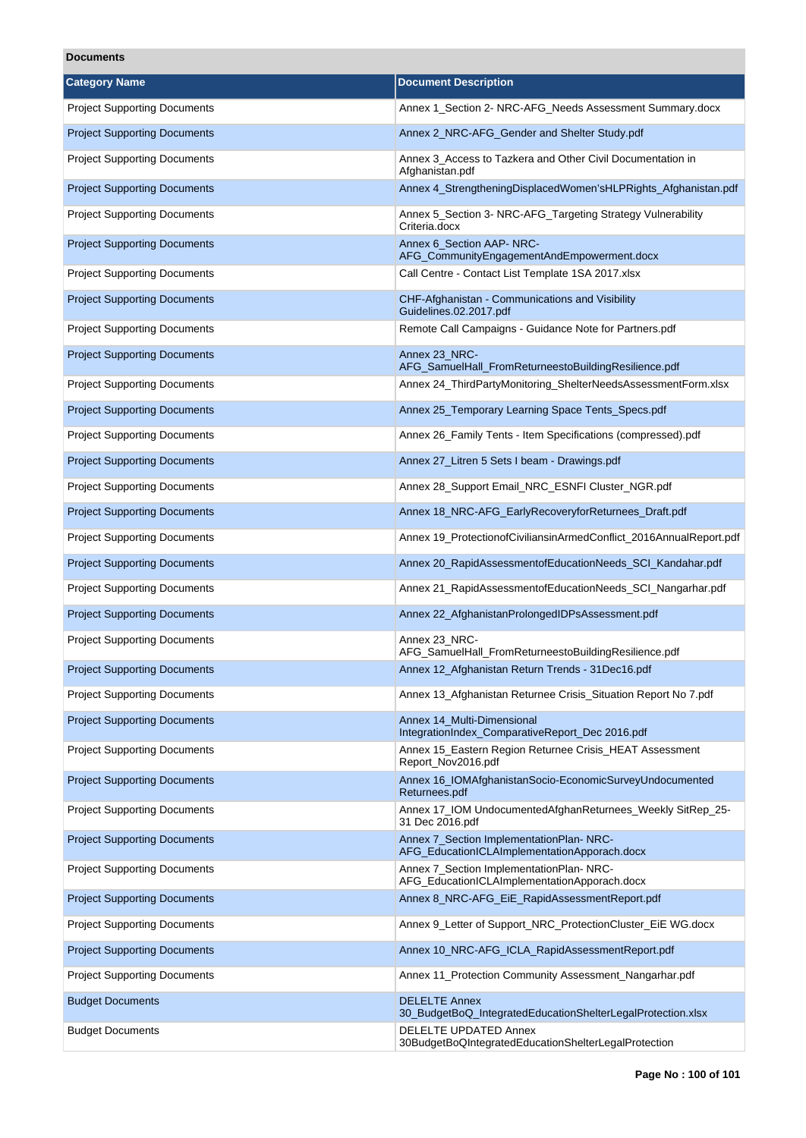## **Documents**

| <b>Category Name</b>                | <b>Document Description</b>                                                              |
|-------------------------------------|------------------------------------------------------------------------------------------|
| <b>Project Supporting Documents</b> | Annex 1 Section 2- NRC-AFG Needs Assessment Summary.docx                                 |
| <b>Project Supporting Documents</b> | Annex 2_NRC-AFG_Gender and Shelter Study.pdf                                             |
| <b>Project Supporting Documents</b> | Annex 3_Access to Tazkera and Other Civil Documentation in<br>Afghanistan.pdf            |
| <b>Project Supporting Documents</b> | Annex 4_StrengtheningDisplacedWomen'sHLPRights_Afghanistan.pdf                           |
| <b>Project Supporting Documents</b> | Annex 5_Section 3- NRC-AFG_Targeting Strategy Vulnerability<br>Criteria.docx             |
| <b>Project Supporting Documents</b> | Annex 6_Section AAP-NRC-<br>AFG_CommunityEngagementAndEmpowerment.docx                   |
| <b>Project Supporting Documents</b> | Call Centre - Contact List Template 1SA 2017.xlsx                                        |
| <b>Project Supporting Documents</b> | CHF-Afghanistan - Communications and Visibility<br>Guidelines.02.2017.pdf                |
| <b>Project Supporting Documents</b> | Remote Call Campaigns - Guidance Note for Partners.pdf                                   |
| <b>Project Supporting Documents</b> | Annex 23 NRC-<br>AFG_SamuelHall_FromReturneestoBuildingResilience.pdf                    |
| <b>Project Supporting Documents</b> | Annex 24 ThirdPartyMonitoring ShelterNeedsAssessmentForm.xlsx                            |
| <b>Project Supporting Documents</b> | Annex 25_Temporary Learning Space Tents_Specs.pdf                                        |
| <b>Project Supporting Documents</b> | Annex 26_Family Tents - Item Specifications (compressed).pdf                             |
| <b>Project Supporting Documents</b> | Annex 27_Litren 5 Sets I beam - Drawings.pdf                                             |
| <b>Project Supporting Documents</b> | Annex 28_Support Email_NRC_ESNFI Cluster_NGR.pdf                                         |
| <b>Project Supporting Documents</b> | Annex 18_NRC-AFG_EarlyRecoveryforReturnees_Draft.pdf                                     |
| <b>Project Supporting Documents</b> | Annex 19_ProtectionofCiviliansinArmedConflict_2016AnnualReport.pdf                       |
| <b>Project Supporting Documents</b> | Annex 20_RapidAssessmentofEducationNeeds_SCI_Kandahar.pdf                                |
| <b>Project Supporting Documents</b> | Annex 21_RapidAssessmentofEducationNeeds_SCI_Nangarhar.pdf                               |
| <b>Project Supporting Documents</b> | Annex 22_AfghanistanProlongedIDPsAssessment.pdf                                          |
| <b>Project Supporting Documents</b> | Annex 23_NRC-<br>AFG_SamuelHall_FromReturneestoBuildingResilience.pdf                    |
| <b>Project Supporting Documents</b> | Annex 12 Afghanistan Return Trends - 31Dec16.pdf                                         |
| <b>Project Supporting Documents</b> | Annex 13_Afghanistan Returnee Crisis_Situation Report No 7.pdf                           |
| <b>Project Supporting Documents</b> | Annex 14_Multi-Dimensional<br>IntegrationIndex_ComparativeReport_Dec 2016.pdf            |
| <b>Project Supporting Documents</b> | Annex 15_Eastern Region Returnee Crisis_HEAT Assessment<br>Report_Nov2016.pdf            |
| <b>Project Supporting Documents</b> | Annex 16_IOMAfghanistanSocio-EconomicSurveyUndocumented<br>Returnees.pdf                 |
| <b>Project Supporting Documents</b> | Annex 17_IOM UndocumentedAfghanReturnees_Weekly SitRep_25-<br>31 Dec 2016.pdf            |
| <b>Project Supporting Documents</b> | Annex 7_Section ImplementationPlan-NRC-<br>AFG_EducationICLAImplementationApporach.docx  |
| <b>Project Supporting Documents</b> | Annex 7_Section ImplementationPlan- NRC-<br>AFG_EducationICLAImplementationApporach.docx |
| <b>Project Supporting Documents</b> | Annex 8_NRC-AFG_EiE_RapidAssessmentReport.pdf                                            |
| <b>Project Supporting Documents</b> | Annex 9_Letter of Support_NRC_ProtectionCluster_EiE WG.docx                              |
| <b>Project Supporting Documents</b> | Annex 10_NRC-AFG_ICLA_RapidAssessmentReport.pdf                                          |
| <b>Project Supporting Documents</b> | Annex 11_Protection Community Assessment_Nangarhar.pdf                                   |
| <b>Budget Documents</b>             | <b>DELELTE Annex</b><br>30_BudgetBoQ_IntegratedEducationShelterLegalProtection.xlsx      |
| <b>Budget Documents</b>             | <b>DELELTE UPDATED Annex</b><br>30BudgetBoQIntegratedEducationShelterLegalProtection     |